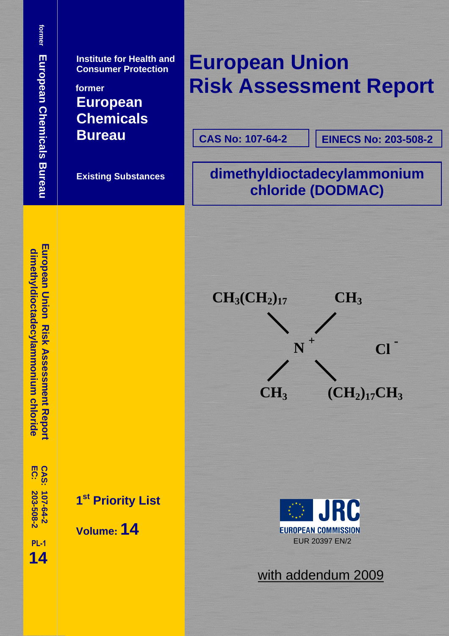**yldioctadec**

European Union Risk Assessment Repor dimethyldioctadecylammonium chloride

**ylammonium chloride**

**Institute for Health and Consumer Protection** 

**former European Chemicals Bureau**

 **Existing Substances**

# **European Union Risk Assessment Report**

**CAS No: 107-64-2**

**EINECS No: 203-508-2**

**dimethyldioctadecylammonium chloride (DODMAC)** 



 **PL-1 14**

**203-508-2 107-64-2** 

203-508-2

**EC: CAS:** 

**1st Priority List** 

 **Volume: 14**



with addendum 2009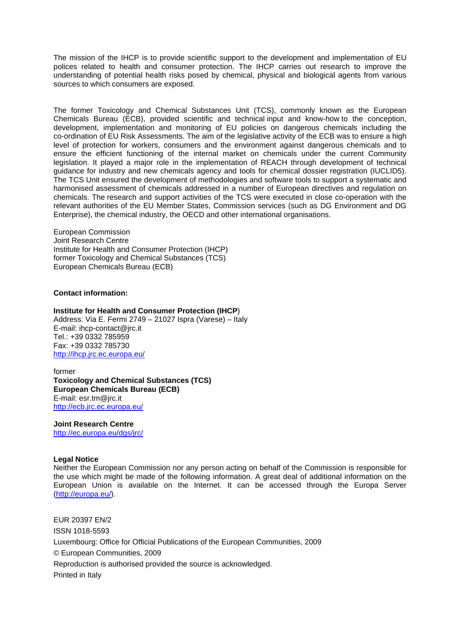The mission of the IHCP is to provide scientific support to the development and implementation of EU polices related to health and consumer protection. The IHCP carries out research to improve the understanding of potential health risks posed by chemical, physical and biological agents from various sources to which consumers are exposed.

The former Toxicology and Chemical Substances Unit (TCS), commonly known as the European Chemicals Bureau (ECB), provided scientific and technical input and know-how to the conception, development, implementation and monitoring of EU policies on dangerous chemicals including the co-ordination of EU Risk Assessments. The aim of the legislative activity of the ECB was to ensure a high level of protection for workers, consumers and the environment against dangerous chemicals and to ensure the efficient functioning of the internal market on chemicals under the current Community legislation. It played a major role in the implementation of REACH through development of technical guidance for industry and new chemicals agency and tools for chemical dossier registration (IUCLID5). The TCS Unit ensured the development of methodologies and software tools to support a systematic and harmonised assessment of chemicals addressed in a number of European directives and regulation on chemicals. The research and support activities of the TCS were executed in close co-operation with the relevant authorities of the EU Member States, Commission services (such as DG Environment and DG Enterprise), the chemical industry, the OECD and other international organisations.

European Commission Joint Research Centre Institute for Health and Consumer Protection (IHCP) former Toxicology and Chemical Substances (TCS) European Chemicals Bureau (ECB)

**Contact information:** 

#### **Institute for Health and Consumer Protection (IHCP**)

Address: Via E. Fermi 2749 – 21027 Ispra (Varese) – Italy E-mail: ihcp-contact@jrc.it Tel.: +39 0332 785959 Fax: +39 0332 785730 <http://ihcp.jrc.ec.europa.eu/>

former **Toxicology and Chemical Substances (TCS) European Chemicals Bureau (ECB)**  E-mail: esr.tm@jrc.it <http://ecb.jrc.ec.europa.eu/>

**Joint Research Centre** 

<http://ec.europa.eu/dgs/jrc/>

#### **Legal Notice**

Neither the European Commission nor any person acting on behalf of the Commission is responsible for the use which might be made of the following information. A great deal of additional information on the European Union is available on the Internet. It can be accessed through the Europa Server [\(http://europa.eu/\)](http://europa.eu/).

EUR 20397 EN/2 ISSN 1018-5593 Luxembourg: Office for Official Publications of the European Communities, 2009 © European Communities, 2009 Reproduction is authorised provided the source is acknowledged. Printed in Italy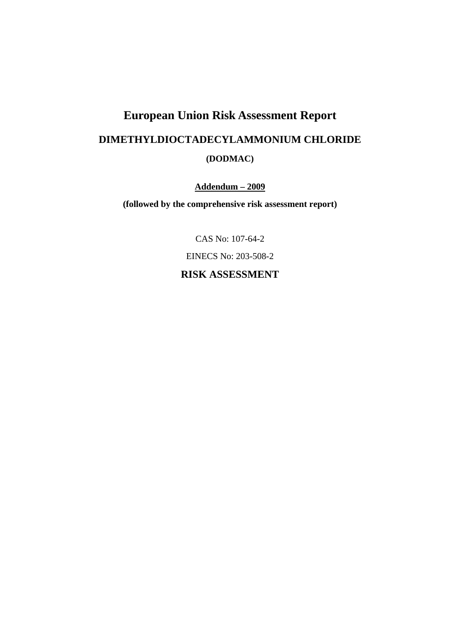# **European Union Risk Assessment Report DIMETHYLDIOCTADECYLAMMONIUM CHLORIDE (DODMAC)**

**Addendum – 2009**

**(followed by the comprehensive risk assessment report)** 

CAS No: 107-64-2

EINECS No: 203-508-2

**RISK ASSESSMENT**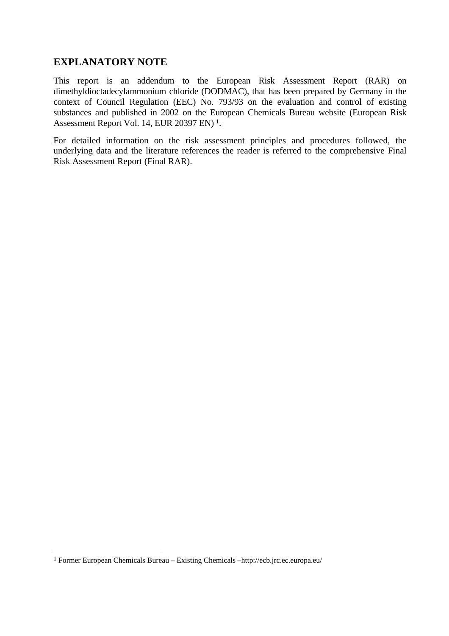# **EXPLANATORY NOTE**

This report is an addendum to the European Risk Assessment Report (RAR) on dimethyldioctadecylammonium chloride (DODMAC), that has been prepared by Germany in the context of Council Regulation (EEC) No. 793/93 on the evaluation and control of existing substances and published in 2002 on the European Chemicals Bureau website (European Risk Assessment Report Vol. 14, EUR 20397 EN) 1.

For detailed information on the risk assessment principles and procedures followed, the underlying data and the literature references the reader is referred to the comprehensive Final Risk Assessment Report (Final RAR).

 $\overline{a}$ 

<sup>1</sup> Former European Chemicals Bureau – Existing Chemicals [–http://ecb.jrc.ec.europa.eu/](http://ecb.jrc.ec.europa.eu/)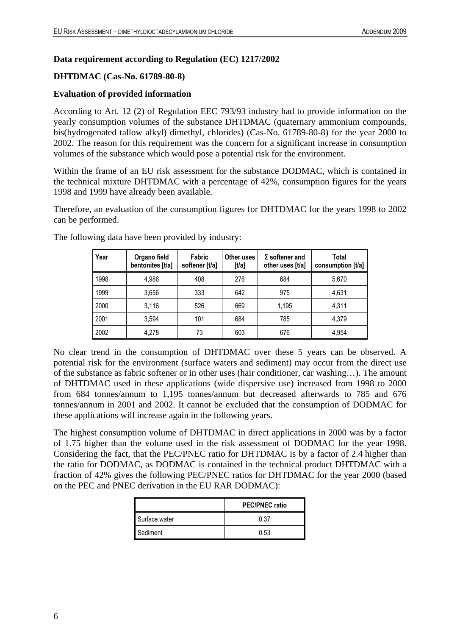### **Data requirement according to Regulation (EC) 1217/2002**

## **DHTDMAC (Cas-No. 61789-80-8)**

### **Evaluation of provided information**

According to Art. 12 (2) of Regulation EEC 793/93 industry had to provide information on the yearly consumption volumes of the substance DHTDMAC (quaternary ammonium compounds, bis(hydrogenated tallow alkyl) dimethyl, chlorides) (Cas-No. 61789-80-8) for the year 2000 to 2002. The reason for this requirement was the concern for a significant increase in consumption volumes of the substance which would pose a potential risk for the environment.

Within the frame of an EU risk assessment for the substance DODMAC, which is contained in the technical mixture DHTDMAC with a percentage of 42%, consumption figures for the years 1998 and 1999 have already been available.

Therefore, an evaluation of the consumption figures for DHTDMAC for the years 1998 to 2002 can be performed.

| Year | Organo field<br>bentonites [t/a] | Fabric<br>softener [t/a] | Other uses<br>[1/a] | $\Sigma$ softener and<br>other uses [t/a] | Total<br>consumption [t/a] |
|------|----------------------------------|--------------------------|---------------------|-------------------------------------------|----------------------------|
| 1998 | 4,986                            | 408                      | 276                 | 684                                       | 5,670                      |
| 1999 | 3,656                            | 333                      | 642                 | 975                                       | 4,631                      |
| 2000 | 3.116                            | 526                      | 669                 | 1.195                                     | 4.311                      |
| 2001 | 3.594                            | 101                      | 684                 | 785                                       | 4.379                      |
| 2002 | 4.278                            | 73                       | 603                 | 676                                       | 4.954                      |

The following data have been provided by industry:

No clear trend in the consumption of DHTDMAC over these 5 years can be observed. A potential risk for the environment (surface waters and sediment) may occur from the direct use of the substance as fabric softener or in other uses (hair conditioner, car washing…). The amount of DHTDMAC used in these applications (wide dispersive use) increased from 1998 to 2000 from 684 tonnes/annum to 1,195 tonnes/annum but decreased afterwards to 785 and 676 tonnes/annum in 2001 and 2002. It cannot be excluded that the consumption of DODMAC for these applications will increase again in the following years.

The highest consumption volume of DHTDMAC in direct applications in 2000 was by a factor of 1.75 higher than the volume used in the risk assessment of DODMAC for the year 1998. Considering the fact, that the PEC/PNEC ratio for DHTDMAC is by a factor of 2.4 higher than the ratio for DODMAC, as DODMAC is contained in the technical product DHTDMAC with a fraction of 42% gives the following PEC/PNEC ratios for DHTDMAC for the year 2000 (based on the PEC and PNEC derivation in the EU RAR DODMAC):

|               | <b>PEC/PNEC ratio</b> |
|---------------|-----------------------|
| Surface water | 0.37                  |
| Sediment      | 0.53                  |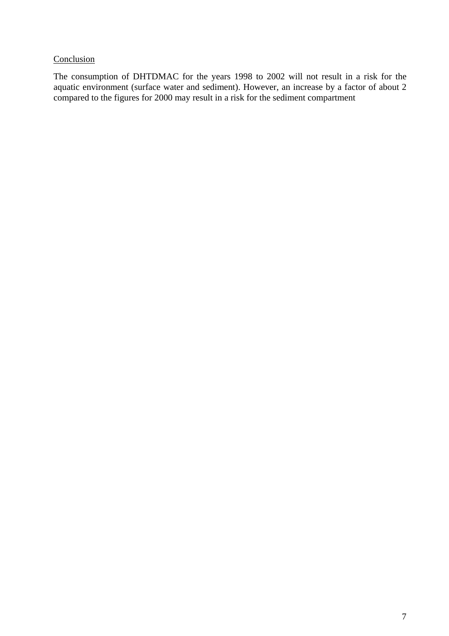# **Conclusion**

The consumption of DHTDMAC for the years 1998 to 2002 will not result in a risk for the aquatic environment (surface water and sediment). However, an increase by a factor of about 2 compared to the figures for 2000 may result in a risk for the sediment compartment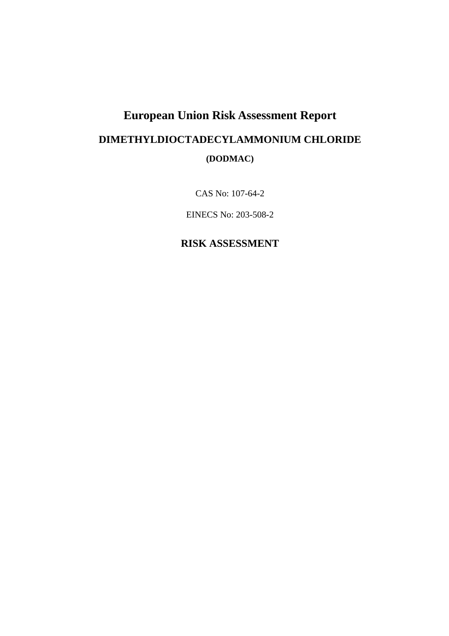# **European Union Risk Assessment Report DIMETHYLDIOCTADECYLAMMONIUM CHLORIDE (DODMAC)**

CAS No: 107-64-2

EINECS No: 203-508-2

# **RISK ASSESSMENT**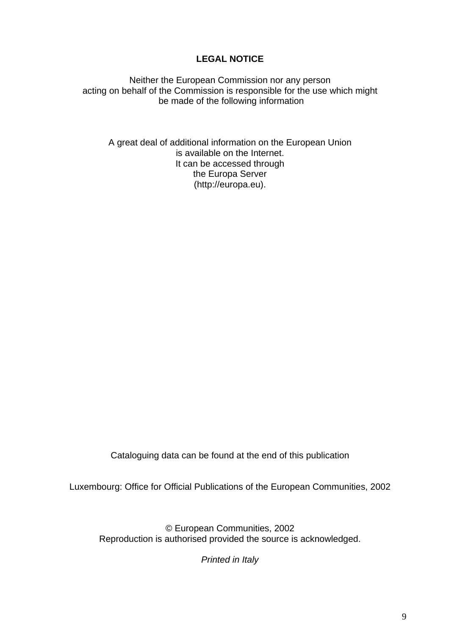# **LEGAL NOTICE**

Neither the European Commission nor any person acting on behalf of the Commission is responsible for the use which might be made of the following information

A great deal of additional information on the European Union is available on the Internet. It can be accessed through the Europa Server (http://europa.eu).

Cataloguing data can be found at the end of this publication

Luxembourg: Office for Official Publications of the European Communities, 2002

© European Communities, 2002 Reproduction is authorised provided the source is acknowledged.

*Printed in Italy*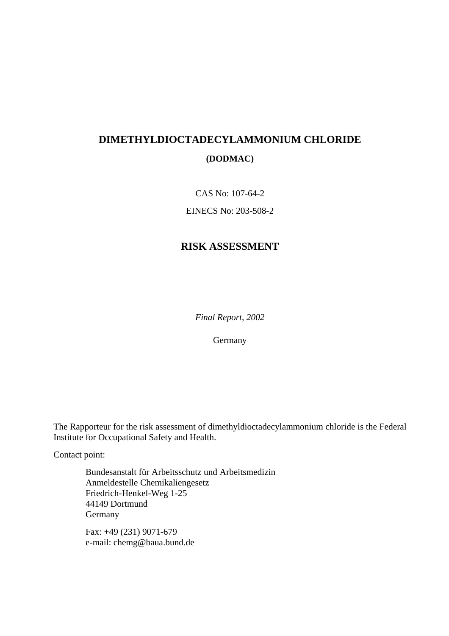# **DIMETHYLDIOCTADECYLAMMONIUM CHLORIDE (DODMAC)**

CAS No: 107-64-2

EINECS No: 203-508-2

# **RISK ASSESSMENT**

*Final Report, 2002*

Germany

The Rapporteur for the risk assessment of dimethyldioctadecylammonium chloride is the Federal Institute for Occupational Safety and Health.

Contact point:

Bundesanstalt für Arbeitsschutz und Arbeitsmedizin Anmeldestelle Chemikaliengesetz Friedrich-Henkel-Weg 1-25 44149 Dortmund Germany

Fax: +49 (231) 9071-679 e-mail: chemg@baua.bund.de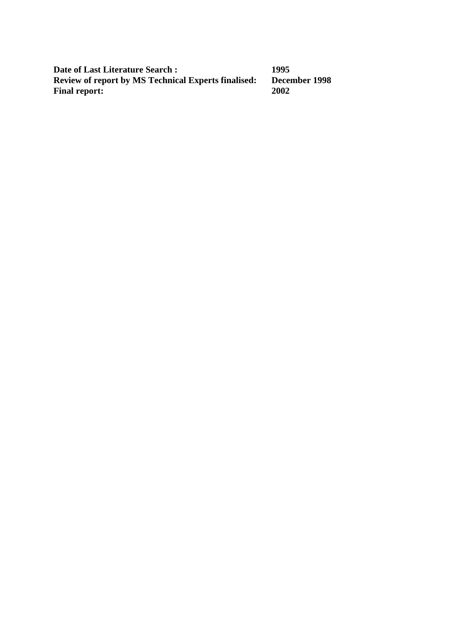**Date of Last Literature Search : 1995<br>Review of report by MS Technical Experts finalised: December 1998 Review of report by MS Technical Experts finalised:** December 1998 **December 1998 Final report:**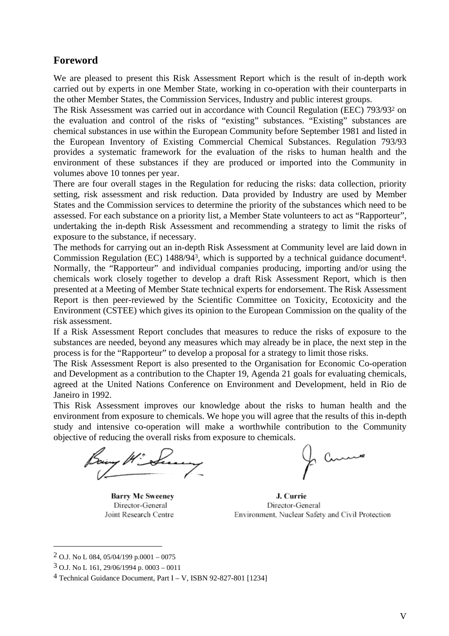# **Foreword**

We are pleased to present this Risk Assessment Report which is the result of in-depth work carried out by experts in one Member State, working in co-operation with their counterparts in the other Member States, the Commission Services, Industry and public interest groups.

The Risk Assessment was carried out in accordance with Council Regulation (EEC) 793/932 on the evaluation and control of the risks of "existing" substances. "Existing" substances are chemical substances in use within the European Community before September 1981 and listed in the European Inventory of Existing Commercial Chemical Substances. Regulation 793/93 provides a systematic framework for the evaluation of the risks to human health and the environment of these substances if they are produced or imported into the Community in volumes above 10 tonnes per year.

There are four overall stages in the Regulation for reducing the risks: data collection, priority setting, risk assessment and risk reduction. Data provided by Industry are used by Member States and the Commission services to determine the priority of the substances which need to be assessed. For each substance on a priority list, a Member State volunteers to act as "Rapporteur", undertaking the in-depth Risk Assessment and recommending a strategy to limit the risks of exposure to the substance, if necessary.

The methods for carrying out an in-depth Risk Assessment at Community level are laid down in Commission Regulation (EC) 1488/943, which is supported by a technical guidance document4. Normally, the "Rapporteur" and individual companies producing, importing and/or using the chemicals work closely together to develop a draft Risk Assessment Report, which is then presented at a Meeting of Member State technical experts for endorsement. The Risk Assessment Report is then peer-reviewed by the Scientific Committee on Toxicity, Ecotoxicity and the Environment (CSTEE) which gives its opinion to the European Commission on the quality of the risk assessment.

If a Risk Assessment Report concludes that measures to reduce the risks of exposure to the substances are needed, beyond any measures which may already be in place, the next step in the process is for the "Rapporteur" to develop a proposal for a strategy to limit those risks.

The Risk Assessment Report is also presented to the Organisation for Economic Co-operation and Development as a contribution to the Chapter 19, Agenda 21 goals for evaluating chemicals, agreed at the United Nations Conference on Environment and Development, held in Rio de Janeiro in 1992.

This Risk Assessment improves our knowledge about the risks to human health and the environment from exposure to chemicals. We hope you will agree that the results of this in-depth study and intensive co-operation will make a worthwhile contribution to the Community objective of reducing the overall risks from exposure to chemicals.

**Barry Mc Sweenev** Director-General Joint Research Centre

J. Currie Director-General Environment, Nuclear Safety and Civil Protection

 $\overline{a}$ 

<sup>2</sup> O.J. No L 084, 05/04/199 p.0001 – 0075

<sup>3</sup> O.J. No L 161, 29/06/1994 p. 0003 – 0011

<sup>4</sup> Technical Guidance Document, Part I – V, ISBN 92-827-801 [1234]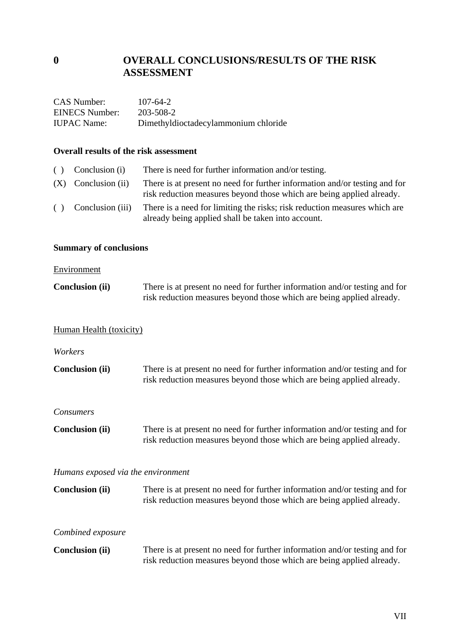# **0 OVERALL CONCLUSIONS/RESULTS OF THE RISK ASSESSMENT**

| CAS Number:        | $107 - 64 - 2$                       |
|--------------------|--------------------------------------|
| EINECS Number:     | 203-508-2                            |
| <b>IUPAC</b> Name: | Dimethyldioctadecylammonium chloride |

### **Overall results of the risk assessment**

| ( ) | Conclusion (i)        | There is need for further information and/or testing.                                                                                               |
|-----|-----------------------|-----------------------------------------------------------------------------------------------------------------------------------------------------|
|     | $(X)$ Conclusion (ii) | There is at present no need for further information and/or testing and for<br>risk reduction measures beyond those which are being applied already. |
| ( ) | Conclusion (iii)      | There is a need for limiting the risks; risk reduction measures which are<br>already being applied shall be taken into account.                     |

# **Summary of conclusions**

### **Environment**

| <b>Conclusion (ii)</b> | There is at present no need for further information and/or testing and for |
|------------------------|----------------------------------------------------------------------------|
|                        | risk reduction measures beyond those which are being applied already.      |

# Human Health (toxicity)

*Workers* 

| <b>Conclusion (ii)</b> | There is at present no need for further information and/or testing and for |
|------------------------|----------------------------------------------------------------------------|
|                        | risk reduction measures beyond those which are being applied already.      |

### *Consumers*

**Conclusion (ii)** There is at present no need for further information and/or testing and for risk reduction measures beyond those which are being applied already.

### *Humans exposed via the environment*

| <b>Conclusion (ii)</b> | There is at present no need for further information and/or testing and for |
|------------------------|----------------------------------------------------------------------------|
|                        | risk reduction measures beyond those which are being applied already.      |

### *Combined exposure*

| <b>Conclusion (ii)</b> | There is at present no need for further information and/or testing and for |
|------------------------|----------------------------------------------------------------------------|
|                        | risk reduction measures beyond those which are being applied already.      |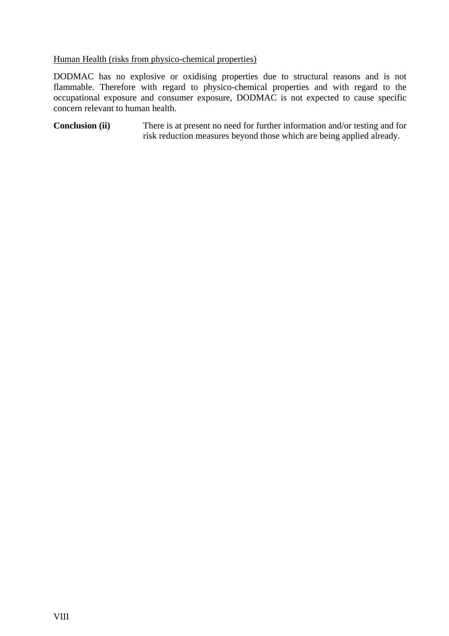## Human Health (risks from physico-chemical properties)

DODMAC has no explosive or oxidising properties due to structural reasons and is not flammable. Therefore with regard to physico-chemical properties and with regard to the occupational exposure and consumer exposure, DODMAC is not expected to cause specific concern relevant to human health.

**Conclusion (ii)** There is at present no need for further information and/or testing and for risk reduction measures beyond those which are being applied already.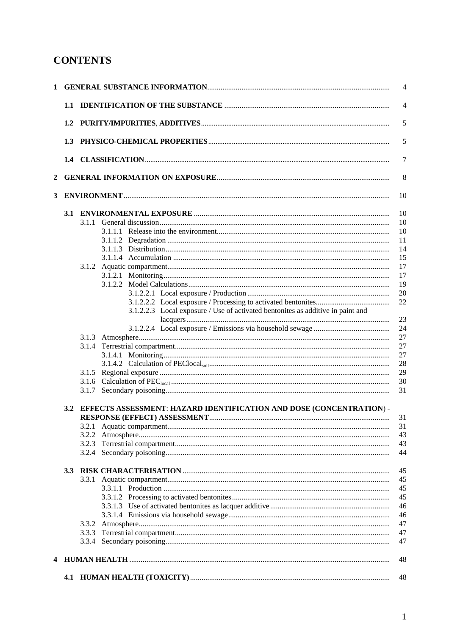# **CONTENTS**

|                |                  |       | $\overline{\mathcal{L}}$                                                              |  |
|----------------|------------------|-------|---------------------------------------------------------------------------------------|--|
|                |                  |       | $\overline{\mathcal{L}}$                                                              |  |
|                |                  |       | 5                                                                                     |  |
|                | 1.3              |       | 5                                                                                     |  |
|                |                  |       | 7                                                                                     |  |
| $\overline{2}$ |                  |       | 8                                                                                     |  |
|                |                  |       |                                                                                       |  |
| 3              |                  |       | 10                                                                                    |  |
|                |                  |       | 10                                                                                    |  |
|                |                  |       | 10                                                                                    |  |
|                |                  |       | 10                                                                                    |  |
|                |                  |       | 11                                                                                    |  |
|                |                  |       | 14                                                                                    |  |
|                |                  |       | 15                                                                                    |  |
|                |                  |       | 17                                                                                    |  |
|                |                  |       | 17                                                                                    |  |
|                |                  |       | 19                                                                                    |  |
|                |                  |       | 20                                                                                    |  |
|                |                  |       | 22                                                                                    |  |
|                |                  |       | 3.1.2.2.3 Local exposure / Use of activated bentonites as additive in paint and<br>23 |  |
|                |                  |       | 24                                                                                    |  |
|                |                  |       | 27                                                                                    |  |
|                |                  |       | 27                                                                                    |  |
|                |                  |       | 27                                                                                    |  |
|                |                  |       | 28                                                                                    |  |
|                |                  |       | 29                                                                                    |  |
|                |                  |       | 30                                                                                    |  |
|                |                  |       | 31                                                                                    |  |
|                |                  |       |                                                                                       |  |
|                | 3.2              |       | EFFECTS ASSESSMENT: HAZARD IDENTIFICATION AND DOSE (CONCENTRATION) -<br>31            |  |
|                |                  | 3.2.1 | 31                                                                                    |  |
|                |                  | 3.2.2 | 43                                                                                    |  |
|                |                  | 3.2.3 | 43                                                                                    |  |
|                |                  |       | 44                                                                                    |  |
|                | 3.3 <sub>2</sub> |       | 45                                                                                    |  |
|                |                  |       | 45                                                                                    |  |
|                |                  |       | 45                                                                                    |  |
|                |                  |       | 45                                                                                    |  |
|                |                  |       | 46                                                                                    |  |
|                |                  |       | 46                                                                                    |  |
|                |                  |       | 47                                                                                    |  |
|                |                  |       | 47                                                                                    |  |
|                |                  |       | 47                                                                                    |  |
|                |                  |       | 48                                                                                    |  |
|                |                  |       |                                                                                       |  |
|                |                  |       | 48                                                                                    |  |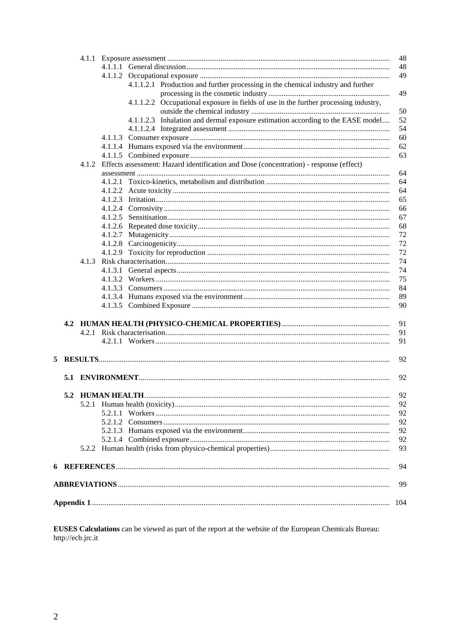|   |  | 48<br>48                                                                                     |
|---|--|----------------------------------------------------------------------------------------------|
|   |  | 49                                                                                           |
|   |  | 4.1.1.2.1 Production and further processing in the chemical industry and further             |
|   |  | 49                                                                                           |
|   |  | 4.1.1.2.2 Occupational exposure in fields of use in the further processing industry,         |
|   |  | 50                                                                                           |
|   |  | 4.1.1.2.3 Inhalation and dermal exposure estimation according to the EASE model<br>52        |
|   |  | 54                                                                                           |
|   |  | 60                                                                                           |
|   |  | 62                                                                                           |
|   |  | 63                                                                                           |
|   |  | 4.1.2 Effects assessment: Hazard identification and Dose (concentration) - response (effect) |
|   |  | 64                                                                                           |
|   |  | 64                                                                                           |
|   |  | 64                                                                                           |
|   |  | 65                                                                                           |
|   |  | 66                                                                                           |
|   |  | 67                                                                                           |
|   |  | 68                                                                                           |
|   |  | 72                                                                                           |
|   |  | 72                                                                                           |
|   |  | 72                                                                                           |
|   |  | 74                                                                                           |
|   |  | 74                                                                                           |
|   |  | 75                                                                                           |
|   |  | 84                                                                                           |
|   |  | 89<br>90                                                                                     |
|   |  |                                                                                              |
|   |  | 91                                                                                           |
|   |  | 91                                                                                           |
|   |  | 91                                                                                           |
| 5 |  | 92                                                                                           |
|   |  |                                                                                              |
|   |  | 92                                                                                           |
|   |  | 92                                                                                           |
|   |  | 92                                                                                           |
|   |  | 92                                                                                           |
|   |  | 92                                                                                           |
|   |  | 92                                                                                           |
|   |  | 92                                                                                           |
|   |  | 93                                                                                           |
|   |  | 94                                                                                           |
|   |  |                                                                                              |
|   |  | 99                                                                                           |
|   |  | 104                                                                                          |
|   |  |                                                                                              |

**EUSES Calculations** can be viewed as part of the report at the website of the European Chemicals Bureau:<br>http://ecb.jrc.it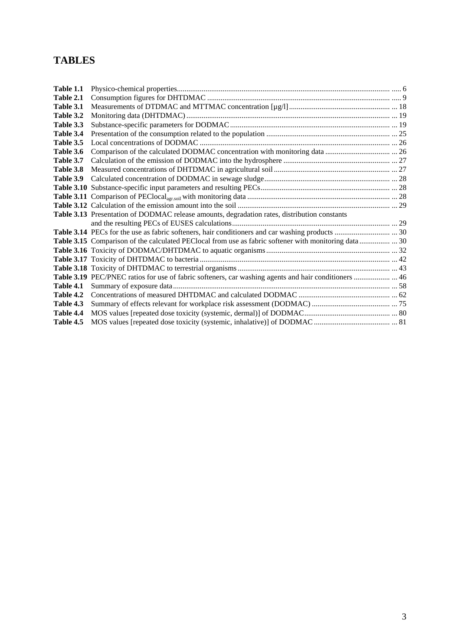# **TABLES**

| Table 1.1        |                                                                                              |  |
|------------------|----------------------------------------------------------------------------------------------|--|
| Table 2.1        |                                                                                              |  |
| Table 3.1        |                                                                                              |  |
| Table 3.2        |                                                                                              |  |
| Table 3.3        |                                                                                              |  |
| Table 3.4        |                                                                                              |  |
| Table 3.5        |                                                                                              |  |
| Table 3.6        |                                                                                              |  |
| Table 3.7        |                                                                                              |  |
| Table 3.8        |                                                                                              |  |
| Table 3.9        |                                                                                              |  |
|                  |                                                                                              |  |
|                  |                                                                                              |  |
|                  |                                                                                              |  |
|                  | Table 3.13 Presentation of DODMAC release amounts, degradation rates, distribution constants |  |
|                  |                                                                                              |  |
|                  |                                                                                              |  |
|                  |                                                                                              |  |
|                  |                                                                                              |  |
|                  |                                                                                              |  |
|                  |                                                                                              |  |
|                  |                                                                                              |  |
| Table 4.1        |                                                                                              |  |
| <b>Table 4.2</b> |                                                                                              |  |
| Table 4.3        |                                                                                              |  |
| Table 4.4        |                                                                                              |  |
| Table 4.5        |                                                                                              |  |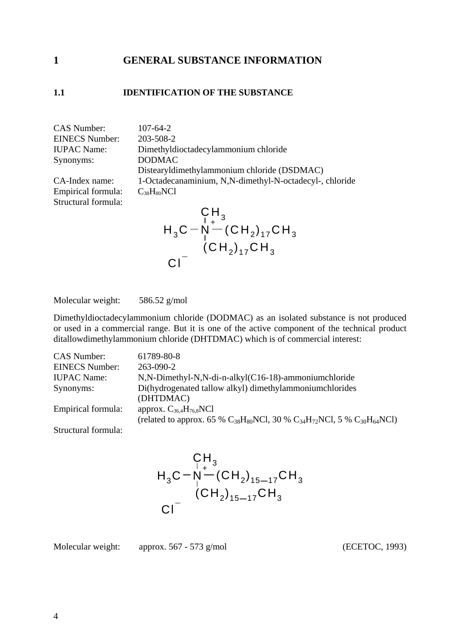# <span id="page-18-0"></span>**1 GENERAL SUBSTANCE INFORMATION**

### <span id="page-18-1"></span>**1.1 IDENTIFICATION OF THE SUBSTANCE**

CAS Number: 107-64-2 EINECS Number: 203-508-2 Synonyms: DODMAC

Structural formula:

IUPAC Name: Dimethyldioctadecylammonium chloride Distearyldimethylammonium chloride (DSDMAC) CA-Index name: 1-Octadecanaminium, N,N-dimethyl-N-octadecyl-, chloride Empirical formula:  $C_{38}H_{80}NC1$ 

$$
H_3C - N^+ (CH_2)_{17}CH_3
$$
  
\n
$$
Cl^-
$$
\n
$$
CH_2)_{17}CH_3
$$
  
\n
$$
Cl^-
$$

Molecular weight: 586.52 g/mol

Dimethyldioctadecylammonium chloride (DODMAC) as an isolated substance is not produced or used in a commercial range. But it is one of the active component of the technical product ditallowdimethylammonium chloride (DHTDMAC) which is of commercial interest:

| <b>CAS Number:</b>    | 61789-80-8                                                                                                                     |
|-----------------------|--------------------------------------------------------------------------------------------------------------------------------|
| <b>EINECS Number:</b> | $263 - 090 - 2$                                                                                                                |
| <b>IUPAC</b> Name:    | N,N-Dimethyl-N,N-di-n-alkyl(C16-18)-ammoniumchloride                                                                           |
| Synonyms:             | Di(hydrogenated tallow alkyl) dimethylammoniumchlorides<br>(DHTDMAC)                                                           |
| Empirical formula:    | approx. $C_{36,4}H_{76,8}NC1$<br>(related to approx. 65 % $C_{38}H_{80}NCl$ , 30 % $C_{34}H_{72}NCl$ , 5 % $C_{30}H_{64}NCl$ ) |
| Structural formula:   |                                                                                                                                |

$$
\begin{array}{c}\nC_{1}^{H} \\
H_{3}C\n-\n\stackrel{1}{N}-(CH_{2})_{15-17}CH_{3} \\
\hline\n\end{array}
$$
\n
$$
Cl^{-}
$$
\n
$$
\begin{array}{c}\nCH_{2} \\
CH_{2} \\
15-17}CH_{3}\n\end{array}
$$

Molecular weight: approx. 567 - 573 g/mol (ECETOC, 1993)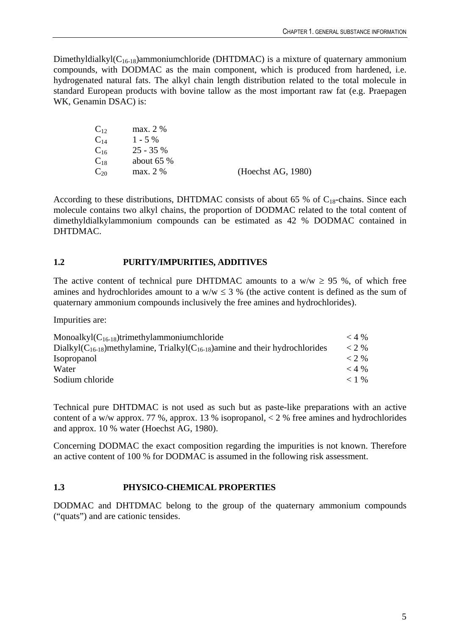Dimethyldialkyl $(C_{16-18})$ ammoniumchloride (DHTDMAC) is a mixture of quaternary ammonium compounds, with DODMAC as the main component, which is produced from hardened, i.e. hydrogenated natural fats. The alkyl chain length distribution related to the total molecule in standard European products with bovine tallow as the most important raw fat (e.g. Praepagen WK, Genamin DSAC) is:

| $\mathrm{C}_{12}$ | max. 2 %    |                    |
|-------------------|-------------|--------------------|
| $\mathrm{C_{14}}$ | $1 - 5\%$   |                    |
| $\mathrm{C_{16}}$ | $25 - 35%$  |                    |
| $\mathrm{C}_{18}$ | about $65%$ |                    |
| $\mathrm{C}_{20}$ | max. 2 %    | (Heechst AG, 1980) |

According to these distributions, DHTDMAC consists of about 65 % of  $C_{18}$ -chains. Since each molecule contains two alkyl chains, the proportion of DODMAC related to the total content of dimethyldialkylammonium compounds can be estimated as 42 % DODMAC contained in DHTDMAC.

# <span id="page-19-0"></span>**1.2 PURITY/IMPURITIES, ADDITIVES**

The active content of technical pure DHTDMAC amounts to a w/w  $\geq$  95 %, of which free amines and hydrochlorides amount to a  $w/w \le 3$  % (the active content is defined as the sum of quaternary ammonium compounds inclusively the free amines and hydrochlorides).

Impurities are:

| Monoalkyl $(C_{16-18})$ trimethylammoniumchloride                                        | $<$ 4 % |
|------------------------------------------------------------------------------------------|---------|
| Dialkyl $(C_{16-18})$ methylamine, Trialkyl $(C_{16-18})$ amine and their hydrochlorides | $< 2\%$ |
| <i>Isopropanol</i>                                                                       | $<$ 2 % |
| Water                                                                                    | $<$ 4 % |
| Sodium chloride                                                                          | $< 1\%$ |

Technical pure DHTDMAC is not used as such but as paste-like preparations with an active content of a w/w approx. 77 %, approx. 13 % isopropanol,  $\lt 2$  % free amines and hydrochlorides and approx. 10 % water (Hoechst AG, 1980).

Concerning DODMAC the exact composition regarding the impurities is not known. Therefore an active content of 100 % for DODMAC is assumed in the following risk assessment.

# <span id="page-19-1"></span>**1.3 PHYSICO-CHEMICAL PROPERTIES**

DODMAC and DHTDMAC belong to the group of the quaternary ammonium compounds ("quats") and are cationic tensides.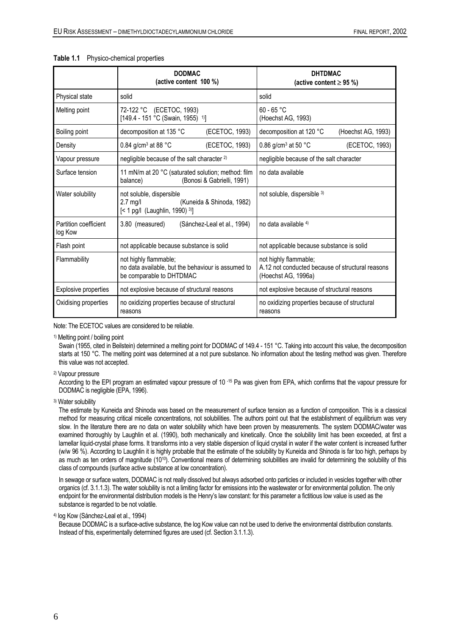|                                  | <b>DODMAC</b><br>(active content 100 %)                                                                       | <b>DHTDMAC</b><br>(active content $\geq$ 95 %)                                                   |  |
|----------------------------------|---------------------------------------------------------------------------------------------------------------|--------------------------------------------------------------------------------------------------|--|
| Physical state                   | solid                                                                                                         | solid                                                                                            |  |
| Melting point                    | 72-122 °C (ECETOC, 1993)<br>[149.4 - 151 °C (Swain, 1955) <sup>1)</sup> ]                                     | $60 - 65 °C$<br>(Hoechst AG, 1993)                                                               |  |
| Boiling point                    | (ECETOC, 1993)<br>decomposition at 135 °C                                                                     | decomposition at 120 °C<br>(Hoechst AG, 1993)                                                    |  |
| Density                          | 0.84 g/cm <sup>3</sup> at 88 $^{\circ}$ C<br>(ECETOC, 1993)                                                   | 0.86 g/cm <sup>3</sup> at 50 $^{\circ}$ C<br>(ECETOC, 1993)                                      |  |
| Vapour pressure                  | negligible because of the salt character <sup>2)</sup>                                                        | negligible because of the salt character                                                         |  |
| Surface tension                  | 11 mN/m at 20 °C (saturated solution; method: film<br>(Bonosi & Gabrielli, 1991)<br>balance)                  | no data available                                                                                |  |
| Water solubility                 | not soluble, dispersible<br>$2.7$ mg/l<br>(Kuneida & Shinoda, 1982)<br>$\left[$ < 1 pg/l (Laughlin, 1990) 3)] | not soluble, dispersible 3)                                                                      |  |
| Partition coefficient<br>log Kow | 3.80 (measured)<br>(Sánchez-Leal et al., 1994)                                                                | no data available 4)                                                                             |  |
| Flash point                      | not applicable because substance is solid                                                                     | not applicable because substance is solid                                                        |  |
| Flammability                     | not highly flammable;<br>no data available, but the behaviour is assumed to<br>be comparable to DHTDMAC       | not highly flammable;<br>A.12 not conducted because of structural reasons<br>(Hoechst AG, 1996a) |  |
| Explosive properties             | not explosive because of structural reasons                                                                   | not explosive because of structural reasons                                                      |  |
| Oxidising properties             | no oxidizing properties because of structural<br>reasons                                                      | no oxidizing properties because of structural<br>reasons                                         |  |

#### <span id="page-20-0"></span>**Table 1.1** Physico-chemical properties

Note: The ECETOC values are considered to be reliable.

1) Melting point / boiling point

Swain (1955, cited in Beilstein) determined a melting point for DODMAC of 149.4 - 151 °C. Taking into account this value, the decomposition starts at 150 °C. The melting point was determined at a not pure substance. No information about the testing method was given. Therefore this value was not accepted.

2) Vapour pressure

According to the EPI program an estimated vapour pressure of 10<sup>-15</sup> Pa was given from EPA, which confirms that the vapour pressure for DODMAC is negligible (EPA, 1996).

3) Water solubility

The estimate by Kuneida and Shinoda was based on the measurement of surface tension as a function of composition. This is a classical method for measuring critical micelle concentrations, not solubilities. The authors point out that the establishment of equilibrium was very slow. In the literature there are no data on water solubility which have been proven by measurements. The system DODMAC/water was examined thoroughly by Laughlin et al. (1990), both mechanically and kinetically. Once the solubility limit has been exceeded, at first a lamellar liquid-crystal phase forms. It transforms into a very stable dispersion of liquid crystal in water if the water content is increased further (w/w 96 %). According to Laughlin it is highly probable that the estimate of the solubility by Kuneida and Shinoda is far too high, perhaps by as much as ten orders of magnitude (1010). Conventional means of determining solubilities are invalid for determining the solubility of this class of compounds (surface active substance at low concentration).

In sewage or surface waters, DODMAC is not really dissolved but always adsorbed onto particles or included in vesicles together with other organics (cf. 3.1.1.3). The water solubility is not a limiting factor for emissions into the wastewater or for environmental pollution. The only endpoint for the environmental distribution models is the Henry's law constant: for this parameter a fictitious low value is used as the substance is regarded to be not volatile.

4) log Kow (Sánchez-Leal et al., 1994)

Because DODMAC is a surface-active substance, the log Kow value can not be used to derive the environmental distribution constants. Instead of this, experimentally determined figures are used (cf. Section 3.1.1.3).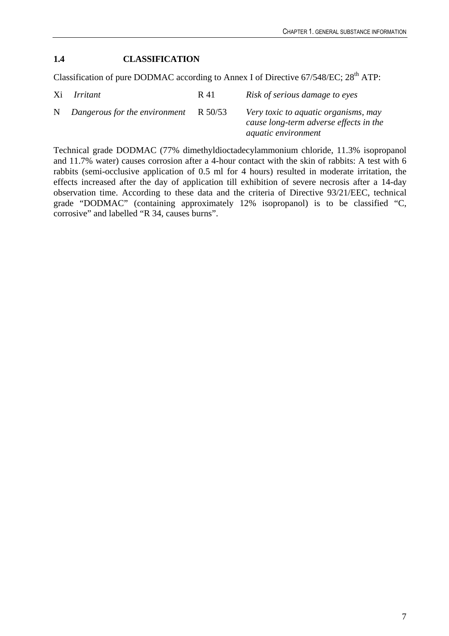# <span id="page-21-0"></span>**1.4 CLASSIFICATION**

Classification of pure DODMAC according to Annex I of Directive  $67/548/EC$ ;  $28<sup>th</sup> ATP$ :

| Xi Irritant                                 | R 41 | Risk of serious damage to eyes                                                                               |
|---------------------------------------------|------|--------------------------------------------------------------------------------------------------------------|
| N Dangerous for the environment $R_{50/53}$ |      | Very toxic to aquatic organisms, may<br>cause long-term adverse effects in the<br><i>aquatic environment</i> |

Technical grade DODMAC (77% dimethyldioctadecylammonium chloride, 11.3% isopropanol and 11.7% water) causes corrosion after a 4-hour contact with the skin of rabbits: A test with 6 rabbits (semi-occlusive application of 0.5 ml for 4 hours) resulted in moderate irritation, the effects increased after the day of application till exhibition of severe necrosis after a 14-day observation time. According to these data and the criteria of Directive 93/21/EEC, technical grade "DODMAC" (containing approximately 12% isopropanol) is to be classified "C, corrosive" and labelled "R 34, causes burns".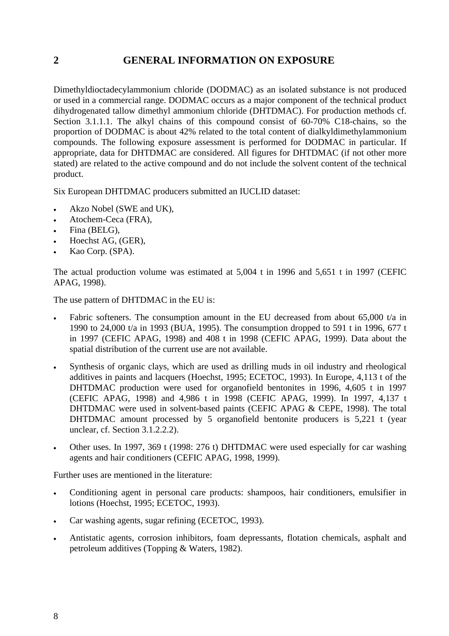# <span id="page-22-0"></span>**2 GENERAL INFORMATION ON EXPOSURE**

Dimethyldioctadecylammonium chloride (DODMAC) as an isolated substance is not produced or used in a commercial range. DODMAC occurs as a major component of the technical product dihydrogenated tallow dimethyl ammonium chloride (DHTDMAC). For production methods cf. Section 3.1.1.1. The alkyl chains of this compound consist of 60-70% C18-chains, so the proportion of DODMAC is about 42% related to the total content of dialkyldimethylammonium compounds. The following exposure assessment is performed for DODMAC in particular. If appropriate, data for DHTDMAC are considered. All figures for DHTDMAC (if not other more stated) are related to the active compound and do not include the solvent content of the technical product.

Six European DHTDMAC producers submitted an IUCLID dataset:

- Akzo Nobel (SWE and UK),
- Atochem-Ceca (FRA),
- Fina (BELG),
- Hoechst AG, (GER),
- Kao Corp. (SPA).

The actual production volume was estimated at 5,004 t in 1996 and 5,651 t in 1997 (CEFIC APAG, 1998).

The use pattern of DHTDMAC in the EU is:

- Fabric softeners. The consumption amount in the EU decreased from about  $65,000$  t/a in 1990 to 24,000 t/a in 1993 (BUA, 1995). The consumption dropped to 591 t in 1996, 677 t in 1997 (CEFIC APAG, 1998) and 408 t in 1998 (CEFIC APAG, 1999). Data about the spatial distribution of the current use are not available.
- Synthesis of organic clays, which are used as drilling muds in oil industry and rheological additives in paints and lacquers (Hoechst, 1995; ECETOC, 1993). In Europe, 4,113 t of the DHTDMAC production were used for organofield bentonites in 1996, 4,605 t in 1997 (CEFIC APAG, 1998) and 4,986 t in 1998 (CEFIC APAG, 1999). In 1997, 4,137 t DHTDMAC were used in solvent-based paints (CEFIC APAG & CEPE, 1998). The total DHTDMAC amount processed by 5 organofield bentonite producers is 5,221 t (year unclear, cf. Section 3.1.2.2.2).
- Other uses. In 1997, 369 t (1998: 276 t) DHTDMAC were used especially for car washing agents and hair conditioners (CEFIC APAG, 1998, 1999).

Further uses are mentioned in the literature:

- Conditioning agent in personal care products: shampoos, hair conditioners, emulsifier in lotions (Hoechst, 1995; ECETOC, 1993).
- Car washing agents, sugar refining (ECETOC, 1993).
- Antistatic agents, corrosion inhibitors, foam depressants, flotation chemicals, asphalt and petroleum additives (Topping & Waters, 1982).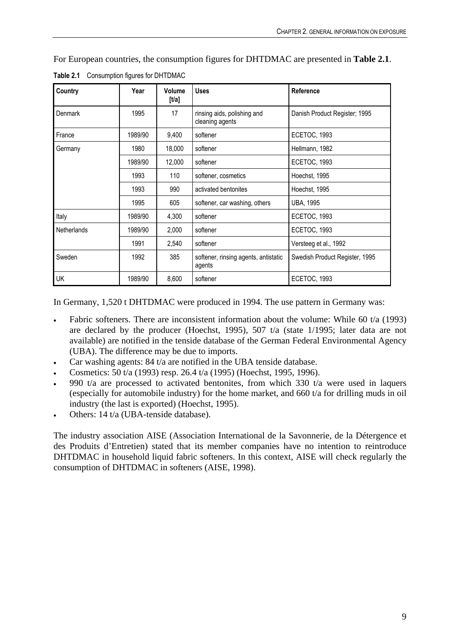For European countries, the consumption figures for DHTDMAC are presented in **Table 2.1**.

| Country            | Year    | Volume<br>$[1/2]$ | <b>Uses</b>                                    | Reference                      |
|--------------------|---------|-------------------|------------------------------------------------|--------------------------------|
| Denmark            | 1995    | 17                | rinsing aids, polishing and<br>cleaning agents | Danish Product Register; 1995  |
| France             | 1989/90 | 9,400             | softener                                       | <b>ECETOC, 1993</b>            |
| Germany            | 1980    | 18,000            | softener                                       | Hellmann, 1982                 |
|                    | 1989/90 | 12,000            | softener                                       | ECETOC, 1993                   |
|                    | 1993    | 110               | softener, cosmetics                            | Hoechst, 1995                  |
|                    | 1993    | 990               | activated bentonites                           | Hoechst, 1995                  |
|                    | 1995    | 605               | softener, car washing, others                  | <b>UBA, 1995</b>               |
| Italy              | 1989/90 | 4,300             | softener                                       | <b>ECETOC, 1993</b>            |
| <b>Netherlands</b> | 1989/90 | 2,000             | softener                                       | ECETOC, 1993                   |
|                    | 1991    | 2,540             | softener                                       | Versteeg et al., 1992          |
| Sweden             | 1992    | 385               | softener, rinsing agents, antistatic<br>agents | Swedish Product Register, 1995 |
| UK                 | 1989/90 | 8,600             | softener                                       | <b>ECETOC, 1993</b>            |

<span id="page-23-0"></span>**Table 2.1** Consumption figures for DHTDMAC

In Germany, 1,520 t DHTDMAC were produced in 1994. The use pattern in Germany was:

- Fabric softeners. There are inconsistent information about the volume: While 60 t/a (1993) are declared by the producer (Hoechst, 1995), 507 t/a (state 1/1995; later data are not available) are notified in the tenside database of the German Federal Environmental Agency (UBA). The difference may be due to imports.
- Car washing agents: 84 t/a are notified in the UBA tenside database.
- Cosmetics: 50 t/a (1993) resp. 26.4 t/a (1995) (Hoechst, 1995, 1996).
- 990 t/a are processed to activated bentonites, from which 330 t/a were used in laquers (especially for automobile industry) for the home market, and 660 t/a for drilling muds in oil industry (the last is exported) (Hoechst, 1995).
- Others: 14 t/a (UBA-tenside database).

The industry association AISE (Association International de la Savonnerie, de la Détergence et des Produits d'Entretien) stated that its member companies have no intention to reintroduce DHTDMAC in household liquid fabric softeners. In this context, AISE will check regularly the consumption of DHTDMAC in softeners (AISE, 1998).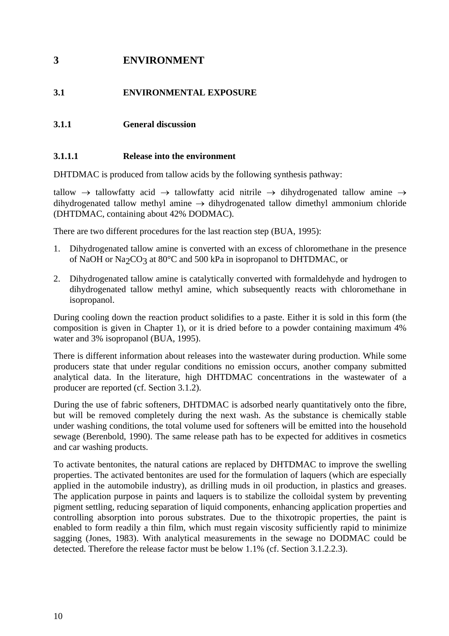# <span id="page-24-0"></span>**3 ENVIRONMENT**

# <span id="page-24-1"></span>**3.1 ENVIRONMENTAL EXPOSURE**

# <span id="page-24-2"></span>**3.1.1 General discussion**

### <span id="page-24-3"></span>**3.1.1.1 Release into the environment**

DHTDMAC is produced from tallow acids by the following synthesis pathway:

tallow  $\rightarrow$  tallowfatty acid  $\rightarrow$  tallowfatty acid nitrile  $\rightarrow$  dihydrogenated tallow amine  $\rightarrow$ dihydrogenated tallow methyl amine  $\rightarrow$  dihydrogenated tallow dimethyl ammonium chloride (DHTDMAC, containing about 42% DODMAC).

There are two different procedures for the last reaction step (BUA, 1995):

- 1. Dihydrogenated tallow amine is converted with an excess of chloromethane in the presence of NaOH or Na<sub>2</sub>CO<sub>3</sub> at 80°C and 500 kPa in isopropanol to DHTDMAC, or
- 2. Dihydrogenated tallow amine is catalytically converted with formaldehyde and hydrogen to dihydrogenated tallow methyl amine, which subsequently reacts with chloromethane in isopropanol.

During cooling down the reaction product solidifies to a paste. Either it is sold in this form (the composition is given in Chapter 1), or it is dried before to a powder containing maximum 4% water and 3% isopropanol (BUA, 1995).

There is different information about releases into the wastewater during production. While some producers state that under regular conditions no emission occurs, another company submitted analytical data. In the literature, high DHTDMAC concentrations in the wastewater of a producer are reported (cf. Section 3.1.2).

During the use of fabric softeners, DHTDMAC is adsorbed nearly quantitatively onto the fibre, but will be removed completely during the next wash. As the substance is chemically stable under washing conditions, the total volume used for softeners will be emitted into the household sewage (Berenbold, 1990). The same release path has to be expected for additives in cosmetics and car washing products.

To activate bentonites, the natural cations are replaced by DHTDMAC to improve the swelling properties. The activated bentonites are used for the formulation of laquers (which are especially applied in the automobile industry), as drilling muds in oil production, in plastics and greases. The application purpose in paints and laquers is to stabilize the colloidal system by preventing pigment settling, reducing separation of liquid components, enhancing application properties and controlling absorption into porous substrates. Due to the thixotropic properties, the paint is enabled to form readily a thin film, which must regain viscosity sufficiently rapid to minimize sagging (Jones, 1983). With analytical measurements in the sewage no DODMAC could be detected. Therefore the release factor must be below 1.1% (cf. Section 3.1.2.2.3).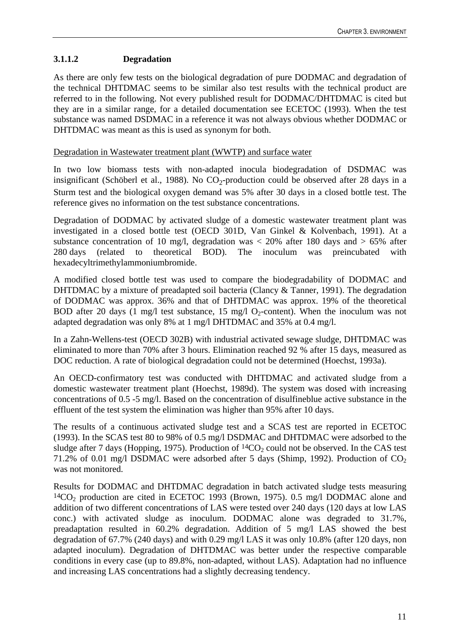# <span id="page-25-0"></span>**3.1.1.2 Degradation**

As there are only few tests on the biological degradation of pure DODMAC and degradation of the technical DHTDMAC seems to be similar also test results with the technical product are referred to in the following. Not every published result for DODMAC/DHTDMAC is cited but they are in a similar range, for a detailed documentation see ECETOC (1993). When the test substance was named DSDMAC in a reference it was not always obvious whether DODMAC or DHTDMAC was meant as this is used as synonym for both.

### Degradation in Wastewater treatment plant (WWTP) and surface water

In two low biomass tests with non-adapted inocula biodegradation of DSDMAC was insignificant (Schöberl et al., 1988). No  $CO<sub>2</sub>$ -production could be observed after 28 days in a Sturm test and the biological oxygen demand was 5% after 30 days in a closed bottle test. The reference gives no information on the test substance concentrations.

Degradation of DODMAC by activated sludge of a domestic wastewater treatment plant was investigated in a closed bottle test (OECD 301D, Van Ginkel & Kolvenbach, 1991). At a substance concentration of 10 mg/l, degradation was  $\langle 20\%$  after 180 days and  $> 65\%$  after 280 days (related to theoretical BOD). The inoculum was preincubated with hexadecyltrimethylammoniumbromide.

A modified closed bottle test was used to compare the biodegradability of DODMAC and DHTDMAC by a mixture of preadapted soil bacteria (Clancy & Tanner, 1991). The degradation of DODMAC was approx. 36% and that of DHTDMAC was approx. 19% of the theoretical BOD after 20 days (1 mg/l test substance, 15 mg/l O<sub>2</sub>-content). When the inoculum was not adapted degradation was only 8% at 1 mg/l DHTDMAC and 35% at 0.4 mg/l.

In a Zahn-Wellens-test (OECD 302B) with industrial activated sewage sludge, DHTDMAC was eliminated to more than 70% after 3 hours. Elimination reached 92 % after 15 days, measured as DOC reduction. A rate of biological degradation could not be determined (Hoechst, 1993a).

An OECD-confirmatory test was conducted with DHTDMAC and activated sludge from a domestic wastewater treatment plant (Hoechst, 1989d). The system was dosed with increasing concentrations of 0.5 -5 mg/l. Based on the concentration of disulfineblue active substance in the effluent of the test system the elimination was higher than 95% after 10 days.

The results of a continuous activated sludge test and a SCAS test are reported in ECETOC (1993). In the SCAS test 80 to 98% of 0.5 mg/l DSDMAC and DHTDMAC were adsorbed to the sludge after 7 days (Hopping, 1975). Production of  ${}^{14}CO_2$  could not be observed. In the CAS test 71.2% of 0.01 mg/l DSDMAC were adsorbed after 5 days (Shimp, 1992). Production of  $CO<sub>2</sub>$ was not monitored.

Results for DODMAC and DHTDMAC degradation in batch activated sludge tests measuring  $14CO<sub>2</sub>$  production are cited in ECETOC 1993 (Brown, 1975). 0.5 mg/l DODMAC alone and addition of two different concentrations of LAS were tested over 240 days (120 days at low LAS conc.) with activated sludge as inoculum. DODMAC alone was degraded to 31.7%, preadaptation resulted in 60.2% degradation. Addition of 5 mg/l LAS showed the best degradation of 67.7% (240 days) and with 0.29 mg/l LAS it was only 10.8% (after 120 days, non adapted inoculum). Degradation of DHTDMAC was better under the respective comparable conditions in every case (up to 89.8%, non-adapted, without LAS). Adaptation had no influence and increasing LAS concentrations had a slightly decreasing tendency.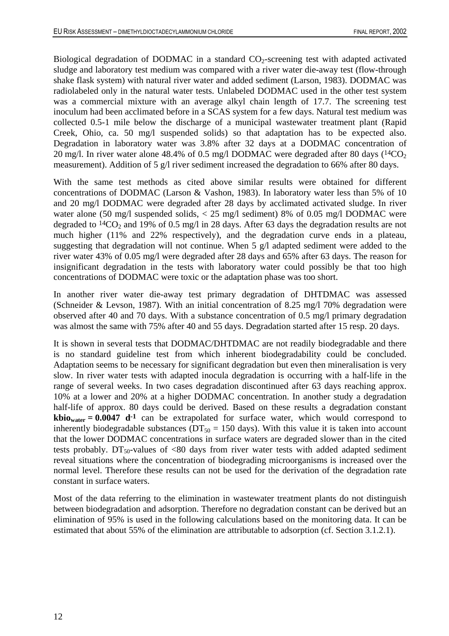Biological degradation of DODMAC in a standard  $CO_2$ -screening test with adapted activated sludge and laboratory test medium was compared with a river water die-away test (flow-through shake flask system) with natural river water and added sediment (Larson, 1983). DODMAC was radiolabeled only in the natural water tests. Unlabeled DODMAC used in the other test system was a commercial mixture with an average alkyl chain length of 17.7. The screening test inoculum had been acclimated before in a SCAS system for a few days. Natural test medium was collected 0.5-1 mile below the discharge of a municipal wastewater treatment plant (Rapid Creek, Ohio, ca. 50 mg/l suspended solids) so that adaptation has to be expected also. Degradation in laboratory water was 3.8% after 32 days at a DODMAC concentration of 20 mg/l. In river water alone 48.4% of 0.5 mg/l DODMAC were degraded after 80 days  $(^{14}CO_{2})$ measurement). Addition of 5 g/l river sediment increased the degradation to 66% after 80 days.

With the same test methods as cited above similar results were obtained for different concentrations of DODMAC (Larson & Vashon, 1983). In laboratory water less than 5% of 10 and 20 mg/l DODMAC were degraded after 28 days by acclimated activated sludge. In river water alone (50 mg/l suspended solids, < 25 mg/l sediment) 8% of 0.05 mg/l DODMAC were degraded to  $14CO_2$  and 19% of 0.5 mg/l in 28 days. After 63 days the degradation results are not much higher (11% and 22% respectively), and the degradation curve ends in a plateau, suggesting that degradation will not continue. When 5 g/l adapted sediment were added to the river water 43% of 0.05 mg/l were degraded after 28 days and 65% after 63 days. The reason for insignificant degradation in the tests with laboratory water could possibly be that too high concentrations of DODMAC were toxic or the adaptation phase was too short.

In another river water die-away test primary degradation of DHTDMAC was assessed (Schneider & Levson, 1987). With an initial concentration of 8.25 mg/l 70% degradation were observed after 40 and 70 days. With a substance concentration of 0.5 mg/l primary degradation was almost the same with 75% after 40 and 55 days. Degradation started after 15 resp. 20 days.

It is shown in several tests that DODMAC/DHTDMAC are not readily biodegradable and there is no standard guideline test from which inherent biodegradability could be concluded. Adaptation seems to be necessary for significant degradation but even then mineralisation is very slow. In river water tests with adapted inocula degradation is occurring with a half-life in the range of several weeks. In two cases degradation discontinued after 63 days reaching approx. 10% at a lower and 20% at a higher DODMAC concentration. In another study a degradation half-life of approx. 80 days could be derived. Based on these results a degradation constant **kbio**water =  $0.0047$  d<sup>-1</sup> can be extrapolated for surface water, which would correspond to inherently biodegradable substances ( $DT_{50} = 150$  days). With this value it is taken into account that the lower DODMAC concentrations in surface waters are degraded slower than in the cited tests probably.  $DT_{50}$ -values of <80 days from river water tests with added adapted sediment reveal situations where the concentration of biodegrading microorganisms is increased over the normal level. Therefore these results can not be used for the derivation of the degradation rate constant in surface waters.

Most of the data referring to the elimination in wastewater treatment plants do not distinguish between biodegradation and adsorption. Therefore no degradation constant can be derived but an elimination of 95% is used in the following calculations based on the monitoring data. It can be estimated that about 55% of the elimination are attributable to adsorption (cf. Section 3.1.2.1).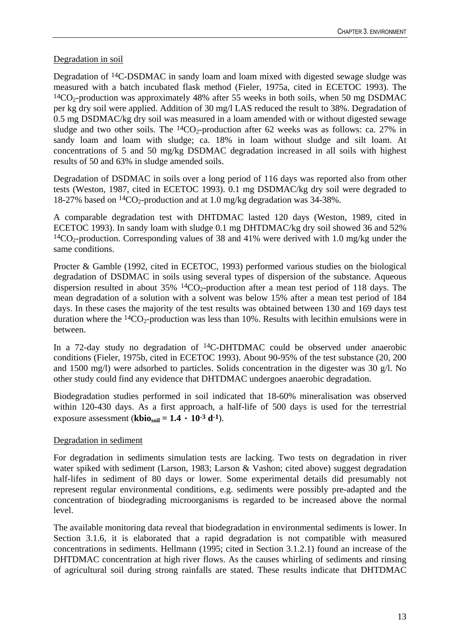# Degradation in soil

Degradation of 14C-DSDMAC in sandy loam and loam mixed with digested sewage sludge was measured with a batch incubated flask method (Fieler, 1975a, cited in ECETOC 1993). The  $14CO<sub>2</sub>$ -production was approximately 48% after 55 weeks in both soils, when 50 mg DSDMAC per kg dry soil were applied. Addition of 30 mg/l LAS reduced the result to 38%. Degradation of 0.5 mg DSDMAC/kg dry soil was measured in a loam amended with or without digested sewage sludge and two other soils. The  ${}^{14}CO_2$ -production after 62 weeks was as follows: ca. 27% in sandy loam and loam with sludge; ca. 18% in loam without sludge and silt loam. At concentrations of 5 and 50 mg/kg DSDMAC degradation increased in all soils with highest results of 50 and 63% in sludge amended soils.

Degradation of DSDMAC in soils over a long period of 116 days was reported also from other tests (Weston, 1987, cited in ECETOC 1993). 0.1 mg DSDMAC/kg dry soil were degraded to 18-27% based on  ${}^{14}CO_2$ -production and at 1.0 mg/kg degradation was 34-38%.

A comparable degradation test with DHTDMAC lasted 120 days (Weston, 1989, cited in ECETOC 1993). In sandy loam with sludge 0.1 mg DHTDMAC/kg dry soil showed 36 and 52%  $14CO<sub>2</sub>$ -production. Corresponding values of 38 and 41% were derived with 1.0 mg/kg under the same conditions.

Procter & Gamble (1992, cited in ECETOC, 1993) performed various studies on the biological degradation of DSDMAC in soils using several types of dispersion of the substance. Aqueous dispersion resulted in about  $35\%$  <sup>14</sup>CO<sub>2</sub>-production after a mean test period of 118 days. The mean degradation of a solution with a solvent was below 15% after a mean test period of 184 days. In these cases the majority of the test results was obtained between 130 and 169 days test duration where the  ${}^{14}CO_2$ -production was less than 10%. Results with lecithin emulsions were in between.

In a 72-day study no degradation of 14C-DHTDMAC could be observed under anaerobic conditions (Fieler, 1975b, cited in ECETOC 1993). About 90-95% of the test substance (20, 200 and 1500 mg/l) were adsorbed to particles. Solids concentration in the digester was 30 g/l. No other study could find any evidence that DHTDMAC undergoes anaerobic degradation.

Biodegradation studies performed in soil indicated that 18-60% mineralisation was observed within 120-430 days. As a first approach, a half-life of 500 days is used for the terrestrial exposure assessment (**kbio**<sub>soil</sub> =  $1.4 \cdot 10^{-3}$  d<sup>-1</sup>).

# Degradation in sediment

For degradation in sediments simulation tests are lacking. Two tests on degradation in river water spiked with sediment (Larson, 1983; Larson & Vashon; cited above) suggest degradation half-lifes in sediment of 80 days or lower. Some experimental details did presumably not represent regular environmental conditions, e.g. sediments were possibly pre-adapted and the concentration of biodegrading microorganisms is regarded to be increased above the normal level.

The available monitoring data reveal that biodegradation in environmental sediments is lower. In Section 3.1.6, it is elaborated that a rapid degradation is not compatible with measured concentrations in sediments. Hellmann (1995; cited in Section 3.1.2.1) found an increase of the DHTDMAC concentration at high river flows. As the causes whirling of sediments and rinsing of agricultural soil during strong rainfalls are stated. These results indicate that DHTDMAC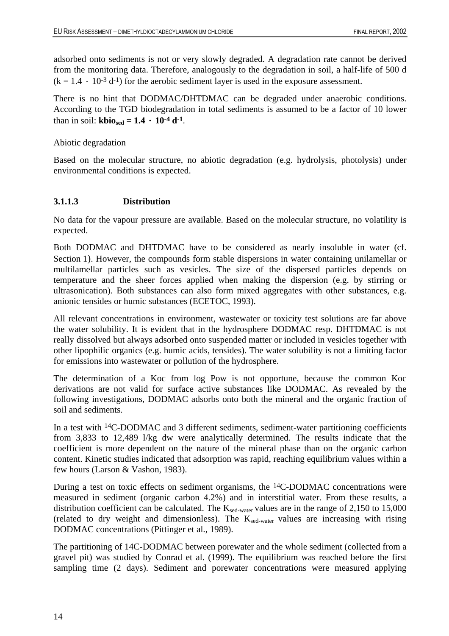adsorbed onto sediments is not or very slowly degraded. A degradation rate cannot be derived from the monitoring data. Therefore, analogously to the degradation in soil, a half-life of 500 d  $(k = 1.4 \cdot 10^{-3} d^{-1})$  for the aerobic sediment layer is used in the exposure assessment.

There is no hint that DODMAC/DHTDMAC can be degraded under anaerobic conditions. According to the TGD biodegradation in total sediments is assumed to be a factor of 10 lower than in soil: **kbio**<sub>sed</sub> =  $1.4 \cdot 10^{-4}$  d<sup>-1</sup>.

### Abiotic degradation

Based on the molecular structure, no abiotic degradation (e.g. hydrolysis, photolysis) under environmental conditions is expected.

## <span id="page-28-0"></span>**3.1.1.3 Distribution**

No data for the vapour pressure are available. Based on the molecular structure, no volatility is expected.

Both DODMAC and DHTDMAC have to be considered as nearly insoluble in water (cf. Section 1). However, the compounds form stable dispersions in water containing unilamellar or multilamellar particles such as vesicles. The size of the dispersed particles depends on temperature and the sheer forces applied when making the dispersion (e.g. by stirring or ultrasonication). Both substances can also form mixed aggregates with other substances, e.g. anionic tensides or humic substances (ECETOC, 1993).

All relevant concentrations in environment, wastewater or toxicity test solutions are far above the water solubility. It is evident that in the hydrosphere DODMAC resp. DHTDMAC is not really dissolved but always adsorbed onto suspended matter or included in vesicles together with other lipophilic organics (e.g. humic acids, tensides). The water solubility is not a limiting factor for emissions into wastewater or pollution of the hydrosphere.

The determination of a Koc from log Pow is not opportune, because the common Koc derivations are not valid for surface active substances like DODMAC. As revealed by the following investigations, DODMAC adsorbs onto both the mineral and the organic fraction of soil and sediments.

In a test with <sup>14</sup>C-DODMAC and 3 different sediments, sediment-water partitioning coefficients from 3,833 to 12,489 l/kg dw were analytically determined. The results indicate that the coefficient is more dependent on the nature of the mineral phase than on the organic carbon content. Kinetic studies indicated that adsorption was rapid, reaching equilibrium values within a few hours (Larson & Vashon, 1983).

During a test on toxic effects on sediment organisms, the 14C-DODMAC concentrations were measured in sediment (organic carbon 4.2%) and in interstitial water. From these results, a distribution coefficient can be calculated. The  $K_{\text{sed-water}}$  values are in the range of 2,150 to 15,000 (related to dry weight and dimensionless). The  $K_{\text{sed-water}}$  values are increasing with rising DODMAC concentrations (Pittinger et al., 1989).

The partitioning of 14C-DODMAC between porewater and the whole sediment (collected from a gravel pit) was studied by Conrad et al. (1999). The equilibrium was reached before the first sampling time (2 days). Sediment and porewater concentrations were measured applying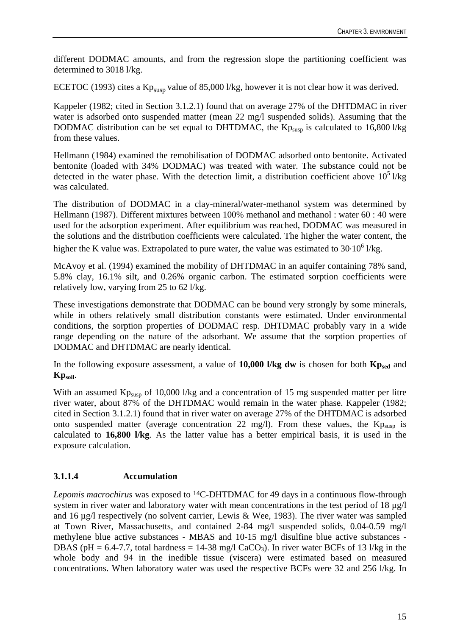different DODMAC amounts, and from the regression slope the partitioning coefficient was determined to 3018 l/kg.

ECETOC (1993) cites a  $Kp_{\text{susp}}$  value of 85,000 l/kg, however it is not clear how it was derived.

Kappeler (1982; cited in Section 3.1.2.1) found that on average 27% of the DHTDMAC in river water is adsorbed onto suspended matter (mean 22 mg/l suspended solids). Assuming that the DODMAC distribution can be set equal to DHTDMAC, the  $Kp_{\text{susp}}$  is calculated to 16,800 l/kg from these values.

Hellmann (1984) examined the remobilisation of DODMAC adsorbed onto bentonite. Activated bentonite (loaded with 34% DODMAC) was treated with water. The substance could not be detected in the water phase. With the detection limit, a distribution coefficient above  $10^5$  l/kg was calculated.

The distribution of DODMAC in a clay-mineral/water-methanol system was determined by Hellmann (1987). Different mixtures between 100% methanol and methanol : water 60 : 40 were used for the adsorption experiment. After equilibrium was reached, DODMAC was measured in the solutions and the distribution coefficients were calculated. The higher the water content, the higher the K value was. Extrapolated to pure water, the value was estimated to  $30·10<sup>6</sup>$  l/kg.

McAvoy et al. (1994) examined the mobility of DHTDMAC in an aquifer containing 78% sand, 5.8% clay, 16.1% silt, and 0.26% organic carbon. The estimated sorption coefficients were relatively low, varying from 25 to 62 l/kg.

These investigations demonstrate that DODMAC can be bound very strongly by some minerals, while in others relatively small distribution constants were estimated. Under environmental conditions, the sorption properties of DODMAC resp. DHTDMAC probably vary in a wide range depending on the nature of the adsorbant. We assume that the sorption properties of DODMAC and DHTDMAC are nearly identical.

In the following exposure assessment, a value of 10,000 l/kg dw is chosen for both Kp<sub>sed</sub> and **Kpsoil**.

With an assumed  $Kp<sub>susp</sub>$  of 10,000 l/kg and a concentration of 15 mg suspended matter per litre river water, about 87% of the DHTDMAC would remain in the water phase. Kappeler (1982; cited in Section 3.1.2.1) found that in river water on average 27% of the DHTDMAC is adsorbed onto suspended matter (average concentration 22 mg/l). From these values, the  $Kp_{susp}$  is calculated to **16,800 l/kg**. As the latter value has a better empirical basis, it is used in the exposure calculation.

# <span id="page-29-0"></span>**3.1.1.4 Accumulation**

*Lepomis macrochirus* was exposed to 14C-DHTDMAC for 49 days in a continuous flow-through system in river water and laboratory water with mean concentrations in the test period of 18 µg/l and 16 µg/l respectively (no solvent carrier, Lewis & Wee, 1983). The river water was sampled at Town River, Massachusetts, and contained 2-84 mg/l suspended solids, 0.04-0.59 mg/l methylene blue active substances - MBAS and 10-15 mg/l disulfine blue active substances - DBAS (pH = 6.4-7.7, total hardness = 14-38 mg/l CaCO<sub>3</sub>). In river water BCFs of 13 l/kg in the whole body and 94 in the inedible tissue (viscera) were estimated based on measured concentrations. When laboratory water was used the respective BCFs were 32 and 256 l/kg. In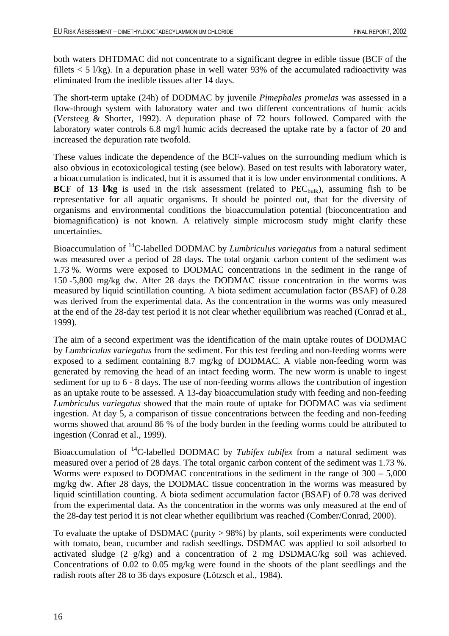both waters DHTDMAC did not concentrate to a significant degree in edible tissue (BCF of the fillets  $<$  5 l/kg). In a depuration phase in well water 93% of the accumulated radioactivity was eliminated from the inedible tissues after 14 days.

The short-term uptake (24h) of DODMAC by juvenile *Pimephales promelas* was assessed in a flow-through system with laboratory water and two different concentrations of humic acids (Versteeg & Shorter, 1992). A depuration phase of 72 hours followed. Compared with the laboratory water controls 6.8 mg/l humic acids decreased the uptake rate by a factor of 20 and increased the depuration rate twofold.

These values indicate the dependence of the BCF-values on the surrounding medium which is also obvious in ecotoxicological testing (see below). Based on test results with laboratory water, a bioaccumulation is indicated, but it is assumed that it is low under environmental conditions. A **BCF** of **13 l/kg** is used in the risk assessment (related to  $PEC_{bulk}$ ), assuming fish to be representative for all aquatic organisms. It should be pointed out, that for the diversity of organisms and environmental conditions the bioaccumulation potential (bioconcentration and biomagnification) is not known. A relatively simple microcosm study might clarify these uncertainties.

Bioaccumulation of 14C-labelled DODMAC by *Lumbriculus variegatus* from a natural sediment was measured over a period of 28 days. The total organic carbon content of the sediment was 1.73 %. Worms were exposed to DODMAC concentrations in the sediment in the range of 150 -5,800 mg/kg dw. After 28 days the DODMAC tissue concentration in the worms was measured by liquid scintillation counting. A biota sediment accumulation factor (BSAF) of 0.28 was derived from the experimental data. As the concentration in the worms was only measured at the end of the 28-day test period it is not clear whether equilibrium was reached (Conrad et al., 1999).

The aim of a second experiment was the identification of the main uptake routes of DODMAC by *Lumbriculus variegatus* from the sediment. For this test feeding and non-feeding worms were exposed to a sediment containing 8.7 mg/kg of DODMAC. A viable non-feeding worm was generated by removing the head of an intact feeding worm. The new worm is unable to ingest sediment for up to 6 - 8 days. The use of non-feeding worms allows the contribution of ingestion as an uptake route to be assessed. A 13-day bioaccumulation study with feeding and non-feeding *Lumbriculus variegatus* showed that the main route of uptake for DODMAC was via sediment ingestion. At day 5, a comparison of tissue concentrations between the feeding and non-feeding worms showed that around 86 % of the body burden in the feeding worms could be attributed to ingestion (Conrad et al., 1999).

Bioaccumulation of 14C-labelled DODMAC by *Tubifex tubifex* from a natural sediment was measured over a period of 28 days. The total organic carbon content of the sediment was 1.73 %. Worms were exposed to DODMAC concentrations in the sediment in the range of 300 – 5,000 mg/kg dw. After 28 days, the DODMAC tissue concentration in the worms was measured by liquid scintillation counting. A biota sediment accumulation factor (BSAF) of 0.78 was derived from the experimental data. As the concentration in the worms was only measured at the end of the 28-day test period it is not clear whether equilibrium was reached (Comber/Conrad, 2000).

To evaluate the uptake of DSDMAC (purity > 98%) by plants, soil experiments were conducted with tomato, bean, cucumber and radish seedlings. DSDMAC was applied to soil adsorbed to activated sludge (2 g/kg) and a concentration of 2 mg DSDMAC/kg soil was achieved. Concentrations of 0.02 to 0.05 mg/kg were found in the shoots of the plant seedlings and the radish roots after 28 to 36 days exposure (Lötzsch et al., 1984).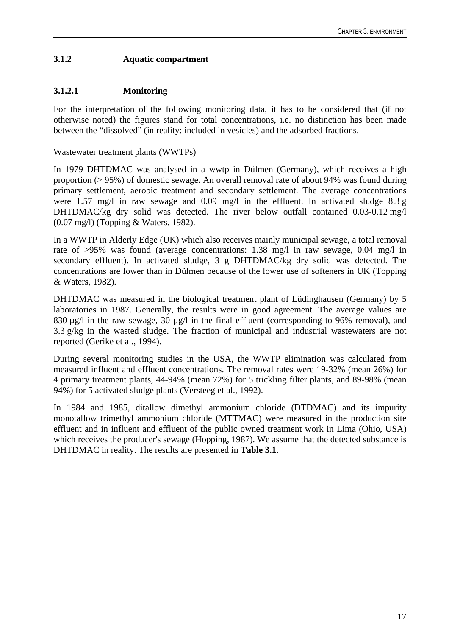# <span id="page-31-0"></span>**3.1.2 Aquatic compartment**

# <span id="page-31-1"></span>**3.1.2.1 Monitoring**

For the interpretation of the following monitoring data, it has to be considered that (if not otherwise noted) the figures stand for total concentrations, i.e. no distinction has been made between the "dissolved" (in reality: included in vesicles) and the adsorbed fractions.

## Wastewater treatment plants (WWTPs)

In 1979 DHTDMAC was analysed in a wwtp in Dülmen (Germany), which receives a high proportion (> 95%) of domestic sewage. An overall removal rate of about 94% was found during primary settlement, aerobic treatment and secondary settlement. The average concentrations were 1.57 mg/l in raw sewage and 0.09 mg/l in the effluent. In activated sludge 8.3 g DHTDMAC/kg dry solid was detected. The river below outfall contained 0.03-0.12 mg/l (0.07 mg/l) (Topping & Waters, 1982).

In a WWTP in Alderly Edge (UK) which also receives mainly municipal sewage, a total removal rate of >95% was found (average concentrations: 1.38 mg/l in raw sewage, 0.04 mg/l in secondary effluent). In activated sludge, 3 g DHTDMAC/kg dry solid was detected. The concentrations are lower than in Dülmen because of the lower use of softeners in UK (Topping & Waters, 1982).

DHTDMAC was measured in the biological treatment plant of Lüdinghausen (Germany) by 5 laboratories in 1987. Generally, the results were in good agreement. The average values are 830  $\mu$ g/l in the raw sewage, 30  $\mu$ g/l in the final effluent (corresponding to 96% removal), and 3.3 g/kg in the wasted sludge. The fraction of municipal and industrial wastewaters are not reported (Gerike et al., 1994).

During several monitoring studies in the USA, the WWTP elimination was calculated from measured influent and effluent concentrations. The removal rates were 19-32% (mean 26%) for 4 primary treatment plants, 44-94% (mean 72%) for 5 trickling filter plants, and 89-98% (mean 94%) for 5 activated sludge plants (Versteeg et al., 1992).

In 1984 and 1985, ditallow dimethyl ammonium chloride (DTDMAC) and its impurity monotallow trimethyl ammonium chloride (MTTMAC) were measured in the production site effluent and in influent and effluent of the public owned treatment work in Lima (Ohio, USA) which receives the producer's sewage (Hopping, 1987). We assume that the detected substance is DHTDMAC in reality. The results are presented in **Table 3.1**.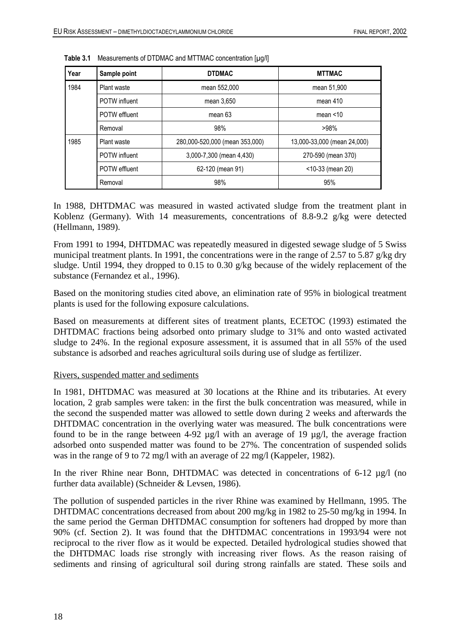| Year | Sample point                | <b>DTDMAC</b>                  | <b>MTTMAC</b>               |
|------|-----------------------------|--------------------------------|-----------------------------|
| 1984 | Plant waste<br>mean 552,000 |                                | mean 51,900                 |
|      | <b>POTW</b> influent        | mean 3,650                     | mean 410                    |
|      | POTW effluent               | mean 63                        | mean $<$ 10                 |
|      | Removal                     | 98%                            | >98%                        |
| 1985 | Plant waste                 | 280,000-520,000 (mean 353,000) | 13,000-33,000 (mean 24,000) |
|      | <b>POTW</b> influent        | 3,000-7,300 (mean 4,430)       | 270-590 (mean 370)          |
|      | <b>POTW</b> effluent        | 62-120 (mean 91)               | <10-33 (mean 20)            |
|      | Removal                     | 98%                            | 95%                         |

<span id="page-32-0"></span>**Table 3.1** Measurements of DTDMAC and MTTMAC concentration [µg/l]

In 1988, DHTDMAC was measured in wasted activated sludge from the treatment plant in Koblenz (Germany). With 14 measurements, concentrations of 8.8-9.2 g/kg were detected (Hellmann, 1989).

From 1991 to 1994, DHTDMAC was repeatedly measured in digested sewage sludge of 5 Swiss municipal treatment plants. In 1991, the concentrations were in the range of 2.57 to 5.87 g/kg dry sludge. Until 1994, they dropped to 0.15 to 0.30 g/kg because of the widely replacement of the substance (Fernandez et al., 1996).

Based on the monitoring studies cited above, an elimination rate of 95% in biological treatment plants is used for the following exposure calculations.

Based on measurements at different sites of treatment plants, ECETOC (1993) estimated the DHTDMAC fractions being adsorbed onto primary sludge to 31% and onto wasted activated sludge to 24%. In the regional exposure assessment, it is assumed that in all 55% of the used substance is adsorbed and reaches agricultural soils during use of sludge as fertilizer.

### Rivers, suspended matter and sediments

In 1981, DHTDMAC was measured at 30 locations at the Rhine and its tributaries. At every location, 2 grab samples were taken: in the first the bulk concentration was measured, while in the second the suspended matter was allowed to settle down during 2 weeks and afterwards the DHTDMAC concentration in the overlying water was measured. The bulk concentrations were found to be in the range between 4-92  $\mu$ g/l with an average of 19  $\mu$ g/l, the average fraction adsorbed onto suspended matter was found to be 27%. The concentration of suspended solids was in the range of 9 to 72 mg/l with an average of 22 mg/l (Kappeler, 1982).

In the river Rhine near Bonn, DHTDMAC was detected in concentrations of 6-12 µg/l (no further data available) (Schneider & Levsen, 1986).

The pollution of suspended particles in the river Rhine was examined by Hellmann, 1995. The DHTDMAC concentrations decreased from about 200 mg/kg in 1982 to 25-50 mg/kg in 1994. In the same period the German DHTDMAC consumption for softeners had dropped by more than 90% (cf. Section 2). It was found that the DHTDMAC concentrations in 1993/94 were not reciprocal to the river flow as it would be expected. Detailed hydrological studies showed that the DHTDMAC loads rise strongly with increasing river flows. As the reason raising of sediments and rinsing of agricultural soil during strong rainfalls are stated. These soils and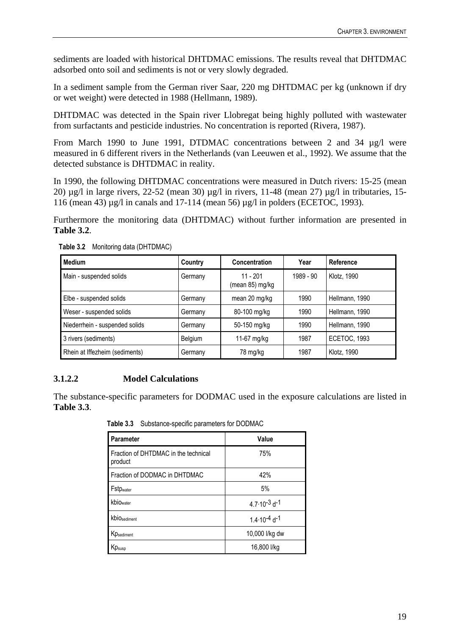sediments are loaded with historical DHTDMAC emissions. The results reveal that DHTDMAC adsorbed onto soil and sediments is not or very slowly degraded.

In a sediment sample from the German river Saar, 220 mg DHTDMAC per kg (unknown if dry or wet weight) were detected in 1988 (Hellmann, 1989).

DHTDMAC was detected in the Spain river Llobregat being highly polluted with wastewater from surfactants and pesticide industries. No concentration is reported (Rivera, 1987).

From March 1990 to June 1991, DTDMAC concentrations between 2 and 34 µg/l were measured in 6 different rivers in the Netherlands (van Leeuwen et al., 1992). We assume that the detected substance is DHTDMAC in reality.

In 1990, the following DHTDMAC concentrations were measured in Dutch rivers: 15-25 (mean 20)  $\mu$ g/l in large rivers, 22-52 (mean 30)  $\mu$ g/l in rivers, 11-48 (mean 27)  $\mu$ g/l in tributaries, 15-116 (mean 43) µg/l in canals and 17-114 (mean 56) µg/l in polders (ECETOC, 1993).

<span id="page-33-1"></span>Furthermore the monitoring data (DHTDMAC) without further information are presented in **Table 3.2**.

| Medium                         | Country | <b>Concentration</b>        | Year      | Reference           |
|--------------------------------|---------|-----------------------------|-----------|---------------------|
| Main - suspended solids        | Germany | 11 - 201<br>(mean 85) mg/kg | 1989 - 90 | Klotz, 1990         |
| Elbe - suspended solids        | Germany | mean 20 mg/kg               | 1990      | Hellmann, 1990      |
| Weser - suspended solids       | Germany | 80-100 mg/kg                | 1990      | Hellmann, 1990      |
| Niederrhein - suspended solids | Germany | 50-150 mg/kg                | 1990      | Hellmann, 1990      |
| 3 rivers (sediments)           | Belgium | 11-67 mg/kg                 | 1987      | <b>ECETOC, 1993</b> |
| Rhein at Iffezheim (sediments) | Germany | 78 mg/kg                    | 1987      | Klotz, 1990         |

**Table 3.2** Monitoring data (DHTDMAC)

# <span id="page-33-0"></span>**3.1.2.2 Model Calculations**

<span id="page-33-2"></span>The substance-specific parameters for DODMAC used in the exposure calculations are listed in **Table 3.3**.

Parameter **Value** Fraction of DHTDMAC in the technical product 75% Fraction of DODMAC in DHTDMAC  $\vert$  42% Fstp<sub>water</sub> 5% kbio<sub>water</sub> 4.7  $4.7 \cdot 10^{-3}$  d<sup>-1</sup> kbio<sub>sediment</sub>  $1.4 \cdot 10^{-4}$  d<sup>-1</sup> Kp<sub>sediment</sub> 10,000 l/kg dw  $Kp_{\text{susp}}$  16,800 l/kg

 **Table 3.3** Substance-specific parameters for DODMAC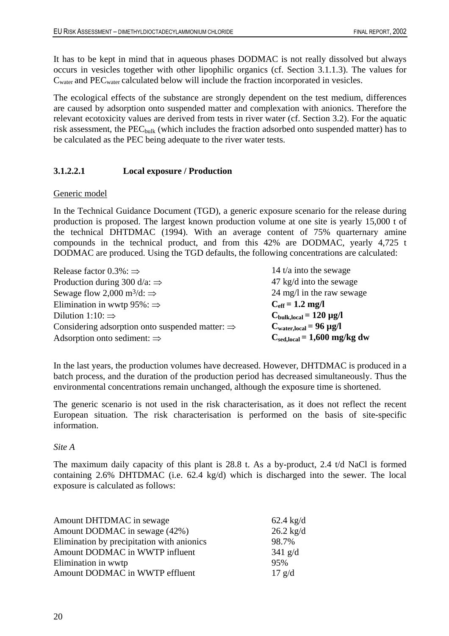It has to be kept in mind that in aqueous phases DODMAC is not really dissolved but always occurs in vesicles together with other lipophilic organics (cf. Section 3.1.1.3). The values for  $C<sub>water</sub>$  and PEC<sub>water</sub> calculated below will include the fraction incorporated in vesicles.

The ecological effects of the substance are strongly dependent on the test medium, differences are caused by adsorption onto suspended matter and complexation with anionics. Therefore the relevant ecotoxicity values are derived from tests in river water (cf. Section 3.2). For the aquatic risk assessment, the  $PEC_{bulk}$  (which includes the fraction adsorbed onto suspended matter) has to be calculated as the PEC being adequate to the river water tests.

## <span id="page-34-0"></span>**3.1.2.2.1 Local exposure / Production**

### Generic model

In the Technical Guidance Document (TGD), a generic exposure scenario for the release during production is proposed. The largest known production volume at one site is yearly 15,000 t of the technical DHTDMAC (1994). With an average content of 75% quarternary amine compounds in the technical product, and from this 42% are DODMAC, yearly 4,725 t DODMAC are produced. Using the TGD defaults, the following concentrations are calculated:

Release factor  $0.3\%$ :  $\Rightarrow$  14 t/a into the sewage Production during 300 d/a:  $\Rightarrow$  47 kg/d into the sewage Sewage flow 2,000 m<sup>3</sup>/d:  $\Rightarrow$  24 mg/l in the raw sewage Elimination in wwtp  $95\%$ :  $\Rightarrow$  **C**<sub>eff</sub> = 1.2 mg/l Dilution 1:10:  $\Rightarrow$  **C**<sub>bulk,local</sub> = 120 µg/l Considering adsorption onto suspended matter:  $\Rightarrow$  **C**<sub>waterlocal</sub> = 96 µg/l Adsorption onto sediment: ⇒ **C**<sub>sed,local</sub> = 1,600 mg/kg dw

In the last years, the production volumes have decreased. However, DHTDMAC is produced in a batch process, and the duration of the production period has decreased simultaneously. Thus the environmental concentrations remain unchanged, although the exposure time is shortened.

The generic scenario is not used in the risk characterisation, as it does not reflect the recent European situation. The risk characterisation is performed on the basis of site-specific information.

#### *Site A*

The maximum daily capacity of this plant is 28.8 t. As a by-product, 2.4 t/d NaCl is formed containing 2.6% DHTDMAC (i.e. 62.4 kg/d) which is discharged into the sewer. The local exposure is calculated as follows:

| Amount DHTDMAC in sewage                   | $62.4 \text{ kg/d}$ |
|--------------------------------------------|---------------------|
| Amount DODMAC in sewage (42%)              | $26.2$ kg/d         |
| Elimination by precipitation with anionics | 98.7%               |
| Amount DODMAC in WWTP influent             | $341$ g/d           |
| Elimination in wwtp                        | 95%                 |
| Amount DODMAC in WWTP effluent             | $17 \text{ g/d}$    |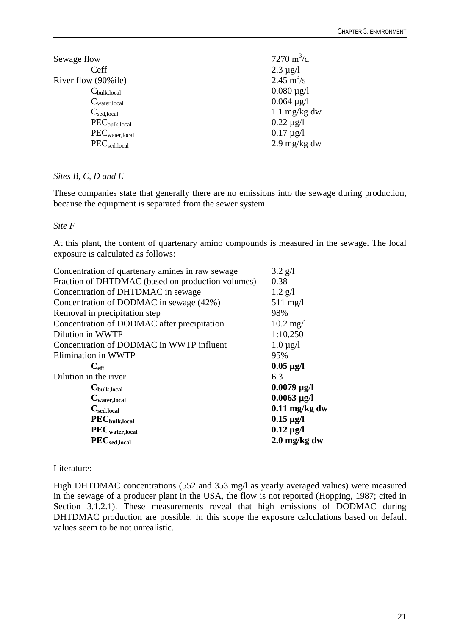| Sewage flow              | 7270 $m^3/d$                |
|--------------------------|-----------------------------|
| Ceff                     | $2.3 \mu g/l$               |
| River flow (90%ile)      | $2.45 \text{ m}^3/\text{s}$ |
| $C_{\text{bulk,local}}$  | $0.080 \mu g/l$             |
| $C_{\text{water,local}}$ | $0.064 \mu g/l$             |
| $C_{\text{sed,local}}$   | 1.1 $mg/kg$ dw              |
| $PEC_{bulk,local}$       | $0.22 \mu g/l$              |
| $PEC_{water,local}$      | $0.17 \mu g/l$              |
| $PEC_{\text{sed,local}}$ | $2.9 \text{ mg/kg}$ dw      |

## *Sites B, C, D and E*

These companies state that generally there are no emissions into the sewage during production, because the equipment is separated from the sewer system.

## *Site F*

At this plant, the content of quartenary amino compounds is measured in the sewage. The local exposure is calculated as follows:

| Concentration of quartenary amines in raw sewage  | $3.2$ g/l              |
|---------------------------------------------------|------------------------|
| Fraction of DHTDMAC (based on production volumes) | 0.38                   |
| Concentration of DHTDMAC in sewage                | $1.2$ g/l              |
| Concentration of DODMAC in sewage (42%)           | $511$ mg/l             |
| Removal in precipitation step                     | 98%                    |
| Concentration of DODMAC after precipitation       | $10.2 \text{ mg}/1$    |
| Dilution in WWTP                                  | 1:10,250               |
| Concentration of DODMAC in WWTP influent          | $1.0 \mu$ g/l          |
| Elimination in WWTP                               | 95%                    |
| $C_{\rm eff}$                                     | $0.05 \mu g/l$         |
| Dilution in the river                             | 6.3                    |
| $C_{\text{bulk,local}}$                           | $0.0079 \,\mu g/l$     |
| $C_{\text{water,local}}$                          | $0.0063 \,\mu g/l$     |
| $C_{\text{sed,local}}$                            | $0.11$ mg/kg dw        |
| $PEC_{bulk,local}$                                | $0.15 \,\mu g/l$       |
| $\mathbf{PEC}_{\text{water,local}}$               | $0.12 \mu g/l$         |
| $PEC_{sed,local}$                                 | $2.0 \text{ mg/kg}$ dw |

# Literature:

High DHTDMAC concentrations (552 and 353 mg/l as yearly averaged values) were measured in the sewage of a producer plant in the USA, the flow is not reported (Hopping, 1987; cited in Section 3.1.2.1). These measurements reveal that high emissions of DODMAC during DHTDMAC production are possible. In this scope the exposure calculations based on default values seem to be not unrealistic.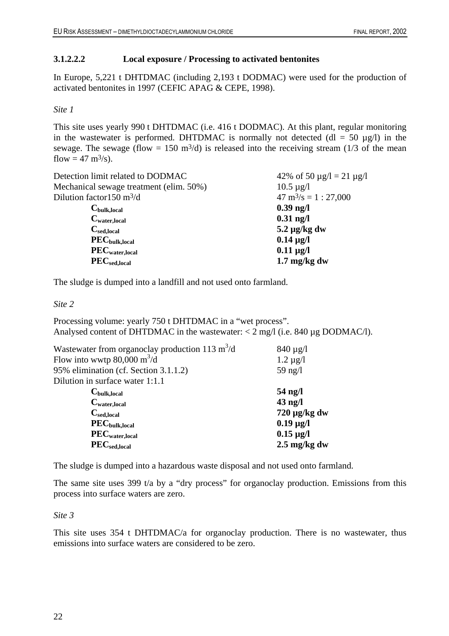### **3.1.2.2.2 Local exposure / Processing to activated bentonites**

In Europe, 5,221 t DHTDMAC (including 2,193 t DODMAC) were used for the production of activated bentonites in 1997 (CEFIC APAG & CEPE, 1998).

### *Site 1*

This site uses yearly 990 t DHTDMAC (i.e. 416 t DODMAC). At this plant, regular monitoring in the wastewater is performed. DHTDMAC is normally not detected (dl = 50  $\mu$ g/l) in the sewage. The sewage (flow = 150 m<sup>3</sup>/d) is released into the receiving stream (1/3 of the mean flow =  $47 \text{ m}^3\text{/s}$ .

| 42% of 50 $\mu$ g/l = 21 $\mu$ g/l     |
|----------------------------------------|
| $10.5 \mu g/l$                         |
| $47 \text{ m}^3/\text{s} = 1 : 27,000$ |
| $0.39$ ng/l                            |
| $0.31$ ng/l                            |
| $5.2 \mu g/kg dw$                      |
| $0.14 \mu g/l$                         |
| $0.11 \mu g/l$                         |
| $1.7 \text{ mg/kg}$ dw                 |
|                                        |

The sludge is dumped into a landfill and not used onto farmland.

*Site 2* 

Processing volume: yearly 750 t DHTDMAC in a "wet process". Analysed content of DHTDMAC in the wastewater:  $\langle 2 \text{ mg/l}$  (i.e. 840 µg DODMAC/l).

| $840 \mu g/l$          |
|------------------------|
| $1.2 \mu g/l$          |
| 59 ng/l                |
|                        |
| 54 ng/l                |
| $43$ ng/l              |
| $720 \mu g/kg dw$      |
| $0.19 \mu g/l$         |
| $0.15 \,\mu g/l$       |
| $2.5 \text{ mg/kg}$ dw |
|                        |

The sludge is dumped into a hazardous waste disposal and not used onto farmland.

The same site uses 399 t/a by a "dry process" for organoclay production. Emissions from this process into surface waters are zero.

### *Site 3*

This site uses 354 t DHTDMAC/a for organoclay production. There is no wastewater, thus emissions into surface waters are considered to be zero.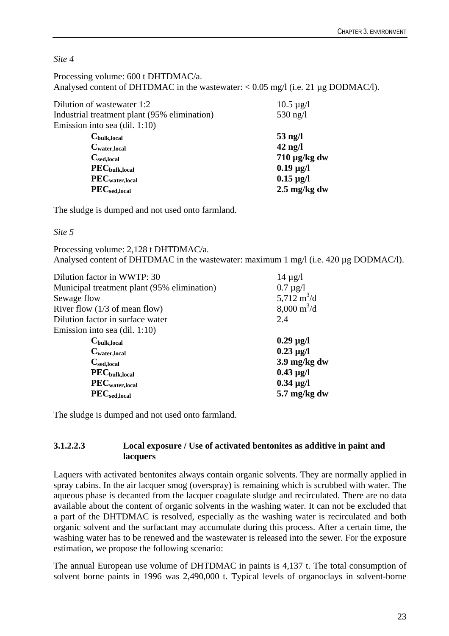*Site 4* 

| Processing volume: 600 t DHTDMAC/a.                                                 |
|-------------------------------------------------------------------------------------|
| Analysed content of DHTDMAC in the wastewater: $< 0.05$ mg/l (i.e. 21 µg DODMAC/l). |

| Dilution of wastewater 1:2                   | $10.5 \mu g/l$         |
|----------------------------------------------|------------------------|
| Industrial treatment plant (95% elimination) | 530 ng/l               |
| Emission into sea (dil. 1:10)                |                        |
| $C_{\text{bulk,local}}$                      | $53$ ng/l              |
| $C_{\text{water,local}}$                     | $42$ ng/l              |
| $C_{\rm sed,local}$                          | $710 \mu g/kg dw$      |
| $PEC_{bulk,local}$                           | $0.19 \mu g/l$         |
| $PEC_{water,local}$                          | $0.15 \,\mu g/l$       |
| $PEC_{\rm sed,local}$                        | $2.5 \text{ mg/kg}$ dw |
|                                              |                        |

The sludge is dumped and not used onto farmland.

# *Site 5*

Processing volume: 2,128 t DHTDMAC/a. Analysed content of DHTDMAC in the wastewater: maximum 1 mg/l (i.e. 420 µg DODMAC/l).

| Dilution factor in WWTP: 30                 | $14 \mu g/l$                 |
|---------------------------------------------|------------------------------|
| Municipal treatment plant (95% elimination) | $0.7 \mu$ g/l                |
| Sewage flow                                 | 5,712 $m^3/d$                |
| River flow $(1/3 \text{ of mean flow})$     | $8,000 \text{ m}^3/\text{d}$ |
| Dilution factor in surface water            | 2.4                          |
| Emission into sea $(dil. 1:10)$             |                              |
| $C_{\text{bulk,local}}$                     | $0.29 \,\mu g/l$             |
| $C_{\text{water,local}}$                    | $0.23 \mu g/l$               |
| $C_{\text{sed,local}}$                      | 3.9 mg/kg dw                 |
| $PEC_{bulk,local}$                          | $0.43 \mu g/l$               |
| PEC <sub>water,local</sub>                  | $0.34 \mu g/l$               |
| $PEC_{sed,local}$                           | $5.7 \text{ mg/kg}$ dw       |
|                                             |                              |

The sludge is dumped and not used onto farmland.

# **3.1.2.2.3 Local exposure / Use of activated bentonites as additive in paint and lacquers**

Laquers with activated bentonites always contain organic solvents. They are normally applied in spray cabins. In the air lacquer smog (overspray) is remaining which is scrubbed with water. The aqueous phase is decanted from the lacquer coagulate sludge and recirculated. There are no data available about the content of organic solvents in the washing water. It can not be excluded that a part of the DHTDMAC is resolved, especially as the washing water is recirculated and both organic solvent and the surfactant may accumulate during this process. After a certain time, the washing water has to be renewed and the wastewater is released into the sewer. For the exposure estimation, we propose the following scenario:

The annual European use volume of DHTDMAC in paints is 4,137 t. The total consumption of solvent borne paints in 1996 was 2,490,000 t. Typical levels of organoclays in solvent-borne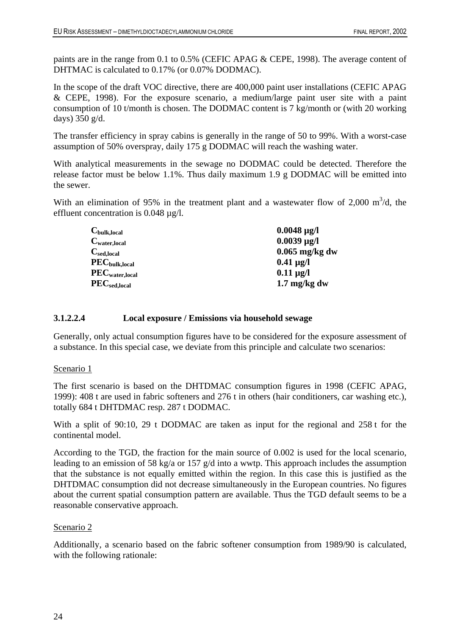paints are in the range from 0.1 to 0.5% (CEFIC APAG & CEPE, 1998). The average content of DHTMAC is calculated to 0.17% (or 0.07% DODMAC).

In the scope of the draft VOC directive, there are 400,000 paint user installations (CEFIC APAG & CEPE, 1998). For the exposure scenario, a medium/large paint user site with a paint consumption of 10 t/month is chosen. The DODMAC content is 7 kg/month or (with 20 working days) 350 g/d.

The transfer efficiency in spray cabins is generally in the range of 50 to 99%. With a worst-case assumption of 50% overspray, daily 175 g DODMAC will reach the washing water.

With analytical measurements in the sewage no DODMAC could be detected. Therefore the release factor must be below 1.1%. Thus daily maximum 1.9 g DODMAC will be emitted into the sewer.

With an elimination of 95% in the treatment plant and a wastewater flow of 2,000  $m^3/d$ , the effluent concentration is 0.048 µg/l.

| $0.0048 \,\mu g/l$     |
|------------------------|
| $0.0039 \,\mu g/l$     |
| $0.065$ mg/kg dw       |
| $0.41 \,\mu g/l$       |
| $0.11 \mu g/l$         |
| $1.7 \text{ mg/kg}$ dw |
|                        |

### **3.1.2.2.4 Local exposure / Emissions via household sewage**

Generally, only actual consumption figures have to be considered for the exposure assessment of a substance. In this special case, we deviate from this principle and calculate two scenarios:

### Scenario 1

The first scenario is based on the DHTDMAC consumption figures in 1998 (CEFIC APAG, 1999): 408 t are used in fabric softeners and 276 t in others (hair conditioners, car washing etc.), totally 684 t DHTDMAC resp. 287 t DODMAC.

With a split of 90:10, 29 t DODMAC are taken as input for the regional and 258 t for the continental model.

According to the TGD, the fraction for the main source of 0.002 is used for the local scenario, leading to an emission of 58 kg/a or 157 g/d into a wwtp. This approach includes the assumption that the substance is not equally emitted within the region. In this case this is justified as the DHTDMAC consumption did not decrease simultaneously in the European countries. No figures about the current spatial consumption pattern are available. Thus the TGD default seems to be a reasonable conservative approach.

### Scenario 2

Additionally, a scenario based on the fabric softener consumption from 1989/90 is calculated, with the following rationale: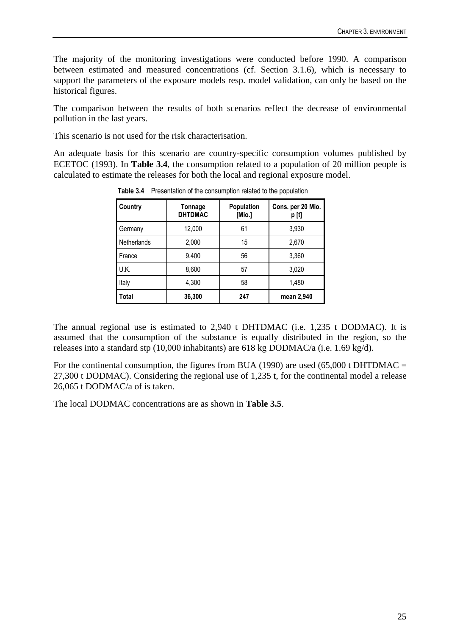The majority of the monitoring investigations were conducted before 1990. A comparison between estimated and measured concentrations (cf. Section 3.1.6), which is necessary to support the parameters of the exposure models resp. model validation, can only be based on the historical figures.

The comparison between the results of both scenarios reflect the decrease of environmental pollution in the last years.

This scenario is not used for the risk characterisation.

An adequate basis for this scenario are country-specific consumption volumes published by ECETOC (1993). In **Table 3.4**, the consumption related to a population of 20 million people is calculated to estimate the releases for both the local and regional exposure model.

| Country      | Tonnage<br><b>DHTDMAC</b> | Population<br>[Mio.] | Cons. per 20 Mio.<br>p [t] |
|--------------|---------------------------|----------------------|----------------------------|
| Germany      | 12,000                    | 61                   | 3,930                      |
| Netherlands  | 2,000                     | 15                   | 2,670                      |
| France       | 9,400                     | 56                   | 3,360                      |
| U.K.         | 8,600                     | 57                   | 3,020                      |
| Italy        | 4,300                     | 58                   | 1,480                      |
| <b>Total</b> | 36,300                    | 247                  | mean 2,940                 |

**Table 3.4** Presentation of the consumption related to the population

The annual regional use is estimated to 2,940 t DHTDMAC (i.e. 1,235 t DODMAC). It is assumed that the consumption of the substance is equally distributed in the region, so the releases into a standard stp (10,000 inhabitants) are 618 kg DODMAC/a (i.e. 1.69 kg/d).

For the continental consumption, the figures from BUA (1990) are used  $(65,000 \text{ t } DHTDMAC =$ 27,300 t DODMAC). Considering the regional use of 1,235 t, for the continental model a release 26,065 t DODMAC/a of is taken.

The local DODMAC concentrations are as shown in **Table 3.5**.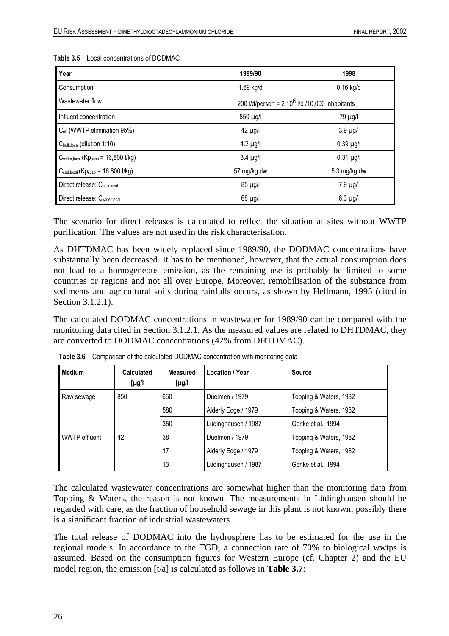| Year                                                         | 1989/90                                           | 1998             |  |
|--------------------------------------------------------------|---------------------------------------------------|------------------|--|
| Consumption                                                  | 1.69 kg/d                                         | $0.16$ kg/d      |  |
| Wastewater flow                                              | 200 I/d/person = $2.10^6$ I/d /10,000 inhabitants |                  |  |
| Influent concentration                                       | 850 µg/l                                          | 79 µg/l          |  |
| C <sub>eff</sub> (WWTP elimination 95%)                      | $42 \mu g/l$                                      | $3.9 \mu g/l$    |  |
| C <sub>bulk, local</sub> (dilution 1:10)                     | $4.2 \mu g/l$                                     | $0.39$ $\mu$ g/l |  |
| $C_{\text{water,local}}$ (K $p_{\text{susp}}$ = 16,800 l/kg) | $3.4 \mu g/l$                                     | $0.31 \mu g/l$   |  |
| $C_{\text{sed,local}}$ (K $p_{\text{susp}}$ = 16,800 l/kg)   | 57 mg/kg dw                                       | 5.3 mg/kg dw     |  |
| Direct release: C <sub>bulk, local</sub>                     | 85 µg/l                                           | $7.9 \mu g/l$    |  |
| Direct release: Cwater, local                                | $68 \mu g/l$                                      | $6.3 \mu g/l$    |  |

#### **Table 3.5** Local concentrations of DODMAC

The scenario for direct releases is calculated to reflect the situation at sites without WWTP purification. The values are not used in the risk characterisation.

As DHTDMAC has been widely replaced since 1989/90, the DODMAC concentrations have substantially been decreased. It has to be mentioned, however, that the actual consumption does not lead to a homogeneous emission, as the remaining use is probably be limited to some countries or regions and not all over Europe. Moreover, remobilisation of the substance from sediments and agricultural soils during rainfalls occurs, as shown by Hellmann, 1995 (cited in Section 3.1.2.1).

The calculated DODMAC concentrations in wastewater for 1989/90 can be compared with the monitoring data cited in Section 3.1.2.1. As the measured values are related to DHTDMAC, they are converted to DODMAC concentrations (42% from DHTDMAC).

| <b>Medium</b> | <b>Calculated</b><br>$\mu$ g/l | <b>Measured</b><br>$[\mu$ g/l | Location / Year     | <b>Source</b>          |
|---------------|--------------------------------|-------------------------------|---------------------|------------------------|
| Raw sewage    | 850                            | 660                           | Duelmen / 1979      | Topping & Waters, 1982 |
|               |                                | 580                           | Alderly Edge / 1979 | Topping & Waters, 1982 |
|               |                                | 350                           | Lüdinghausen / 1987 | Gerike et al., 1994    |
| WWTP effluent | 42                             | 38                            | Duelmen / 1979      | Topping & Waters, 1982 |
|               |                                | 17                            | Alderly Edge / 1979 | Topping & Waters, 1982 |
|               |                                | 13                            | Lüdinghausen / 1987 | Gerike et al., 1994    |

**Table 3.6** Comparison of the calculated DODMAC concentration with monitoring data

The calculated wastewater concentrations are somewhat higher than the monitoring data from Topping & Waters, the reason is not known. The measurements in Lüdinghausen should be regarded with care, as the fraction of household sewage in this plant is not known; possibly there is a significant fraction of industrial wastewaters.

The total release of DODMAC into the hydrosphere has to be estimated for the use in the regional models. In accordance to the TGD, a connection rate of 70% to biological wwtps is assumed. Based on the consumption figures for Western Europe (cf. Chapter 2) and the EU model region, the emission [t/a] is calculated as follows in **Table 3.7**: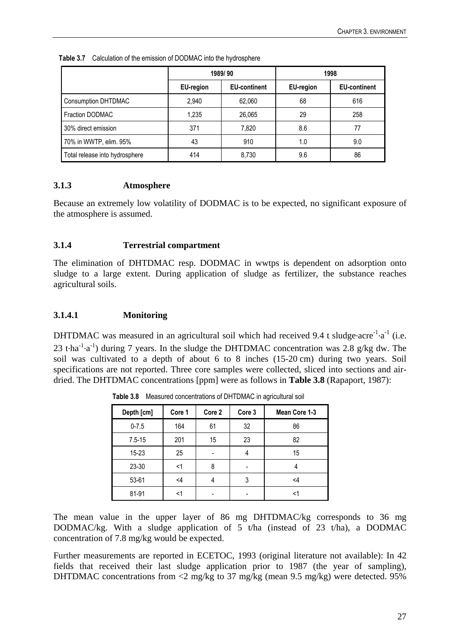|                                |           | 1989/90             | 1998             |                     |
|--------------------------------|-----------|---------------------|------------------|---------------------|
|                                | EU-region | <b>EU-continent</b> | <b>EU-region</b> | <b>EU-continent</b> |
| <b>Consumption DHTDMAC</b>     | 2,940     | 62,060              | 68               | 616                 |
| Fraction DODMAC                | 1,235     | 26,065              | 29               | 258                 |
| 30% direct emission            | 371       | 7,820               | 8.6              | 77                  |
| 70% in WWTP, elim. 95%         | 43        | 910                 | 1.0              | 9.0                 |
| Total release into hydrosphere | 414       | 8,730               | 9.6              | 86                  |

**Table 3.7** Calculation of the emission of DODMAC into the hydrosphere

# **3.1.3 Atmosphere**

Because an extremely low volatility of DODMAC is to be expected, no significant exposure of the atmosphere is assumed.

# **3.1.4 Terrestrial compartment**

The elimination of DHTDMAC resp. DODMAC in wwtps is dependent on adsorption onto sludge to a large extent. During application of sludge as fertilizer, the substance reaches agricultural soils.

# **3.1.4.1 Monitoring**

DHTDMAC was measured in an agricultural soil which had received 9.4 t sludge $\cdot$ acre $^{-1}\cdot$ a $^{-1}$  (i.e. 23 t·ha<sup>-1</sup>·a<sup>-1</sup>) during 7 years. In the sludge the DHTDMAC concentration was 2.8 g/kg dw. The soil was cultivated to a depth of about 6 to 8 inches (15-20 cm) during two years. Soil specifications are not reported. Three core samples were collected, sliced into sections and airdried. The DHTDMAC concentrations [ppm] were as follows in **Table 3.8** (Rapaport, 1987):

| Depth [cm] | Core 1 | Core 2 | Core 3 | Mean Core 1-3 |
|------------|--------|--------|--------|---------------|
| $0 - 7.5$  | 164    | 61     | 32     | 86            |
| $7.5 - 15$ | 201    | 15     | 23     | 82            |
| $15 - 23$  | 25     |        |        | 15            |
| 23-30      | <1     | 8      |        |               |
| 53-61      | <4     |        | 3      | <4            |
| 81-91      |        |        |        |               |

**Table 3.8** Measured concentrations of DHTDMAC in agricultural soil

The mean value in the upper layer of 86 mg DHTDMAC/kg corresponds to 36 mg DODMAC/kg. With a sludge application of 5 t/ha (instead of 23 t/ha), a DODMAC concentration of 7.8 mg/kg would be expected.

Further measurements are reported in ECETOC, 1993 (original literature not available): In 42 fields that received their last sludge application prior to 1987 (the year of sampling), DHTDMAC concentrations from <2 mg/kg to 37 mg/kg (mean 9.5 mg/kg) were detected. 95%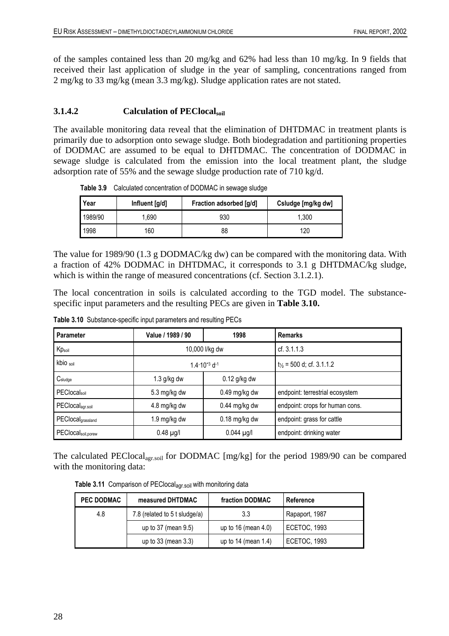of the samples contained less than 20 mg/kg and 62% had less than 10 mg/kg. In 9 fields that received their last application of sludge in the year of sampling, concentrations ranged from 2 mg/kg to 33 mg/kg (mean 3.3 mg/kg). Sludge application rates are not stated.

# **3.1.4.2 Calculation of PEClocalsoil**

The available monitoring data reveal that the elimination of DHTDMAC in treatment plants is primarily due to adsorption onto sewage sludge. Both biodegradation and partitioning properties of DODMAC are assumed to be equal to DHTDMAC. The concentration of DODMAC in sewage sludge is calculated from the emission into the local treatment plant, the sludge adsorption rate of 55% and the sewage sludge production rate of 710 kg/d.

| Year    | Influent [g/d] | Fraction adsorbed [g/d] | Csludge [mg/kg dw] |
|---------|----------------|-------------------------|--------------------|
| 1989/90 | .690           | 930                     | 1.300              |
| 1998    | 160            | 88                      | 120                |

**Table 3.9** Calculated concentration of DODMAC in sewage sludge

The value for 1989/90 (1.3 g DODMAC/kg dw) can be compared with the monitoring data. With a fraction of 42% DODMAC in DHTDMAC, it corresponds to 3.1 g DHTDMAC/kg sludge, which is within the range of measured concentrations (cf. Section 3.1.2.1).

The local concentration in soils is calculated according to the TGD model. The substancespecific input parameters and the resulting PECs are given in **Table 3.10.**

| <b>Parameter</b>               | Value / 1989 / 90                   | 1998            | <b>Remarks</b>                         |
|--------------------------------|-------------------------------------|-----------------|----------------------------------------|
| Kpsoil                         |                                     | 10,000 l/kg dw  | cf. 3.1.1.3                            |
| kbio soil                      | $1.4 \cdot 10^{-3}$ d <sup>-1</sup> |                 | $t_{\frac{1}{2}}$ = 500 d; cf. 3.1.1.2 |
| $C_{sludge}$                   | $1.3$ g/kg dw                       | $0.12$ g/kg dw  |                                        |
| PEClocalsoil                   | $5.3 \,\mathrm{mg/kg}$ dw           | $0.49$ mg/kg dw | endpoint: terrestrial ecosystem        |
| PEClocal <sub>agr.soil</sub>   | 4.8 mg/kg dw                        | $0.44$ mg/kg dw | endpoint: crops for human cons.        |
| PEClocalgrassland              | 1.9 mg/kg dw                        | $0.18$ mg/kg dw | endpoint: grass for cattle             |
| PEClocal <sub>soil,porew</sub> | $0.48$ µg/l                         | $0.044$ µg/l    | endpoint: drinking water               |

**Table 3.10** Substance-specific input parameters and resulting PECs

The calculated PEClocal<sub>agr.soil</sub> for DODMAC [mg/kg] for the period 1989/90 can be compared with the monitoring data:

**Table 3.11** Comparison of PEClocalagr.soil with monitoring data

| <b>PEC DODMAC</b> | measured DHTDMAC              | fraction DODMAC     | Reference           |
|-------------------|-------------------------------|---------------------|---------------------|
| 4.8               | 7.8 (related to 5 t sludge/a) | 3.3                 | Rapaport, 1987      |
|                   | up to 37 (mean 9.5)           | up to 16 (mean 4.0) | <b>ECETOC, 1993</b> |
|                   | up to 33 (mean 3.3)           | up to 14 (mean 1.4) | <b>ECETOC, 1993</b> |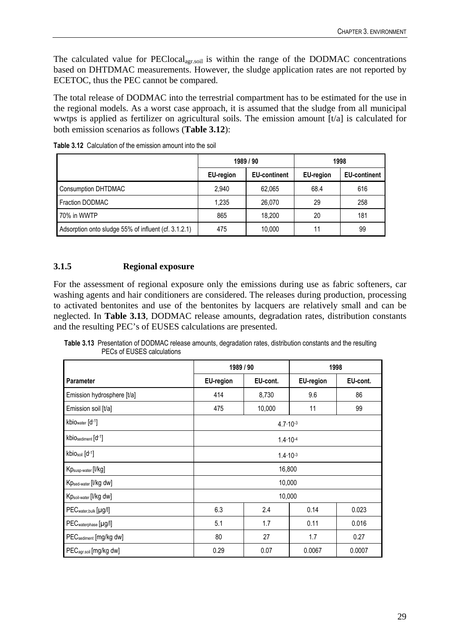The calculated value for PEClocal<sub>agr.soil</sub> is within the range of the DODMAC concentrations based on DHTDMAC measurements. However, the sludge application rates are not reported by ECETOC, thus the PEC cannot be compared.

The total release of DODMAC into the terrestrial compartment has to be estimated for the use in the regional models. As a worst case approach, it is assumed that the sludge from all municipal wwtps is applied as fertilizer on agricultural soils. The emission amount [t/a] is calculated for both emission scenarios as follows (**Table 3.12**):

|                                                      | 1989 / 90        |                     | 1998             |                     |
|------------------------------------------------------|------------------|---------------------|------------------|---------------------|
|                                                      | <b>EU-region</b> | <b>EU-continent</b> | <b>EU-region</b> | <b>EU-continent</b> |
| <b>Consumption DHTDMAC</b>                           | 2,940            | 62.065              | 68.4             | 616                 |
| <b>Fraction DODMAC</b>                               | 1,235            | 26.070              | 29               | 258                 |
| 70% in WWTP                                          | 865              | 18.200              | 20               | 181                 |
| Adsorption onto sludge 55% of influent (cf. 3.1.2.1) | 475              | 10,000              | 11               | 99                  |

**Table 3.12** Calculation of the emission amount into the soil

# **3.1.5 Regional exposure**

For the assessment of regional exposure only the emissions during use as fabric softeners, car washing agents and hair conditioners are considered. The releases during production, processing to activated bentonites and use of the bentonites by lacquers are relatively small and can be neglected. In **Table 3.13**, DODMAC release amounts, degradation rates, distribution constants and the resulting PEC's of EUSES calculations are presented.

**Table 3.13** Presentation of DODMAC release amounts, degradation rates, distribution constants and the resulting PECs of EUSES calculations

|                                    | 1989 / 90           |                     | 1998      |          |
|------------------------------------|---------------------|---------------------|-----------|----------|
| <b>Parameter</b>                   | <b>EU-region</b>    | EU-cont.            | EU-region | EU-cont. |
| Emission hydrosphere [t/a]         | 414                 | 8,730               | 9.6       | 86       |
| Emission soil [t/a]                | 475                 | 10,000              | 11        | 99       |
| kbio <sub>water</sub> [d-1]        |                     | $4.7 \cdot 10^{-3}$ |           |          |
| kbiOsediment [d-1]                 | $1.4 \cdot 10^{-4}$ |                     |           |          |
| kbiosoil [d-1]                     | $1.4 \cdot 10^{-3}$ |                     |           |          |
| Kp <sub>susp-water</sub> [I/kg]    |                     | 16,800              |           |          |
| Kpsed-water [I/kg dw]              |                     | 10,000              |           |          |
| Kpsoil-water [I/kg dw]             |                     | 10,000              |           |          |
| PECwater, bulk [µg/l]              | 6.3                 | 2.4                 | 0.14      | 0.023    |
| PEC <sub>waterphase</sub> [µg/l]   | 5.1                 | 1.7                 | 0.11      | 0.016    |
| PEC <sub>sediment</sub> [mg/kg dw] | 80<br>27<br>1.7     |                     | 0.27      |          |
| PEC <sub>agr.soil</sub> [mg/kg dw] | 0.29                | 0.07                | 0.0067    | 0.0007   |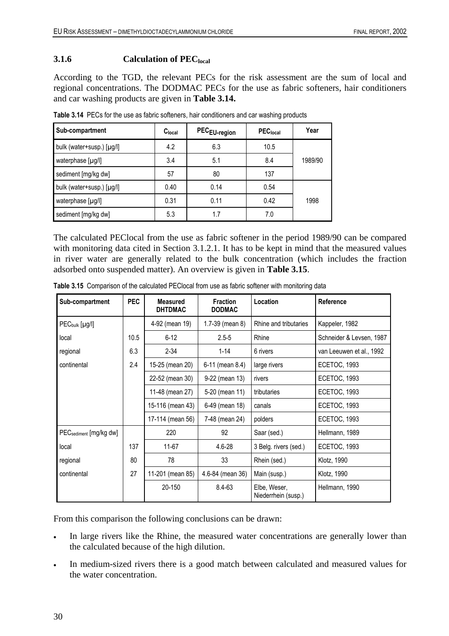### **3.1.6 Calculation of PEC**<sub>local</sub>

According to the TGD, the relevant PECs for the risk assessment are the sum of local and regional concentrations. The DODMAC PECs for the use as fabric softeners, hair conditioners and car washing products are given in **Table 3.14.**

| Sub-compartment           | C <sub>local</sub> | PEC <sub>EU-region</sub> | PEC <sub>local</sub> | Year    |
|---------------------------|--------------------|--------------------------|----------------------|---------|
| bulk (water+susp.) [µg/l] | 4.2                | 6.3                      | 10.5                 |         |
| waterphase [µg/l]         | 3.4                | 5.1                      | 8.4                  | 1989/90 |
| sediment [mg/kg dw]       | 57                 | 80                       | 137                  |         |
| bulk (water+susp.) [µg/l] | 0.40               | 0.14                     | 0.54                 |         |
| waterphase [µg/l]         | 0.31               | 0.11                     | 0.42                 | 1998    |
| sediment [mg/kg dw]       | 5.3                | 1.7                      | 7.0                  |         |

**Table 3.14** PECs for the use as fabric softeners, hair conditioners and car washing products

The calculated PEClocal from the use as fabric softener in the period 1989/90 can be compared with monitoring data cited in Section 3.1.2.1. It has to be kept in mind that the measured values in river water are generally related to the bulk concentration (which includes the fraction adsorbed onto suspended matter). An overview is given in **Table 3.15**.

| Sub-compartment                    | <b>PEC</b> | <b>Measured</b><br><b>DHTDMAC</b> | <b>Fraction</b><br><b>DODMAC</b> | Location                            | Reference                |
|------------------------------------|------------|-----------------------------------|----------------------------------|-------------------------------------|--------------------------|
| $PEC_{bulk}$ [µg/l]                |            | 4-92 (mean 19)                    | 1.7-39 (mean 8)                  | Rhine and tributaries               | Kappeler, 1982           |
| local                              | 10.5       | $6 - 12$                          | $2.5 - 5$                        | Rhine                               | Schneider & Levsen, 1987 |
| regional                           | 6.3        | $2 - 34$                          | $1 - 14$                         | 6 rivers                            | van Leeuwen et al., 1992 |
| continental                        | 2.4        | 15-25 (mean 20)                   | 6-11 (mean 8.4)                  | large rivers                        | <b>ECETOC, 1993</b>      |
|                                    |            | 22-52 (mean 30)                   | 9-22 (mean 13)                   | rivers                              | ECETOC, 1993             |
|                                    |            | 11-48 (mean 27)                   | 5-20 (mean 11)                   | tributaries                         | <b>ECETOC, 1993</b>      |
|                                    |            | 15-116 (mean 43)                  | 6-49 (mean 18)                   | canals                              | ECETOC, 1993             |
|                                    |            | 17-114 (mean 56)                  | 7-48 (mean 24)                   | polders                             | <b>ECETOC, 1993</b>      |
| PEC <sub>sediment</sub> [mg/kg dw] |            | 220                               | 92                               | Saar (sed.)                         | Hellmann, 1989           |
| local                              | 137        | 11-67                             | $4.6 - 28$                       | 3 Belg. rivers (sed.)               | <b>ECETOC, 1993</b>      |
| regional                           | 80         | 78                                | 33                               | Rhein (sed.)                        | Klotz, 1990              |
| continental                        | 27         | 11-201 (mean 85)                  | 4.6-84 (mean 36)                 | Main (susp.)                        | Klotz, 1990              |
|                                    |            | 20-150                            | 8.4-63                           | Elbe, Weser,<br>Niederrhein (susp.) | Hellmann, 1990           |

**Table 3.15** Comparison of the calculated PEClocal from use as fabric softener with monitoring data

From this comparison the following conclusions can be drawn:

- In large rivers like the Rhine, the measured water concentrations are generally lower than the calculated because of the high dilution.
- In medium-sized rivers there is a good match between calculated and measured values for the water concentration.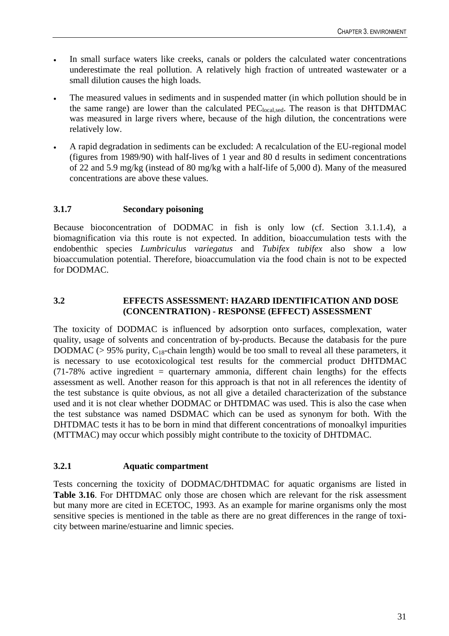- In small surface waters like creeks, canals or polders the calculated water concentrations underestimate the real pollution. A relatively high fraction of untreated wastewater or a small dilution causes the high loads.
- The measured values in sediments and in suspended matter (in which pollution should be in the same range) are lower than the calculated PEC<sub>local,sed</sub>. The reason is that DHTDMAC was measured in large rivers where, because of the high dilution, the concentrations were relatively low.
- A rapid degradation in sediments can be excluded: A recalculation of the EU-regional model (figures from 1989/90) with half-lives of 1 year and 80 d results in sediment concentrations of 22 and 5.9 mg/kg (instead of 80 mg/kg with a half-life of 5,000 d). Many of the measured concentrations are above these values.

# **3.1.7 Secondary poisoning**

Because bioconcentration of DODMAC in fish is only low (cf. Section 3.1.1.4), a biomagnification via this route is not expected. In addition, bioaccumulation tests with the endobenthic species *Lumbriculus variegatus* and *Tubifex tubifex* also show a low bioaccumulation potential. Therefore, bioaccumulation via the food chain is not to be expected for DODMAC.

# **3.2 EFFECTS ASSESSMENT: HAZARD IDENTIFICATION AND DOSE (CONCENTRATION) - RESPONSE (EFFECT) ASSESSMENT**

The toxicity of DODMAC is influenced by adsorption onto surfaces, complexation, water quality, usage of solvents and concentration of by-products. Because the databasis for the pure DODMAC ( $> 95\%$  purity, C<sub>18</sub>-chain length) would be too small to reveal all these parameters, it is necessary to use ecotoxicological test results for the commercial product DHTDMAC  $(71-78\%$  active ingredient = quarternary ammonia, different chain lengths) for the effects assessment as well. Another reason for this approach is that not in all references the identity of the test substance is quite obvious, as not all give a detailed characterization of the substance used and it is not clear whether DODMAC or DHTDMAC was used. This is also the case when the test substance was named DSDMAC which can be used as synonym for both. With the DHTDMAC tests it has to be born in mind that different concentrations of monoalkyl impurities (MTTMAC) may occur which possibly might contribute to the toxicity of DHTDMAC.

# **3.2.1 Aquatic compartment**

Tests concerning the toxicity of DODMAC/DHTDMAC for aquatic organisms are listed in **Table 3.16**. For DHTDMAC only those are chosen which are relevant for the risk assessment but many more are cited in ECETOC, 1993. As an example for marine organisms only the most sensitive species is mentioned in the table as there are no great differences in the range of toxicity between marine/estuarine and limnic species.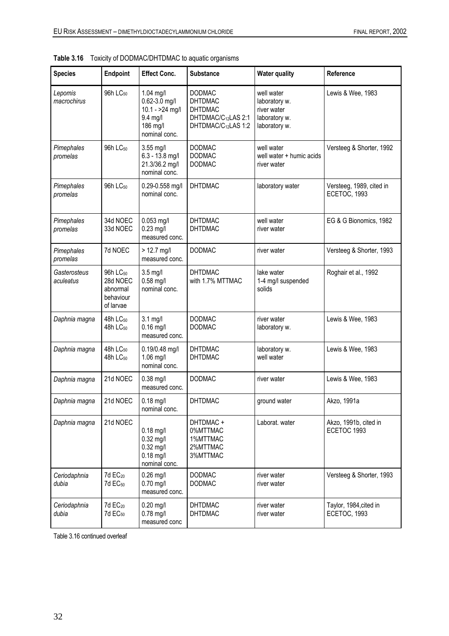| <b>Species</b>            | Endpoint                                                               | <b>Effect Conc.</b>                                                                         | <b>Substance</b>                                                                                                        | <b>Water quality</b>                                                         | Reference                                |
|---------------------------|------------------------------------------------------------------------|---------------------------------------------------------------------------------------------|-------------------------------------------------------------------------------------------------------------------------|------------------------------------------------------------------------------|------------------------------------------|
| Lepomis<br>macrochirus    | 96h LC <sub>50</sub>                                                   | 1.04 mg/l<br>$0.62 - 3.0$ mg/l<br>$10.1 - 24$ mg/l<br>9.4 mg/l<br>186 mg/l<br>nominal conc. | <b>DODMAC</b><br><b>DHTDMAC</b><br><b>DHTDMAC</b><br>DHTDMAC/C <sub>12</sub> LAS 2:1<br>DHTDMAC/C <sub>12</sub> LAS 1:2 | well water<br>laboratory w.<br>river water<br>laboratory w.<br>laboratory w. | Lewis & Wee, 1983                        |
| Pimephales<br>promelas    | 96h LC <sub>50</sub>                                                   | 3.55 mg/l<br>$6.3 - 13.8$ mg/l<br>21.3/36.2 mg/l<br>nominal conc.                           | <b>DODMAC</b><br><b>DODMAC</b><br><b>DODMAC</b>                                                                         | well water<br>well water + humic acids<br>river water                        | Versteeg & Shorter, 1992                 |
| Pimephales<br>promelas    | 96h LC <sub>50</sub>                                                   | 0.29-0.558 mg/l<br>nominal conc.                                                            | <b>DHTDMAC</b>                                                                                                          | laboratory water                                                             | Versteeg, 1989, cited in<br>ECETOC, 1993 |
| Pimephales<br>promelas    | 34d NOEC<br>33d NOEC                                                   | $0.053$ mg/l<br>$0.23$ mg/l<br>measured conc.                                               | <b>DHTDMAC</b><br><b>DHTDMAC</b>                                                                                        | well water<br>river water                                                    | EG & G Bionomics, 1982                   |
| Pimephales<br>promelas    | 7d NOEC                                                                | $> 12.7$ mg/l<br>measured conc.                                                             | <b>DODMAC</b>                                                                                                           | river water                                                                  | Versteeg & Shorter, 1993                 |
| Gasterosteus<br>aculeatus | 96h LC <sub>50</sub><br>28d NOEC<br>abnormal<br>behaviour<br>of larvae | $3.5$ mg/l<br>$0.58$ mg/l<br>nominal conc.                                                  | <b>DHTDMAC</b><br>with 1.7% MTTMAC                                                                                      | lake water<br>1-4 mg/l suspended<br>solids                                   | Roghair et al., 1992                     |
| Daphnia magna             | 48h LC <sub>50</sub><br>48h LC <sub>50</sub>                           | $3.1$ mg/l<br>$0.16$ mg/l<br>measured conc.                                                 | <b>DODMAC</b><br><b>DODMAC</b>                                                                                          | river water<br>laboratory w.                                                 | Lewis & Wee, 1983                        |
| Daphnia magna             | 48h LC <sub>50</sub><br>48h LC <sub>50</sub>                           | 0.19/0.48 mg/l<br>1.06 mg/l<br>nominal conc.                                                | <b>DHTDMAC</b><br><b>DHTDMAC</b>                                                                                        | laboratory w.<br>well water                                                  | Lewis & Wee, 1983                        |
| Daphnia magna             | 21d NOEC                                                               | $0.38$ mg/l<br>measured conc.                                                               | <b>DODMAC</b>                                                                                                           | river water                                                                  | Lewis & Wee, 1983                        |
| Daphnia magna             | 21d NOEC                                                               | $0.18$ mg/l<br>nominal conc.                                                                | <b>DHTDMAC</b>                                                                                                          | ground water                                                                 | Akzo, 1991a                              |
| Daphnia magna             | 21d NOEC                                                               | $0.18$ mg/l<br>$0.32$ mg/l<br>$0.32$ mg/l<br>$0.18$ mg/l<br>nominal conc.                   | DHTDMAC +<br>0%MTTMAC<br>1%MTTMAC<br>2%MTTMAC<br>3%MTTMAC                                                               | Laborat. water                                                               | Akzo, 1991b, cited in<br>ECETOC 1993     |
| Ceriodaphnia<br>dubia     | 7d EC <sub>20</sub><br>7d EC <sub>50</sub>                             | $0.26$ mg/l<br>$0.70$ mg/l<br>measured conc.                                                | <b>DODMAC</b><br><b>DODMAC</b>                                                                                          | river water<br>river water                                                   | Versteeg & Shorter, 1993                 |
| Ceriodaphnia<br>dubia     | 7d EC <sub>20</sub><br>7d EC <sub>50</sub>                             | $0.20$ mg/l<br>$0.78$ mg/l<br>measured conc                                                 | <b>DHTDMAC</b><br><b>DHTDMAC</b>                                                                                        | river water<br>river water                                                   | Taylor, 1984, cited in<br>ECETOC, 1993   |

|  | Table 3.16 Toxicity of DODMAC/DHTDMAC to aquatic organisms |
|--|------------------------------------------------------------|
|--|------------------------------------------------------------|

Table 3.16 continued overleaf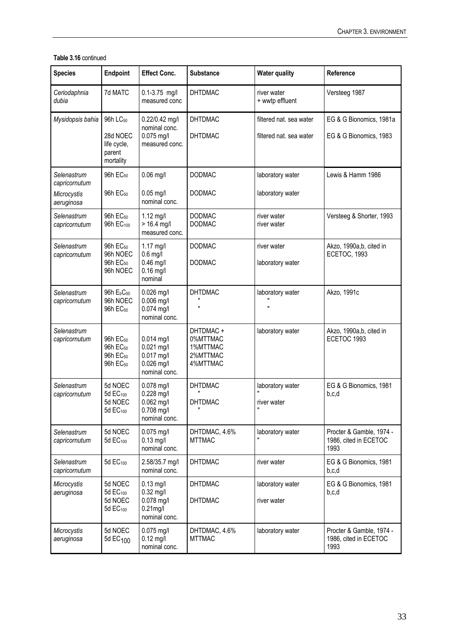### **Table 3.16** continued

| <b>Species</b>               | <b>Endpoint</b>                                                                              | <b>Effect Conc.</b>                                                           | <b>Substance</b>                                          | <b>Water quality</b>           | Reference                                                 |
|------------------------------|----------------------------------------------------------------------------------------------|-------------------------------------------------------------------------------|-----------------------------------------------------------|--------------------------------|-----------------------------------------------------------|
| Ceriodaphnia<br>dubia        | 7d MATC                                                                                      | $0.1 - 3.75$ mg/l<br>measured conc                                            | <b>DHTDMAC</b>                                            | river water<br>+ wwtp effluent | Versteeg 1987                                             |
| Mysidopsis bahia             | 96h LC <sub>50</sub>                                                                         | 0.22/0.42 mg/l<br>nominal conc.                                               | <b>DHTDMAC</b>                                            | filtered nat. sea water        | EG & G Bionomics, 1981a                                   |
|                              | 28d NOEC<br>life cycle,<br>parent<br>mortality                                               | 0.075 mg/l<br>measured conc.                                                  | <b>DHTDMAC</b>                                            | filtered nat. sea water        | EG & G Bionomics, 1983                                    |
| Selenastrum<br>capricornutum | 96h EC <sub>50</sub>                                                                         | $0.06$ mg/l                                                                   | <b>DODMAC</b>                                             | laboratory water               | Lewis & Hamm 1986                                         |
| Microcystis<br>aeruginosa    | 96h EC <sub>50</sub>                                                                         | $0.05$ mg/l<br>nominal conc.                                                  | <b>DODMAC</b>                                             | laboratory water               |                                                           |
| Selenastrum<br>capricornutum | 96h EC <sub>50</sub><br>96h EC <sub>100</sub>                                                | 1.12 mg/l<br>$> 16.4$ mg/l<br>measured conc.                                  | <b>DODMAC</b><br><b>DODMAC</b>                            | river water<br>river water     | Versteeg & Shorter, 1993                                  |
| Selenastrum<br>capricornutum | 96h EC <sub>50</sub><br>96h NOEC                                                             | $1.17$ mg/l<br>$0.6$ mg/l                                                     | <b>DODMAC</b>                                             | river water                    | Akzo, 1990a,b, cited in<br>ECETOC, 1993                   |
|                              | 96h EC <sub>50</sub><br>96h NOEC                                                             | $0.46$ mg/l<br>$0.16$ mg/l<br>nominal                                         | <b>DODMAC</b>                                             | laboratory water               |                                                           |
| Selenastrum<br>capricornutum | 96h E <sub>b</sub> C <sub>50</sub><br>96h NOEC<br>96h EC <sub>50</sub>                       | $0.026$ mg/l<br>$0.006$ mg/l<br>0.074 mg/l<br>nominal conc.                   | <b>DHTDMAC</b><br>II.                                     | laboratory water<br>Ħ          | Akzo, 1991c                                               |
| Selenastrum<br>capricornutum | 96h EC <sub>50</sub><br>96h EC <sub>50</sub><br>96h EC <sub>50</sub><br>96h EC <sub>50</sub> | $0.014$ mg/l<br>$0.021$ mg/l<br>$0.017$ mg/l<br>$0.026$ mg/l<br>nominal conc. | DHTDMAC +<br>0%MTTMAC<br>1%MTTMAC<br>2%MTTMAC<br>4%MTTMAC | laboratory water               | Akzo, 1990a,b, cited in<br>ECETOC 1993                    |
| Selenastrum<br>capricornutum | 5d NOEC<br>5d EC <sub>100</sub>                                                              | $0.078$ mg/l<br>0.228 mg/l                                                    | <b>DHTDMAC</b>                                            | laboratory water               | EG & G Bionomics, 1981<br>b,c,d                           |
|                              | 5d NOEC<br>5d EC <sub>100</sub>                                                              | 0.062 mg/l<br>0.708 mg/l<br>nominal conc.                                     | <b>DHTDMAC</b>                                            | river water<br>$\blacksquare$  |                                                           |
| Selenastrum<br>capricornutum | 5d NOEC<br>5d EC <sub>100</sub>                                                              | $0.075$ mg/l<br>$0.13$ mg/l<br>nominal conc.                                  | DHTDMAC, 4.6%<br><b>MTTMAC</b>                            | laboratory water               | Procter & Gamble, 1974 -<br>1986, cited in ECETOC<br>1993 |
| Selenastrum<br>capricornutum | 5d EC <sub>100</sub>                                                                         | 2.58/35.7 mg/l<br>nominal conc.                                               | <b>DHTDMAC</b>                                            | river water                    | EG & G Bionomics, 1981<br>b,c,d                           |
| Microcystis<br>aeruginosa    | 5d NOEC<br>5d EC <sub>100</sub>                                                              | $0.13$ mg/l<br>$0.32$ mg/l                                                    | <b>DHTDMAC</b>                                            | laboratory water               | EG & G Bionomics, 1981<br>b,c,d                           |
|                              | 5d NOEC<br>5d EC <sub>100</sub>                                                              | $0.078$ mg/l<br>$0.21$ mg/l<br>nominal conc.                                  | <b>DHTDMAC</b>                                            | river water                    |                                                           |
| Microcystis<br>aeruginosa    | 5d NOEC<br>5d EC <sub>100</sub>                                                              | 0.075 mg/l<br>$0.12$ mg/l<br>nominal conc.                                    | DHTDMAC, 4.6%<br><b>MTTMAC</b>                            | laboratory water               | Procter & Gamble, 1974 -<br>1986, cited in ECETOC<br>1993 |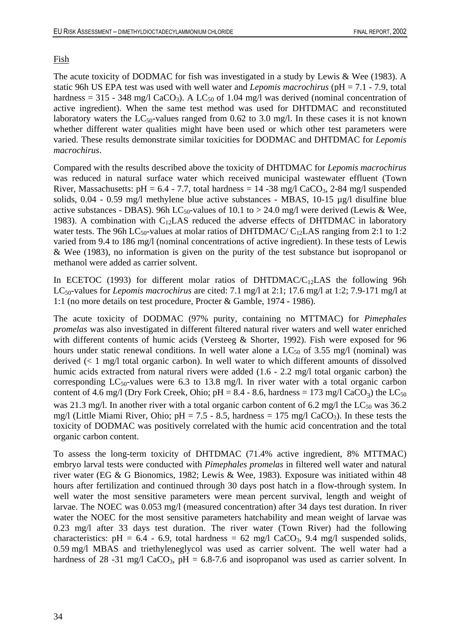# Fish

The acute toxicity of DODMAC for fish was investigated in a study by Lewis & Wee (1983). A static 96h US EPA test was used with well water and *Lepomis macrochirus* (pH = 7.1 - 7.9, total hardness = 315 - 348 mg/l CaCO<sub>3</sub>). A LC<sub>50</sub> of 1.04 mg/l was derived (nominal concentration of active ingredient). When the same test method was used for DHTDMAC and reconstituted laboratory waters the  $LC_{50}$ -values ranged from 0.62 to 3.0 mg/l. In these cases it is not known whether different water qualities might have been used or which other test parameters were varied. These results demonstrate similar toxicities for DODMAC and DHTDMAC for *Lepomis macrochirus*.

Compared with the results described above the toxicity of DHTDMAC for *Lepomis macrochirus*  was reduced in natural surface water which received municipal wastewater effluent (Town River, Massachusetts: pH =  $6.4 - 7.7$ , total hardness = 14 -38 mg/l CaCO<sub>3</sub>, 2-84 mg/l suspended solids, 0.04 - 0.59 mg/l methylene blue active substances - MBAS, 10-15 µg/l disulfine blue active substances - DBAS). 96h LC<sub>50</sub>-values of 10.1 to > 24.0 mg/l were derived (Lewis & Wee, 1983). A combination with  $C_{12}LAS$  reduced the adverse effects of DHTDMAC in laboratory water tests. The 96h LC<sub>50</sub>-values at molar ratios of DHTDMAC/ C<sub>12</sub>LAS ranging from 2:1 to 1:2 varied from 9.4 to 186 mg/l (nominal concentrations of active ingredient). In these tests of Lewis & Wee (1983), no information is given on the purity of the test substance but isopropanol or methanol were added as carrier solvent.

In ECETOC (1993) for different molar ratios of DHTDMAC/C<sub>12</sub>LAS the following 96h LC50-values for *Lepomis macrochirus* are cited: 7.1 mg/l at 2:1; 17.6 mg/l at 1:2; 7.9-171 mg/l at 1:1 (no more details on test procedure, Procter & Gamble, 1974 - 1986).

The acute toxicity of DODMAC (97% purity, containing no MTTMAC) for *Pimephales promelas* was also investigated in different filtered natural river waters and well water enriched with different contents of humic acids (Versteeg & Shorter, 1992). Fish were exposed for 96 hours under static renewal conditions. In well water alone a  $LC_{50}$  of 3.55 mg/l (nominal) was derived (< 1 mg/l total organic carbon). In well water to which different amounts of dissolved humic acids extracted from natural rivers were added  $(1.6 - 2.2 \text{ mg/l}$  total organic carbon) the corresponding  $LC_{50}$ -values were 6.3 to 13.8 mg/l. In river water with a total organic carbon content of 4.6 mg/l (Dry Fork Creek, Ohio; pH =  $8.4 - 8.6$ , hardness = 173 mg/l CaCO<sub>3</sub>) the LC<sub>50</sub> was 21.3 mg/l. In another river with a total organic carbon content of 6.2 mg/l the  $LC_{50}$  was 36.2 mg/l (Little Miami River, Ohio;  $pH = 7.5 - 8.5$ , hardness = 175 mg/l CaCO<sub>3</sub>). In these tests the toxicity of DODMAC was positively correlated with the humic acid concentration and the total organic carbon content.

To assess the long-term toxicity of DHTDMAC (71.4% active ingredient, 8% MTTMAC) embryo larval tests were conducted with *Pimephales promelas* in filtered well water and natural river water (EG & G Bionomics, 1982; Lewis & Wee, 1983). Exposure was initiated within 48 hours after fertilization and continued through 30 days post hatch in a flow-through system. In well water the most sensitive parameters were mean percent survival, length and weight of larvae. The NOEC was 0.053 mg/l (measured concentration) after 34 days test duration. In river water the NOEC for the most sensitive parameters hatchability and mean weight of larvae was 0.23 mg/l after 33 days test duration. The river water (Town River) had the following characteristics: pH =  $6.4$  -  $6.9$ , total hardness =  $62 \text{ mg/l}$  CaCO<sub>3</sub>, 9.4 mg/l suspended solids, 0.59 mg/l MBAS and triethyleneglycol was used as carrier solvent. The well water had a hardness of 28 -31 mg/l CaCO<sub>3</sub>, pH = 6.8-7.6 and isopropanol was used as carrier solvent. In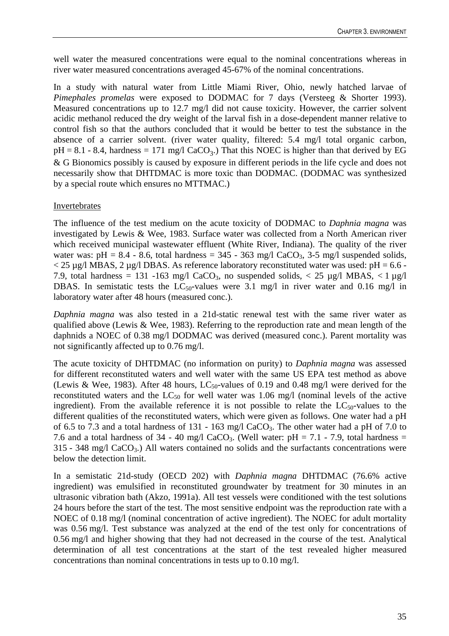well water the measured concentrations were equal to the nominal concentrations whereas in river water measured concentrations averaged 45-67% of the nominal concentrations.

In a study with natural water from Little Miami River, Ohio, newly hatched larvae of *Pimephales promelas* were exposed to DODMAC for 7 days (Versteeg & Shorter 1993). Measured concentrations up to 12.7 mg/l did not cause toxicity. However, the carrier solvent acidic methanol reduced the dry weight of the larval fish in a dose-dependent manner relative to control fish so that the authors concluded that it would be better to test the substance in the absence of a carrier solvent. (river water quality, filtered: 5.4 mg/l total organic carbon,  $pH = 8.1 - 8.4$ , hardness = 171 mg/l CaCO<sub>3</sub>.) That this NOEC is higher than that derived by EG & G Bionomics possibly is caused by exposure in different periods in the life cycle and does not necessarily show that DHTDMAC is more toxic than DODMAC. (DODMAC was synthesized by a special route which ensures no MTTMAC.)

### Invertebrates

The influence of the test medium on the acute toxicity of DODMAC to *Daphnia magna* was investigated by Lewis & Wee, 1983. Surface water was collected from a North American river which received municipal wastewater effluent (White River, Indiana). The quality of the river water was:  $pH = 8.4 - 8.6$ , total hardness = 345 - 363 mg/l CaCO<sub>3</sub>, 3-5 mg/l suspended solids,  $<$  25 µg/l MBAS, 2 µg/l DBAS. As reference laboratory reconstituted water was used: pH = 6.6 -7.9, total hardness = 131 -163 mg/l CaCO<sub>3</sub>, no suspended solids,  $\langle$  25 µg/l MBAS,  $\langle$  1 µg/l DBAS. In semistatic tests the  $LC_{50}$ -values were 3.1 mg/l in river water and 0.16 mg/l in laboratory water after 48 hours (measured conc.).

*Daphnia magna* was also tested in a 21d-static renewal test with the same river water as qualified above (Lewis & Wee, 1983). Referring to the reproduction rate and mean length of the daphnids a NOEC of 0.38 mg/l DODMAC was derived (measured conc.). Parent mortality was not significantly affected up to 0.76 mg/l.

The acute toxicity of DHTDMAC (no information on purity) to *Daphnia magna* was assessed for different reconstituted waters and well water with the same US EPA test method as above (Lewis & Wee, 1983). After 48 hours, LC<sub>50</sub>-values of 0.19 and 0.48 mg/l were derived for the reconstituted waters and the  $LC_{50}$  for well water was 1.06 mg/l (nominal levels of the active ingredient). From the available reference it is not possible to relate the  $LC_{50}$ -values to the different qualities of the reconstituted waters, which were given as follows. One water had a pH of 6.5 to 7.3 and a total hardness of 131 - 163 mg/l CaCO3. The other water had a pH of 7.0 to 7.6 and a total hardness of 34 - 40 mg/l CaCO<sub>3</sub>. (Well water: pH = 7.1 - 7.9, total hardness =  $315 - 348$  mg/l CaCO<sub>3</sub>.) All waters contained no solids and the surfactants concentrations were below the detection limit.

In a semistatic 21d-study (OECD 202) with *Daphnia magna* DHTDMAC (76.6% active ingredient) was emulsified in reconstituted groundwater by treatment for 30 minutes in an ultrasonic vibration bath (Akzo, 1991a). All test vessels were conditioned with the test solutions 24 hours before the start of the test. The most sensitive endpoint was the reproduction rate with a NOEC of 0.18 mg/l (nominal concentration of active ingredient). The NOEC for adult mortality was 0.56 mg/l. Test substance was analyzed at the end of the test only for concentrations of 0.56 mg/l and higher showing that they had not decreased in the course of the test. Analytical determination of all test concentrations at the start of the test revealed higher measured concentrations than nominal concentrations in tests up to 0.10 mg/l.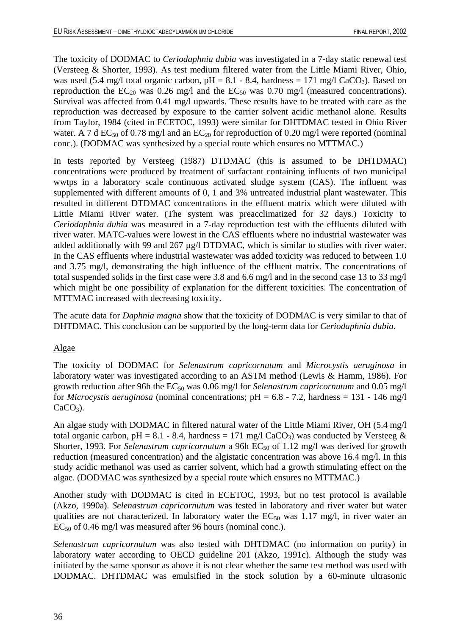The toxicity of DODMAC to *Ceriodaphnia dubia* was investigated in a 7-day static renewal test (Versteeg & Shorter, 1993). As test medium filtered water from the Little Miami River, Ohio, was used (5.4 mg/l total organic carbon,  $pH = 8.1 - 8.4$ , hardness = 171 mg/l CaCO<sub>3</sub>). Based on reproduction the  $EC_{20}$  was 0.26 mg/l and the  $EC_{50}$  was 0.70 mg/l (measured concentrations). Survival was affected from 0.41 mg/l upwards. These results have to be treated with care as the reproduction was decreased by exposure to the carrier solvent acidic methanol alone. Results from Taylor, 1984 (cited in ECETOC, 1993) were similar for DHTDMAC tested in Ohio River water. A 7 d EC<sub>50</sub> of 0.78 mg/l and an EC<sub>20</sub> for reproduction of 0.20 mg/l were reported (nominal conc.). (DODMAC was synthesized by a special route which ensures no MTTMAC.)

In tests reported by Versteeg (1987) DTDMAC (this is assumed to be DHTDMAC) concentrations were produced by treatment of surfactant containing influents of two municipal wwtps in a laboratory scale continuous activated sludge system (CAS). The influent was supplemented with different amounts of 0, 1 and 3% untreated industrial plant wastewater. This resulted in different DTDMAC concentrations in the effluent matrix which were diluted with Little Miami River water. (The system was preacclimatized for 32 days.) Toxicity to *Ceriodaphnia dubia* was measured in a 7-day reproduction test with the effluents diluted with river water. MATC-values were lowest in the CAS effluents where no industrial wastewater was added additionally with 99 and 267 µg/l DTDMAC, which is similar to studies with river water. In the CAS effluents where industrial wastewater was added toxicity was reduced to between 1.0 and 3.75 mg/l, demonstrating the high influence of the effluent matrix. The concentrations of total suspended solids in the first case were 3.8 and 6.6 mg/l and in the second case 13 to 33 mg/l which might be one possibility of explanation for the different toxicities. The concentration of MTTMAC increased with decreasing toxicity.

The acute data for *Daphnia magna* show that the toxicity of DODMAC is very similar to that of DHTDMAC. This conclusion can be supported by the long-term data for *Ceriodaphnia dubia*.

# Algae

The toxicity of DODMAC for *Selenastrum capricornutum* and *Microcystis aeruginosa* in laboratory water was investigated according to an ASTM method (Lewis & Hamm, 1986). For growth reduction after 96h the EC<sub>50</sub> was 0.06 mg/l for *Selenastrum capricornutum* and 0.05 mg/l for *Microcystis aeruginosa* (nominal concentrations; pH = 6.8 - 7.2, hardness = 131 - 146 mg/l  $CaCO<sub>3</sub>$ ).

An algae study with DODMAC in filtered natural water of the Little Miami River, OH (5.4 mg/l total organic carbon, pH = 8.1 - 8.4, hardness = 171 mg/l CaCO<sub>3</sub>) was conducted by Versteeg  $\&$ Shorter, 1993. For *Selenastrum capricornutum* a 96h EC<sub>50</sub> of 1.12 mg/l was derived for growth reduction (measured concentration) and the algistatic concentration was above 16.4 mg/l. In this study acidic methanol was used as carrier solvent, which had a growth stimulating effect on the algae. (DODMAC was synthesized by a special route which ensures no MTTMAC.)

Another study with DODMAC is cited in ECETOC, 1993, but no test protocol is available (Akzo, 1990a). *Selenastrum capricornutum* was tested in laboratory and river water but water qualities are not characterized. In laboratory water the  $EC_{50}$  was 1.17 mg/l, in river water an  $EC_{50}$  of 0.46 mg/l was measured after 96 hours (nominal conc.).

*Selenastrum capricornutum* was also tested with DHTDMAC (no information on purity) in laboratory water according to OECD guideline 201 (Akzo, 1991c). Although the study was initiated by the same sponsor as above it is not clear whether the same test method was used with DODMAC. DHTDMAC was emulsified in the stock solution by a 60-minute ultrasonic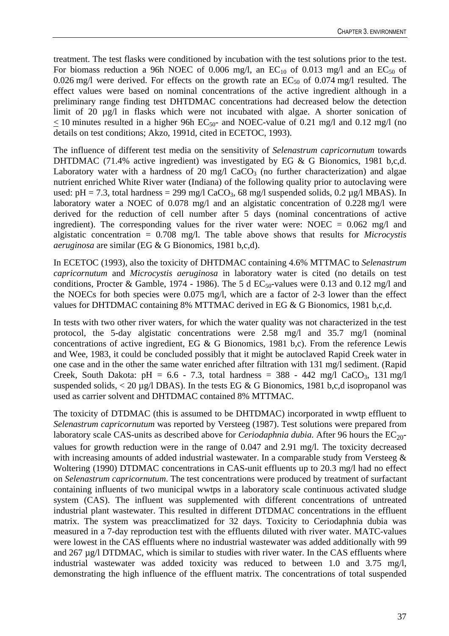treatment. The test flasks were conditioned by incubation with the test solutions prior to the test. For biomass reduction a 96h NOEC of 0.006 mg/l, an  $EC_{10}$  of 0.013 mg/l and an  $EC_{50}$  of 0.026 mg/l were derived. For effects on the growth rate an  $EC_{50}$  of 0.074 mg/l resulted. The effect values were based on nominal concentrations of the active ingredient although in a preliminary range finding test DHTDMAC concentrations had decreased below the detection limit of 20  $\mu$ g/l in flasks which were not incubated with algae. A shorter sonication of  $<$  10 minutes resulted in a higher 96h EC<sub>50</sub>- and NOEC-value of 0.21 mg/l and 0.12 mg/l (no details on test conditions; Akzo, 1991d, cited in ECETOC, 1993).

The influence of different test media on the sensitivity of *Selenastrum capricornutum* towards DHTDMAC (71.4% active ingredient) was investigated by EG & G Bionomics, 1981 b,c,d. Laboratory water with a hardness of 20 mg/l  $CaCO<sub>3</sub>$  (no further characterization) and algae nutrient enriched White River water (Indiana) of the following quality prior to autoclaving were used:  $pH = 7.3$ , total hardness = 299 mg/l CaCO<sub>3</sub>, 68 mg/l suspended solids, 0.2 µg/l MBAS). In laboratory water a NOEC of 0.078 mg/l and an algistatic concentration of 0.228 mg/l were derived for the reduction of cell number after 5 days (nominal concentrations of active ingredient). The corresponding values for the river water were: NOEC =  $0.062 \text{ mg/l}$  and algistatic concentration = 0.708 mg/l. The table above shows that results for *Microcystis aeruginosa* are similar (EG & G Bionomics, 1981 b,c,d).

In ECETOC (1993), also the toxicity of DHTDMAC containing 4.6% MTTMAC to *Selenastrum capricornutum* and *Microcystis aeruginosa* in laboratory water is cited (no details on test conditions, Procter & Gamble, 1974 - 1986). The 5 d  $EC_{50}$ -values were 0.13 and 0.12 mg/l and the NOECs for both species were 0.075 mg/l, which are a factor of 2-3 lower than the effect values for DHTDMAC containing 8% MTTMAC derived in EG & G Bionomics, 1981 b,c,d.

In tests with two other river waters, for which the water quality was not characterized in the test protocol, the 5-day algistatic concentrations were 2.58 mg/l and 35.7 mg/l (nominal concentrations of active ingredient, EG & G Bionomics, 1981 b,c). From the reference Lewis and Wee, 1983, it could be concluded possibly that it might be autoclaved Rapid Creek water in one case and in the other the same water enriched after filtration with 131 mg/l sediment. (Rapid Creek, South Dakota: pH =  $6.6 - 7.3$ , total hardness =  $388 - 442$  mg/l CaCO<sub>3</sub>, 131 mg/l suspended solids,  $\langle 20 \mu g / \text{DBAS} \rangle$ . In the tests EG & G Bionomics, 1981 b,c,d isopropanol was used as carrier solvent and DHTDMAC contained 8% MTTMAC.

The toxicity of DTDMAC (this is assumed to be DHTDMAC) incorporated in wwtp effluent to *Selenastrum capricornutum* was reported by Versteeg (1987). Test solutions were prepared from laboratory scale CAS-units as described above for *Ceriodaphnia dubia*. After 96 hours the  $EC_{20}$ values for growth reduction were in the range of 0.047 and 2.91 mg/l. The toxicity decreased with increasing amounts of added industrial wastewater. In a comparable study from Versteeg & Woltering (1990) DTDMAC concentrations in CAS-unit effluents up to 20.3 mg/l had no effect on *Selenastrum capricornutum*. The test concentrations were produced by treatment of surfactant containing influents of two municipal wwtps in a laboratory scale continuous activated sludge system (CAS). The influent was supplemented with different concentrations of untreated industrial plant wastewater. This resulted in different DTDMAC concentrations in the effluent matrix. The system was preacclimatized for 32 days. Toxicity to Ceriodaphnia dubia was measured in a 7-day reproduction test with the effluents diluted with river water. MATC-values were lowest in the CAS effluents where no industrial wastewater was added additionally with 99 and 267 µg/l DTDMAC, which is similar to studies with river water. In the CAS effluents where industrial wastewater was added toxicity was reduced to between 1.0 and 3.75 mg/l, demonstrating the high influence of the effluent matrix. The concentrations of total suspended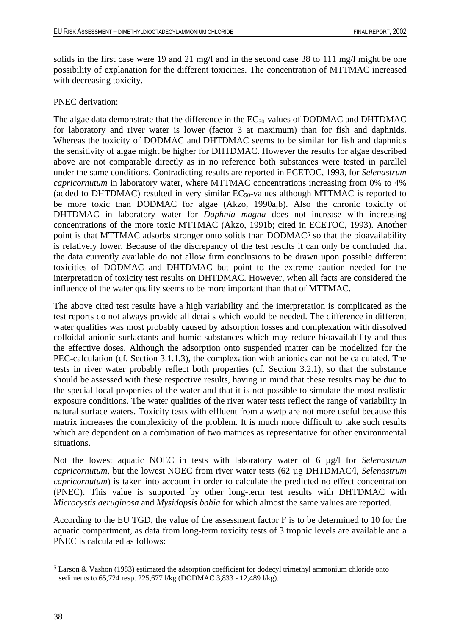solids in the first case were 19 and 21 mg/l and in the second case 38 to 111 mg/l might be one possibility of explanation for the different toxicities. The concentration of MTTMAC increased with decreasing toxicity.

### PNEC derivation:

The algae data demonstrate that the difference in the  $EC_{50}$ -values of DODMAC and DHTDMAC for laboratory and river water is lower (factor 3 at maximum) than for fish and daphnids. Whereas the toxicity of DODMAC and DHTDMAC seems to be similar for fish and daphnids the sensitivity of algae might be higher for DHTDMAC. However the results for algae described above are not comparable directly as in no reference both substances were tested in parallel under the same conditions. Contradicting results are reported in ECETOC, 1993, for *Selenastrum capricornutum* in laboratory water, where MTTMAC concentrations increasing from 0% to 4% (added to DHTDMAC) resulted in very similar  $EC_{50}$ -values although MTTMAC is reported to be more toxic than DODMAC for algae (Akzo, 1990a,b). Also the chronic toxicity of DHTDMAC in laboratory water for *Daphnia magna* does not increase with increasing concentrations of the more toxic MTTMAC (Akzo, 1991b; cited in ECETOC, 1993). Another point is that MTTMAC adsorbs stronger onto solids than DODMAC<sup>5</sup> so that the bioavailability is relatively lower. Because of the discrepancy of the test results it can only be concluded that the data currently available do not allow firm conclusions to be drawn upon possible different toxicities of DODMAC and DHTDMAC but point to the extreme caution needed for the interpretation of toxicity test results on DHTDMAC. However, when all facts are considered the influence of the water quality seems to be more important than that of MTTMAC.

The above cited test results have a high variability and the interpretation is complicated as the test reports do not always provide all details which would be needed. The difference in different water qualities was most probably caused by adsorption losses and complexation with dissolved colloidal anionic surfactants and humic substances which may reduce bioavailability and thus the effective doses. Although the adsorption onto suspended matter can be modelized for the PEC-calculation (cf. Section 3.1.1.3), the complexation with anionics can not be calculated. The tests in river water probably reflect both properties (cf. Section 3.2.1), so that the substance should be assessed with these respective results, having in mind that these results may be due to the special local properties of the water and that it is not possible to simulate the most realistic exposure conditions. The water qualities of the river water tests reflect the range of variability in natural surface waters. Toxicity tests with effluent from a wwtp are not more useful because this matrix increases the complexicity of the problem. It is much more difficult to take such results which are dependent on a combination of two matrices as representative for other environmental situations.

Not the lowest aquatic NOEC in tests with laboratory water of 6 µg/l for *Selenastrum capricornutum,* but the lowest NOEC from river water tests (62 µg DHTDMAC/l, *Selenastrum capricornutum*) is taken into account in order to calculate the predicted no effect concentration (PNEC). This value is supported by other long-term test results with DHTDMAC with *Microcystis aeruginosa* and *Mysidopsis bahia* for which almost the same values are reported.

According to the EU TGD, the value of the assessment factor F is to be determined to 10 for the aquatic compartment, as data from long-term toxicity tests of 3 trophic levels are available and a PNEC is calculated as follows:

 $\overline{a}$ 

<sup>5</sup> Larson & Vashon (1983) estimated the adsorption coefficient for dodecyl trimethyl ammonium chloride onto sediments to 65,724 resp. 225,677 l/kg (DODMAC 3,833 - 12,489 l/kg).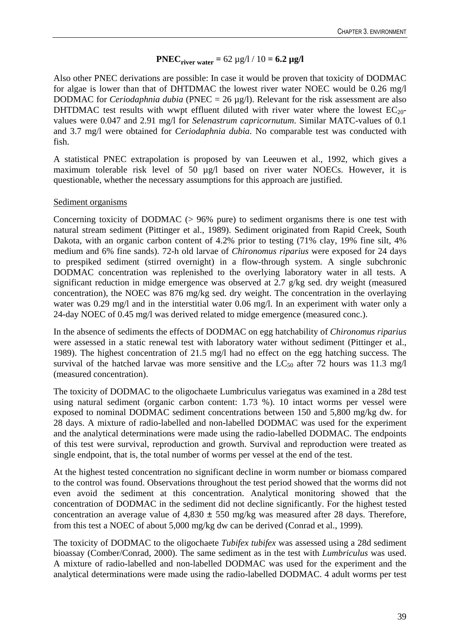# **PNEC**<sub>river water =  $62 \mu g/l / 10 = 6.2 \mu g/l$ </sub>

Also other PNEC derivations are possible: In case it would be proven that toxicity of DODMAC for algae is lower than that of DHTDMAC the lowest river water NOEC would be 0.26 mg/l DODMAC for *Ceriodaphnia dubia* (PNEC = 26 µg/l). Relevant for the risk assessment are also DHTDMAC test results with wwpt effluent diluted with river water where the lowest  $EC_{20}$ values were 0.047 and 2.91 mg/l for *Selenastrum capricornutum*. Similar MATC-values of 0.1 and 3.7 mg/l were obtained for *Ceriodaphnia dubia*. No comparable test was conducted with fish.

A statistical PNEC extrapolation is proposed by van Leeuwen et al., 1992, which gives a maximum tolerable risk level of 50 µg/l based on river water NOECs. However, it is questionable, whether the necessary assumptions for this approach are justified.

# Sediment organisms

Concerning toxicity of DODMAC (> 96% pure) to sediment organisms there is one test with natural stream sediment (Pittinger et al., 1989). Sediment originated from Rapid Creek, South Dakota, with an organic carbon content of 4.2% prior to testing (71% clay, 19% fine silt, 4% medium and 6% fine sands). 72-h old larvae of *Chironomus riparius* were exposed for 24 days to prespiked sediment (stirred overnight) in a flow-through system. A single subchronic DODMAC concentration was replenished to the overlying laboratory water in all tests. A significant reduction in midge emergence was observed at 2.7 g/kg sed. dry weight (measured concentration), the NOEC was 876 mg/kg sed. dry weight. The concentration in the overlaying water was 0.29 mg/l and in the interstitial water 0.06 mg/l. In an experiment with water only a 24-day NOEC of 0.45 mg/l was derived related to midge emergence (measured conc.).

In the absence of sediments the effects of DODMAC on egg hatchability of *Chironomus riparius* were assessed in a static renewal test with laboratory water without sediment (Pittinger et al., 1989). The highest concentration of 21.5 mg/l had no effect on the egg hatching success. The survival of the hatched larvae was more sensitive and the  $LC_{50}$  after 72 hours was 11.3 mg/l (measured concentration).

The toxicity of DODMAC to the oligochaete Lumbriculus variegatus was examined in a 28d test using natural sediment (organic carbon content: 1.73 %). 10 intact worms per vessel were exposed to nominal DODMAC sediment concentrations between 150 and 5,800 mg/kg dw. for 28 days. A mixture of radio-labelled and non-labelled DODMAC was used for the experiment and the analytical determinations were made using the radio-labelled DODMAC. The endpoints of this test were survival, reproduction and growth. Survival and reproduction were treated as single endpoint, that is, the total number of worms per vessel at the end of the test.

At the highest tested concentration no significant decline in worm number or biomass compared to the control was found. Observations throughout the test period showed that the worms did not even avoid the sediment at this concentration. Analytical monitoring showed that the concentration of DODMAC in the sediment did not decline significantly. For the highest tested concentration an average value of  $4,830 \pm 550$  mg/kg was measured after 28 days. Therefore, from this test a NOEC of about 5,000 mg/kg dw can be derived (Conrad et al., 1999).

The toxicity of DODMAC to the oligochaete *Tubifex tubifex* was assessed using a 28d sediment bioassay (Comber/Conrad, 2000). The same sediment as in the test with *Lumbriculus* was used. A mixture of radio-labelled and non-labelled DODMAC was used for the experiment and the analytical determinations were made using the radio-labelled DODMAC. 4 adult worms per test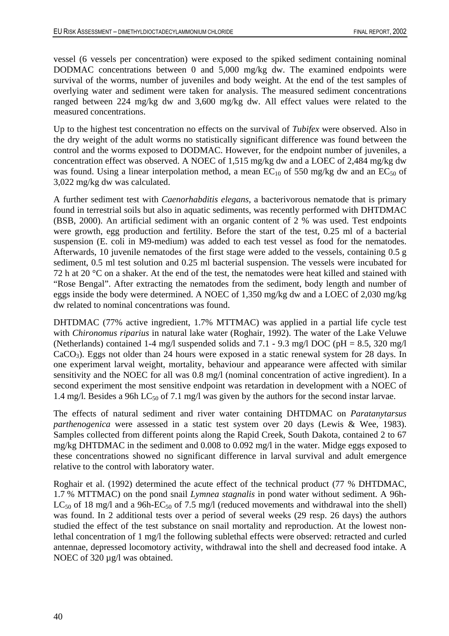vessel (6 vessels per concentration) were exposed to the spiked sediment containing nominal DODMAC concentrations between 0 and 5,000 mg/kg dw. The examined endpoints were survival of the worms, number of juveniles and body weight. At the end of the test samples of overlying water and sediment were taken for analysis. The measured sediment concentrations ranged between 224 mg/kg dw and 3,600 mg/kg dw. All effect values were related to the measured concentrations.

Up to the highest test concentration no effects on the survival of *Tubifex* were observed. Also in the dry weight of the adult worms no statistically significant difference was found between the control and the worms exposed to DODMAC. However, for the endpoint number of juveniles, a concentration effect was observed. A NOEC of 1,515 mg/kg dw and a LOEC of 2,484 mg/kg dw was found. Using a linear interpolation method, a mean  $EC_{10}$  of 550 mg/kg dw and an  $EC_{50}$  of 3,022 mg/kg dw was calculated.

A further sediment test with *Caenorhabditis elegans*, a bacterivorous nematode that is primary found in terrestrial soils but also in aquatic sediments, was recently performed with DHTDMAC (BSB, 2000). An artificial sediment with an organic content of 2 % was used. Test endpoints were growth, egg production and fertility. Before the start of the test, 0.25 ml of a bacterial suspension (E. coli in M9-medium) was added to each test vessel as food for the nematodes. Afterwards, 10 juvenile nematodes of the first stage were added to the vessels, containing 0.5 g sediment, 0.5 ml test solution and 0.25 ml bacterial suspension. The vessels were incubated for 72 h at 20  $\degree$ C on a shaker. At the end of the test, the nematodes were heat killed and stained with "Rose Bengal". After extracting the nematodes from the sediment, body length and number of eggs inside the body were determined. A NOEC of 1,350 mg/kg dw and a LOEC of 2,030 mg/kg dw related to nominal concentrations was found.

DHTDMAC (77% active ingredient, 1.7% MTTMAC) was applied in a partial life cycle test with *Chironomus riparius* in natural lake water (Roghair, 1992). The water of the Lake Veluwe (Netherlands) contained 1-4 mg/l suspended solids and 7.1 - 9.3 mg/l DOC (pH = 8.5, 320 mg/l)  $CaCO<sub>3</sub>$ ). Eggs not older than 24 hours were exposed in a static renewal system for 28 days. In one experiment larval weight, mortality, behaviour and appearance were affected with similar sensitivity and the NOEC for all was 0.8 mg/l (nominal concentration of active ingredient). In a second experiment the most sensitive endpoint was retardation in development with a NOEC of 1.4 mg/l. Besides a 96h LC<sub>50</sub> of 7.1 mg/l was given by the authors for the second instar larvae.

The effects of natural sediment and river water containing DHTDMAC on *Paratanytarsus parthenogenica* were assessed in a static test system over 20 days (Lewis & Wee, 1983). Samples collected from different points along the Rapid Creek, South Dakota, contained 2 to 67 mg/kg DHTDMAC in the sediment and 0.008 to 0.092 mg/l in the water. Midge eggs exposed to these concentrations showed no significant difference in larval survival and adult emergence relative to the control with laboratory water.

Roghair et al. (1992) determined the acute effect of the technical product (77 % DHTDMAC, 1.7 % MTTMAC) on the pond snail *Lymnea stagnalis* in pond water without sediment. A 96h- $LC_{50}$  of 18 mg/l and a 96h- $EC_{50}$  of 7.5 mg/l (reduced movements and withdrawal into the shell) was found. In 2 additional tests over a period of several weeks (29 resp. 26 days) the authors studied the effect of the test substance on snail mortality and reproduction. At the lowest nonlethal concentration of 1 mg/l the following sublethal effects were observed: retracted and curled antennae, depressed locomotory activity, withdrawal into the shell and decreased food intake. A NOEC of 320  $\mu$ g/l was obtained.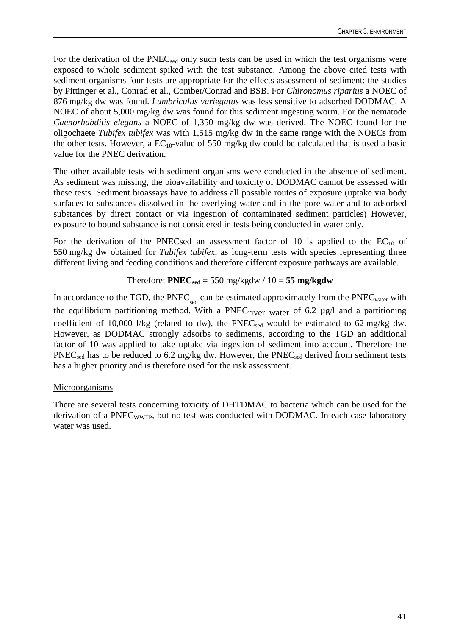For the derivation of the PNEC<sub>sed</sub> only such tests can be used in which the test organisms were exposed to whole sediment spiked with the test substance. Among the above cited tests with sediment organisms four tests are appropriate for the effects assessment of sediment: the studies by Pittinger et al., Conrad et al., Comber/Conrad and BSB. For *Chironomus riparius* a NOEC of 876 mg/kg dw was found. *Lumbriculus variegatus* was less sensitive to adsorbed DODMAC. A NOEC of about 5,000 mg/kg dw was found for this sediment ingesting worm. For the nematode *Caenorhabditis elegans* a NOEC of 1,350 mg/kg dw was derived. The NOEC found for the oligochaete *Tubifex tubifex* was with 1,515 mg/kg dw in the same range with the NOECs from the other tests. However, a  $EC_{10}$ -value of 550 mg/kg dw could be calculated that is used a basic value for the PNEC derivation.

The other available tests with sediment organisms were conducted in the absence of sediment. As sediment was missing, the bioavailability and toxicity of DODMAC cannot be assessed with these tests. Sediment bioassays have to address all possible routes of exposure (uptake via body surfaces to substances dissolved in the overlying water and in the pore water and to adsorbed substances by direct contact or via ingestion of contaminated sediment particles) However, exposure to bound substance is not considered in tests being conducted in water only.

For the derivation of the PNECsed an assessment factor of 10 is applied to the  $EC_{10}$  of 550 mg/kg dw obtained for *Tubifex tubifex*, as long-term tests with species representing three different living and feeding conditions and therefore different exposure pathways are available.

# Therefore:  $PNEC_{sed} = 550$  mg/kgdw /  $10 = 55$  mg/kgdw

In accordance to the TGD, the  $\text{PNEC}_{\text{sed}}$  can be estimated approximately from the  $\text{PNEC}_{\text{water}}$  with the equilibrium partitioning method. With a PNEC<sub>river</sub> water of 6.2  $\mu$ g/l and a partitioning coefficient of 10,000 l/kg (related to dw), the  $PNEC_{sed}$  would be estimated to 62 mg/kg dw. However, as DODMAC strongly adsorbs to sediments, according to the TGD an additional factor of 10 was applied to take uptake via ingestion of sediment into account. Therefore the PNEC<sub>sed</sub> has to be reduced to 6.2 mg/kg dw. However, the PNEC<sub>sed</sub> derived from sediment tests has a higher priority and is therefore used for the risk assessment.

### Microorganisms

There are several tests concerning toxicity of DHTDMAC to bacteria which can be used for the derivation of a PNEC<sub>WWTP</sub>, but no test was conducted with DODMAC. In each case laboratory water was used.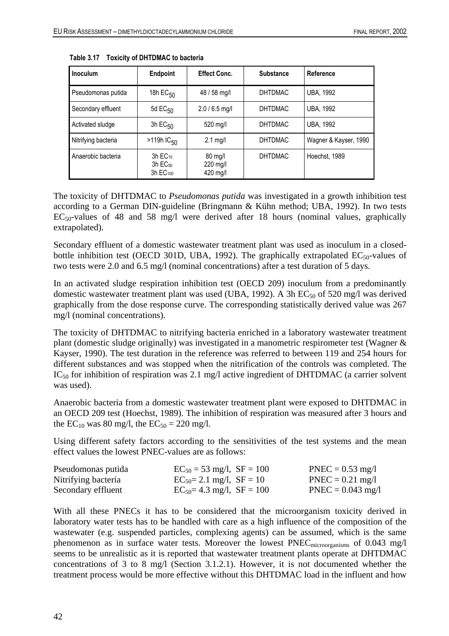| Inoculum            | <b>Endpoint</b>                                                          | <b>Effect Conc.</b>                       | <b>Substance</b> | Reference             |
|---------------------|--------------------------------------------------------------------------|-------------------------------------------|------------------|-----------------------|
| Pseudomonas putida  | 18h $EC_{50}$                                                            | 48 / 58 mg/l                              | <b>DHTDMAC</b>   | <b>UBA, 1992</b>      |
| Secondary effluent  | 5d $EC_{50}$                                                             | $2.0 / 6.5$ mg/l                          | <b>DHTDMAC</b>   | <b>UBA, 1992</b>      |
| Activated sludge    | 3h $EC_{50}$                                                             | 520 mg/l                                  | <b>DHTDMAC</b>   | <b>UBA, 1992</b>      |
| Nitrifying bacteria | $>119h$ IC <sub>50</sub>                                                 | $2.1 \text{ mq/l}$                        | <b>DHTDMAC</b>   | Wagner & Kayser, 1990 |
| Anaerobic bacteria  | $3h$ EC <sub>10</sub><br>$3h$ EC <sub>50</sub><br>$3h$ EC <sub>100</sub> | $80 \text{ mq/l}$<br>220 mg/l<br>420 mg/l | <b>DHTDMAC</b>   | Hoechst, 1989         |

|  |  | Table 3.17 Toxicity of DHTDMAC to bacteria |
|--|--|--------------------------------------------|
|--|--|--------------------------------------------|

The toxicity of DHTDMAC to *Pseudomonas putida* was investigated in a growth inhibition test according to a German DIN-guideline (Bringmann & Kühn method; UBA, 1992). In two tests  $EC_{50}$ -values of 48 and 58 mg/l were derived after 18 hours (nominal values, graphically extrapolated).

Secondary effluent of a domestic wastewater treatment plant was used as inoculum in a closedbottle inhibition test (OECD 301D, UBA, 1992). The graphically extrapolated  $EC_{50}$ -values of two tests were 2.0 and 6.5 mg/l (nominal concentrations) after a test duration of 5 days.

In an activated sludge respiration inhibition test (OECD 209) inoculum from a predominantly domestic wastewater treatment plant was used (UBA, 1992). A 3h  $EC_{50}$  of 520 mg/l was derived graphically from the dose response curve. The corresponding statistically derived value was 267 mg/l (nominal concentrations).

The toxicity of DHTDMAC to nitrifying bacteria enriched in a laboratory wastewater treatment plant (domestic sludge originally) was investigated in a manometric respirometer test (Wagner & Kayser, 1990). The test duration in the reference was referred to between 119 and 254 hours for different substances and was stopped when the nitrification of the controls was completed. The  $IC_{50}$  for inhibition of respiration was 2.1 mg/l active ingredient of DHTDMAC (a carrier solvent was used).

Anaerobic bacteria from a domestic wastewater treatment plant were exposed to DHTDMAC in an OECD 209 test (Hoechst, 1989). The inhibition of respiration was measured after 3 hours and the  $EC_{10}$  was 80 mg/l, the  $EC_{50} = 220$  mg/l.

Using different safety factors according to the sensitivities of the test systems and the mean effect values the lowest PNEC-values are as follows:

| Pseudomonas putida  | $EC_{50} = 53$ mg/l, $SF = 100$  | $PNEC = 0.53$ mg/l  |
|---------------------|----------------------------------|---------------------|
| Nitrifying bacteria | $EC_{50} = 2.1$ mg/l, $SF = 10$  | $PNEC = 0.21$ mg/l  |
| Secondary effluent  | $EC_{50} = 4.3$ mg/l, $SF = 100$ | $PNEC = 0.043$ mg/l |

With all these PNECs it has to be considered that the microorganism toxicity derived in laboratory water tests has to be handled with care as a high influence of the composition of the wastewater (e.g. suspended particles, complexing agents) can be assumed, which is the same phenomenon as in surface water tests. Moreover the lowest PNECmicroorganisms of 0.043 mg/l seems to be unrealistic as it is reported that wastewater treatment plants operate at DHTDMAC concentrations of 3 to 8 mg/l (Section 3.1.2.1). However, it is not documented whether the treatment process would be more effective without this DHTDMAC load in the influent and how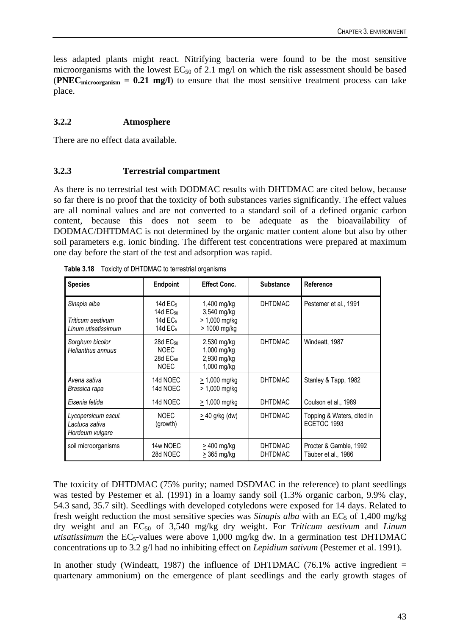less adapted plants might react. Nitrifying bacteria were found to be the most sensitive microorganisms with the lowest  $EC_{50}$  of 2.1 mg/l on which the risk assessment should be based (**PNECmicroorganism = 0.21 mg/l**) to ensure that the most sensitive treatment process can take place.

# **3.2.2 Atmosphere**

There are no effect data available.

### **3.2.3 Terrestrial compartment**

As there is no terrestrial test with DODMAC results with DHTDMAC are cited below, because so far there is no proof that the toxicity of both substances varies significantly. The effect values are all nominal values and are not converted to a standard soil of a defined organic carbon content, because this does not seem to be adequate as the bioavailability of DODMAC/DHTDMAC is not determined by the organic matter content alone but also by other soil parameters e.g. ionic binding. The different test concentrations were prepared at maximum one day before the start of the test and adsorption was rapid.

| <b>Species</b>                                           | <b>Endpoint</b>                                                                 | <b>Effect Conc.</b>                                         | <b>Substance</b>                 | Reference                                     |
|----------------------------------------------------------|---------------------------------------------------------------------------------|-------------------------------------------------------------|----------------------------------|-----------------------------------------------|
| Sinapis alba<br>Triticum aestivum<br>Linum utisatissimum | 14d $EC5$<br>14d EC <sub>50</sub><br>14d EC <sub>5</sub><br>14d EC <sub>5</sub> | 1,400 mg/kg<br>3,540 mg/kg<br>> 1,000 mg/kg<br>> 1000 mg/kg | <b>DHTDMAC</b>                   | Pestemer et al., 1991                         |
| Sorghum bicolor<br>Helianthus annuus                     | $28d$ EC <sub>50</sub><br><b>NOEC</b><br>28d EC <sub>50</sub><br><b>NOEC</b>    | 2,530 mg/kg<br>1,000 mg/kg<br>2,930 mg/kg<br>1,000 mg/kg    | <b>DHTDMAC</b>                   | Windeatt, 1987                                |
| Avena sativa<br>Brassica rapa                            | 14d NOEC<br>14d NOEC                                                            | $\geq$ 1,000 mg/kg<br>$\geq$ 1,000 mg/kg                    | <b>DHTDMAC</b>                   | Stanley & Tapp, 1982                          |
| Eisenia fetida                                           | 14d NOEC                                                                        | $> 1,000$ mg/kg                                             | <b>DHTDMAC</b>                   | Coulson et al., 1989                          |
| Lycopersicum escul.<br>Lactuca sativa<br>Hordeum vulgare | <b>NOEC</b><br>(growth)                                                         | $\geq$ 40 g/kg (dw)                                         | <b>DHTDMAC</b>                   | Topping & Waters, cited in<br>ECETOC 1993     |
| soil microorganisms                                      | 14w NOEC<br>28d NOEC                                                            | > 400 mg/kg<br>$>$ 365 mg/kg                                | <b>DHTDMAC</b><br><b>DHTDMAC</b> | Procter & Gamble, 1992<br>Täuber et al., 1986 |

|  | Table 3.18 Toxicity of DHTDMAC to terrestrial organisms |  |
|--|---------------------------------------------------------|--|
|  |                                                         |  |

The toxicity of DHTDMAC (75% purity; named DSDMAC in the reference) to plant seedlings was tested by Pestemer et al. (1991) in a loamy sandy soil (1.3% organic carbon, 9.9% clay, 54.3 sand, 35.7 silt). Seedlings with developed cotyledons were exposed for 14 days. Related to fresh weight reduction the most sensitive species was *Sinapis alba* with an EC<sub>5</sub> of 1,400 mg/kg dry weight and an EC50 of 3,540 mg/kg dry weight. For *Triticum aestivum* and *Linum utisatissimum* the  $EC_5$ -values were above 1,000 mg/kg dw. In a germination test DHTDMAC concentrations up to 3.2 g/l had no inhibiting effect on *Lepidium sativum* (Pestemer et al. 1991).

In another study (Windeatt, 1987) the influence of DHTDMAC (76.1% active ingredient  $=$ quartenary ammonium) on the emergence of plant seedlings and the early growth stages of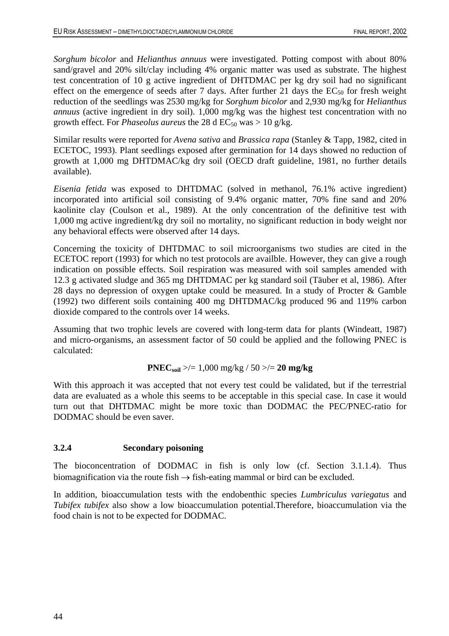*Sorghum bicolor* and *Helianthus annuus* were investigated. Potting compost with about 80% sand/gravel and 20% silt/clay including 4% organic matter was used as substrate. The highest test concentration of 10 g active ingredient of DHTDMAC per kg dry soil had no significant effect on the emergence of seeds after 7 days. After further 21 days the  $EC_{50}$  for fresh weight reduction of the seedlings was 2530 mg/kg for *Sorghum bicolor* and 2,930 mg/kg for *Helianthus annuus* (active ingredient in dry soil). 1,000 mg/kg was the highest test concentration with no growth effect. For *Phaseolus aureus* the 28 d  $EC_{50}$  was  $> 10$  g/kg.

Similar results were reported for *Avena sativa* and *Brassica rapa* (Stanley & Tapp, 1982, cited in ECETOC, 1993). Plant seedlings exposed after germination for 14 days showed no reduction of growth at 1,000 mg DHTDMAC/kg dry soil (OECD draft guideline, 1981, no further details available).

*Eisenia fetida* was exposed to DHTDMAC (solved in methanol, 76.1% active ingredient) incorporated into artificial soil consisting of 9.4% organic matter, 70% fine sand and 20% kaolinite clay (Coulson et al., 1989). At the only concentration of the definitive test with 1,000 mg active ingredient/kg dry soil no mortality, no significant reduction in body weight nor any behavioral effects were observed after 14 days.

Concerning the toxicity of DHTDMAC to soil microorganisms two studies are cited in the ECETOC report (1993) for which no test protocols are availble. However, they can give a rough indication on possible effects. Soil respiration was measured with soil samples amended with 12.3 g activated sludge and 365 mg DHTDMAC per kg standard soil (Täuber et al, 1986). After 28 days no depression of oxygen uptake could be measured. In a study of Procter & Gamble (1992) two different soils containing 400 mg DHTDMAC/kg produced 96 and 119% carbon dioxide compared to the controls over 14 weeks.

Assuming that two trophic levels are covered with long-term data for plants (Windeatt, 1987) and micro-organisms, an assessment factor of 50 could be applied and the following PNEC is calculated:

# **PNECsoil** >/= 1,000 mg/kg / 50 >/= **20 mg/kg**

With this approach it was accepted that not every test could be validated, but if the terrestrial data are evaluated as a whole this seems to be acceptable in this special case. In case it would turn out that DHTDMAC might be more toxic than DODMAC the PEC/PNEC-ratio for DODMAC should be even saver.

# **3.2.4 Secondary poisoning**

The bioconcentration of DODMAC in fish is only low (cf. Section 3.1.1.4). Thus biomagnification via the route fish  $\rightarrow$  fish-eating mammal or bird can be excluded.

In addition, bioaccumulation tests with the endobenthic species *Lumbriculus variegatus* and *Tubifex tubifex* also show a low bioaccumulation potential.Therefore, bioaccumulation via the food chain is not to be expected for DODMAC.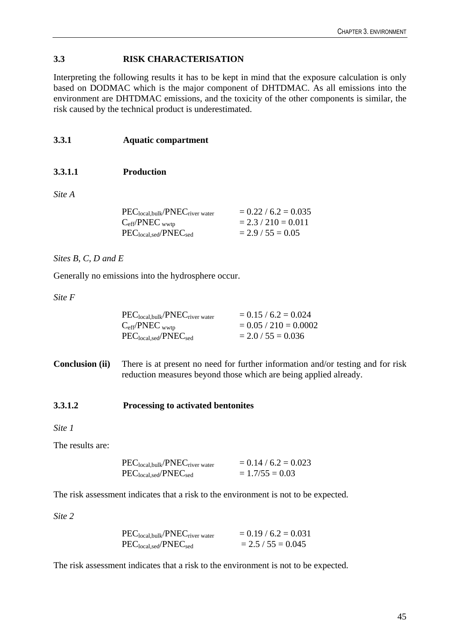# **3.3 RISK CHARACTERISATION**

Interpreting the following results it has to be kept in mind that the exposure calculation is only based on DODMAC which is the major component of DHTDMAC. As all emissions into the environment are DHTDMAC emissions, and the toxicity of the other components is similar, the risk caused by the technical product is underestimated.

# **3.3.1 Aquatic compartment**

# **3.3.1.1 Production**

*Site A* 

| $PEC_{local,bulk}/PNEC_{river water}$ | $= 0.22 / 6.2 = 0.035$ |
|---------------------------------------|------------------------|
| $C_{\text{eff}}$ /PNEC wwtp           | $= 2.3 / 210 = 0.011$  |
| $PEClocal, sed/PNECsed$               | $= 2.9 / 55 = 0.05$    |

### *Sites B, C, D and E*

Generally no emissions into the hydrosphere occur.

*Site F* 

| $PEC_{local,bulk}/PNEC_{river water}$ | $= 0.15 / 6.2 = 0.024$  |
|---------------------------------------|-------------------------|
| $C_{\text{eff}}$ /PNEC wwtp           | $= 0.05 / 210 = 0.0002$ |
| $PEClocal, sed/PNECsed$               | $= 2.0 / 55 = 0.036$    |

**Conclusion (ii)** There is at present no need for further information and/or testing and for risk reduction measures beyond those which are being applied already.

### **3.3.1.2 Processing to activated bentonites**

*Site 1* 

The results are:

| $PEC_{local,bulk}/PNEC_{river water}$ | $= 0.14 / 6.2 = 0.023$ |
|---------------------------------------|------------------------|
| $PEClocal, sed/PNECsed$               | $= 1.7/55 = 0.03$      |

The risk assessment indicates that a risk to the environment is not to be expected.

*Site 2* 

| $PEC_{local,bulk}/PNEC_{river water}$ | $= 0.19 / 6.2 = 0.031$ |
|---------------------------------------|------------------------|
| $PEC_{local, sed}/PNEC_{sed}$         | $= 2.5 / 55 = 0.045$   |

The risk assessment indicates that a risk to the environment is not to be expected.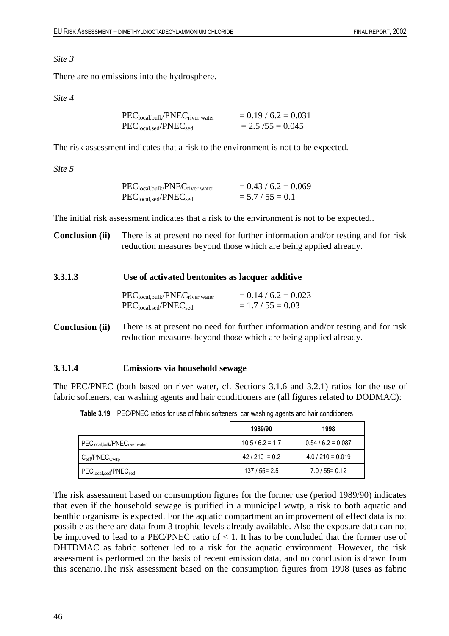### *Site 3*

There are no emissions into the hydrosphere.

### *Site 4*

| $PEC_{local,bulk}/PNEC_{river water}$ | $= 0.19 / 6.2 = 0.031$ |
|---------------------------------------|------------------------|
| $PEClocal, sed/PNECsed$               | $= 2.5 / 55 = 0.045$   |

The risk assessment indicates that a risk to the environment is not to be expected.

*Site 5* 

| $PEC_{local,bulk}/PNEC_{river water}$ | $= 0.43 / 6.2 = 0.069$ |
|---------------------------------------|------------------------|
| $PEClocal, sed/PNECsed$               | $= 5.7 / 55 = 0.1$     |

The initial risk assessment indicates that a risk to the environment is not to be expected..

**Conclusion (ii)** There is at present no need for further information and/or testing and for risk reduction measures beyond those which are being applied already.

# **3.3.1.3 Use of activated bentonites as lacquer additive**

| $\mathrm{PEC}_{\mathrm{local,bulk}}/\mathrm{PNEC}_{\mathrm{river\ water}}$ | $= 0.14 / 6.2 = 0.023$ |
|----------------------------------------------------------------------------|------------------------|
| $PEClocal, sed/PNECsed$                                                    | $= 1.7 / 55 = 0.03$    |

**Conclusion (ii)** There is at present no need for further information and/or testing and for risk reduction measures beyond those which are being applied already.

### **3.3.1.4 Emissions via household sewage**

The PEC/PNEC (both based on river water, cf. Sections 3.1.6 and 3.2.1) ratios for the use of fabric softeners, car washing agents and hair conditioners are (all figures related to DODMAC):

|                                   | 1989/90          | 1998                |
|-----------------------------------|------------------|---------------------|
| PEClocal, bulk/PNECriver water    | $10.5/6.2 = 1.7$ | $0.54/6.2 = 0.087$  |
| $C_{\rm eff}$ /PNE $C_{\rm wwtp}$ | $42/210 = 0.2$   | $4.0 / 210 = 0.019$ |
| $PEC_{local,sed}/PNEC_{sed}$      | $137/55 = 2.5$   | $7.0 / 55 = 0.12$   |

**Table 3.19** PEC/PNEC ratios for use of fabric softeners, car washing agents and hair conditioners

The risk assessment based on consumption figures for the former use (period 1989/90) indicates that even if the household sewage is purified in a municipal wwtp, a risk to both aquatic and benthic organisms is expected. For the aquatic compartment an improvement of effect data is not possible as there are data from 3 trophic levels already available. Also the exposure data can not be improved to lead to a PEC/PNEC ratio of  $< 1$ . It has to be concluded that the former use of DHTDMAC as fabric softener led to a risk for the aquatic environment. However, the risk assessment is performed on the basis of recent emission data, and no conclusion is drawn from this scenario.The risk assessment based on the consumption figures from 1998 (uses as fabric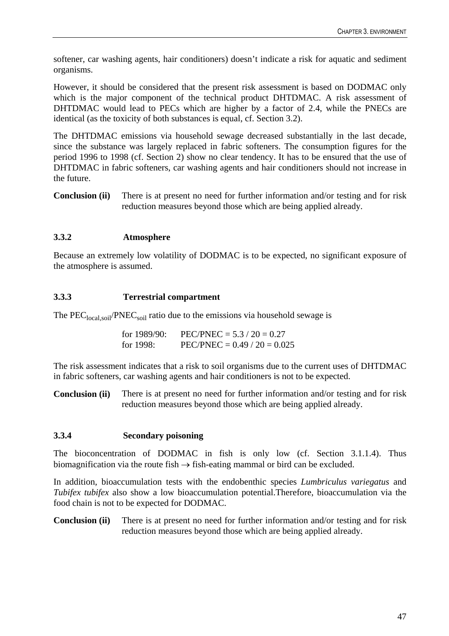softener, car washing agents, hair conditioners) doesn't indicate a risk for aquatic and sediment organisms.

However, it should be considered that the present risk assessment is based on DODMAC only which is the major component of the technical product DHTDMAC. A risk assessment of DHTDMAC would lead to PECs which are higher by a factor of 2.4, while the PNECs are identical (as the toxicity of both substances is equal, cf. Section 3.2).

The DHTDMAC emissions via household sewage decreased substantially in the last decade, since the substance was largely replaced in fabric softeners. The consumption figures for the period 1996 to 1998 (cf. Section 2) show no clear tendency. It has to be ensured that the use of DHTDMAC in fabric softeners, car washing agents and hair conditioners should not increase in the future.

**Conclusion (ii)** There is at present no need for further information and/or testing and for risk reduction measures beyond those which are being applied already.

# **3.3.2 Atmosphere**

Because an extremely low volatility of DODMAC is to be expected, no significant exposure of the atmosphere is assumed.

### **3.3.3 Terrestrial compartment**

The  $PEC<sub>local soil</sub>/PNEC<sub>soil</sub>$  ratio due to the emissions via household sewage is

for 1989/90: PEC/PNEC =  $5.3 / 20 = 0.27$ for 1998: PEC/PNEC =  $0.49 / 20 = 0.025$ 

The risk assessment indicates that a risk to soil organisms due to the current uses of DHTDMAC in fabric softeners, car washing agents and hair conditioners is not to be expected.

**Conclusion (ii)** There is at present no need for further information and/or testing and for risk reduction measures beyond those which are being applied already.

### **3.3.4 Secondary poisoning**

The bioconcentration of DODMAC in fish is only low (cf. Section 3.1.1.4). Thus biomagnification via the route fish  $\rightarrow$  fish-eating mammal or bird can be excluded.

In addition, bioaccumulation tests with the endobenthic species *Lumbriculus variegatus* and *Tubifex tubifex* also show a low bioaccumulation potential.Therefore, bioaccumulation via the food chain is not to be expected for DODMAC.

**Conclusion (ii)** There is at present no need for further information and/or testing and for risk reduction measures beyond those which are being applied already.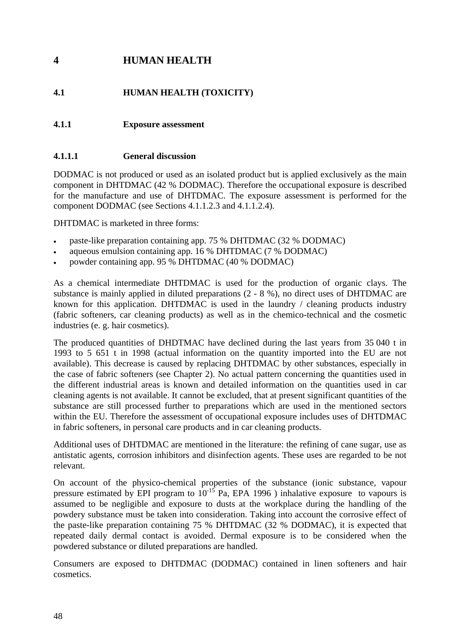# **4 HUMAN HEALTH**

# **4.1 HUMAN HEALTH (TOXICITY)**

# **4.1.1 Exposure assessment**

# **4.1.1.1 General discussion**

DODMAC is not produced or used as an isolated product but is applied exclusively as the main component in DHTDMAC (42 % DODMAC). Therefore the occupational exposure is described for the manufacture and use of DHTDMAC. The exposure assessment is performed for the component DODMAC (see Sections 4.1.1.2.3 and 4.1.1.2.4).

DHTDMAC is marketed in three forms:

- paste-like preparation containing app. 75 % DHTDMAC (32 % DODMAC)
- aqueous emulsion containing app. 16 % DHTDMAC (7 % DODMAC)
- powder containing app. 95 % DHTDMAC (40 % DODMAC)

As a chemical intermediate DHTDMAC is used for the production of organic clays. The substance is mainly applied in diluted preparations (2 - 8 %), no direct uses of DHTDMAC are known for this application. DHTDMAC is used in the laundry / cleaning products industry (fabric softeners, car cleaning products) as well as in the chemico-technical and the cosmetic industries (e. g. hair cosmetics).

The produced quantities of DHDTMAC have declined during the last years from 35 040 t in 1993 to 5 651 t in 1998 (actual information on the quantity imported into the EU are not available). This decrease is caused by replacing DHTDMAC by other substances, especially in the case of fabric softeners (see Chapter 2). No actual pattern concerning the quantities used in the different industrial areas is known and detailed information on the quantities used in car cleaning agents is not available. It cannot be excluded, that at present significant quantities of the substance are still processed further to preparations which are used in the mentioned sectors within the EU. Therefore the assessment of occupational exposure includes uses of DHTDMAC in fabric softeners, in personal care products and in car cleaning products.

Additional uses of DHTDMAC are mentioned in the literature: the refining of cane sugar, use as antistatic agents, corrosion inhibitors and disinfection agents. These uses are regarded to be not relevant.

On account of the physico-chemical properties of the substance (ionic substance, vapour pressure estimated by EPI program to  $10^{-15}$  Pa, EPA 1996) inhalative exposure to vapours is assumed to be negligible and exposure to dusts at the workplace during the handling of the powdery substance must be taken into consideration. Taking into account the corrosive effect of the paste-like preparation containing 75 % DHTDMAC (32 % DODMAC), it is expected that repeated daily dermal contact is avoided. Dermal exposure is to be considered when the powdered substance or diluted preparations are handled.

Consumers are exposed to DHTDMAC (DODMAC) contained in linen softeners and hair cosmetics.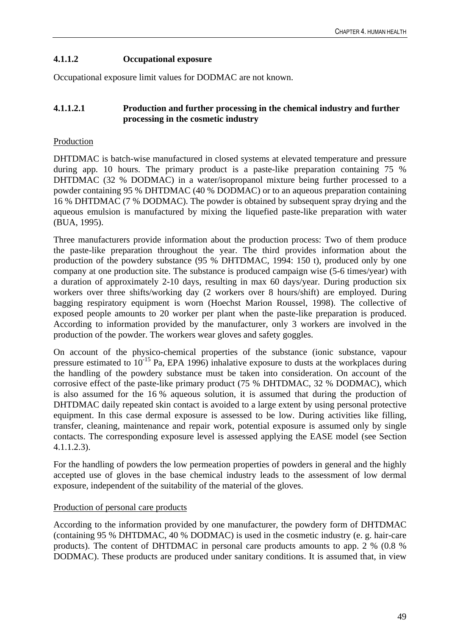# **4.1.1.2 Occupational exposure**

Occupational exposure limit values for DODMAC are not known.

# **4.1.1.2.1 Production and further processing in the chemical industry and further processing in the cosmetic industry**

# Production

DHTDMAC is batch-wise manufactured in closed systems at elevated temperature and pressure during app. 10 hours. The primary product is a paste-like preparation containing 75 % DHTDMAC (32 % DODMAC) in a water/isopropanol mixture being further processed to a powder containing 95 % DHTDMAC (40 % DODMAC) or to an aqueous preparation containing 16 % DHTDMAC (7 % DODMAC). The powder is obtained by subsequent spray drying and the aqueous emulsion is manufactured by mixing the liquefied paste-like preparation with water (BUA, 1995).

Three manufacturers provide information about the production process: Two of them produce the paste-like preparation throughout the year. The third provides information about the production of the powdery substance (95 % DHTDMAC, 1994: 150 t), produced only by one company at one production site. The substance is produced campaign wise (5-6 times/year) with a duration of approximately 2-10 days, resulting in max 60 days/year. During production six workers over three shifts/working day (2 workers over 8 hours/shift) are employed. During bagging respiratory equipment is worn (Hoechst Marion Roussel, 1998). The collective of exposed people amounts to 20 worker per plant when the paste-like preparation is produced. According to information provided by the manufacturer, only 3 workers are involved in the production of the powder. The workers wear gloves and safety goggles.

On account of the physico-chemical properties of the substance (ionic substance, vapour pressure estimated to  $10^{-15}$  Pa, EPA 1996) inhalative exposure to dusts at the workplaces during the handling of the powdery substance must be taken into consideration. On account of the corrosive effect of the paste-like primary product (75 % DHTDMAC, 32 % DODMAC), which is also assumed for the 16 % aqueous solution, it is assumed that during the production of DHTDMAC daily repeated skin contact is avoided to a large extent by using personal protective equipment. In this case dermal exposure is assessed to be low. During activities like filling, transfer, cleaning, maintenance and repair work, potential exposure is assumed only by single contacts. The corresponding exposure level is assessed applying the EASE model (see Section 4.1.1.2.3).

For the handling of powders the low permeation properties of powders in general and the highly accepted use of gloves in the base chemical industry leads to the assessment of low dermal exposure, independent of the suitability of the material of the gloves.

### Production of personal care products

According to the information provided by one manufacturer, the powdery form of DHTDMAC (containing 95 % DHTDMAC, 40 % DODMAC) is used in the cosmetic industry (e. g. hair-care products). The content of DHTDMAC in personal care products amounts to app. 2 % (0.8 % DODMAC). These products are produced under sanitary conditions. It is assumed that, in view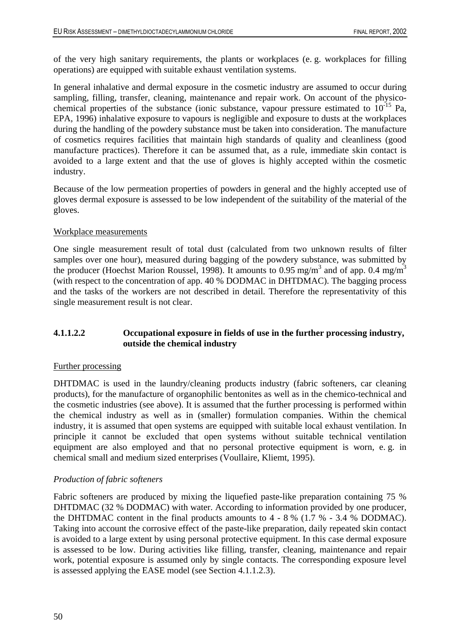of the very high sanitary requirements, the plants or workplaces (e. g. workplaces for filling operations) are equipped with suitable exhaust ventilation systems.

In general inhalative and dermal exposure in the cosmetic industry are assumed to occur during sampling, filling, transfer, cleaning, maintenance and repair work. On account of the physicochemical properties of the substance (ionic substance, vapour pressure estimated to  $10^{-15}$  Pa, EPA, 1996) inhalative exposure to vapours is negligible and exposure to dusts at the workplaces during the handling of the powdery substance must be taken into consideration. The manufacture of cosmetics requires facilities that maintain high standards of quality and cleanliness (good manufacture practices). Therefore it can be assumed that, as a rule, immediate skin contact is avoided to a large extent and that the use of gloves is highly accepted within the cosmetic industry.

Because of the low permeation properties of powders in general and the highly accepted use of gloves dermal exposure is assessed to be low independent of the suitability of the material of the gloves.

### Workplace measurements

One single measurement result of total dust (calculated from two unknown results of filter samples over one hour), measured during bagging of the powdery substance, was submitted by the producer (Hoechst Marion Roussel, 1998). It amounts to 0.95 mg/m<sup>3</sup> and of app. 0.4 mg/m<sup>3</sup> (with respect to the concentration of app. 40 % DODMAC in DHTDMAC). The bagging process and the tasks of the workers are not described in detail. Therefore the representativity of this single measurement result is not clear.

# **4.1.1.2.2 Occupational exposure in fields of use in the further processing industry, outside the chemical industry**

### Further processing

DHTDMAC is used in the laundry/cleaning products industry (fabric softeners, car cleaning products), for the manufacture of organophilic bentonites as well as in the chemico-technical and the cosmetic industries (see above). It is assumed that the further processing is performed within the chemical industry as well as in (smaller) formulation companies. Within the chemical industry, it is assumed that open systems are equipped with suitable local exhaust ventilation. In principle it cannot be excluded that open systems without suitable technical ventilation equipment are also employed and that no personal protective equipment is worn, e. g. in chemical small and medium sized enterprises (Voullaire, Kliemt, 1995).

### *Production of fabric softeners*

Fabric softeners are produced by mixing the liquefied paste-like preparation containing 75 % DHTDMAC (32 % DODMAC) with water. According to information provided by one producer, the DHTDMAC content in the final products amounts to 4 - 8 % (1.7 % - 3.4 % DODMAC). Taking into account the corrosive effect of the paste-like preparation, daily repeated skin contact is avoided to a large extent by using personal protective equipment. In this case dermal exposure is assessed to be low. During activities like filling, transfer, cleaning, maintenance and repair work, potential exposure is assumed only by single contacts. The corresponding exposure level is assessed applying the EASE model (see Section 4.1.1.2.3).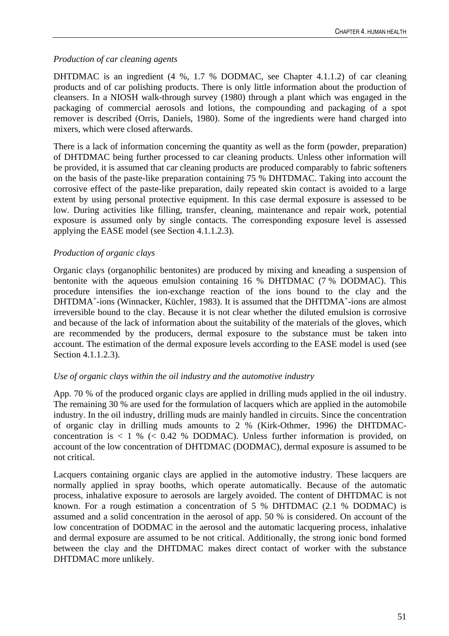# *Production of car cleaning agents*

DHTDMAC is an ingredient (4 %, 1.7 % DODMAC, see Chapter 4.1.1.2) of car cleaning products and of car polishing products. There is only little information about the production of cleansers. In a NIOSH walk-through survey (1980) through a plant which was engaged in the packaging of commercial aerosols and lotions, the compounding and packaging of a spot remover is described (Orris, Daniels, 1980). Some of the ingredients were hand charged into mixers, which were closed afterwards.

There is a lack of information concerning the quantity as well as the form (powder, preparation) of DHTDMAC being further processed to car cleaning products. Unless other information will be provided, it is assumed that car cleaning products are produced comparably to fabric softeners on the basis of the paste-like preparation containing 75 % DHTDMAC. Taking into account the corrosive effect of the paste-like preparation, daily repeated skin contact is avoided to a large extent by using personal protective equipment. In this case dermal exposure is assessed to be low. During activities like filling, transfer, cleaning, maintenance and repair work, potential exposure is assumed only by single contacts. The corresponding exposure level is assessed applying the EASE model (see Section 4.1.1.2.3).

# *Production of organic clays*

Organic clays (organophilic bentonites) are produced by mixing and kneading a suspension of bentonite with the aqueous emulsion containing 16 % DHTDMAC (7 % DODMAC). This procedure intensifies the ion-exchange reaction of the ions bound to the clay and the DHTDMA<sup>+</sup>-ions (Winnacker, Küchler, 1983). It is assumed that the DHTDMA<sup>+</sup>-ions are almost irreversible bound to the clay. Because it is not clear whether the diluted emulsion is corrosive and because of the lack of information about the suitability of the materials of the gloves, which are recommended by the producers, dermal exposure to the substance must be taken into account. The estimation of the dermal exposure levels according to the EASE model is used (see Section 4.1.1.2.3).

### *Use of organic clays within the oil industry and the automotive industry*

App. 70 % of the produced organic clays are applied in drilling muds applied in the oil industry. The remaining 30 % are used for the formulation of lacquers which are applied in the automobile industry. In the oil industry, drilling muds are mainly handled in circuits. Since the concentration of organic clay in drilling muds amounts to 2 % (Kirk-Othmer, 1996) the DHTDMACconcentration is  $\langle 1, 9 \rangle$  ( $\langle 0.42, 9 \rangle$  DODMAC). Unless further information is provided, on account of the low concentration of DHTDMAC (DODMAC), dermal exposure is assumed to be not critical.

Lacquers containing organic clays are applied in the automotive industry. These lacquers are normally applied in spray booths, which operate automatically. Because of the automatic process, inhalative exposure to aerosols are largely avoided. The content of DHTDMAC is not known. For a rough estimation a concentration of 5 % DHTDMAC (2.1 % DODMAC) is assumed and a solid concentration in the aerosol of app. 50 % is considered. On account of the low concentration of DODMAC in the aerosol and the automatic lacquering process, inhalative and dermal exposure are assumed to be not critical. Additionally, the strong ionic bond formed between the clay and the DHTDMAC makes direct contact of worker with the substance DHTDMAC more unlikely.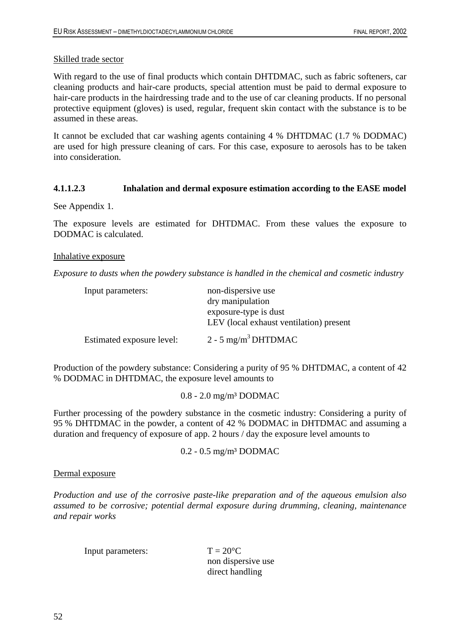### Skilled trade sector

With regard to the use of final products which contain DHTDMAC, such as fabric softeners, car cleaning products and hair-care products, special attention must be paid to dermal exposure to hair-care products in the hairdressing trade and to the use of car cleaning products. If no personal protective equipment (gloves) is used, regular, frequent skin contact with the substance is to be assumed in these areas.

It cannot be excluded that car washing agents containing 4 % DHTDMAC (1.7 % DODMAC) are used for high pressure cleaning of cars. For this case, exposure to aerosols has to be taken into consideration.

### **4.1.1.2.3 Inhalation and dermal exposure estimation according to the EASE model**

See Appendix 1.

The exposure levels are estimated for DHTDMAC. From these values the exposure to DODMAC is calculated.

### Inhalative exposure

*Exposure to dusts when the powdery substance is handled in the chemical and cosmetic industry*

| Input parameters:         | non-dispersive use                      |
|---------------------------|-----------------------------------------|
|                           | dry manipulation                        |
|                           | exposure-type is dust                   |
|                           | LEV (local exhaust ventilation) present |
| Estimated exposure level: | $2 - 5$ mg/m <sup>3</sup> DHTDMAC       |

Production of the powdery substance: Considering a purity of 95 % DHTDMAC, a content of 42 % DODMAC in DHTDMAC, the exposure level amounts to

0.8 - 2.0 mg/m³ DODMAC

Further processing of the powdery substance in the cosmetic industry: Considering a purity of 95 % DHTDMAC in the powder, a content of 42 % DODMAC in DHTDMAC and assuming a duration and frequency of exposure of app. 2 hours / day the exposure level amounts to

0.2 - 0.5 mg/m³ DODMAC

### Dermal exposure

*Production and use of the corrosive paste-like preparation and of the aqueous emulsion also assumed to be corrosive; potential dermal exposure during drumming, cleaning, maintenance and repair works* 

| Input parameters: |
|-------------------|
|-------------------|

 $T = 20^{\circ}$ C non dispersive use direct handling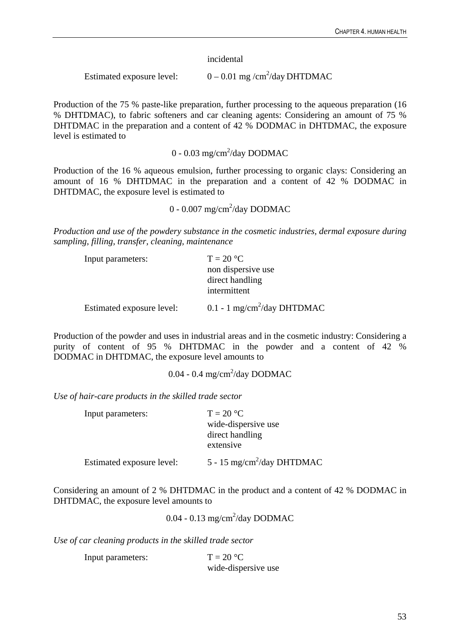incidental

Estimated exposure level:  $0 - 0.01$  mg /cm<sup>2</sup>/day DHTDMAC

Production of the 75 % paste-like preparation, further processing to the aqueous preparation (16 % DHTDMAC), to fabric softeners and car cleaning agents: Considering an amount of 75 % DHTDMAC in the preparation and a content of 42 % DODMAC in DHTDMAC, the exposure level is estimated to

 $0 - 0.03$  mg/cm<sup>2</sup>/day DODMAC

Production of the 16 % aqueous emulsion, further processing to organic clays: Considering an amount of 16 % DHTDMAC in the preparation and a content of 42 % DODMAC in DHTDMAC, the exposure level is estimated to

 $0 - 0.007$  mg/cm<sup>2</sup>/day DODMAC

*Production and use of the powdery substance in the cosmetic industries, dermal exposure during sampling, filling, transfer, cleaning, maintenance* 

| Input parameters:         | $T = 20 °C$                               |
|---------------------------|-------------------------------------------|
|                           | non dispersive use                        |
|                           | direct handling                           |
|                           | intermittent                              |
| Estimated exposure level: | $0.1 - 1$ mg/cm <sup>2</sup> /day DHTDMAC |

Production of the powder and uses in industrial areas and in the cosmetic industry: Considering a purity of content of 95 % DHTDMAC in the powder and a content of 42 % DODMAC in DHTDMAC, the exposure level amounts to

 $0.04 - 0.4$  mg/cm<sup>2</sup>/day DODMAC

*Use of hair-care products in the skilled trade sector* 

| Input parameters:         | $T = 20 °C$                            |
|---------------------------|----------------------------------------|
|                           | wide-dispersive use                    |
|                           | direct handling                        |
|                           | extensive                              |
| Estimated exposure level: | 5 - 15 mg/cm <sup>2</sup> /day DHTDMAC |

Considering an amount of 2 % DHTDMAC in the product and a content of 42 % DODMAC in DHTDMAC, the exposure level amounts to

 $0.04 - 0.13$  mg/cm<sup>2</sup>/day DODMAC

*Use of car cleaning products in the skilled trade sector* 

Input parameters:  $T = 20 °C$ wide-dispersive use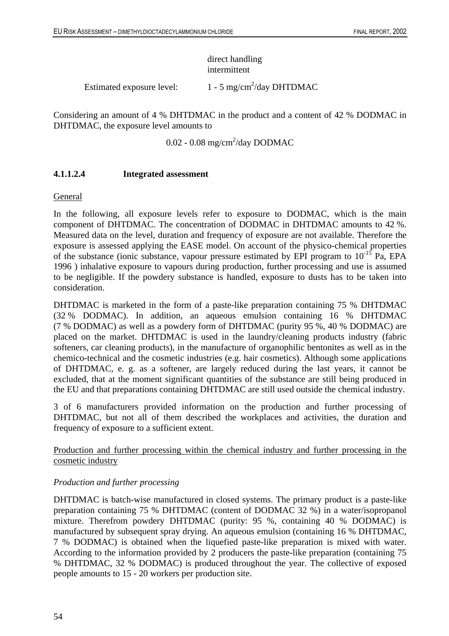# direct handling intermittent

Estimated exposure level:  $1 - 5$  mg/cm<sup>2</sup>/day DHTDMAC

Considering an amount of 4 % DHTDMAC in the product and a content of 42 % DODMAC in DHTDMAC, the exposure level amounts to

0.02 - 0.08 mg/cm $^2$ /day DODMAC

# **4.1.1.2.4 Integrated assessment**

General

In the following, all exposure levels refer to exposure to DODMAC, which is the main component of DHTDMAC. The concentration of DODMAC in DHTDMAC amounts to 42 %. Measured data on the level, duration and frequency of exposure are not available. Therefore the exposure is assessed applying the EASE model. On account of the physico-chemical properties of the substance (ionic substance, vapour pressure estimated by EPI program to  $10^{-15}$  Pa, EPA 1996 ) inhalative exposure to vapours during production, further processing and use is assumed to be negligible. If the powdery substance is handled, exposure to dusts has to be taken into consideration.

DHTDMAC is marketed in the form of a paste-like preparation containing 75 % DHTDMAC (32 % DODMAC). In addition, an aqueous emulsion containing 16 % DHTDMAC (7 % DODMAC) as well as a powdery form of DHTDMAC (purity 95 %, 40 % DODMAC) are placed on the market. DHTDMAC is used in the laundry/cleaning products industry (fabric softeners, car cleaning products), in the manufacture of organophilic bentonites as well as in the chemico-technical and the cosmetic industries (e.g. hair cosmetics). Although some applications of DHTDMAC, e. g. as a softener, are largely reduced during the last years, it cannot be excluded, that at the moment significant quantities of the substance are still being produced in the EU and that preparations containing DHTDMAC are still used outside the chemical industry.

3 of 6 manufacturers provided information on the production and further processing of DHTDMAC, but not all of them described the workplaces and activities, the duration and frequency of exposure to a sufficient extent.

Production and further processing within the chemical industry and further processing in the cosmetic industry

### *Production and further processing*

DHTDMAC is batch-wise manufactured in closed systems. The primary product is a paste-like preparation containing 75 % DHTDMAC (content of DODMAC 32 %) in a water/isopropanol mixture. Therefrom powdery DHTDMAC (purity: 95 %, containing 40 % DODMAC) is manufactured by subsequent spray drying. An aqueous emulsion (containing 16 % DHTDMAC, 7 % DODMAC) is obtained when the liquefied paste-like preparation is mixed with water. According to the information provided by 2 producers the paste-like preparation (containing 75 % DHTDMAC, 32 % DODMAC) is produced throughout the year. The collective of exposed people amounts to 15 - 20 workers per production site.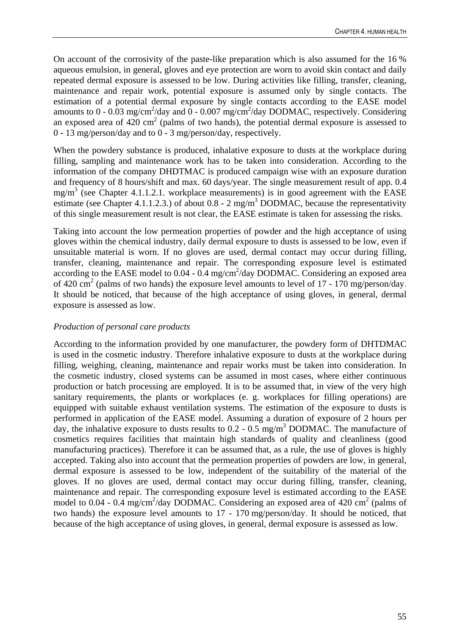On account of the corrosivity of the paste-like preparation which is also assumed for the 16 % aqueous emulsion, in general, gloves and eye protection are worn to avoid skin contact and daily repeated dermal exposure is assessed to be low. During activities like filling, transfer, cleaning, maintenance and repair work, potential exposure is assumed only by single contacts. The estimation of a potential dermal exposure by single contacts according to the EASE model amounts to 0 - 0.03 mg/cm<sup>2</sup>/day and 0 - 0.007 mg/cm<sup>2</sup>/day DODMAC, respectively. Considering an exposed area of  $420 \text{ cm}^2$  (palms of two hands), the potential dermal exposure is assessed to 0 - 13 mg/person/day and to 0 - 3 mg/person/day, respectively.

When the powdery substance is produced, inhalative exposure to dusts at the workplace during filling, sampling and maintenance work has to be taken into consideration. According to the information of the company DHDTMAC is produced campaign wise with an exposure duration and frequency of 8 hours/shift and max. 60 days/year. The single measurement result of app. 0.4  $mg/m<sup>3</sup>$  (see Chapter 4.1.1.2.1. workplace measurements) is in good agreement with the EASE estimate (see Chapter 4.1.1.2.3.) of about  $0.8 - 2$  mg/m<sup>3</sup> DODMAC, because the representativity of this single measurement result is not clear, the EASE estimate is taken for assessing the risks.

Taking into account the low permeation properties of powder and the high acceptance of using gloves within the chemical industry, daily dermal exposure to dusts is assessed to be low, even if unsuitable material is worn. If no gloves are used, dermal contact may occur during filling, transfer, cleaning, maintenance and repair. The corresponding exposure level is estimated according to the EASE model to  $0.04 - 0.4$  mg/cm<sup>2</sup>/day DODMAC. Considering an exposed area of 420  $\text{cm}^2$  (palms of two hands) the exposure level amounts to level of 17 - 170 mg/person/day. It should be noticed, that because of the high acceptance of using gloves, in general, dermal exposure is assessed as low.

# *Production of personal care products*

According to the information provided by one manufacturer, the powdery form of DHTDMAC is used in the cosmetic industry. Therefore inhalative exposure to dusts at the workplace during filling, weighing, cleaning, maintenance and repair works must be taken into consideration. In the cosmetic industry, closed systems can be assumed in most cases, where either continuous production or batch processing are employed. It is to be assumed that, in view of the very high sanitary requirements, the plants or workplaces (e. g. workplaces for filling operations) are equipped with suitable exhaust ventilation systems. The estimation of the exposure to dusts is performed in application of the EASE model. Assuming a duration of exposure of 2 hours per day, the inhalative exposure to dusts results to  $0.2 - 0.5$  mg/m<sup>3</sup> DODMAC. The manufacture of cosmetics requires facilities that maintain high standards of quality and cleanliness (good manufacturing practices). Therefore it can be assumed that, as a rule, the use of gloves is highly accepted. Taking also into account that the permeation properties of powders are low, in general, dermal exposure is assessed to be low, independent of the suitability of the material of the gloves. If no gloves are used, dermal contact may occur during filling, transfer, cleaning, maintenance and repair. The corresponding exposure level is estimated according to the EASE model to 0.04 - 0.4 mg/cm<sup>2</sup>/day DODMAC. Considering an exposed area of 420 cm<sup>2</sup> (palms of two hands) the exposure level amounts to 17 - 170 mg/person/day. It should be noticed, that because of the high acceptance of using gloves, in general, dermal exposure is assessed as low.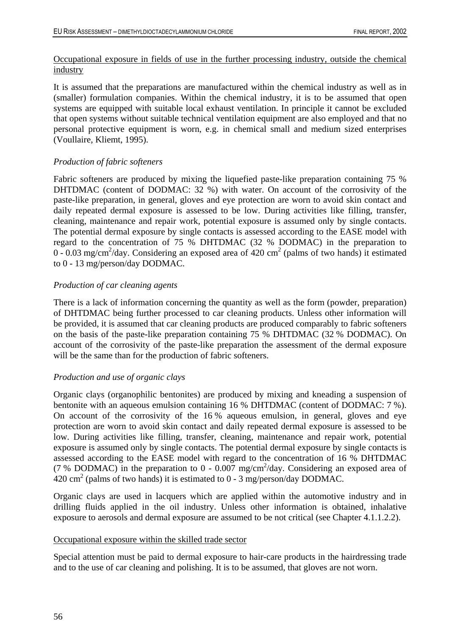# Occupational exposure in fields of use in the further processing industry, outside the chemical industry

It is assumed that the preparations are manufactured within the chemical industry as well as in (smaller) formulation companies. Within the chemical industry, it is to be assumed that open systems are equipped with suitable local exhaust ventilation. In principle it cannot be excluded that open systems without suitable technical ventilation equipment are also employed and that no personal protective equipment is worn, e.g. in chemical small and medium sized enterprises (Voullaire, Kliemt, 1995).

# *Production of fabric softeners*

Fabric softeners are produced by mixing the liquefied paste-like preparation containing 75 % DHTDMAC (content of DODMAC: 32 %) with water. On account of the corrosivity of the paste-like preparation, in general, gloves and eye protection are worn to avoid skin contact and daily repeated dermal exposure is assessed to be low. During activities like filling, transfer, cleaning, maintenance and repair work, potential exposure is assumed only by single contacts. The potential dermal exposure by single contacts is assessed according to the EASE model with regard to the concentration of 75 % DHTDMAC (32 % DODMAC) in the preparation to  $0 - 0.03$  mg/cm<sup>2</sup>/day. Considering an exposed area of 420 cm<sup>2</sup> (palms of two hands) it estimated to 0 - 13 mg/person/day DODMAC.

# *Production of car cleaning agents*

There is a lack of information concerning the quantity as well as the form (powder, preparation) of DHTDMAC being further processed to car cleaning products. Unless other information will be provided, it is assumed that car cleaning products are produced comparably to fabric softeners on the basis of the paste-like preparation containing 75 % DHTDMAC (32 % DODMAC). On account of the corrosivity of the paste-like preparation the assessment of the dermal exposure will be the same than for the production of fabric softeners.

# *Production and use of organic clays*

Organic clays (organophilic bentonites) are produced by mixing and kneading a suspension of bentonite with an aqueous emulsion containing 16 % DHTDMAC (content of DODMAC: 7 %). On account of the corrosivity of the 16 % aqueous emulsion, in general, gloves and eye protection are worn to avoid skin contact and daily repeated dermal exposure is assessed to be low. During activities like filling, transfer, cleaning, maintenance and repair work, potential exposure is assumed only by single contacts. The potential dermal exposure by single contacts is assessed according to the EASE model with regard to the concentration of 16 % DHTDMAC (7 % DODMAC) in the preparation to  $0 - 0.007$  mg/cm<sup>2</sup>/day. Considering an exposed area of  $420 \text{ cm}^2$  (palms of two hands) it is estimated to 0 - 3 mg/person/day DODMAC.

Organic clays are used in lacquers which are applied within the automotive industry and in drilling fluids applied in the oil industry. Unless other information is obtained, inhalative exposure to aerosols and dermal exposure are assumed to be not critical (see Chapter 4.1.1.2.2).

# Occupational exposure within the skilled trade sector

Special attention must be paid to dermal exposure to hair-care products in the hairdressing trade and to the use of car cleaning and polishing. It is to be assumed, that gloves are not worn.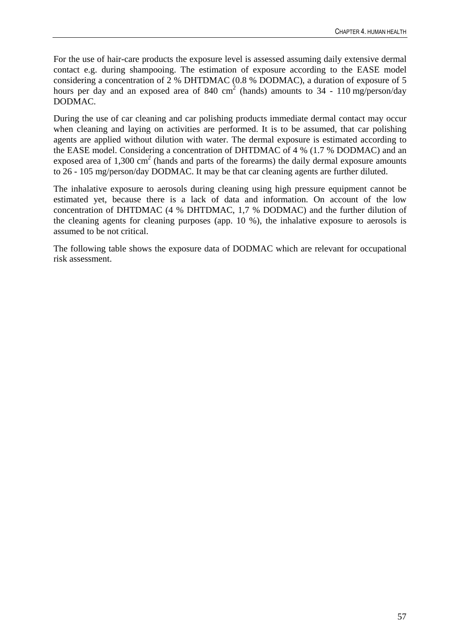For the use of hair-care products the exposure level is assessed assuming daily extensive dermal contact e.g. during shampooing. The estimation of exposure according to the EASE model considering a concentration of 2 % DHTDMAC (0.8 % DODMAC), a duration of exposure of 5 hours per day and an exposed area of 840 cm<sup>2</sup> (hands) amounts to 34 - 110 mg/person/day DODMAC.

During the use of car cleaning and car polishing products immediate dermal contact may occur when cleaning and laying on activities are performed. It is to be assumed, that car polishing agents are applied without dilution with water. The dermal exposure is estimated according to the EASE model. Considering a concentration of DHTDMAC of 4 % (1.7 % DODMAC) and an exposed area of  $1,300 \text{ cm}^2$  (hands and parts of the forearms) the daily dermal exposure amounts to 26 - 105 mg/person/day DODMAC. It may be that car cleaning agents are further diluted.

The inhalative exposure to aerosols during cleaning using high pressure equipment cannot be estimated yet, because there is a lack of data and information. On account of the low concentration of DHTDMAC (4 % DHTDMAC, 1,7 % DODMAC) and the further dilution of the cleaning agents for cleaning purposes (app. 10 %), the inhalative exposure to aerosols is assumed to be not critical.

The following table shows the exposure data of DODMAC which are relevant for occupational risk assessment.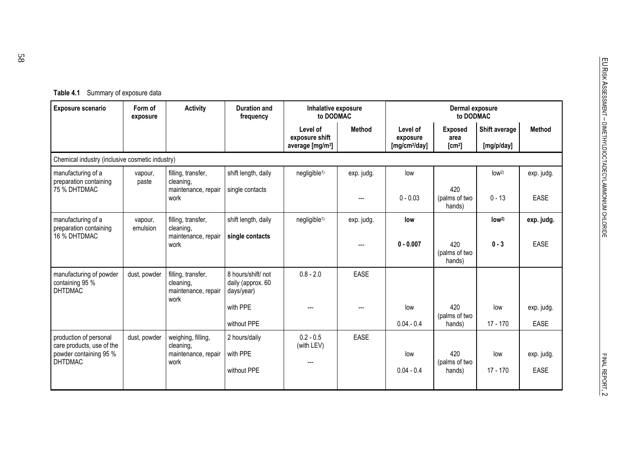| Table 4.1 | Summary of exposure data |  |  |
|-----------|--------------------------|--|--|
|-----------|--------------------------|--|--|

| Exposure scenario                                            | Form of<br>exposure | <b>Activity</b>                                                | Duration and<br>frequency                             | Inhalative exposure<br>to DODMAC                           |               |                                                   | Dermal exposure<br>to DODMAC                 |                             |               |
|--------------------------------------------------------------|---------------------|----------------------------------------------------------------|-------------------------------------------------------|------------------------------------------------------------|---------------|---------------------------------------------------|----------------------------------------------|-----------------------------|---------------|
|                                                              |                     |                                                                |                                                       | Level of<br>exposure shift<br>average [mg/m <sup>3</sup> ] | <b>Method</b> | Level of<br>exposure<br>[mg/cm <sup>2</sup> /day] | <b>Exposed</b><br>area<br>[cm <sup>2</sup> ] | Shift average<br>[mg/p/day] | <b>Method</b> |
| Chemical industry (inclusive cosmetic industry)              |                     |                                                                |                                                       |                                                            |               |                                                   |                                              |                             |               |
| manufacturing of a<br>preparation containing                 | vapour,<br>paste    | filling, transfer,<br>cleaning,                                | shift length, daily                                   | negligible <sup>1)</sup>                                   | exp. judg.    | low                                               |                                              | low <sup>2</sup>            | exp. judg.    |
| 75 % DHTDMAC                                                 |                     | maintenance, repair<br>work                                    | single contacts                                       |                                                            | ---           | $0 - 0.03$                                        | 420<br>(palms of two<br>hands)               | $0 - 13$                    | <b>EASE</b>   |
| manufacturing of a<br>preparation containing<br>16 % DHTDMAC | vapour,<br>emulsion | filling, transfer,<br>cleaning,<br>maintenance, repair         | shift length, daily<br>single contacts                | negligible <sup>1)</sup>                                   | exp. judg.    | low                                               |                                              | low <sup>2</sup>            | exp. judg.    |
|                                                              |                     | work                                                           |                                                       |                                                            | $---$         | $0 - 0.007$                                       | 420<br>(palms of two<br>hands)               | $0 - 3$                     | <b>EASE</b>   |
| manufacturing of powder<br>containing 95 %<br><b>DHTDMAC</b> | dust, powder        | filling, transfer,<br>cleaning,<br>maintenance, repair<br>work | 8 hours/shift/ not<br>daily (approx. 60<br>days/year) | $0.8 - 2.0$                                                | <b>EASE</b>   |                                                   |                                              |                             |               |
|                                                              |                     |                                                                | with PPE                                              |                                                            |               | low                                               | 420<br>(palms of two                         | low                         | exp. judg.    |
|                                                              |                     |                                                                | without PPE                                           |                                                            |               | $0.04 - 0.4$                                      | hands)                                       | $17 - 170$                  | <b>EASE</b>   |
| production of personal<br>care products, use of the          | dust, powder        | weighing, filling,<br>cleaning,                                | 2 hours/daily                                         | $0.2 - 0.5$<br>(with LEV)                                  | <b>EASE</b>   |                                                   |                                              |                             |               |
| powder containing 95 %<br><b>DHTDMAC</b>                     |                     | maintenance, repair<br>work                                    | with PPE                                              |                                                            |               | low                                               | 420<br>(palms of two                         | low                         | exp. judg.    |
|                                                              |                     |                                                                | without PPE                                           |                                                            |               | $0.04 - 0.4$                                      | hands)                                       | $17 - 170$                  | <b>EASE</b>   |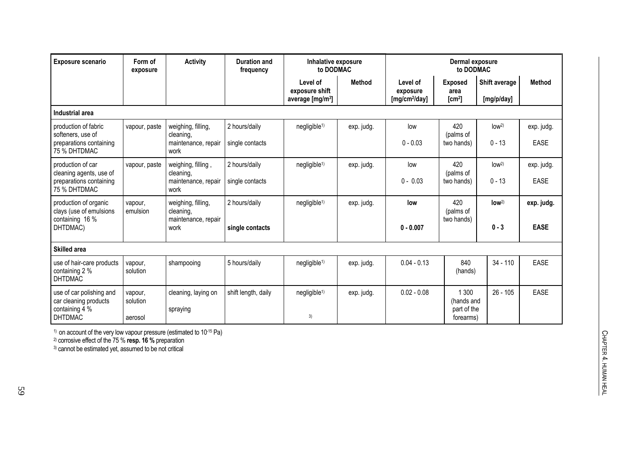| Exposure scenario                                                                     | Form of<br>exposure            | <b>Activity</b>                 | <b>Duration and</b><br>frequency | Inhalative exposure<br>to DODMAC                           |               |                                                   | Dermal exposure<br>to DODMAC                    |                             |               |
|---------------------------------------------------------------------------------------|--------------------------------|---------------------------------|----------------------------------|------------------------------------------------------------|---------------|---------------------------------------------------|-------------------------------------------------|-----------------------------|---------------|
|                                                                                       |                                |                                 |                                  | Level of<br>exposure shift<br>average [mg/m <sup>3</sup> ] | <b>Method</b> | Level of<br>exposure<br>[mg/cm <sup>2</sup> /day] | <b>Exposed</b><br>area<br>[cm <sup>2</sup> ]    | Shift average<br>[mg/p/day] | <b>Method</b> |
| Industrial area                                                                       |                                |                                 |                                  |                                                            |               |                                                   |                                                 |                             |               |
| production of fabric<br>softeners, use of                                             | vapour, paste                  | weighing, filling,<br>cleaning, | 2 hours/daily                    | negligible <sup>1)</sup>                                   | exp. judg.    | low                                               | 420<br>(palms of                                | low <sup>2</sup>            | exp. judg.    |
| preparations containing<br>75 % DHTDMAC                                               |                                | maintenance, repair<br>work     | single contacts                  |                                                            |               | $0 - 0.03$                                        | two hands)                                      | $0 - 13$                    | <b>EASE</b>   |
| production of car<br>cleaning agents, use of                                          | vapour, paste                  | weighing, filling,<br>cleaning, | 2 hours/daily                    | negligible <sup>1)</sup>                                   | exp. judg.    | low                                               | 420<br>(palms of                                | low <sup>2</sup>            | exp. judg.    |
| preparations containing<br>75 % DHTDMAC                                               |                                | maintenance, repair<br>work     | single contacts                  |                                                            |               | $0 - 0.03$                                        | two hands)                                      | $0 - 13$                    | <b>EASE</b>   |
| production of organic<br>clays (use of emulsions                                      | vapour,<br>emulsion            | weighing, filling,<br>cleaning, | 2 hours/daily                    | negligible <sup>1)</sup>                                   | exp. judg.    | low                                               | 420<br>(palms of                                | low <sup>2</sup>            | exp. judg.    |
| containing 16 %<br>DHTDMAC)                                                           |                                | maintenance, repair<br>work     | single contacts                  |                                                            |               | $0 - 0.007$                                       | two hands)                                      | $0 - 3$                     | <b>EASE</b>   |
| <b>Skilled area</b>                                                                   |                                |                                 |                                  |                                                            |               |                                                   |                                                 |                             |               |
| use of hair-care products<br>containing 2 %<br><b>DHTDMAC</b>                         | vapour,<br>solution            | shampooing                      | 5 hours/daily                    | negligible <sup>1)</sup>                                   | exp. judg.    | $0.04 - 0.13$                                     | 840<br>(hands)                                  | $34 - 110$                  | <b>EASE</b>   |
| use of car polishing and<br>car cleaning products<br>containing 4 %<br><b>DHTDMAC</b> | vapour,<br>solution<br>aerosol | cleaning, laying on<br>spraying | shift length, daily              | negligible <sup>1)</sup><br>3)                             | exp. judg.    | $0.02 - 0.08$                                     | 1 300<br>(hands and<br>part of the<br>forearms) | $26 - 105$                  | <b>EASE</b>   |

 $1)$  on account of the very low vapour pressure (estimated to 10 $15$  Pa)

2) corrosive effect of the 75 % **resp. 16 %** preparation

3) cannot be estimated yet, assumed to be not critical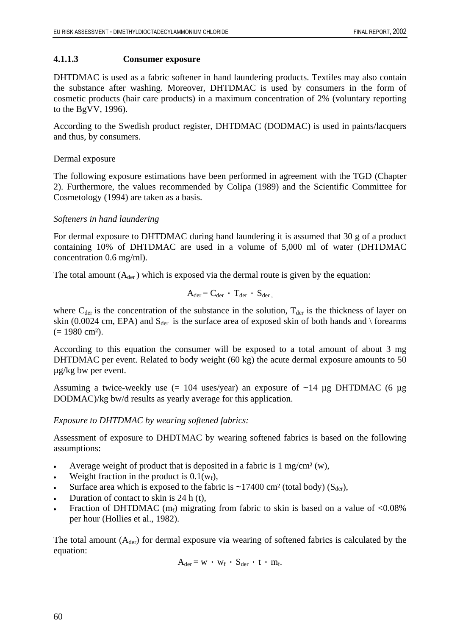#### **4.1.1.3 Consumer exposure**

DHTDMAC is used as a fabric softener in hand laundering products. Textiles may also contain the substance after washing. Moreover, DHTDMAC is used by consumers in the form of cosmetic products (hair care products) in a maximum concentration of 2% (voluntary reporting to the BgVV, 1996).

According to the Swedish product register, DHTDMAC (DODMAC) is used in paints/lacquers and thus, by consumers.

#### Dermal exposure

The following exposure estimations have been performed in agreement with the TGD (Chapter 2). Furthermore, the values recommended by Colipa (1989) and the Scientific Committee for Cosmetology (1994) are taken as a basis.

### *Softeners in hand laundering*

For dermal exposure to DHTDMAC during hand laundering it is assumed that 30 g of a product containing 10% of DHTDMAC are used in a volume of 5,000 ml of water (DHTDMAC concentration 0.6 mg/ml).

The total amount  $(A<sub>der</sub>)$  which is exposed via the dermal route is given by the equation:

$$
A_{\text{der}} = C_{\text{der}} \cdot T_{\text{der}} \cdot S_{\text{der}} ,
$$

where  $C_{\text{der}}$  is the concentration of the substance in the solution,  $T_{\text{der}}$  is the thickness of layer on skin (0.0024 cm, EPA) and  $S_{\text{der}}$  is the surface area of exposed skin of both hands and \ forearms  $(= 1980 \text{ cm}^2).$ 

According to this equation the consumer will be exposed to a total amount of about 3 mg DHTDMAC per event. Related to body weight (60 kg) the acute dermal exposure amounts to 50 µg/kg bw per event.

Assuming a twice-weekly use  $(= 104 \text{ uses/year})$  an exposure of  $\sim 14 \mu$ g DHTDMAC  $(6 \mu g)$ DODMAC)/kg bw/d results as yearly average for this application.

### *Exposure to DHTDMAC by wearing softened fabrics:*

Assessment of exposure to DHDTMAC by wearing softened fabrics is based on the following assumptions:

- Average weight of product that is deposited in a fabric is  $1 \text{ mg/cm}^2$  (w),
- Weight fraction in the product is  $0.1(w_f)$ ,
- Surface area which is exposed to the fabric is  $\sim$ 17400 cm<sup>2</sup> (total body) (S<sub>der</sub>),
- Duration of contact to skin is 24 h (t),
- Fraction of DHTDMAC ( $m_f$ ) migrating from fabric to skin is based on a value of <0.08% per hour (Hollies et al., 1982).

The total amount  $(A<sub>der</sub>)$  for dermal exposure via wearing of softened fabrics is calculated by the equation:

$$
A_{der} = w \cdot w_f \cdot S_{der} \cdot t \cdot m_f.
$$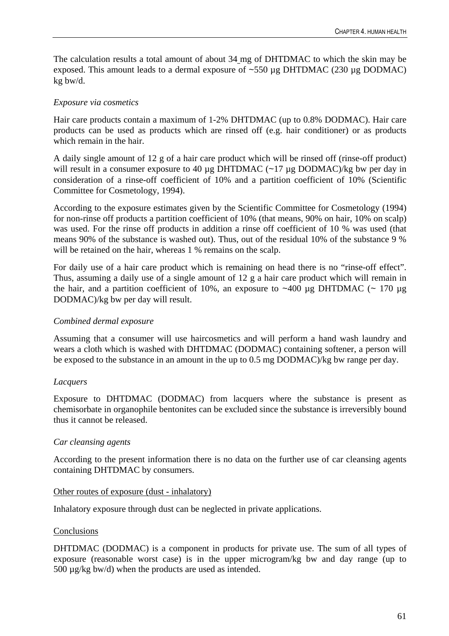The calculation results a total amount of about 34 mg of DHTDMAC to which the skin may be exposed. This amount leads to a dermal exposure of  $\sim$ 550 µg DHTDMAC (230 µg DODMAC) kg bw/d.

# *Exposure via cosmetics*

Hair care products contain a maximum of 1-2% DHTDMAC (up to 0.8% DODMAC). Hair care products can be used as products which are rinsed off (e.g. hair conditioner) or as products which remain in the hair.

A daily single amount of 12 g of a hair care product which will be rinsed off (rinse-off product) will result in a consumer exposure to 40  $\mu$ g DHTDMAC (~17  $\mu$ g DODMAC)/kg bw per day in consideration of a rinse-off coefficient of 10% and a partition coefficient of 10% (Scientific Committee for Cosmetology, 1994).

According to the exposure estimates given by the Scientific Committee for Cosmetology (1994) for non-rinse off products a partition coefficient of 10% (that means, 90% on hair, 10% on scalp) was used. For the rinse off products in addition a rinse off coefficient of 10 % was used (that means 90% of the substance is washed out). Thus, out of the residual 10% of the substance 9 % will be retained on the hair, whereas 1 % remains on the scalp.

For daily use of a hair care product which is remaining on head there is no "rinse-off effect". Thus, assuming a daily use of a single amount of 12 g a hair care product which will remain in the hair, and a partition coefficient of 10%, an exposure to  $~400 \mu$ g DHTDMAC (~ 170  $\mu$ g DODMAC)/kg bw per day will result.

# *Combined dermal exposure*

Assuming that a consumer will use haircosmetics and will perform a hand wash laundry and wears a cloth which is washed with DHTDMAC (DODMAC) containing softener, a person will be exposed to the substance in an amount in the up to 0.5 mg DODMAC)/kg bw range per day.

# *Lacquers*

Exposure to DHTDMAC (DODMAC) from lacquers where the substance is present as chemisorbate in organophile bentonites can be excluded since the substance is irreversibly bound thus it cannot be released.

# *Car cleansing agents*

According to the present information there is no data on the further use of car cleansing agents containing DHTDMAC by consumers.

# Other routes of exposure (dust - inhalatory)

Inhalatory exposure through dust can be neglected in private applications.

# Conclusions

DHTDMAC (DODMAC) is a component in products for private use. The sum of all types of exposure (reasonable worst case) is in the upper microgram/kg bw and day range (up to  $500 \mu g/kg$  bw/d) when the products are used as intended.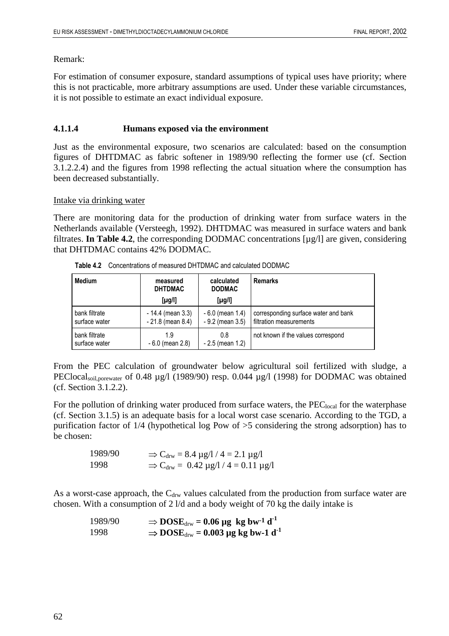#### Remark:

For estimation of consumer exposure, standard assumptions of typical uses have priority; where this is not practicable, more arbitrary assumptions are used. Under these variable circumstances, it is not possible to estimate an exact individual exposure.

# **4.1.1.4 Humans exposed via the environment**

Just as the environmental exposure, two scenarios are calculated: based on the consumption figures of DHTDMAC as fabric softener in 1989/90 reflecting the former use (cf. Section 3.1.2.2.4) and the figures from 1998 reflecting the actual situation where the consumption has been decreased substantially.

### Intake via drinking water

There are monitoring data for the production of drinking water from surface waters in the Netherlands available (Versteegh, 1992). DHTDMAC was measured in surface waters and bank filtrates. **In Table 4.2**, the corresponding DODMAC concentrations [µg/l] are given, considering that DHTDMAC contains 42% DODMAC.

| <b>Medium</b> | calculated<br>measured<br><b>DHTDMAC</b><br><b>DODMAC</b><br>$[\mu g/l]$<br>[µg/l] |                      | Remarks                              |
|---------------|------------------------------------------------------------------------------------|----------------------|--------------------------------------|
| bank filtrate | $-14.4$ (mean 3.3)                                                                 | $-6.0$ (mean 1.4)    | corresponding surface water and bank |
| surface water | $-21.8$ (mean 8.4)                                                                 | $-9.2$ (mean $3.5$ ) | filtration measurements              |
| bank filtrate | 1.9                                                                                | 0.8                  | not known if the values correspond   |
| surface water | $-6.0$ (mean 2.8)                                                                  | $-2.5$ (mean 1.2)    |                                      |

**Table 4.2** Concentrations of measured DHTDMAC and calculated DODMAC

From the PEC calculation of groundwater below agricultural soil fertilized with sludge, a PEClocal<sub>soil,porewater</sub> of 0.48 µg/l (1989/90) resp. 0.044 µg/l (1998) for DODMAC was obtained (cf. Section 3.1.2.2).

For the pollution of drinking water produced from surface waters, the PEC<sub>local</sub> for the waterphase (cf. Section 3.1.5) is an adequate basis for a local worst case scenario. According to the TGD, a purification factor of 1/4 (hypothetical log Pow of >5 considering the strong adsorption) has to be chosen:

| 1989/90 | $\Rightarrow$ C <sub>drw</sub> = 8.4 µg/l / 4 = 2.1 µg/l   |
|---------|------------------------------------------------------------|
| 1998    | $\Rightarrow$ C <sub>drw</sub> = 0.42 µg/l / 4 = 0.11 µg/l |

As a worst-case approach, the  $C_{\text{drw}}$  values calculated from the production from surface water are chosen. With a consumption of 2 l/d and a body weight of 70 kg the daily intake is

| 1989/90 | $\Rightarrow$ DOSE <sub>drw</sub> = 0.06 µg kg bw <sup>-1</sup> d <sup>-1</sup> |  |
|---------|---------------------------------------------------------------------------------|--|
| 1998    | $\Rightarrow$ DOSE <sub>drw</sub> = 0.003 µg kg bw-1 d <sup>-1</sup>            |  |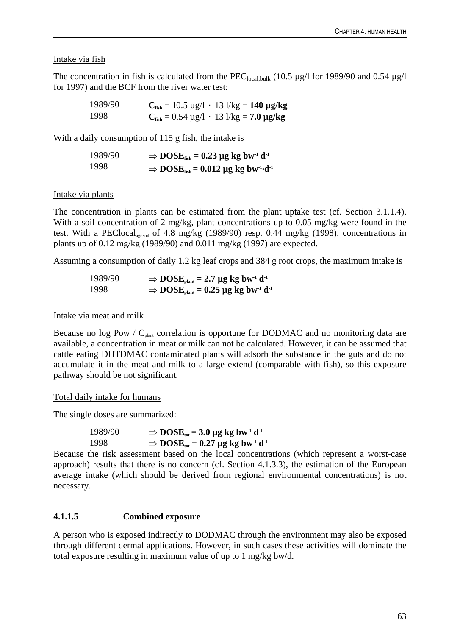# Intake via fish

The concentration in fish is calculated from the  $PEC_{local,bulk}$  (10.5 µg/l for 1989/90 and 0.54 µg/l for 1997) and the BCF from the river water test:

| 1989/90 | $C_{\text{fish}} = 10.5 \text{ µg}/l \cdot 13 \text{ l/kg} = 140 \text{ µg/kg}$ |
|---------|---------------------------------------------------------------------------------|
| 1998    | $C_{\text{fish}} = 0.54 \mu g/l + 13 \frac{1}{kg} = 7.0 \mu g/kg$               |

With a daily consumption of 115 g fish, the intake is

| 1989/90 | $\Rightarrow$ DOSE <sub>fish</sub> = 0.23 µg kg bw <sup>-1</sup> d <sup>-1</sup>   |
|---------|------------------------------------------------------------------------------------|
| 1998    | $\Rightarrow$ DOSE <sub>fish</sub> = 0.012 µg kg bw <sup>-1</sup> ·d <sup>-1</sup> |

# Intake via plants

The concentration in plants can be estimated from the plant uptake test (cf. Section 3.1.1.4). With a soil concentration of 2 mg/kg, plant concentrations up to 0.05 mg/kg were found in the test. With a PEClocal<sub>agr.soil</sub> of 4.8 mg/kg (1989/90) resp. 0.44 mg/kg (1998), concentrations in plants up of 0.12 mg/kg (1989/90) and 0.011 mg/kg (1997) are expected.

Assuming a consumption of daily 1.2 kg leaf crops and 384 g root crops, the maximum intake is

$$
1989/90 \Rightarrow DOSE_{\text{plant}} = 2.7 \text{ µg kg bw}^{-1} d^{-1}
$$
  
1998 \Rightarrow DOSE\_{\text{plant}} = 0.25 \text{ µg kg bw}^{-1} d^{-1}

# Intake via meat and milk

Because no log Pow /  $C_{\text{plant}}$  correlation is opportune for DODMAC and no monitoring data are available, a concentration in meat or milk can not be calculated. However, it can be assumed that cattle eating DHTDMAC contaminated plants will adsorb the substance in the guts and do not accumulate it in the meat and milk to a large extend (comparable with fish), so this exposure pathway should be not significant.

Total daily intake for humans

The single doses are summarized:

| 1989/90 | $\Rightarrow$ DOSE <sub>tot</sub> = 3.0 µg kg bw <sup>-1</sup> d <sup>-1</sup>  |
|---------|---------------------------------------------------------------------------------|
| 1998    | $\Rightarrow$ DOSE <sub>tot</sub> = 0.27 µg kg bw <sup>-1</sup> d <sup>-1</sup> |

Because the risk assessment based on the local concentrations (which represent a worst-case approach) results that there is no concern (cf. Section 4.1.3.3), the estimation of the European average intake (which should be derived from regional environmental concentrations) is not necessary.

# **4.1.1.5 Combined exposure**

A person who is exposed indirectly to DODMAC through the environment may also be exposed through different dermal applications. However, in such cases these activities will dominate the total exposure resulting in maximum value of up to 1 mg/kg bw/d.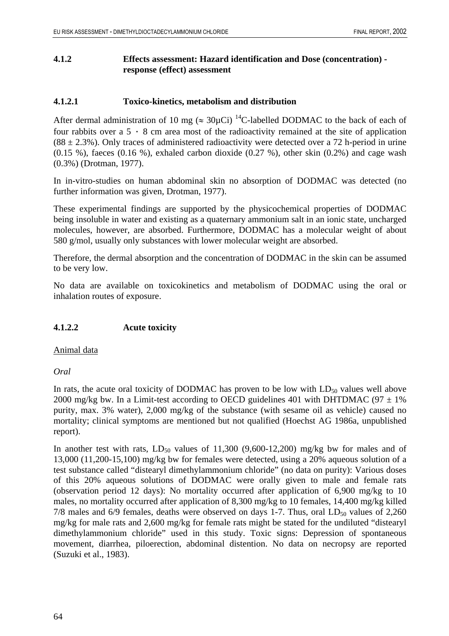### **4.1.2 Effects assessment: Hazard identification and Dose (concentration) response (effect) assessment**

#### **4.1.2.1 Toxico-kinetics, metabolism and distribution**

After dermal administration of 10 mg ( $\approx 30 \mu$ Ci)<sup>14</sup>C-labelled DODMAC to the back of each of four rabbits over a  $5 \cdot 8$  cm area most of the radioactivity remained at the site of application  $(88 \pm 2.3\%)$ . Only traces of administered radioactivity were detected over a 72 h-period in urine  $(0.15 \%)$ , faeces  $(0.16 \%)$ , exhaled carbon dioxide  $(0.27 \%)$ , other skin  $(0.2\%)$  and cage wash (0.3%) (Drotman, 1977).

In in-vitro-studies on human abdominal skin no absorption of DODMAC was detected (no further information was given, Drotman, 1977).

These experimental findings are supported by the physicochemical properties of DODMAC being insoluble in water and existing as a quaternary ammonium salt in an ionic state, uncharged molecules, however, are absorbed. Furthermore, DODMAC has a molecular weight of about 580 g/mol, usually only substances with lower molecular weight are absorbed.

Therefore, the dermal absorption and the concentration of DODMAC in the skin can be assumed to be very low.

No data are available on toxicokinetics and metabolism of DODMAC using the oral or inhalation routes of exposure.

### **4.1.2.2 Acute toxicity**

Animal data

### *Oral*

In rats, the acute oral toxicity of DODMAC has proven to be low with  $LD_{50}$  values well above 2000 mg/kg bw. In a Limit-test according to OECD guidelines 401 with DHTDMAC (97  $\pm$  1%) purity, max. 3% water), 2,000 mg/kg of the substance (with sesame oil as vehicle) caused no mortality; clinical symptoms are mentioned but not qualified (Hoechst AG 1986a, unpublished report).

In another test with rats,  $LD_{50}$  values of 11,300 (9,600-12,200) mg/kg bw for males and of 13,000 (11,200-15,100) mg/kg bw for females were detected, using a 20% aqueous solution of a test substance called "distearyl dimethylammonium chloride" (no data on purity): Various doses of this 20% aqueous solutions of DODMAC were orally given to male and female rats (observation period 12 days): No mortality occurred after application of 6,900 mg/kg to 10 males, no mortality occurred after application of 8,300 mg/kg to 10 females, 14,400 mg/kg killed 7/8 males and  $6/9$  females, deaths were observed on days 1-7. Thus, oral  $LD_{50}$  values of 2,260 mg/kg for male rats and 2,600 mg/kg for female rats might be stated for the undiluted "distearyl dimethylammonium chloride" used in this study. Toxic signs: Depression of spontaneous movement, diarrhea, piloerection, abdominal distention. No data on necropsy are reported (Suzuki et al., 1983).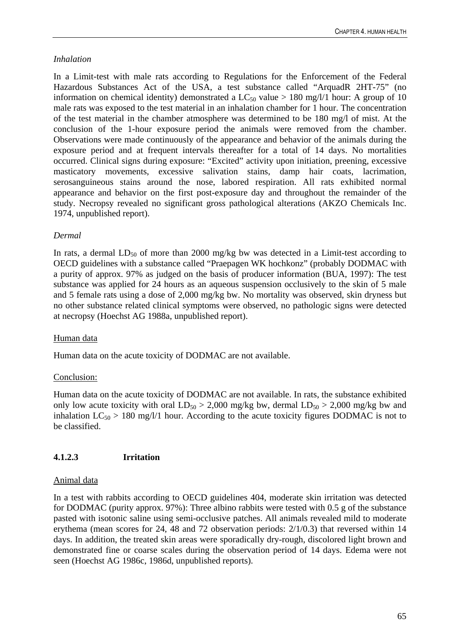# *Inhalation*

In a Limit-test with male rats according to Regulations for the Enforcement of the Federal Hazardous Substances Act of the USA, a test substance called "ArquadR 2HT-75" (no information on chemical identity) demonstrated a  $LC_{50}$  value > 180 mg/l/1 hour: A group of 10 male rats was exposed to the test material in an inhalation chamber for 1 hour. The concentration of the test material in the chamber atmosphere was determined to be 180 mg/l of mist. At the conclusion of the 1-hour exposure period the animals were removed from the chamber. Observations were made continuously of the appearance and behavior of the animals during the exposure period and at frequent intervals thereafter for a total of 14 days. No mortalities occurred. Clinical signs during exposure: "Excited" activity upon initiation, preening, excessive masticatory movements, excessive salivation stains, damp hair coats, lacrimation, serosanguineous stains around the nose, labored respiration. All rats exhibited normal appearance and behavior on the first post-exposure day and throughout the remainder of the study. Necropsy revealed no significant gross pathological alterations (AKZO Chemicals Inc. 1974, unpublished report).

# *Dermal*

In rats, a dermal  $LD_{50}$  of more than 2000 mg/kg bw was detected in a Limit-test according to OECD guidelines with a substance called "Praepagen WK hochkonz" (probably DODMAC with a purity of approx. 97% as judged on the basis of producer information (BUA, 1997): The test substance was applied for 24 hours as an aqueous suspension occlusively to the skin of 5 male and 5 female rats using a dose of 2,000 mg/kg bw. No mortality was observed, skin dryness but no other substance related clinical symptoms were observed, no pathologic signs were detected at necropsy (Hoechst AG 1988a, unpublished report).

# Human data

Human data on the acute toxicity of DODMAC are not available.

# Conclusion:

Human data on the acute toxicity of DODMAC are not available. In rats, the substance exhibited only low acute toxicity with oral  $LD_{50} > 2,000$  mg/kg bw, dermal  $LD_{50} > 2,000$  mg/kg bw and inhalation  $LC_{50} > 180$  mg/l/1 hour. According to the acute toxicity figures DODMAC is not to be classified.

# **4.1.2.3 Irritation**

# Animal data

In a test with rabbits according to OECD guidelines 404, moderate skin irritation was detected for DODMAC (purity approx. 97%): Three albino rabbits were tested with 0.5 g of the substance pasted with isotonic saline using semi-occlusive patches. All animals revealed mild to moderate erythema (mean scores for 24, 48 and 72 observation periods: 2/1/0.3) that reversed within 14 days. In addition, the treated skin areas were sporadically dry-rough, discolored light brown and demonstrated fine or coarse scales during the observation period of 14 days. Edema were not seen (Hoechst AG 1986c, 1986d, unpublished reports).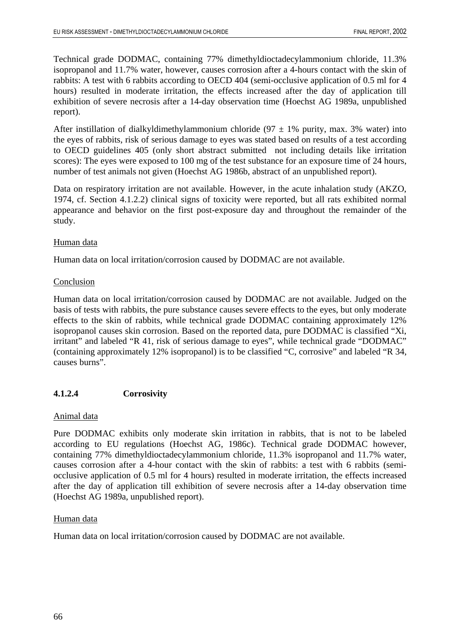Technical grade DODMAC, containing 77% dimethyldioctadecylammonium chloride, 11.3% isopropanol and 11.7% water, however, causes corrosion after a 4-hours contact with the skin of rabbits: A test with 6 rabbits according to OECD 404 (semi-occlusive application of 0.5 ml for 4 hours) resulted in moderate irritation, the effects increased after the day of application till exhibition of severe necrosis after a 14-day observation time (Hoechst AG 1989a, unpublished report).

After instillation of dialkyldimethylammonium chloride (97  $\pm$  1% purity, max. 3% water) into the eyes of rabbits, risk of serious damage to eyes was stated based on results of a test according to OECD guidelines 405 (only short abstract submitted not including details like irritation scores): The eyes were exposed to 100 mg of the test substance for an exposure time of 24 hours, number of test animals not given (Hoechst AG 1986b, abstract of an unpublished report).

Data on respiratory irritation are not available. However, in the acute inhalation study (AKZO, 1974, cf. Section 4.1.2.2) clinical signs of toxicity were reported, but all rats exhibited normal appearance and behavior on the first post-exposure day and throughout the remainder of the study.

#### Human data

Human data on local irritation/corrosion caused by DODMAC are not available.

#### Conclusion

Human data on local irritation/corrosion caused by DODMAC are not available. Judged on the basis of tests with rabbits, the pure substance causes severe effects to the eyes, but only moderate effects to the skin of rabbits, while technical grade DODMAC containing approximately 12% isopropanol causes skin corrosion. Based on the reported data, pure DODMAC is classified "Xi, irritant" and labeled "R 41, risk of serious damage to eyes", while technical grade "DODMAC" (containing approximately 12% isopropanol) is to be classified "C, corrosive" and labeled "R 34, causes burns".

### **4.1.2.4 Corrosivity**

### Animal data

Pure DODMAC exhibits only moderate skin irritation in rabbits, that is not to be labeled according to EU regulations (Hoechst AG, 1986c). Technical grade DODMAC however, containing 77% dimethyldioctadecylammonium chloride, 11.3% isopropanol and 11.7% water, causes corrosion after a 4-hour contact with the skin of rabbits: a test with 6 rabbits (semiocclusive application of 0.5 ml for 4 hours) resulted in moderate irritation, the effects increased after the day of application till exhibition of severe necrosis after a 14-day observation time (Hoechst AG 1989a, unpublished report).

### Human data

Human data on local irritation/corrosion caused by DODMAC are not available.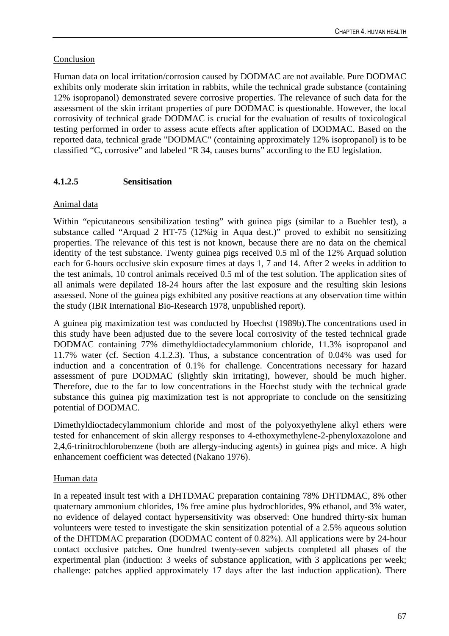# Conclusion

Human data on local irritation/corrosion caused by DODMAC are not available. Pure DODMAC exhibits only moderate skin irritation in rabbits, while the technical grade substance (containing 12% isopropanol) demonstrated severe corrosive properties. The relevance of such data for the assessment of the skin irritant properties of pure DODMAC is questionable. However, the local corrosivity of technical grade DODMAC is crucial for the evaluation of results of toxicological testing performed in order to assess acute effects after application of DODMAC. Based on the reported data, technical grade "DODMAC" (containing approximately 12% isopropanol) is to be classified "C, corrosive" and labeled "R 34, causes burns" according to the EU legislation.

# **4.1.2.5 Sensitisation**

# Animal data

Within "epicutaneous sensibilization testing" with guinea pigs (similar to a Buehler test), a substance called "Arquad 2 HT-75 (12%ig in Aqua dest.)" proved to exhibit no sensitizing properties. The relevance of this test is not known, because there are no data on the chemical identity of the test substance. Twenty guinea pigs received 0.5 ml of the 12% Arquad solution each for 6-hours occlusive skin exposure times at days 1, 7 and 14. After 2 weeks in addition to the test animals, 10 control animals received 0.5 ml of the test solution. The application sites of all animals were depilated 18-24 hours after the last exposure and the resulting skin lesions assessed. None of the guinea pigs exhibited any positive reactions at any observation time within the study (IBR International Bio-Research 1978, unpublished report).

A guinea pig maximization test was conducted by Hoechst (1989b).The concentrations used in this study have been adjusted due to the severe local corrosivity of the tested technical grade DODMAC containing 77% dimethyldioctadecylammonium chloride, 11.3% isopropanol and 11.7% water (cf. Section 4.1.2.3). Thus, a substance concentration of 0.04% was used for induction and a concentration of 0.1% for challenge. Concentrations necessary for hazard assessment of pure DODMAC (slightly skin irritating), however, should be much higher. Therefore, due to the far to low concentrations in the Hoechst study with the technical grade substance this guinea pig maximization test is not appropriate to conclude on the sensitizing potential of DODMAC.

Dimethyldioctadecylammonium chloride and most of the polyoxyethylene alkyl ethers were tested for enhancement of skin allergy responses to 4-ethoxymethylene-2-phenyloxazolone and 2,4,6-trinitrochlorobenzene (both are allergy-inducing agents) in guinea pigs and mice. A high enhancement coefficient was detected (Nakano 1976).

# Human data

In a repeated insult test with a DHTDMAC preparation containing 78% DHTDMAC, 8% other quaternary ammonium chlorides, 1% free amine plus hydrochlorides, 9% ethanol, and 3% water, no evidence of delayed contact hypersensitivity was observed: One hundred thirty-six human volunteers were tested to investigate the skin sensitization potential of a 2.5% aqueous solution of the DHTDMAC preparation (DODMAC content of 0.82%). All applications were by 24-hour contact occlusive patches. One hundred twenty-seven subjects completed all phases of the experimental plan (induction: 3 weeks of substance application, with 3 applications per week; challenge: patches applied approximately 17 days after the last induction application). There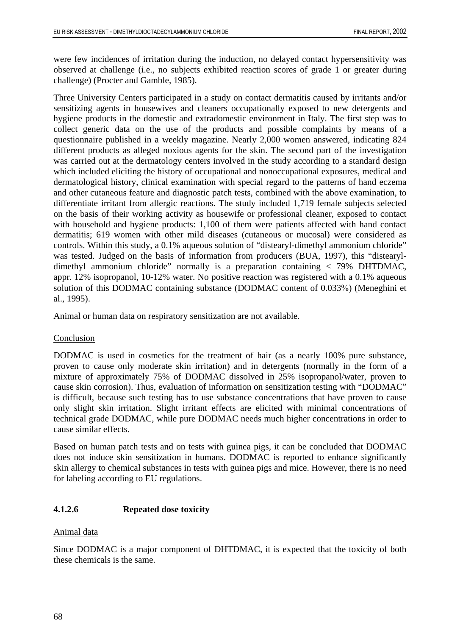were few incidences of irritation during the induction, no delayed contact hypersensitivity was observed at challenge (i.e., no subjects exhibited reaction scores of grade 1 or greater during challenge) (Procter and Gamble, 1985).

Three University Centers participated in a study on contact dermatitis caused by irritants and/or sensitizing agents in housewives and cleaners occupationally exposed to new detergents and hygiene products in the domestic and extradomestic environment in Italy. The first step was to collect generic data on the use of the products and possible complaints by means of a questionnaire published in a weekly magazine. Nearly 2,000 women answered, indicating 824 different products as alleged noxious agents for the skin. The second part of the investigation was carried out at the dermatology centers involved in the study according to a standard design which included eliciting the history of occupational and nonoccupational exposures, medical and dermatological history, clinical examination with special regard to the patterns of hand eczema and other cutaneous feature and diagnostic patch tests, combined with the above examination, to differentiate irritant from allergic reactions. The study included 1,719 female subjects selected on the basis of their working activity as housewife or professional cleaner, exposed to contact with household and hygiene products: 1,100 of them were patients affected with hand contact dermatitis; 619 women with other mild diseases (cutaneous or mucosal) were considered as controls. Within this study, a 0.1% aqueous solution of "distearyl-dimethyl ammonium chloride" was tested. Judged on the basis of information from producers (BUA, 1997), this "distearyldimethyl ammonium chloride" normally is a preparation containing < 79% DHTDMAC, appr. 12% isopropanol, 10-12% water. No positive reaction was registered with a 0.1% aqueous solution of this DODMAC containing substance (DODMAC content of 0.033%) (Meneghini et al., 1995).

Animal or human data on respiratory sensitization are not available.

### Conclusion

DODMAC is used in cosmetics for the treatment of hair (as a nearly 100% pure substance, proven to cause only moderate skin irritation) and in detergents (normally in the form of a mixture of approximately 75% of DODMAC dissolved in 25% isopropanol/water, proven to cause skin corrosion). Thus, evaluation of information on sensitization testing with "DODMAC" is difficult, because such testing has to use substance concentrations that have proven to cause only slight skin irritation. Slight irritant effects are elicited with minimal concentrations of technical grade DODMAC, while pure DODMAC needs much higher concentrations in order to cause similar effects.

Based on human patch tests and on tests with guinea pigs, it can be concluded that DODMAC does not induce skin sensitization in humans. DODMAC is reported to enhance significantly skin allergy to chemical substances in tests with guinea pigs and mice. However, there is no need for labeling according to EU regulations.

### **4.1.2.6 Repeated dose toxicity**

#### Animal data

Since DODMAC is a major component of DHTDMAC, it is expected that the toxicity of both these chemicals is the same.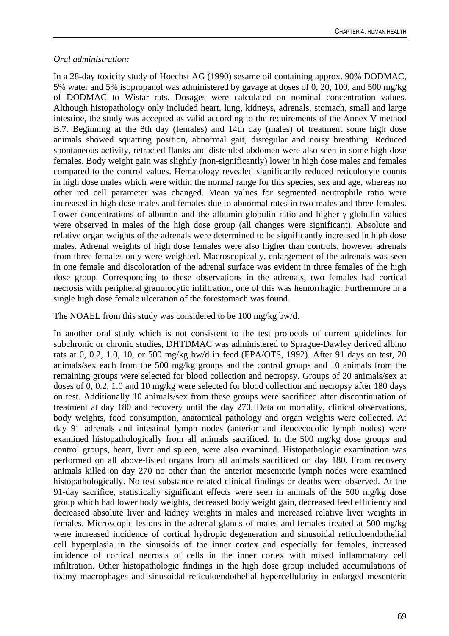### *Oral administration:*

In a 28-day toxicity study of Hoechst AG (1990) sesame oil containing approx. 90% DODMAC, 5% water and 5% isopropanol was administered by gavage at doses of 0, 20, 100, and 500 mg/kg of DODMAC to Wistar rats. Dosages were calculated on nominal concentration values. Although histopathology only included heart, lung, kidneys, adrenals, stomach, small and large intestine, the study was accepted as valid according to the requirements of the Annex V method B.7. Beginning at the 8th day (females) and 14th day (males) of treatment some high dose animals showed squatting position, abnormal gait, disregular and noisy breathing. Reduced spontaneous activity, retracted flanks and distended abdomen were also seen in some high dose females. Body weight gain was slightly (non-significantly) lower in high dose males and females compared to the control values. Hematology revealed significantly reduced reticulocyte counts in high dose males which were within the normal range for this species, sex and age, whereas no other red cell parameter was changed. Mean values for segmented neutrophile ratio were increased in high dose males and females due to abnormal rates in two males and three females. Lower concentrations of albumin and the albumin-globulin ratio and higher γ-globulin values were observed in males of the high dose group (all changes were significant). Absolute and relative organ weights of the adrenals were determined to be significantly increased in high dose males. Adrenal weights of high dose females were also higher than controls, however adrenals from three females only were weighted. Macroscopically, enlargement of the adrenals was seen in one female and discoloration of the adrenal surface was evident in three females of the high dose group. Corresponding to these observations in the adrenals, two females had cortical necrosis with peripheral granulocytic infiltration, one of this was hemorrhagic. Furthermore in a single high dose female ulceration of the forestomach was found.

The NOAEL from this study was considered to be 100 mg/kg bw/d.

In another oral study which is not consistent to the test protocols of current guidelines for subchronic or chronic studies, DHTDMAC was administered to Sprague-Dawley derived albino rats at 0, 0.2, 1.0, 10, or 500 mg/kg bw/d in feed (EPA/OTS, 1992). After 91 days on test, 20 animals/sex each from the 500 mg/kg groups and the control groups and 10 animals from the remaining groups were selected for blood collection and necropsy. Groups of 20 animals/sex at doses of 0, 0.2, 1.0 and 10 mg/kg were selected for blood collection and necropsy after 180 days on test. Additionally 10 animals/sex from these groups were sacrificed after discontinuation of treatment at day 180 and recovery until the day 270. Data on mortality, clinical observations, body weights, food consumption, anatomical pathology and organ weights were collected. At day 91 adrenals and intestinal lymph nodes (anterior and ileocecocolic lymph nodes) were examined histopathologically from all animals sacrificed. In the 500 mg/kg dose groups and control groups, heart, liver and spleen, were also examined. Histopathologic examination was performed on all above-listed organs from all animals sacrificed on day 180. From recovery animals killed on day 270 no other than the anterior mesenteric lymph nodes were examined histopathologically. No test substance related clinical findings or deaths were observed. At the 91-day sacrifice, statistically significant effects were seen in animals of the 500 mg/kg dose group which had lower body weights, decreased body weight gain, decreased feed efficiency and decreased absolute liver and kidney weights in males and increased relative liver weights in females. Microscopic lesions in the adrenal glands of males and females treated at 500 mg/kg were increased incidence of cortical hydropic degeneration and sinusoidal reticuloendothelial cell hyperplasia in the sinusoids of the inner cortex and especially for females, increased incidence of cortical necrosis of cells in the inner cortex with mixed inflammatory cell infiltration. Other histopathologic findings in the high dose group included accumulations of foamy macrophages and sinusoidal reticuloendothelial hypercellularity in enlarged mesenteric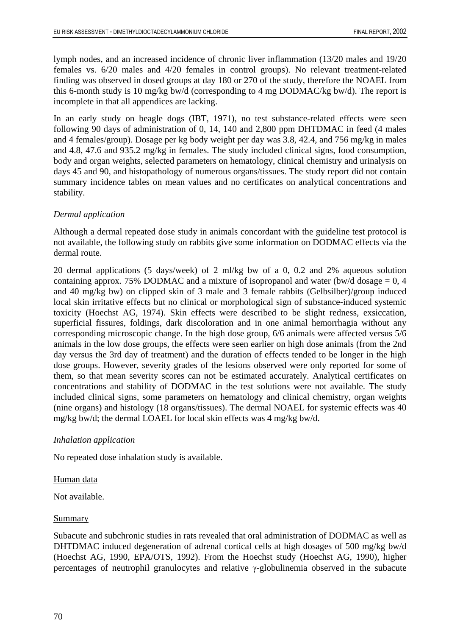lymph nodes, and an increased incidence of chronic liver inflammation (13/20 males and 19/20 females vs. 6/20 males and 4/20 females in control groups). No relevant treatment-related finding was observed in dosed groups at day 180 or 270 of the study, therefore the NOAEL from this 6-month study is 10 mg/kg bw/d (corresponding to 4 mg DODMAC/kg bw/d). The report is incomplete in that all appendices are lacking.

In an early study on beagle dogs (IBT, 1971), no test substance-related effects were seen following 90 days of administration of 0, 14, 140 and 2,800 ppm DHTDMAC in feed (4 males and 4 females/group). Dosage per kg body weight per day was 3.8, 42.4, and 756 mg/kg in males and 4.8, 47.6 and 935.2 mg/kg in females. The study included clinical signs, food consumption, body and organ weights, selected parameters on hematology, clinical chemistry and urinalysis on days 45 and 90, and histopathology of numerous organs/tissues. The study report did not contain summary incidence tables on mean values and no certificates on analytical concentrations and stability.

# *Dermal application*

Although a dermal repeated dose study in animals concordant with the guideline test protocol is not available, the following study on rabbits give some information on DODMAC effects via the dermal route.

20 dermal applications (5 days/week) of 2 ml/kg bw of a 0, 0.2 and 2% aqueous solution containing approx. 75% DODMAC and a mixture of isopropanol and water (bw/d dosage  $= 0, 4$ ) and 40 mg/kg bw) on clipped skin of 3 male and 3 female rabbits (Gelbsilber)/group induced local skin irritative effects but no clinical or morphological sign of substance-induced systemic toxicity (Hoechst AG, 1974). Skin effects were described to be slight redness, exsiccation, superficial fissures, foldings, dark discoloration and in one animal hemorrhagia without any corresponding microscopic change. In the high dose group, 6/6 animals were affected versus 5/6 animals in the low dose groups, the effects were seen earlier on high dose animals (from the 2nd day versus the 3rd day of treatment) and the duration of effects tended to be longer in the high dose groups. However, severity grades of the lesions observed were only reported for some of them, so that mean severity scores can not be estimated accurately. Analytical certificates on concentrations and stability of DODMAC in the test solutions were not available. The study included clinical signs, some parameters on hematology and clinical chemistry, organ weights (nine organs) and histology (18 organs/tissues). The dermal NOAEL for systemic effects was 40 mg/kg bw/d; the dermal LOAEL for local skin effects was 4 mg/kg bw/d.

### *Inhalation application*

No repeated dose inhalation study is available.

### Human data

Not available.

# Summary

Subacute and subchronic studies in rats revealed that oral administration of DODMAC as well as DHTDMAC induced degeneration of adrenal cortical cells at high dosages of 500 mg/kg bw/d (Hoechst AG, 1990, EPA/OTS, 1992). From the Hoechst study (Hoechst AG, 1990), higher percentages of neutrophil granulocytes and relative γ-globulinemia observed in the subacute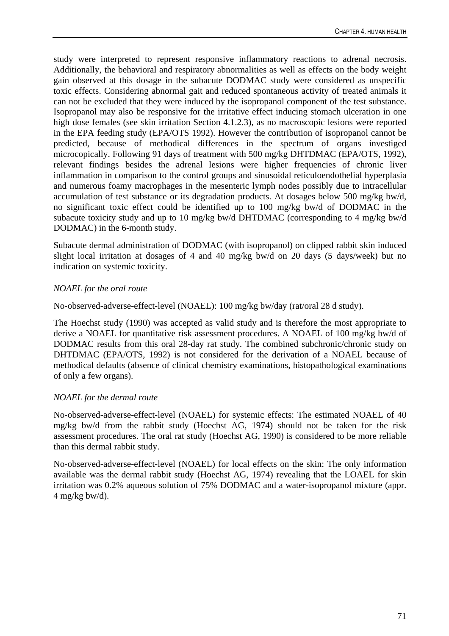study were interpreted to represent responsive inflammatory reactions to adrenal necrosis. Additionally, the behavioral and respiratory abnormalities as well as effects on the body weight gain observed at this dosage in the subacute DODMAC study were considered as unspecific toxic effects. Considering abnormal gait and reduced spontaneous activity of treated animals it can not be excluded that they were induced by the isopropanol component of the test substance. Isopropanol may also be responsive for the irritative effect inducing stomach ulceration in one high dose females (see skin irritation Section 4.1.2.3), as no macroscopic lesions were reported in the EPA feeding study (EPA/OTS 1992). However the contribution of isopropanol cannot be predicted, because of methodical differences in the spectrum of organs investiged microcopically. Following 91 days of treatment with 500 mg/kg DHTDMAC (EPA/OTS, 1992), relevant findings besides the adrenal lesions were higher frequencies of chronic liver inflammation in comparison to the control groups and sinusoidal reticuloendothelial hyperplasia and numerous foamy macrophages in the mesenteric lymph nodes possibly due to intracellular accumulation of test substance or its degradation products. At dosages below 500 mg/kg bw/d, no significant toxic effect could be identified up to 100 mg/kg bw/d of DODMAC in the subacute toxicity study and up to 10 mg/kg bw/d DHTDMAC (corresponding to 4 mg/kg bw/d DODMAC) in the 6-month study.

Subacute dermal administration of DODMAC (with isopropanol) on clipped rabbit skin induced slight local irritation at dosages of 4 and 40 mg/kg bw/d on 20 days (5 days/week) but no indication on systemic toxicity.

# *NOAEL for the oral route*

No-observed-adverse-effect-level (NOAEL): 100 mg/kg bw/day (rat/oral 28 d study).

The Hoechst study (1990) was accepted as valid study and is therefore the most appropriate to derive a NOAEL for quantitative risk assessment procedures. A NOAEL of 100 mg/kg bw/d of DODMAC results from this oral 28-day rat study. The combined subchronic/chronic study on DHTDMAC (EPA/OTS, 1992) is not considered for the derivation of a NOAEL because of methodical defaults (absence of clinical chemistry examinations, histopathological examinations of only a few organs).

# *NOAEL for the dermal route*

No-observed-adverse-effect-level (NOAEL) for systemic effects: The estimated NOAEL of 40 mg/kg bw/d from the rabbit study (Hoechst AG, 1974) should not be taken for the risk assessment procedures. The oral rat study (Hoechst AG, 1990) is considered to be more reliable than this dermal rabbit study.

No-observed-adverse-effect-level (NOAEL) for local effects on the skin: The only information available was the dermal rabbit study (Hoechst AG, 1974) revealing that the LOAEL for skin irritation was 0.2% aqueous solution of 75% DODMAC and a water-isopropanol mixture (appr.  $4$  mg/kg bw/d).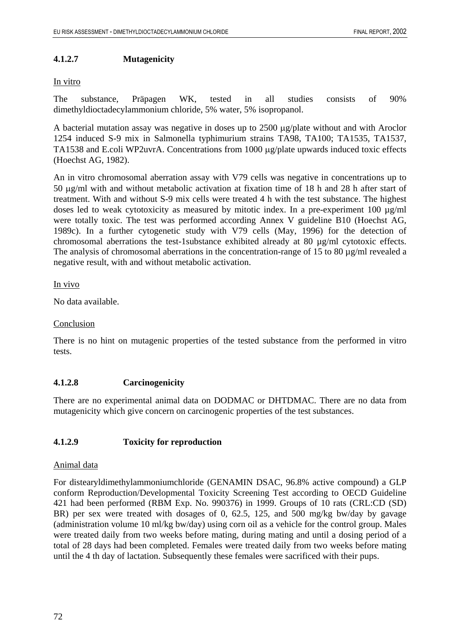### **4.1.2.7 Mutagenicity**

#### In vitro

The substance, Präpagen WK, tested in all studies consists of 90% dimethyldioctadecylammonium chloride, 5% water, 5% isopropanol.

A bacterial mutation assay was negative in doses up to 2500 µg/plate without and with Aroclor 1254 induced S-9 mix in Salmonella typhimurium strains TA98, TA100; TA1535, TA1537, TA1538 and E.coli WP2uvrA. Concentrations from 1000 µg/plate upwards induced toxic effects (Hoechst AG, 1982).

An in vitro chromosomal aberration assay with V79 cells was negative in concentrations up to 50 µg/ml with and without metabolic activation at fixation time of 18 h and 28 h after start of treatment. With and without S-9 mix cells were treated 4 h with the test substance. The highest doses led to weak cytotoxicity as measured by mitotic index. In a pre-experiment 100 µg/ml were totally toxic. The test was performed according Annex V guideline B10 (Hoechst AG, 1989c). In a further cytogenetic study with V79 cells (May, 1996) for the detection of chromosomal aberrations the test-1substance exhibited already at 80 µg/ml cytotoxic effects. The analysis of chromosomal aberrations in the concentration-range of 15 to 80  $\mu$ g/ml revealed a negative result, with and without metabolic activation.

#### In vivo

No data available.

### Conclusion

There is no hint on mutagenic properties of the tested substance from the performed in vitro tests.

### **4.1.2.8 Carcinogenicity**

There are no experimental animal data on DODMAC or DHTDMAC. There are no data from mutagenicity which give concern on carcinogenic properties of the test substances.

### **4.1.2.9 Toxicity for reproduction**

### Animal data

For distearyldimethylammoniumchloride (GENAMIN DSAC, 96.8% active compound) a GLP conform Reproduction/Developmental Toxicity Screening Test according to OECD Guideline 421 had been performed (RBM Exp. No. 990376) in 1999. Groups of 10 rats (CRL:CD (SD) BR) per sex were treated with dosages of 0, 62.5, 125, and 500 mg/kg bw/day by gavage (administration volume 10 ml/kg bw/day) using corn oil as a vehicle for the control group. Males were treated daily from two weeks before mating, during mating and until a dosing period of a total of 28 days had been completed. Females were treated daily from two weeks before mating until the 4 th day of lactation. Subsequently these females were sacrificed with their pups.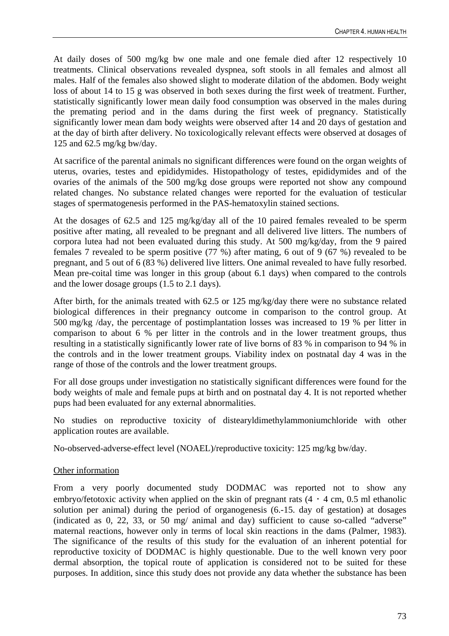At daily doses of 500 mg/kg bw one male and one female died after 12 respectively 10 treatments. Clinical observations revealed dyspnea, soft stools in all females and almost all males. Half of the females also showed slight to moderate dilation of the abdomen. Body weight loss of about 14 to 15 g was observed in both sexes during the first week of treatment. Further, statistically significantly lower mean daily food consumption was observed in the males during the premating period and in the dams during the first week of pregnancy. Statistically significantly lower mean dam body weights were observed after 14 and 20 days of gestation and at the day of birth after delivery. No toxicologically relevant effects were observed at dosages of 125 and 62.5 mg/kg bw/day.

At sacrifice of the parental animals no significant differences were found on the organ weights of uterus, ovaries, testes and epididymides. Histopathology of testes, epididymides and of the ovaries of the animals of the 500 mg/kg dose groups were reported not show any compound related changes. No substance related changes were reported for the evaluation of testicular stages of spermatogenesis performed in the PAS-hematoxylin stained sections.

At the dosages of 62.5 and 125 mg/kg/day all of the 10 paired females revealed to be sperm positive after mating, all revealed to be pregnant and all delivered live litters. The numbers of corpora lutea had not been evaluated during this study. At 500 mg/kg/day, from the 9 paired females 7 revealed to be sperm positive (77 %) after mating, 6 out of 9 (67 %) revealed to be pregnant, and 5 out of 6 (83 %) delivered live litters. One animal revealed to have fully resorbed. Mean pre-coital time was longer in this group (about 6.1 days) when compared to the controls and the lower dosage groups (1.5 to 2.1 days).

After birth, for the animals treated with 62.5 or 125 mg/kg/day there were no substance related biological differences in their pregnancy outcome in comparison to the control group. At 500 mg/kg /day, the percentage of postimplantation losses was increased to 19 % per litter in comparison to about 6 % per litter in the controls and in the lower treatment groups, thus resulting in a statistically significantly lower rate of live borns of 83 % in comparison to 94 % in the controls and in the lower treatment groups. Viability index on postnatal day 4 was in the range of those of the controls and the lower treatment groups.

For all dose groups under investigation no statistically significant differences were found for the body weights of male and female pups at birth and on postnatal day 4. It is not reported whether pups had been evaluated for any external abnormalities.

No studies on reproductive toxicity of distearyldimethylammoniumchloride with other application routes are available.

No-observed-adverse-effect level (NOAEL)/reproductive toxicity: 125 mg/kg bw/day.

### Other information

From a very poorly documented study DODMAC was reported not to show any embryo/fetotoxic activity when applied on the skin of pregnant rats  $(4 \cdot 4 \text{ cm}, 0.5 \text{ ml}$  ethanolic solution per animal) during the period of organogenesis (6.-15. day of gestation) at dosages (indicated as 0, 22, 33, or 50 mg/ animal and day) sufficient to cause so-called "adverse" maternal reactions, however only in terms of local skin reactions in the dams (Palmer, 1983). The significance of the results of this study for the evaluation of an inherent potential for reproductive toxicity of DODMAC is highly questionable. Due to the well known very poor dermal absorption, the topical route of application is considered not to be suited for these purposes. In addition, since this study does not provide any data whether the substance has been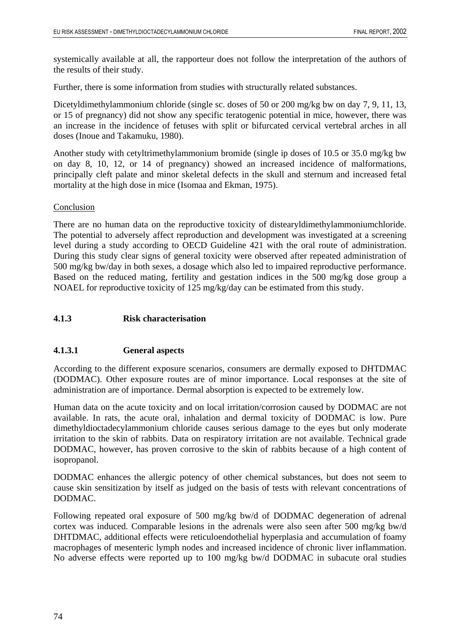systemically available at all, the rapporteur does not follow the interpretation of the authors of the results of their study.

Further, there is some information from studies with structurally related substances.

Dicetyldimethylammonium chloride (single sc. doses of 50 or 200 mg/kg bw on day 7, 9, 11, 13, or 15 of pregnancy) did not show any specific teratogenic potential in mice, however, there was an increase in the incidence of fetuses with split or bifurcated cervical vertebral arches in all doses (Inoue and Takamuku, 1980).

Another study with cetyltrimethylammonium bromide (single ip doses of 10.5 or 35.0 mg/kg bw on day 8, 10, 12, or 14 of pregnancy) showed an increased incidence of malformations, principally cleft palate and minor skeletal defects in the skull and sternum and increased fetal mortality at the high dose in mice (Isomaa and Ekman, 1975).

# Conclusion

There are no human data on the reproductive toxicity of distearyldimethylammoniumchloride. The potential to adversely affect reproduction and development was investigated at a screening level during a study according to OECD Guideline 421 with the oral route of administration. During this study clear signs of general toxicity were observed after repeated administration of 500 mg/kg bw/day in both sexes, a dosage which also led to impaired reproductive performance. Based on the reduced mating, fertility and gestation indices in the 500 mg/kg dose group a NOAEL for reproductive toxicity of 125 mg/kg/day can be estimated from this study.

# **4.1.3 Risk characterisation**

# **4.1.3.1 General aspects**

According to the different exposure scenarios, consumers are dermally exposed to DHTDMAC (DODMAC). Other exposure routes are of minor importance. Local responses at the site of administration are of importance. Dermal absorption is expected to be extremely low.

Human data on the acute toxicity and on local irritation/corrosion caused by DODMAC are not available. In rats, the acute oral, inhalation and dermal toxicity of DODMAC is low. Pure dimethyldioctadecylammonium chloride causes serious damage to the eyes but only moderate irritation to the skin of rabbits. Data on respiratory irritation are not available. Technical grade DODMAC, however, has proven corrosive to the skin of rabbits because of a high content of isopropanol.

DODMAC enhances the allergic potency of other chemical substances, but does not seem to cause skin sensitization by itself as judged on the basis of tests with relevant concentrations of DODMAC.

Following repeated oral exposure of 500 mg/kg bw/d of DODMAC degeneration of adrenal cortex was induced. Comparable lesions in the adrenals were also seen after 500 mg/kg bw/d DHTDMAC, additional effects were reticuloendothelial hyperplasia and accumulation of foamy macrophages of mesenteric lymph nodes and increased incidence of chronic liver inflammation. No adverse effects were reported up to 100 mg/kg bw/d DODMAC in subacute oral studies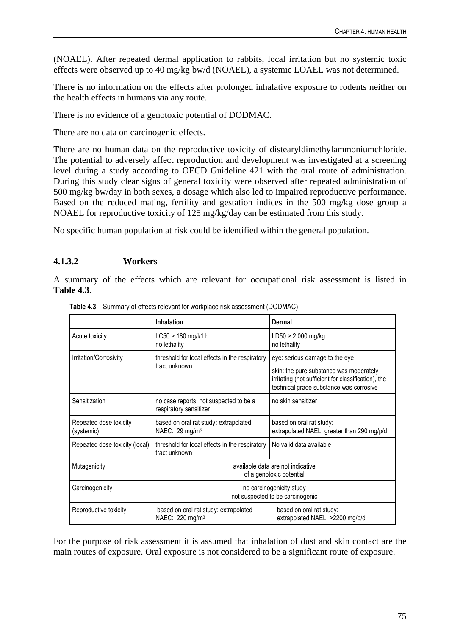(NOAEL). After repeated dermal application to rabbits, local irritation but no systemic toxic effects were observed up to 40 mg/kg bw/d (NOAEL), a systemic LOAEL was not determined.

There is no information on the effects after prolonged inhalative exposure to rodents neither on the health effects in humans via any route.

There is no evidence of a genotoxic potential of DODMAC.

There are no data on carcinogenic effects.

There are no human data on the reproductive toxicity of distearyldimethylammoniumchloride. The potential to adversely affect reproduction and development was investigated at a screening level during a study according to OECD Guideline 421 with the oral route of administration. During this study clear signs of general toxicity were observed after repeated administration of 500 mg/kg bw/day in both sexes, a dosage which also led to impaired reproductive performance. Based on the reduced mating, fertility and gestation indices in the 500 mg/kg dose group a NOAEL for reproductive toxicity of 125 mg/kg/day can be estimated from this study.

No specific human population at risk could be identified within the general population.

# **4.1.3.2 Workers**

A summary of the effects which are relevant for occupational risk assessment is listed in **Table 4.3**.

|                                      | <b>Inhalation</b>                                                    | Dermal                                                                                                                                                                      |  |  |
|--------------------------------------|----------------------------------------------------------------------|-----------------------------------------------------------------------------------------------------------------------------------------------------------------------------|--|--|
| Acute toxicity                       | LC50 > 180 mg/l/1 h<br>no lethality                                  | LD50 > 2 000 mg/kg<br>no lethality                                                                                                                                          |  |  |
| Irritation/Corrosivity               | threshold for local effects in the respiratory<br>tract unknown      | eye: serious damage to the eye<br>skin: the pure substance was moderately<br>irritating (not sufficient for classification), the<br>technical grade substance was corrosive |  |  |
| Sensitization                        | no case reports; not suspected to be a<br>respiratory sensitizer     | no skin sensitizer                                                                                                                                                          |  |  |
| Repeated dose toxicity<br>(systemic) | based on oral rat study: extrapolated<br>NAEC: 29 mg/m <sup>3</sup>  | based on oral rat study:<br>extrapolated NAEL: greater than 290 mg/p/d                                                                                                      |  |  |
| Repeated dose toxicity (local)       | threshold for local effects in the respiratory<br>tract unknown      | No valid data available                                                                                                                                                     |  |  |
| Mutagenicity                         | available data are not indicative<br>of a genotoxic potential        |                                                                                                                                                                             |  |  |
| Carcinogenicity                      | no carcinogenicity study<br>not suspected to be carcinogenic         |                                                                                                                                                                             |  |  |
| Reproductive toxicity                | based on oral rat study: extrapolated<br>NAEC: 220 mg/m <sup>3</sup> | based on oral rat study:<br>extrapolated NAEL: >2200 mg/p/d                                                                                                                 |  |  |

**Table 4.3** Summary of effects relevant for workplace risk assessment (DODMAC**)** 

For the purpose of risk assessment it is assumed that inhalation of dust and skin contact are the main routes of exposure. Oral exposure is not considered to be a significant route of exposure.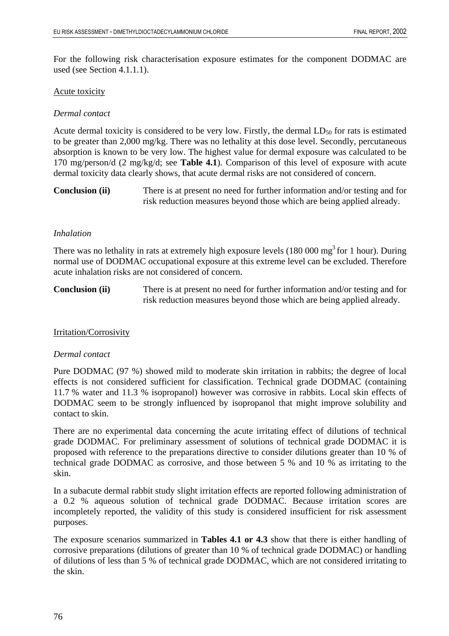For the following risk characterisation exposure estimates for the component DODMAC are used (see Section 4.1.1.1).

#### Acute toxicity

# *Dermal contact*

Acute dermal toxicity is considered to be very low. Firstly, the dermal  $LD_{50}$  for rats is estimated to be greater than 2,000 mg/kg. There was no lethality at this dose level. Secondly, percutaneous absorption is known to be very low. The highest value for dermal exposure was calculated to be 170 mg/person/d (2 mg/kg/d; see **Table 4.1**). Comparison of this level of exposure with acute dermal toxicity data clearly shows, that acute dermal risks are not considered of concern.

**Conclusion (ii)** There is at present no need for further information and/or testing and for risk reduction measures beyond those which are being applied already.

### *Inhalation*

There was no lethality in rats at extremely high exposure levels  $(180\,000\,\text{mg}^3)$  for 1 hour). During normal use of DODMAC occupational exposure at this extreme level can be excluded. Therefore acute inhalation risks are not considered of concern.

**Conclusion (ii)** There is at present no need for further information and/or testing and for risk reduction measures beyond those which are being applied already.

### Irritation/Corrosivity

#### *Dermal contact*

Pure DODMAC (97 %) showed mild to moderate skin irritation in rabbits; the degree of local effects is not considered sufficient for classification. Technical grade DODMAC (containing 11.7 % water and 11.3 % isopropanol) however was corrosive in rabbits. Local skin effects of DODMAC seem to be strongly influenced by isopropanol that might improve solubility and contact to skin.

There are no experimental data concerning the acute irritating effect of dilutions of technical grade DODMAC. For preliminary assessment of solutions of technical grade DODMAC it is proposed with reference to the preparations directive to consider dilutions greater than 10 % of technical grade DODMAC as corrosive, and those between 5 % and 10 % as irritating to the skin.

In a subacute dermal rabbit study slight irritation effects are reported following administration of a 0.2 % aqueous solution of technical grade DODMAC. Because irritation scores are incompletely reported, the validity of this study is considered insufficient for risk assessment purposes.

The exposure scenarios summarized in **Tables 4.1 or 4.3** show that there is either handling of corrosive preparations (dilutions of greater than 10 % of technical grade DODMAC) or handling of dilutions of less than 5 % of technical grade DODMAC, which are not considered irritating to the skin.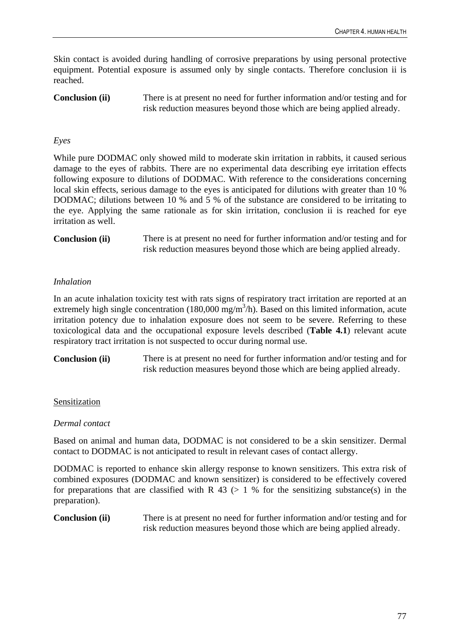Skin contact is avoided during handling of corrosive preparations by using personal protective equipment. Potential exposure is assumed only by single contacts. Therefore conclusion ii is reached.

**Conclusion (ii)** There is at present no need for further information and/or testing and for risk reduction measures beyond those which are being applied already.

# *Eyes*

While pure DODMAC only showed mild to moderate skin irritation in rabbits, it caused serious damage to the eyes of rabbits. There are no experimental data describing eye irritation effects following exposure to dilutions of DODMAC. With reference to the considerations concerning local skin effects, serious damage to the eyes is anticipated for dilutions with greater than 10 % DODMAC; dilutions between 10 % and 5 % of the substance are considered to be irritating to the eye. Applying the same rationale as for skin irritation, conclusion ii is reached for eye irritation as well.

**Conclusion (ii)** There is at present no need for further information and/or testing and for risk reduction measures beyond those which are being applied already.

### *Inhalation*

In an acute inhalation toxicity test with rats signs of respiratory tract irritation are reported at an extremely high single concentration  $(180,000 \text{ mg/m}^3/h)$ . Based on this limited information, acute irritation potency due to inhalation exposure does not seem to be severe. Referring to these toxicological data and the occupational exposure levels described (**Table 4.1**) relevant acute respiratory tract irritation is not suspected to occur during normal use.

**Conclusion (ii)** There is at present no need for further information and/or testing and for risk reduction measures beyond those which are being applied already.

#### Sensitization

#### *Dermal contact*

Based on animal and human data, DODMAC is not considered to be a skin sensitizer. Dermal contact to DODMAC is not anticipated to result in relevant cases of contact allergy.

DODMAC is reported to enhance skin allergy response to known sensitizers. This extra risk of combined exposures (DODMAC and known sensitizer) is considered to be effectively covered for preparations that are classified with R  $43$  ( $> 1$  % for the sensitizing substance(s) in the preparation).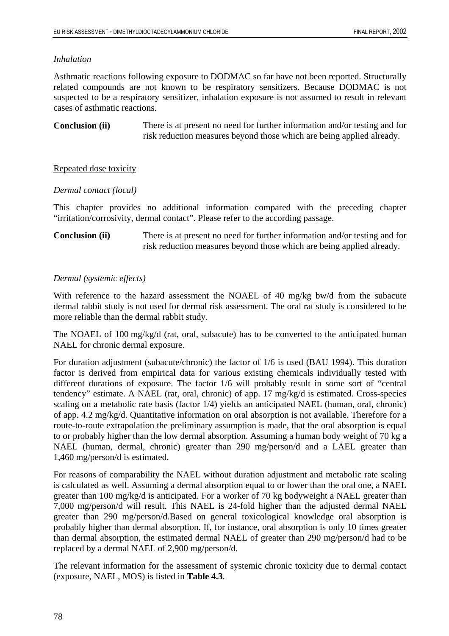# *Inhalation*

Asthmatic reactions following exposure to DODMAC so far have not been reported. Structurally related compounds are not known to be respiratory sensitizers. Because DODMAC is not suspected to be a respiratory sensitizer, inhalation exposure is not assumed to result in relevant cases of asthmatic reactions.

**Conclusion (ii)** There is at present no need for further information and/or testing and for risk reduction measures beyond those which are being applied already.

# Repeated dose toxicity

# *Dermal contact (local)*

This chapter provides no additional information compared with the preceding chapter "irritation/corrosivity, dermal contact". Please refer to the according passage.

# **Conclusion (ii)** There is at present no need for further information and/or testing and for risk reduction measures beyond those which are being applied already.

# *Dermal (systemic effects)*

With reference to the hazard assessment the NOAEL of 40 mg/kg bw/d from the subacute dermal rabbit study is not used for dermal risk assessment. The oral rat study is considered to be more reliable than the dermal rabbit study.

The NOAEL of 100 mg/kg/d (rat, oral, subacute) has to be converted to the anticipated human NAEL for chronic dermal exposure.

For duration adjustment (subacute/chronic) the factor of 1/6 is used (BAU 1994). This duration factor is derived from empirical data for various existing chemicals individually tested with different durations of exposure. The factor 1/6 will probably result in some sort of "central tendency" estimate. A NAEL (rat, oral, chronic) of app. 17 mg/kg/d is estimated. Cross-species scaling on a metabolic rate basis (factor 1/4) yields an anticipated NAEL (human, oral, chronic) of app. 4.2 mg/kg/d. Quantitative information on oral absorption is not available. Therefore for a route-to-route extrapolation the preliminary assumption is made, that the oral absorption is equal to or probably higher than the low dermal absorption. Assuming a human body weight of 70 kg a NAEL (human, dermal, chronic) greater than 290 mg/person/d and a LAEL greater than 1,460 mg/person/d is estimated.

For reasons of comparability the NAEL without duration adjustment and metabolic rate scaling is calculated as well. Assuming a dermal absorption equal to or lower than the oral one, a NAEL greater than 100 mg/kg/d is anticipated. For a worker of 70 kg bodyweight a NAEL greater than 7,000 mg/person/d will result. This NAEL is 24-fold higher than the adjusted dermal NAEL greater than 290 mg/person/d.Based on general toxicological knowledge oral absorption is probably higher than dermal absorption. If, for instance, oral absorption is only 10 times greater than dermal absorption, the estimated dermal NAEL of greater than 290 mg/person/d had to be replaced by a dermal NAEL of 2,900 mg/person/d.

The relevant information for the assessment of systemic chronic toxicity due to dermal contact (exposure, NAEL, MOS) is listed in **Table 4.3**.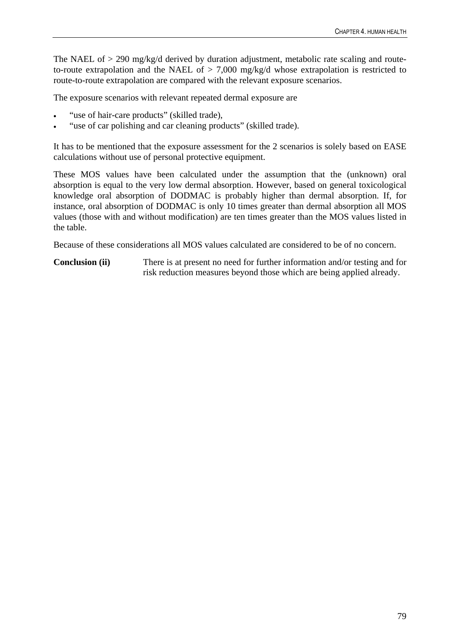The NAEL of > 290 mg/kg/d derived by duration adjustment, metabolic rate scaling and routeto-route extrapolation and the NAEL of  $> 7,000$  mg/kg/d whose extrapolation is restricted to route-to-route extrapolation are compared with the relevant exposure scenarios.

The exposure scenarios with relevant repeated dermal exposure are

- "use of hair-care products" (skilled trade),
- "use of car polishing and car cleaning products" (skilled trade).

It has to be mentioned that the exposure assessment for the 2 scenarios is solely based on EASE calculations without use of personal protective equipment.

These MOS values have been calculated under the assumption that the (unknown) oral absorption is equal to the very low dermal absorption. However, based on general toxicological knowledge oral absorption of DODMAC is probably higher than dermal absorption. If, for instance, oral absorption of DODMAC is only 10 times greater than dermal absorption all MOS values (those with and without modification) are ten times greater than the MOS values listed in the table.

Because of these considerations all MOS values calculated are considered to be of no concern.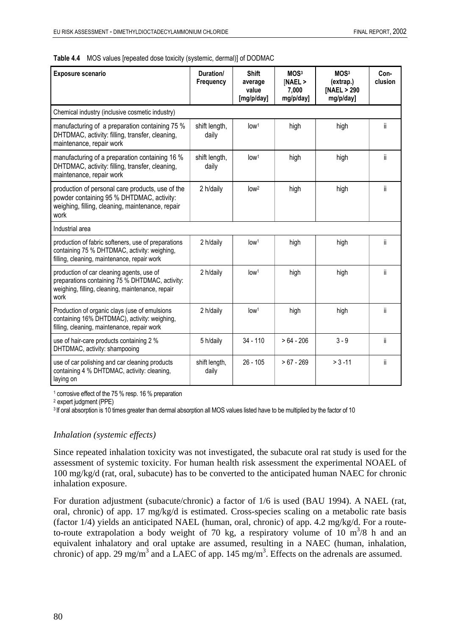| <b>Exposure scenario</b>                                                                                                                                  | Duration/<br>Frequency | <b>Shift</b><br>average<br>value<br>[mg/p/day] | MOS <sup>3</sup><br>[NAEL ><br>7,000<br>mg/p/day] | MOS <sup>3</sup><br>(extrap.)<br>[NAEL > 290<br>mg/p/day] | Con-<br>clusion |
|-----------------------------------------------------------------------------------------------------------------------------------------------------------|------------------------|------------------------------------------------|---------------------------------------------------|-----------------------------------------------------------|-----------------|
| Chemical industry (inclusive cosmetic industry)                                                                                                           |                        |                                                |                                                   |                                                           |                 |
| manufacturing of a preparation containing 75 %<br>DHTDMAC, activity: filling, transfer, cleaning,<br>maintenance, repair work                             | shift length,<br>daily | low <sup>1</sup>                               | high                                              | high                                                      | ii.             |
| manufacturing of a preparation containing 16 %<br>DHTDMAC, activity: filling, transfer, cleaning,<br>maintenance, repair work                             | shift length,<br>daily | low <sup>1</sup>                               | high                                              | high                                                      | ii.             |
| production of personal care products, use of the<br>powder containing 95 % DHTDMAC, activity:<br>weighing, filling, cleaning, maintenance, repair<br>work | 2 h/daily              | low <sup>2</sup>                               | high                                              | high                                                      | ii              |
| Industrial area                                                                                                                                           |                        |                                                |                                                   |                                                           |                 |
| production of fabric softeners, use of preparations<br>containing 75 % DHTDMAC, activity: weighing,<br>filling, cleaning, maintenance, repair work        | 2 h/daily              | low <sup>1</sup>                               | high                                              | high                                                      | ii.             |
| production of car cleaning agents, use of<br>preparations containing 75 % DHTDMAC, activity:<br>weighing, filling, cleaning, maintenance, repair<br>work  | 2 h/daily              | low <sup>1</sup>                               | high                                              | high                                                      | ii.             |
| Production of organic clays (use of emulsions<br>containing 16% DHTDMAC), activity: weighing,<br>filling, cleaning, maintenance, repair work              | 2 h/daily              | low <sup>1</sup>                               | high                                              | high                                                      | ii.             |
| use of hair-care products containing 2 %<br>DHTDMAC, activity: shampooing                                                                                 | 5 h/daily              | $34 - 110$                                     | $>64 - 206$                                       | $3 - 9$                                                   | ii.             |
| use of car polishing and car cleaning products<br>containing 4 % DHTDMAC, activity: cleaning,<br>laying on                                                | shift length,<br>daily | $26 - 105$                                     | $>67 - 269$                                       | $> 3 - 11$                                                | ii.             |

**Table 4.4** MOS values [repeated dose toxicity (systemic, dermal)] of DODMAC

<sup>1</sup> corrosive effect of the 75 % resp. 16 % preparation

2 expert judgment (PPE)

<sup>3</sup> If oral absorption is 10 times greater than dermal absorption all MOS values listed have to be multiplied by the factor of 10

### *Inhalation (systemic effects)*

Since repeated inhalation toxicity was not investigated, the subacute oral rat study is used for the assessment of systemic toxicity. For human health risk assessment the experimental NOAEL of 100 mg/kg/d (rat, oral, subacute) has to be converted to the anticipated human NAEC for chronic inhalation exposure.

For duration adjustment (subacute/chronic) a factor of 1/6 is used (BAU 1994). A NAEL (rat, oral, chronic) of app. 17 mg/kg/d is estimated. Cross-species scaling on a metabolic rate basis (factor 1/4) yields an anticipated NAEL (human, oral, chronic) of app. 4.2 mg/kg/d. For a routeto-route extrapolation a body weight of 70 kg, a respiratory volume of 10  $\text{m}^3$ /8 h and an equivalent inhalatory and oral uptake are assumed, resulting in a NAEC (human, inhalation, chronic) of app. 29 mg/m<sup>3</sup> and a LAEC of app. 145 mg/m<sup>3</sup>. Effects on the adrenals are assumed.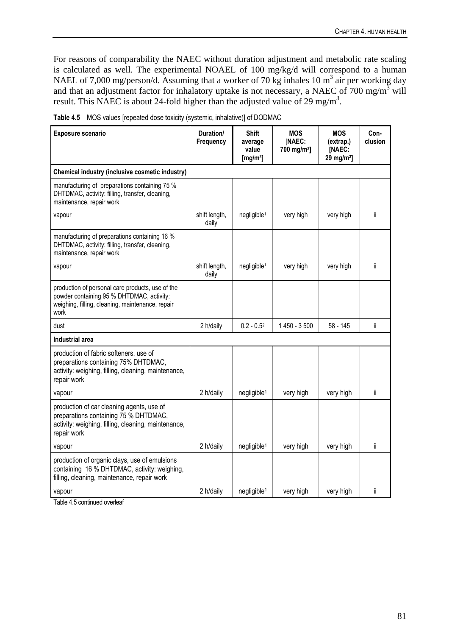For reasons of comparability the NAEC without duration adjustment and metabolic rate scaling is calculated as well. The experimental NOAEL of 100 mg/kg/d will correspond to a human NAEL of 7,000 mg/person/d. Assuming that a worker of 70 kg inhales 10  $m^3$  air per working day and that an adjustment factor for inhalatory uptake is not necessary, a NAEC of 700 mg/m<sup>3</sup> will result. This NAEC is about 24-fold higher than the adjusted value of 29 mg/m<sup>3</sup>.

| Exposure scenario                                                                                                                                         | Duration/<br>Frequency | <b>Shift</b><br>average<br>value<br>[ $mg/m3$ ] | <b>MOS</b><br>[NAEC:<br>700 mg/m <sup>3</sup> ] | <b>MOS</b><br>(extrap.)<br>[NAEC:<br>29 mg/m <sup>3</sup> ] | Con-<br>clusion |
|-----------------------------------------------------------------------------------------------------------------------------------------------------------|------------------------|-------------------------------------------------|-------------------------------------------------|-------------------------------------------------------------|-----------------|
| Chemical industry (inclusive cosmetic industry)                                                                                                           |                        |                                                 |                                                 |                                                             |                 |
| manufacturing of preparations containing 75 %<br>DHTDMAC, activity: filling, transfer, cleaning,<br>maintenance, repair work                              |                        |                                                 |                                                 |                                                             |                 |
| vapour                                                                                                                                                    | shift length,<br>daily | negligible <sup>1</sup>                         | very high                                       | very high                                                   | ii.             |
| manufacturing of preparations containing 16 %<br>DHTDMAC, activity: filling, transfer, cleaning,<br>maintenance, repair work                              |                        |                                                 |                                                 |                                                             |                 |
| vapour                                                                                                                                                    | shift length,<br>daily | negligible <sup>1</sup>                         | very high                                       | very high                                                   | ii.             |
| production of personal care products, use of the<br>powder containing 95 % DHTDMAC, activity:<br>weighing, filling, cleaning, maintenance, repair<br>work |                        |                                                 |                                                 |                                                             |                 |
| dust                                                                                                                                                      | 2 h/daily              | $0.2 - 0.52$                                    | 1 450 - 3 500                                   | $58 - 145$                                                  | ii              |
| Industrial area                                                                                                                                           |                        |                                                 |                                                 |                                                             |                 |
| production of fabric softeners, use of<br>preparations containing 75% DHTDMAC,<br>activity: weighing, filling, cleaning, maintenance,<br>repair work      |                        |                                                 |                                                 |                                                             |                 |
| vapour                                                                                                                                                    | 2 h/daily              | negligible <sup>1</sup>                         | very high                                       | very high                                                   | ii.             |
| production of car cleaning agents, use of<br>preparations containing 75 % DHTDMAC,<br>activity: weighing, filling, cleaning, maintenance,<br>repair work  |                        |                                                 |                                                 |                                                             |                 |
| vapour                                                                                                                                                    | 2 h/daily              | negligible <sup>1</sup>                         | very high                                       | very high                                                   | ii              |
| production of organic clays, use of emulsions<br>containing 16 % DHTDMAC, activity: weighing,<br>filling, cleaning, maintenance, repair work              |                        |                                                 |                                                 |                                                             |                 |
| vapour                                                                                                                                                    | 2 h/daily              | negligible <sup>1</sup>                         | very high                                       | very high                                                   | ii              |

| <b>Table 4.5</b> MOS values [repeated dose toxicity (systemic, inhalative)] of DODMAC |
|---------------------------------------------------------------------------------------|
|---------------------------------------------------------------------------------------|

Table 4.5 continued overleaf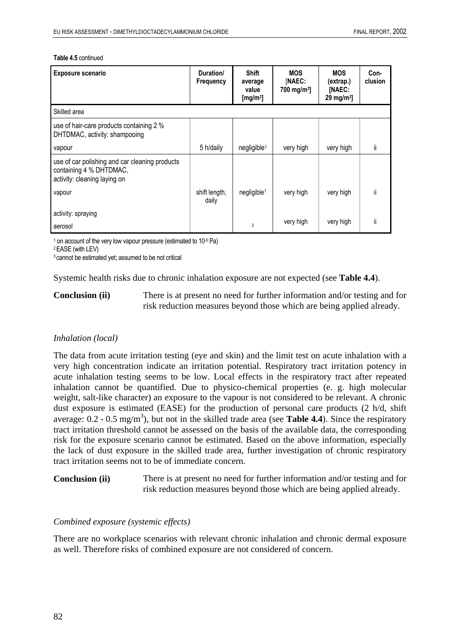| <b>Exposure scenario</b>                                                                                  | Duration/<br>Frequency | <b>Shift</b><br>average<br>value<br>[mg/m $3$ ] | <b>MOS</b><br>[NAEC:<br>700 mg/m <sup>3</sup> ] | <b>MOS</b><br>(extrap.)<br>[NAEC:<br>29 mg/m $3$ ] | Con-<br>clusion |
|-----------------------------------------------------------------------------------------------------------|------------------------|-------------------------------------------------|-------------------------------------------------|----------------------------------------------------|-----------------|
| Skilled area                                                                                              |                        |                                                 |                                                 |                                                    |                 |
| use of hair-care products containing 2 %<br>DHTDMAC, activity: shampooing                                 |                        |                                                 |                                                 |                                                    |                 |
| vapour                                                                                                    | 5 h/daily              | negligible <sup>1</sup>                         | very high                                       | very high                                          | ii.             |
| use of car polishing and car cleaning products<br>containing 4 % DHTDMAC,<br>activity: cleaning laying on |                        |                                                 |                                                 |                                                    |                 |
| vapour                                                                                                    | shift length,<br>daily | negligible <sup>1</sup>                         | very high                                       | very high                                          | ii.             |
| activity: spraying                                                                                        |                        |                                                 |                                                 |                                                    |                 |
| aerosol                                                                                                   |                        | 3                                               | very high                                       | very high                                          | ii              |

#### **Table 4.5** continued

1 on account of the very low vapour pressure (estimated to 10 $5$  Pa)  $2$  EASE (with LEV)

<sup>3</sup> cannot be estimated yet; assumed to be not critical

Systemic health risks due to chronic inhalation exposure are not expected (see **Table 4.4**).

**Conclusion (ii)** There is at present no need for further information and/or testing and for risk reduction measures beyond those which are being applied already.

### *Inhalation (local)*

The data from acute irritation testing (eye and skin) and the limit test on acute inhalation with a very high concentration indicate an irritation potential. Respiratory tract irritation potency in acute inhalation testing seems to be low. Local effects in the respiratory tract after repeated inhalation cannot be quantified. Due to physico-chemical properties (e. g. high molecular weight, salt-like character) an exposure to the vapour is not considered to be relevant. A chronic dust exposure is estimated (EASE) for the production of personal care products (2 h/d, shift average:  $0.2 - 0.5$  mg/m<sup>3</sup>), but not in the skilled trade area (see **Table 4.4**). Since the respiratory tract irritation threshold cannot be assessed on the basis of the available data, the corresponding risk for the exposure scenario cannot be estimated. Based on the above information, especially the lack of dust exposure in the skilled trade area, further investigation of chronic respiratory tract irritation seems not to be of immediate concern.

**Conclusion (ii)** There is at present no need for further information and/or testing and for risk reduction measures beyond those which are being applied already.

#### *Combined exposure (systemic effects)*

There are no workplace scenarios with relevant chronic inhalation and chronic dermal exposure as well. Therefore risks of combined exposure are not considered of concern.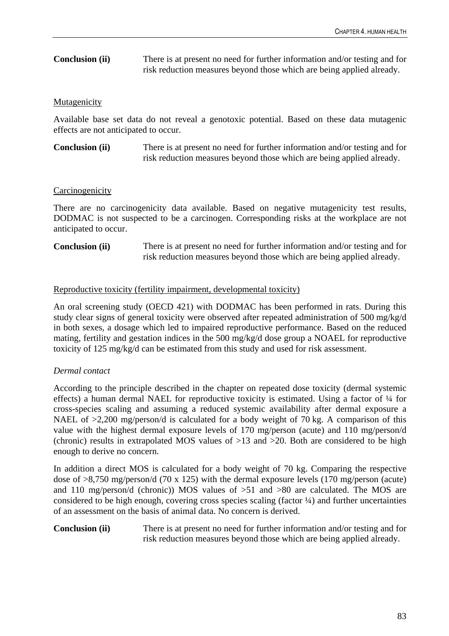# **Conclusion (ii)** There is at present no need for further information and/or testing and for risk reduction measures beyond those which are being applied already.

# **Mutagenicity**

Available base set data do not reveal a genotoxic potential. Based on these data mutagenic effects are not anticipated to occur.

**Conclusion (ii)** There is at present no need for further information and/or testing and for risk reduction measures beyond those which are being applied already.

### **Carcinogenicity**

There are no carcinogenicity data available. Based on negative mutagenicity test results, DODMAC is not suspected to be a carcinogen. Corresponding risks at the workplace are not anticipated to occur.

**Conclusion (ii)** There is at present no need for further information and/or testing and for risk reduction measures beyond those which are being applied already.

# Reproductive toxicity (fertility impairment, developmental toxicity)

An oral screening study (OECD 421) with DODMAC has been performed in rats. During this study clear signs of general toxicity were observed after repeated administration of 500 mg/kg/d in both sexes, a dosage which led to impaired reproductive performance. Based on the reduced mating, fertility and gestation indices in the 500 mg/kg/d dose group a NOAEL for reproductive toxicity of 125 mg/kg/d can be estimated from this study and used for risk assessment.

# *Dermal contact*

According to the principle described in the chapter on repeated dose toxicity (dermal systemic effects) a human dermal NAEL for reproductive toxicity is estimated. Using a factor of ¼ for cross-species scaling and assuming a reduced systemic availability after dermal exposure a NAEL of  $>2,200$  mg/person/d is calculated for a body weight of 70 kg. A comparison of this value with the highest dermal exposure levels of 170 mg/person (acute) and 110 mg/person/d (chronic) results in extrapolated MOS values of >13 and >20. Both are considered to be high enough to derive no concern.

In addition a direct MOS is calculated for a body weight of 70 kg. Comparing the respective dose of >8,750 mg/person/d (70 x 125) with the dermal exposure levels (170 mg/person (acute) and 110 mg/person/d (chronic)) MOS values of >51 and >80 are calculated. The MOS are considered to be high enough, covering cross species scaling (factor  $\frac{1}{4}$ ) and further uncertainties of an assessment on the basis of animal data. No concern is derived.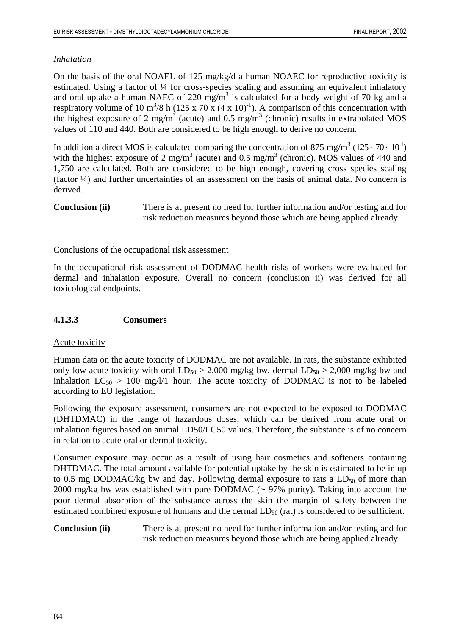# *Inhalation*

On the basis of the oral NOAEL of 125 mg/kg/d a human NOAEC for reproductive toxicity is estimated. Using a factor of ¼ for cross-species scaling and assuming an equivalent inhalatory and oral uptake a human NAEC of 220  $mg/m<sup>3</sup>$  is calculated for a body weight of 70 kg and a respiratory volume of 10 m<sup>3</sup>/8 h (125 x 70 x (4 x 10)<sup>-1</sup>). A comparison of this concentration with the highest exposure of 2 mg/m<sup>3</sup> (acute) and 0.5 mg/m<sup>3</sup> (chronic) results in extrapolated MOS values of 110 and 440. Both are considered to be high enough to derive no concern.

In addition a direct MOS is calculated comparing the concentration of 875 mg/m<sup>3</sup> (125 $\cdot$  70 $\cdot$  10<sup>-1</sup>) with the highest exposure of 2 mg/m<sup>3</sup> (acute) and 0.5 mg/m<sup>3</sup> (chronic). MOS values of 440 and 1,750 are calculated. Both are considered to be high enough, covering cross species scaling (factor ¼) and further uncertainties of an assessment on the basis of animal data. No concern is derived.

**Conclusion (ii)** There is at present no need for further information and/or testing and for risk reduction measures beyond those which are being applied already.

# Conclusions of the occupational risk assessment

In the occupational risk assessment of DODMAC health risks of workers were evaluated for dermal and inhalation exposure. Overall no concern (conclusion ii) was derived for all toxicological endpoints.

# **4.1.3.3 Consumers**

### Acute toxicity

Human data on the acute toxicity of DODMAC are not available. In rats, the substance exhibited only low acute toxicity with oral  $LD_{50} > 2,000$  mg/kg bw, dermal  $LD_{50} > 2,000$  mg/kg bw and inhalation  $LC_{50} > 100$  mg/l/1 hour. The acute toxicity of DODMAC is not to be labeled according to EU legislation.

Following the exposure assessment, consumers are not expected to be exposed to DODMAC (DHTDMAC) in the range of hazardous doses, which can be derived from acute oral or inhalation figures based on animal LD50/LC50 values. Therefore, the substance is of no concern in relation to acute oral or dermal toxicity.

Consumer exposure may occur as a result of using hair cosmetics and softeners containing DHTDMAC. The total amount available for potential uptake by the skin is estimated to be in up to 0.5 mg DODMAC/kg bw and day. Following dermal exposure to rats a  $LD_{50}$  of more than 2000 mg/kg bw was established with pure DODMAC (~ 97% purity). Taking into account the poor dermal absorption of the substance across the skin the margin of safety between the estimated combined exposure of humans and the dermal  $LD_{50}$  (rat) is considered to be sufficient.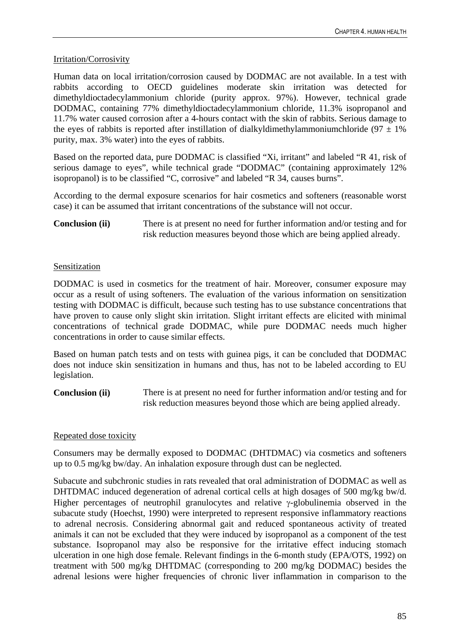# Irritation/Corrosivity

Human data on local irritation/corrosion caused by DODMAC are not available. In a test with rabbits according to OECD guidelines moderate skin irritation was detected for dimethyldioctadecylammonium chloride (purity approx. 97%). However, technical grade DODMAC, containing 77% dimethyldioctadecylammonium chloride, 11.3% isopropanol and 11.7% water caused corrosion after a 4-hours contact with the skin of rabbits. Serious damage to the eyes of rabbits is reported after instillation of dialkyldimethylammoniumchloride ( $97 \pm 1\%$ ) purity, max. 3% water) into the eyes of rabbits.

Based on the reported data, pure DODMAC is classified "Xi, irritant" and labeled "R 41, risk of serious damage to eyes", while technical grade "DODMAC" (containing approximately 12% isopropanol) is to be classified "C, corrosive" and labeled "R 34, causes burns".

According to the dermal exposure scenarios for hair cosmetics and softeners (reasonable worst case) it can be assumed that irritant concentrations of the substance will not occur.

**Conclusion (ii)** There is at present no need for further information and/or testing and for risk reduction measures beyond those which are being applied already.

# Sensitization

DODMAC is used in cosmetics for the treatment of hair. Moreover, consumer exposure may occur as a result of using softeners. The evaluation of the various information on sensitization testing with DODMAC is difficult, because such testing has to use substance concentrations that have proven to cause only slight skin irritation. Slight irritant effects are elicited with minimal concentrations of technical grade DODMAC, while pure DODMAC needs much higher concentrations in order to cause similar effects.

Based on human patch tests and on tests with guinea pigs, it can be concluded that DODMAC does not induce skin sensitization in humans and thus, has not to be labeled according to EU legislation.

**Conclusion (ii)** There is at present no need for further information and/or testing and for risk reduction measures beyond those which are being applied already.

# Repeated dose toxicity

Consumers may be dermally exposed to DODMAC (DHTDMAC) via cosmetics and softeners up to 0.5 mg/kg bw/day. An inhalation exposure through dust can be neglected.

Subacute and subchronic studies in rats revealed that oral administration of DODMAC as well as DHTDMAC induced degeneration of adrenal cortical cells at high dosages of 500 mg/kg bw/d. Higher percentages of neutrophil granulocytes and relative γ-globulinemia observed in the subacute study (Hoechst, 1990) were interpreted to represent responsive inflammatory reactions to adrenal necrosis. Considering abnormal gait and reduced spontaneous activity of treated animals it can not be excluded that they were induced by isopropanol as a component of the test substance. Isopropanol may also be responsive for the irritative effect inducing stomach ulceration in one high dose female. Relevant findings in the 6-month study (EPA/OTS, 1992) on treatment with 500 mg/kg DHTDMAC (corresponding to 200 mg/kg DODMAC) besides the adrenal lesions were higher frequencies of chronic liver inflammation in comparison to the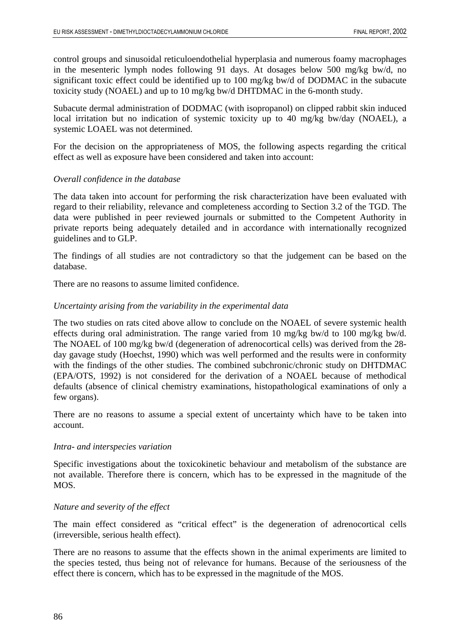control groups and sinusoidal reticuloendothelial hyperplasia and numerous foamy macrophages in the mesenteric lymph nodes following 91 days. At dosages below 500 mg/kg bw/d, no significant toxic effect could be identified up to 100 mg/kg bw/d of DODMAC in the subacute toxicity study (NOAEL) and up to 10 mg/kg bw/d DHTDMAC in the 6-month study.

Subacute dermal administration of DODMAC (with isopropanol) on clipped rabbit skin induced local irritation but no indication of systemic toxicity up to 40 mg/kg bw/day (NOAEL), a systemic LOAEL was not determined.

For the decision on the appropriateness of MOS, the following aspects regarding the critical effect as well as exposure have been considered and taken into account:

### *Overall confidence in the database*

The data taken into account for performing the risk characterization have been evaluated with regard to their reliability, relevance and completeness according to Section 3.2 of the TGD. The data were published in peer reviewed journals or submitted to the Competent Authority in private reports being adequately detailed and in accordance with internationally recognized guidelines and to GLP.

The findings of all studies are not contradictory so that the judgement can be based on the database.

There are no reasons to assume limited confidence.

# *Uncertainty arising from the variability in the experimental data*

The two studies on rats cited above allow to conclude on the NOAEL of severe systemic health effects during oral administration. The range varied from 10 mg/kg bw/d to 100 mg/kg bw/d. The NOAEL of 100 mg/kg bw/d (degeneration of adrenocortical cells) was derived from the 28 day gavage study (Hoechst, 1990) which was well performed and the results were in conformity with the findings of the other studies. The combined subchronic/chronic study on DHTDMAC (EPA/OTS, 1992) is not considered for the derivation of a NOAEL because of methodical defaults (absence of clinical chemistry examinations, histopathological examinations of only a few organs).

There are no reasons to assume a special extent of uncertainty which have to be taken into account.

### *Intra- and interspecies variation*

Specific investigations about the toxicokinetic behaviour and metabolism of the substance are not available. Therefore there is concern, which has to be expressed in the magnitude of the MOS.

### *Nature and severity of the effect*

The main effect considered as "critical effect" is the degeneration of adrenocortical cells (irreversible, serious health effect).

There are no reasons to assume that the effects shown in the animal experiments are limited to the species tested, thus being not of relevance for humans. Because of the seriousness of the effect there is concern, which has to be expressed in the magnitude of the MOS.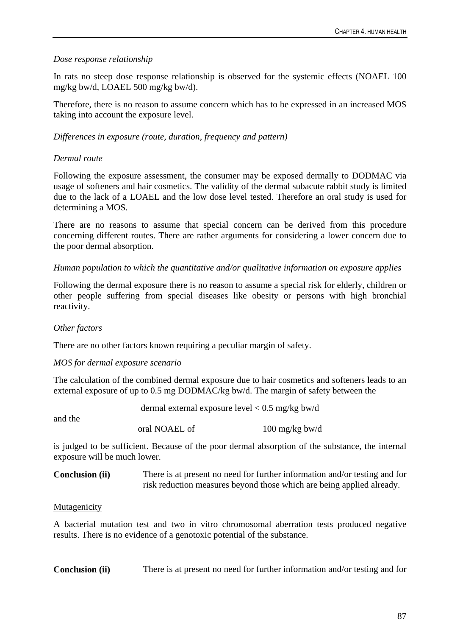# *Dose response relationship*

In rats no steep dose response relationship is observed for the systemic effects (NOAEL 100 mg/kg bw/d, LOAEL 500 mg/kg bw/d).

Therefore, there is no reason to assume concern which has to be expressed in an increased MOS taking into account the exposure level.

# *Differences in exposure (route, duration, frequency and pattern)*

# *Dermal route*

Following the exposure assessment, the consumer may be exposed dermally to DODMAC via usage of softeners and hair cosmetics. The validity of the dermal subacute rabbit study is limited due to the lack of a LOAEL and the low dose level tested. Therefore an oral study is used for determining a MOS.

There are no reasons to assume that special concern can be derived from this procedure concerning different routes. There are rather arguments for considering a lower concern due to the poor dermal absorption.

# *Human population to which the quantitative and/or qualitative information on exposure applies*

Following the dermal exposure there is no reason to assume a special risk for elderly, children or other people suffering from special diseases like obesity or persons with high bronchial reactivity.

### *Other factors*

There are no other factors known requiring a peculiar margin of safety.

### *MOS for dermal exposure scenario*

The calculation of the combined dermal exposure due to hair cosmetics and softeners leads to an external exposure of up to 0.5 mg DODMAC/kg bw/d. The margin of safety between the

|         | dermal external exposure level $< 0.5$ mg/kg bw/d |                          |  |
|---------|---------------------------------------------------|--------------------------|--|
| and the | oral NOAEL of                                     | $100 \text{ mg/kg}$ bw/d |  |
|         |                                                   |                          |  |

is judged to be sufficient. Because of the poor dermal absorption of the substance, the internal exposure will be much lower.

**Conclusion (ii)** There is at present no need for further information and/or testing and for risk reduction measures beyond those which are being applied already.

### **Mutagenicity**

A bacterial mutation test and two in vitro chromosomal aberration tests produced negative results. There is no evidence of a genotoxic potential of the substance.

**Conclusion (ii)** There is at present no need for further information and/or testing and for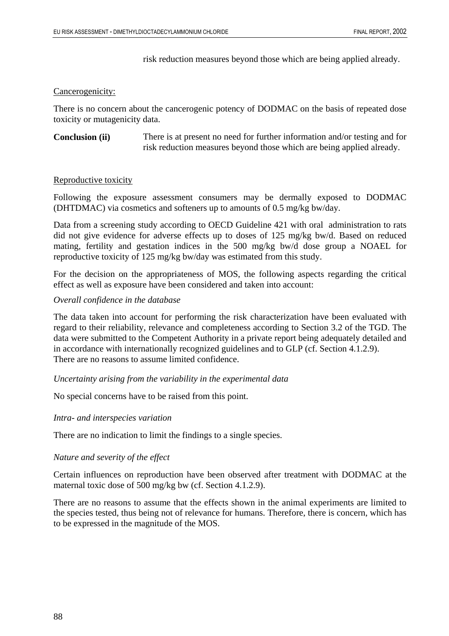risk reduction measures beyond those which are being applied already.

#### Cancerogenicity:

There is no concern about the cancerogenic potency of DODMAC on the basis of repeated dose toxicity or mutagenicity data.

**Conclusion (ii)** There is at present no need for further information and/or testing and for risk reduction measures beyond those which are being applied already.

#### Reproductive toxicity

Following the exposure assessment consumers may be dermally exposed to DODMAC (DHTDMAC) via cosmetics and softeners up to amounts of 0.5 mg/kg bw/day.

Data from a screening study according to OECD Guideline 421 with oral administration to rats did not give evidence for adverse effects up to doses of 125 mg/kg bw/d. Based on reduced mating, fertility and gestation indices in the 500 mg/kg bw/d dose group a NOAEL for reproductive toxicity of 125 mg/kg bw/day was estimated from this study.

For the decision on the appropriateness of MOS, the following aspects regarding the critical effect as well as exposure have been considered and taken into account:

#### *Overall confidence in the database*

The data taken into account for performing the risk characterization have been evaluated with regard to their reliability, relevance and completeness according to Section 3.2 of the TGD. The data were submitted to the Competent Authority in a private report being adequately detailed and in accordance with internationally recognized guidelines and to GLP (cf. Section 4.1.2.9). There are no reasons to assume limited confidence.

*Uncertainty arising from the variability in the experimental data* 

No special concerns have to be raised from this point.

#### *Intra- and interspecies variation*

There are no indication to limit the findings to a single species.

#### *Nature and severity of the effect*

Certain influences on reproduction have been observed after treatment with DODMAC at the maternal toxic dose of 500 mg/kg bw (cf. Section 4.1.2.9).

There are no reasons to assume that the effects shown in the animal experiments are limited to the species tested, thus being not of relevance for humans. Therefore, there is concern, which has to be expressed in the magnitude of the MOS.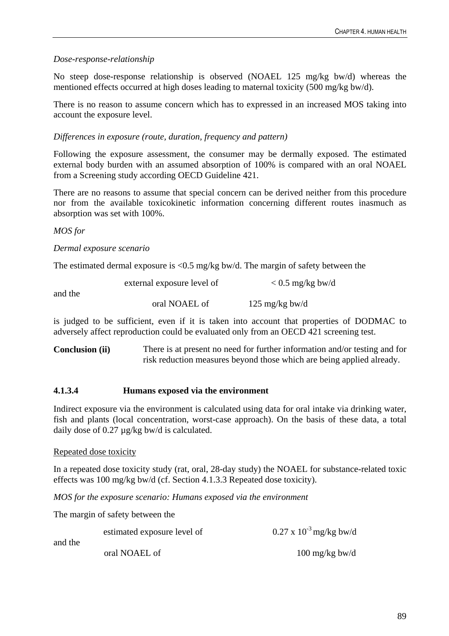# *Dose-response-relationship*

No steep dose-response relationship is observed (NOAEL 125 mg/kg bw/d) whereas the mentioned effects occurred at high doses leading to maternal toxicity (500 mg/kg bw/d).

There is no reason to assume concern which has to expressed in an increased MOS taking into account the exposure level.

# *Differences in exposure (route, duration, frequency and pattern)*

Following the exposure assessment, the consumer may be dermally exposed. The estimated external body burden with an assumed absorption of 100% is compared with an oral NOAEL from a Screening study according OECD Guideline 421.

There are no reasons to assume that special concern can be derived neither from this procedure nor from the available toxicokinetic information concerning different routes inasmuch as absorption was set with 100%.

# *MOS for*

# *Dermal exposure scenario*

The estimated dermal exposure is  $\langle 0.5 \rangle$  mg/kg bw/d. The margin of safety between the

|         | external exposure level of | $< 0.5$ mg/kg bw/d       |
|---------|----------------------------|--------------------------|
| and the |                            |                          |
|         | oral NOAEL of              | $125 \text{ mg/kg}$ bw/d |

is judged to be sufficient, even if it is taken into account that properties of DODMAC to adversely affect reproduction could be evaluated only from an OECD 421 screening test.

**Conclusion (ii)** There is at present no need for further information and/or testing and for risk reduction measures beyond those which are being applied already.

### **4.1.3.4 Humans exposed via the environment**

Indirect exposure via the environment is calculated using data for oral intake via drinking water, fish and plants (local concentration, worst-case approach). On the basis of these data, a total daily dose of 0.27 µg/kg bw/d is calculated.

### Repeated dose toxicity

In a repeated dose toxicity study (rat, oral, 28-day study) the NOAEL for substance-related toxic effects was 100 mg/kg bw/d (cf. Section 4.1.3.3 Repeated dose toxicity).

*MOS for the exposure scenario: Humans exposed via the environment*

The margin of safety between the

|         | estimated exposure level of | $0.27 \times 10^{-3}$ mg/kg bw/d |
|---------|-----------------------------|----------------------------------|
| and the | oral NOAEL of               | $100 \text{ mg/kg}$ bw/d         |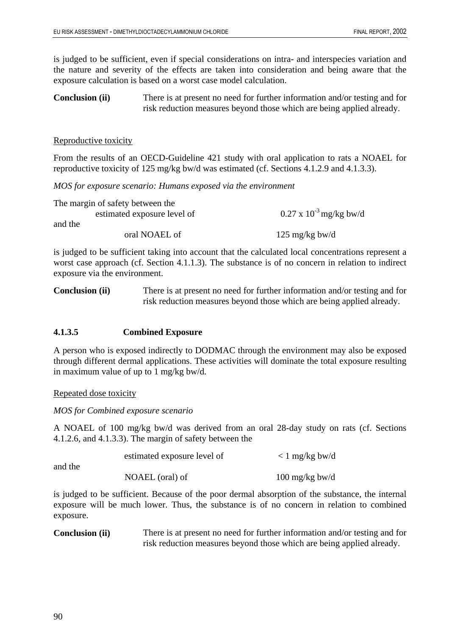is judged to be sufficient, even if special considerations on intra- and interspecies variation and the nature and severity of the effects are taken into consideration and being aware that the exposure calculation is based on a worst case model calculation.

**Conclusion (ii)** There is at present no need for further information and/or testing and for risk reduction measures beyond those which are being applied already.

### Reproductive toxicity

From the results of an OECD-Guideline 421 study with oral application to rats a NOAEL for reproductive toxicity of 125 mg/kg bw/d was estimated (cf. Sections 4.1.2.9 and 4.1.3.3).

*MOS for exposure scenario: Humans exposed via the environment*

| The margin of safety between the |                                  |
|----------------------------------|----------------------------------|
| estimated exposure level of      | $0.27 \times 10^{-3}$ mg/kg bw/d |
| and the                          |                                  |
| oral NOAEL of                    | 125 mg/kg bw/d                   |

is judged to be sufficient taking into account that the calculated local concentrations represent a worst case approach (cf. Section 4.1.1.3). The substance is of no concern in relation to indirect exposure via the environment.

**Conclusion (ii)** There is at present no need for further information and/or testing and for risk reduction measures beyond those which are being applied already.

### **4.1.3.5 Combined Exposure**

A person who is exposed indirectly to DODMAC through the environment may also be exposed through different dermal applications. These activities will dominate the total exposure resulting in maximum value of up to 1 mg/kg bw/d.

Repeated dose toxicity

*MOS for Combined exposure scenario* 

A NOAEL of 100 mg/kg bw/d was derived from an oral 28-day study on rats (cf. Sections 4.1.2.6, and 4.1.3.3). The margin of safety between the

| and the | estimated exposure level of | $\langle$ 1 mg/kg bw/d   |
|---------|-----------------------------|--------------------------|
|         | NOAEL (oral) of             | $100 \text{ mg/kg}$ bw/d |

is judged to be sufficient. Because of the poor dermal absorption of the substance, the internal exposure will be much lower. Thus, the substance is of no concern in relation to combined exposure.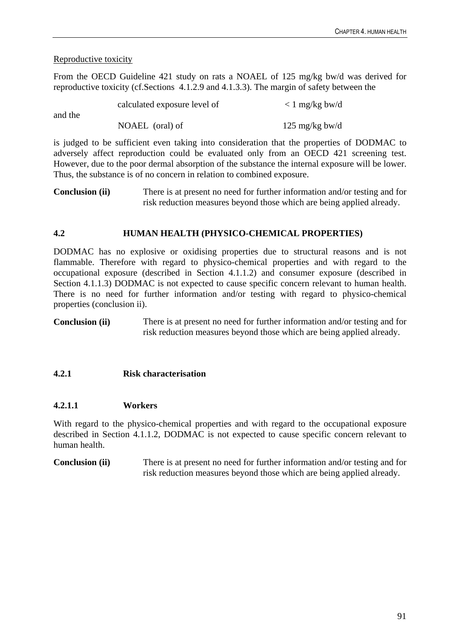# Reproductive toxicity

From the OECD Guideline 421 study on rats a NOAEL of 125 mg/kg bw/d was derived for reproductive toxicity (cf.Sections 4.1.2.9 and 4.1.3.3). The margin of safety between the

| and the | calculated exposure level of | $\langle$ 1 mg/kg bw/d |
|---------|------------------------------|------------------------|
|         | NOAEL (oral) of              | 125 mg/kg bw/d         |

is judged to be sufficient even taking into consideration that the properties of DODMAC to adversely affect reproduction could be evaluated only from an OECD 421 screening test. However, due to the poor dermal absorption of the substance the internal exposure will be lower. Thus, the substance is of no concern in relation to combined exposure.

**Conclusion (ii)** There is at present no need for further information and/or testing and for risk reduction measures beyond those which are being applied already.

# **4.2 HUMAN HEALTH (PHYSICO-CHEMICAL PROPERTIES)**

DODMAC has no explosive or oxidising properties due to structural reasons and is not flammable. Therefore with regard to physico-chemical properties and with regard to the occupational exposure (described in Section 4.1.1.2) and consumer exposure (described in Section 4.1.1.3) DODMAC is not expected to cause specific concern relevant to human health. There is no need for further information and/or testing with regard to physico-chemical properties (conclusion ii).

**Conclusion (ii)** There is at present no need for further information and/or testing and for risk reduction measures beyond those which are being applied already.

# **4.2.1 Risk characterisation**

# **4.2.1.1 Workers**

With regard to the physico-chemical properties and with regard to the occupational exposure described in Section 4.1.1.2, DODMAC is not expected to cause specific concern relevant to human health.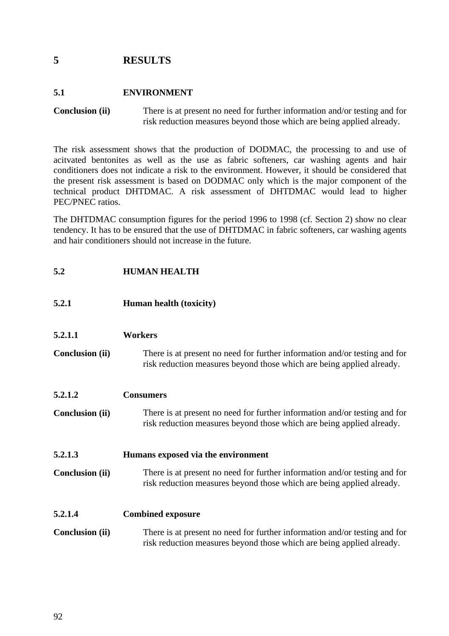# **5 RESULTS**

# **5.1 ENVIRONMENT**

**Conclusion (ii)** There is at present no need for further information and/or testing and for risk reduction measures beyond those which are being applied already.

The risk assessment shows that the production of DODMAC, the processing to and use of acitvated bentonites as well as the use as fabric softeners, car washing agents and hair conditioners does not indicate a risk to the environment. However, it should be considered that the present risk assessment is based on DODMAC only which is the major component of the technical product DHTDMAC. A risk assessment of DHTDMAC would lead to higher PEC/PNEC ratios.

The DHTDMAC consumption figures for the period 1996 to 1998 (cf. Section 2) show no clear tendency. It has to be ensured that the use of DHTDMAC in fabric softeners, car washing agents and hair conditioners should not increase in the future.

# **5.2 HUMAN HEALTH**

- **5.2.1 Human health (toxicity)**
- **5.2.1.1 Workers**
- **Conclusion (ii)** There is at present no need for further information and/or testing and for risk reduction measures beyond those which are being applied already.
- **5.2.1.2 Consumers**
- **Conclusion (ii)** There is at present no need for further information and/or testing and for risk reduction measures beyond those which are being applied already.

### **5.2.1.3 Humans exposed via the environment**

**Conclusion (ii)** There is at present no need for further information and/or testing and for risk reduction measures beyond those which are being applied already.

### **5.2.1.4 Combined exposure**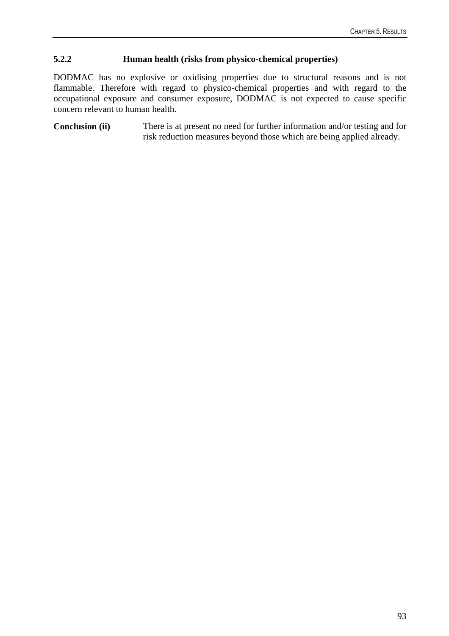# **5.2.2 Human health (risks from physico-chemical properties)**

DODMAC has no explosive or oxidising properties due to structural reasons and is not flammable. Therefore with regard to physico-chemical properties and with regard to the occupational exposure and consumer exposure, DODMAC is not expected to cause specific concern relevant to human health.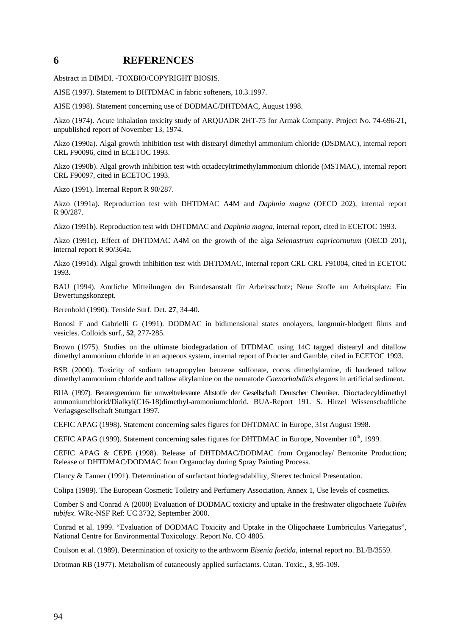### **6 REFERENCES**

Abstract in DIMDI. -TOXBIO/COPYRIGHT BIOSIS.

AISE (1997). Statement to DHTDMAC in fabric softeners, 10.3.1997.

AISE (1998). Statement concerning use of DODMAC/DHTDMAC, August 1998.

Akzo (1974). Acute inhalation toxicity study of ARQUADR 2HT-75 for Armak Company. Project No. 74-696-21, unpublished report of November 13, 1974.

Akzo (1990a). Algal growth inhibition test with distearyl dimethyl ammonium chloride (DSDMAC), internal report CRL F90096, cited in ECETOC 1993.

Akzo (1990b). Algal growth inhibition test with octadecyltrimethylammonium chloride (MSTMAC), internal report CRL F90097, cited in ECETOC 1993.

Akzo (1991). Internal Report R 90/287.

Akzo (1991a). Reproduction test with DHTDMAC A4M and *Daphnia magna* (OECD 202), internal report R 90/287.

Akzo (1991b). Reproduction test with DHTDMAC and *Daphnia magna*, internal report, cited in ECETOC 1993.

Akzo (1991c). Effect of DHTDMAC A4M on the growth of the alga *Selenastrum capricornutum* (OECD 201), internal report R 90/364a.

Akzo (1991d). Algal growth inhibition test with DHTDMAC, internal report CRL CRL F91004, cited in ECETOC 1993.

BAU (1994). Amtliche Mitteilungen der Bundesanstalt für Arbeitsschutz; Neue Stoffe am Arbeitsplatz: Ein Bewertungskonzept.

Berenbold (1990). Tenside Surf. Det. **27**, 34-40.

Bonosi F and Gabrielli G (1991). DODMAC in bidimensional states onolayers, langmuir-blodgett films and vesicles. Colloids surf., **52**, 277-285.

Brown (1975). Studies on the ultimate biodegradation of DTDMAC using 14C tagged distearyl and ditallow dimethyl ammonium chloride in an aqueous system, internal report of Procter and Gamble, cited in ECETOC 1993.

BSB (2000). Toxicity of sodium tetrapropylen benzene sulfonate, cocos dimethylamine, di hardened tallow dimethyl ammonium chloride and tallow alkylamine on the nematode *Caenorhabditis elegans* in artificial sediment.

BUA (1997). Beratergremium für umweltrelevante Altstoffe der Gesellschaft Deutscher Chemiker. Dioctadecyldimethyl ammoniumchlorid/Dialkyl(C16-18)dimethyl-ammoniumchlorid. BUA-Report 191. S. Hirzel Wissenschaftliche Verlagsgesellschaft Stuttgart 1997.

CEFIC APAG (1998). Statement concerning sales figures for DHTDMAC in Europe, 31st August 1998.

CEFIC APAG (1999). Statement concerning sales figures for DHTDMAC in Europe, November 10<sup>th</sup>, 1999.

CEFIC APAG & CEPE (1998). Release of DHTDMAC/DODMAC from Organoclay/ Bentonite Production; Release of DHTDMAC/DODMAC from Organoclay during Spray Painting Process.

Clancy & Tanner (1991). Determination of surfactant biodegradability, Sherex technical Presentation.

Colipa (1989). The European Cosmetic Toiletry and Perfumery Association, Annex 1, Use levels of cosmetics.

Comber S and Conrad A (2000) Evaluation of DODMAC toxicity and uptake in the freshwater oligochaete *Tubifex tubifex*. WRc-NSF Ref: UC 3732, September 2000.

Conrad et al. 1999. "Evaluation of DODMAC Toxicity and Uptake in the Oligochaete Lumbriculus Variegatus", National Centre for Environmental Toxicology. Report No. CO 4805.

Coulson et al. (1989). Determination of toxicity to the arthworm *Eisenia foetida*, internal report no. BL/B/3559.

Drotman RB (1977). Metabolism of cutaneously applied surfactants. Cutan. Toxic., **3**, 95-109.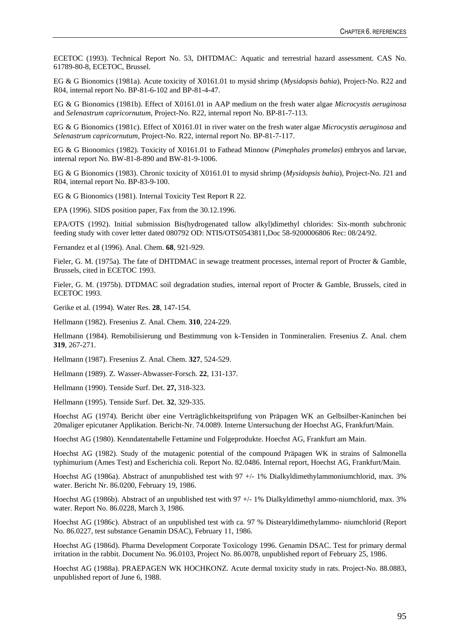ECETOC (1993). Technical Report No. 53, DHTDMAC: Aquatic and terrestrial hazard assessment. CAS No. 61789-80-8, ECETOC, Brussel.

EG & G Bionomics (1981a). Acute toxicity of X0161.01 to mysid shrimp (*Mysidopsis bahia*), Project-No. R22 and R04, internal report No. BP-81-6-102 and BP-81-4-47.

EG & G Bionomics (1981b). Effect of X0161.01 in AAP medium on the fresh water algae *Microcystis aeruginosa* and *Selenastrum capricornutum*, Project-No. R22, internal report No. BP-81-7-113.

EG & G Bionomics (1981c). Effect of X0161.01 in river water on the fresh water algae *Microcystis aeruginosa* and *Selenastrum capricornutum*, Project-No. R22, internal report No. BP-81-7-117.

EG & G Bionomics (1982). Toxicity of X0161.01 to Fathead Minnow (*Pimephales promelas*) embryos and larvae, internal report No. BW-81-8-890 and BW-81-9-1006.

EG & G Bionomics (1983). Chronic toxicity of X0161.01 to mysid shrimp (*Mysidopsis bahia*), Project-No. J21 and R04, internal report No. BP-83-9-100.

EG & G Bionomics (1981). Internal Toxicity Test Report R 22.

EPA (1996). SIDS position paper, Fax from the 30.12.1996.

EPA/OTS (1992). Initial submission Bis(hydrogenated tallow alkyl)dimethyl chlorides: Six-month subchronic feeding study with cover letter dated 080792 OD: NTIS/OTS0543811,Doc 58-9200006806 Rec: 08/24/92.

Fernandez et al (1996). Anal. Chem. **68**, 921-929.

Fieler, G. M. (1975a). The fate of DHTDMAC in sewage treatment processes, internal report of Procter & Gamble, Brussels, cited in ECETOC 1993.

Fieler, G. M. (1975b). DTDMAC soil degradation studies, internal report of Procter & Gamble, Brussels, cited in ECETOC 1993.

Gerike et al. (1994). Water Res. **28**, 147-154.

Hellmann (1982). Fresenius Z. Anal. Chem. **310**, 224-229.

Hellmann (1984). Remobilisierung und Bestimmung von k-Tensiden in Tonmineralien. Fresenius Z. Anal. chem **319**, 267-271.

Hellmann (1987). Fresenius Z. Anal. Chem. **327**, 524-529.

Hellmann (1989). Z. Wasser-Abwasser-Forsch. **22**, 131-137.

Hellmann (1990). Tenside Surf. Det. **27,** 318-323.

Hellmann (1995). Tenside Surf. Det. **32**, 329-335.

Hoechst AG (1974). Bericht über eine Verträglichkeitsprüfung von Präpagen WK an Gelbsilber-Kaninchen bei 20maliger epicutaner Applikation. Bericht-Nr. 74.0089. Interne Untersuchung der Hoechst AG, Frankfurt/Main.

Hoechst AG (1980). Kenndatentabelle Fettamine und Folgeprodukte. Hoechst AG, Frankfurt am Main.

Hoechst AG (1982). Study of the mutagenic potential of the compound Präpagen WK in strains of Salmonella typhimurium (Ames Test) and Escherichia coli. Report No. 82.0486. Internal report, Hoechst AG, Frankfurt/Main.

Hoechst AG (1986a). Abstract of anunpublished test with 97 +/- 1% Dialkyldimethylammoniumchlorid, max. 3% water. Bericht Nr. 86.0200, February 19, 1986.

Hoechst AG (1986b). Abstract of an unpublished test with 97 +/- 1% Dialkyldimethyl ammo-niumchlorid, max. 3% water. Report No. 86.0228, March 3, 1986.

Hoechst AG (1986c). Abstract of an unpublished test with ca. 97 % Distearyldimethylammo- niumchlorid (Report No. 86.0227, test substance Genamin DSAC), February 11, 1986.

Hoechst AG (1986d). Pharma Development Corporate Toxicology 1996. Genamin DSAC. Test for primary dermal irritation in the rabbit. Document No. 96.0103, Project No. 86.0078, unpublished report of February 25, 1986.

Hoechst AG (1988a). PRAEPAGEN WK HOCHKONZ. Acute dermal toxicity study in rats. Project-No. 88.0883, unpublished report of June 6, 1988.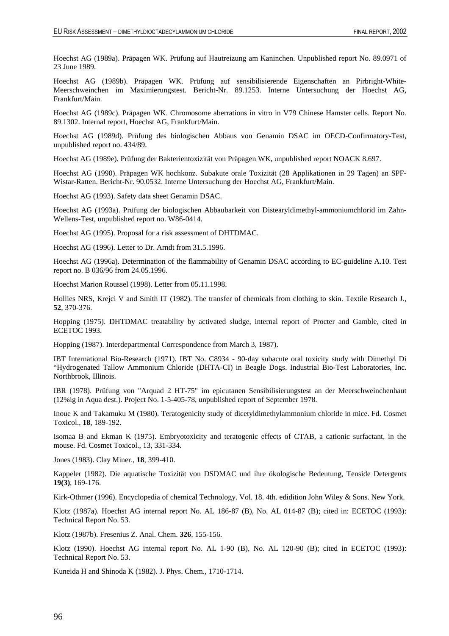Hoechst AG (1989a). Präpagen WK. Prüfung auf Hautreizung am Kaninchen. Unpublished report No. 89.0971 of 23 June 1989.

Hoechst AG (1989b). Präpagen WK. Prüfung auf sensibilisierende Eigenschaften an Pirbright-White-Meerschweinchen im Maximierungstest. Bericht-Nr. 89.1253. Interne Untersuchung der Hoechst AG, Frankfurt/Main.

Hoechst AG (1989c). Präpagen WK. Chromosome aberrations in vitro in V79 Chinese Hamster cells. Report No. 89.1302. Internal report, Hoechst AG, Frankfurt/Main.

Hoechst AG (1989d). Prüfung des biologischen Abbaus von Genamin DSAC im OECD-Confirmatory-Test, unpublished report no. 434/89.

Hoechst AG (1989e). Prüfung der Bakterientoxizität von Präpagen WK, unpublished report NOACK 8.697.

Hoechst AG (1990). Präpagen WK hochkonz. Subakute orale Toxizität (28 Applikationen in 29 Tagen) an SPF-Wistar-Ratten. Bericht-Nr. 90.0532. Interne Untersuchung der Hoechst AG, Frankfurt/Main.

Hoechst AG (1993). Safety data sheet Genamin DSAC.

Hoechst AG (1993a). Prüfung der biologischen Abbaubarkeit von Distearyldimethyl-ammoniumchlorid im Zahn-Wellens-Test, unpublished report no. W86-0414.

Hoechst AG (1995). Proposal for a risk assessment of DHTDMAC.

Hoechst AG (1996). Letter to Dr. Arndt from 31.5.1996.

Hoechst AG (1996a). Determination of the flammability of Genamin DSAC according to EC-guideline A.10. Test report no. B 036/96 from 24.05.1996.

Hoechst Marion Roussel (1998). Letter from 05.11.1998.

Hollies NRS, Krejci V and Smith IT (1982). The transfer of chemicals from clothing to skin. Textile Research J., **52**, 370-376.

Hopping (1975). DHTDMAC treatability by activated sludge, internal report of Procter and Gamble, cited in ECETOC 1993.

Hopping (1987). Interdepartmental Correspondence from March 3, 1987).

IBT International Bio-Research (1971). IBT No. C8934 - 90-day subacute oral toxicity study with Dimethyl Di "Hydrogenated Tallow Ammonium Chloride (DHTA-CI) in Beagle Dogs. Industrial Bio-Test Laboratories, Inc. Northbrook, Illinois.

IBR (1978). Prüfung von "Arquad 2 HT-75" im epicutanen Sensibilisierungstest an der Meerschweinchenhaut (12%ig in Aqua dest.). Project No. 1-5-405-78, unpublished report of September 1978.

Inoue K and Takamuku M (1980). Teratogenicity study of dicetyldimethylammonium chloride in mice. Fd. Cosmet Toxicol., **18**, 189-192.

Isomaa B and Ekman K (1975). Embryotoxicity and teratogenic effects of CTAB, a cationic surfactant, in the mouse. Fd. Cosmet Toxicol., 13, 331-334.

Jones (1983). Clay Miner., **18**, 399-410.

Kappeler (1982). Die aquatische Toxizität von DSDMAC und ihre ökologische Bedeutung, Tenside Detergents **19(3)**, 169-176.

Kirk-Othmer (1996). Encyclopedia of chemical Technology. Vol. 18. 4th. edidition John Wiley & Sons. New York.

Klotz (1987a). Hoechst AG internal report No. AL 186-87 (B), No. AL 014-87 (B); cited in: ECETOC (1993): Technical Report No. 53.

Klotz (1987b). Fresenius Z. Anal. Chem. **326**, 155-156.

Klotz (1990). Hoechst AG internal report No. AL 1-90 (B), No. AL 120-90 (B); cited in ECETOC (1993): Technical Report No. 53.

Kuneida H and Shinoda K (1982). J. Phys. Chem., 1710-1714.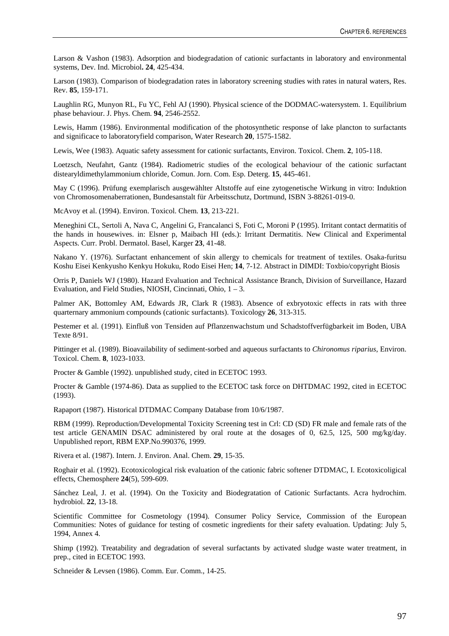Larson & Vashon (1983). Adsorption and biodegradation of cationic surfactants in laboratory and environmental systems, Dev. Ind. Microbiol**. 24**, 425-434.

Larson (1983). Comparison of biodegradation rates in laboratory screening studies with rates in natural waters, Res. Rev. **85**, 159-171.

Laughlin RG, Munyon RL, Fu YC, Fehl AJ (1990). Physical science of the DODMAC-watersystem. 1. Equilibrium phase behaviour. J. Phys. Chem. **94**, 2546-2552.

Lewis, Hamm (1986). Environmental modification of the photosynthetic response of lake plancton to surfactants and significace to laboratoryfield comparison, Water Research **20**, 1575-1582.

Lewis, Wee (1983). Aquatic safety assessment for cationic surfactants, Environ. Toxicol. Chem. **2**, 105-118.

Loetzsch, Neufahrt, Gantz (1984). Radiometric studies of the ecological behaviour of the cationic surfactant distearyldimethylammonium chloride, Comun. Jorn. Com. Esp. Deterg. **15**, 445-461.

May C (1996). Prüfung exemplarisch ausgewählter Altstoffe auf eine zytogenetische Wirkung in vitro: Induktion von Chromosomenaberrationen, Bundesanstalt für Arbeitsschutz, Dortmund, ISBN 3-88261-019-0.

McAvoy et al. (1994). Environ. Toxicol. Chem. **13**, 213-221.

Meneghini CL, Sertoli A, Nava C, Angelini G, Francalanci S, Foti C, Moroni P (1995). Irritant contact dermatitis of the hands in housewives. in: Elsner p, Maibach HI (eds.): Irritant Dermatitis. New Clinical and Experimental Aspects. Curr. Probl. Dermatol. Basel, Karger **23**, 41-48.

Nakano Y. (1976). Surfactant enhancement of skin allergy to chemicals for treatment of textiles. Osaka-furitsu Koshu Eisei Kenkyusho Kenkyu Hokuku, Rodo Eisei Hen; **14**, 7-12. Abstract in DIMDI: Toxbio/copyright Biosis

Orris P, Daniels WJ (1980). Hazard Evaluation and Technical Assistance Branch, Division of Surveillance, Hazard Evaluation, and Field Studies, NIOSH, Cincinnati, Ohio, 1 – 3.

Palmer AK, Bottomley AM, Edwards JR, Clark R (1983). Absence of exbryotoxic effects in rats with three quarternary ammonium compounds (cationic surfactants). Toxicology **26**, 313-315.

Pestemer et al. (1991). Einfluß von Tensiden auf Pflanzenwachstum und Schadstoffverfügbarkeit im Boden, UBA Texte 8/91.

Pittinger et al. (1989). Bioavailability of sediment-sorbed and aqueous surfactants to *Chironomus riparius*, Environ. Toxicol. Chem. **8**, 1023-1033.

Procter & Gamble (1992). unpublished study, cited in ECETOC 1993.

Procter & Gamble (1974-86). Data as supplied to the ECETOC task force on DHTDMAC 1992, cited in ECETOC (1993).

Rapaport (1987). Historical DTDMAC Company Database from 10/6/1987.

RBM (1999). Reproduction/Developmental Toxicity Screening test in Crl: CD (SD) FR male and female rats of the test article GENAMIN DSAC administered by oral route at the dosages of 0, 62.5, 125, 500 mg/kg/day. Unpublished report, RBM EXP.No.990376, 1999.

Rivera et al. (1987). Intern. J. Environ. Anal. Chem. **29**, 15-35.

Roghair et al. (1992). Ecotoxicological risk evaluation of the cationic fabric softener DTDMAC, I. Ecotoxicoligical effects, Chemosphere **24**(5), 599-609.

Sánchez Leal, J. et al. (1994). On the Toxicity and Biodegratation of Cationic Surfactants. Acra hydrochim. hydrobiol. **22**, 13-18.

Scientific Committee for Cosmetology (1994). Consumer Policy Service, Commission of the European Communities: Notes of guidance for testing of cosmetic ingredients for their safety evaluation. Updating: July 5, 1994, Annex 4.

Shimp (1992). Treatability and degradation of several surfactants by activated sludge waste water treatment, in prep., cited in ECETOC 1993.

Schneider & Levsen (1986). Comm. Eur. Comm., 14-25.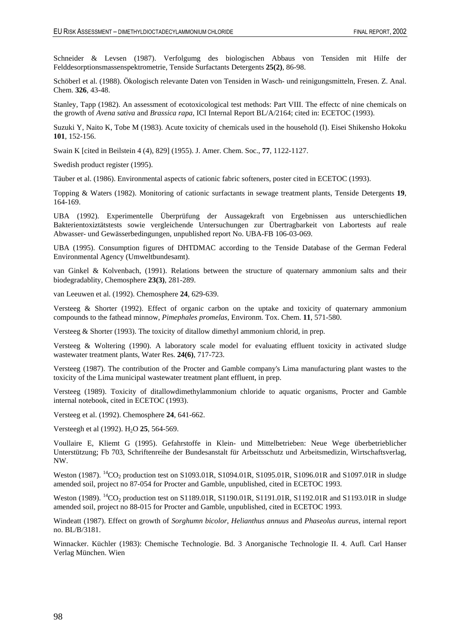Schneider & Levsen (1987). Verfolgumg des biologischen Abbaus von Tensiden mit Hilfe der Felddesorptionsmassenspektrometrie, Tenside Surfactants Detergents **25(2)**, 86-98.

Schöberl et al. (1988). Ökologisch relevante Daten von Tensiden in Wasch- und reinigungsmitteln, Fresen. Z. Anal. Chem. **326**, 43-48.

Stanley, Tapp (1982). An assessment of ecotoxicological test methods: Part VIII. The effectc of nine chemicals on the growth of *Avena sativa* and *Brassica rapa*, ICI Internal Report BL/A/2164; cited in: ECETOC (1993).

Suzuki Y, Naito K, Tobe M (1983). Acute toxicity of chemicals used in the household (I). Eisei Shikensho Hokoku **101**, 152-156.

Swain K [cited in Beilstein 4 (4), 829] (1955). J. Amer. Chem. Soc., **77**, 1122-1127.

Swedish product register (1995).

Täuber et al. (1986). Environmental aspects of cationic fabric softeners, poster cited in ECETOC (1993).

Topping & Waters (1982). Monitoring of cationic surfactants in sewage treatment plants, Tenside Detergents **19**, 164-169.

UBA (1992). Experimentelle Überprüfung der Aussagekraft von Ergebnissen aus unterschiedlichen Bakterientoxiztätstests sowie vergleichende Untersuchungen zur Übertragbarkeit von Labortests auf reale Abwasser- und Gewässerbedingungen, unpublished report No. UBA-FB 106-03-069.

UBA (1995). Consumption figures of DHTDMAC according to the Tenside Database of the German Federal Environmental Agency (Umweltbundesamt).

van Ginkel & Kolvenbach, (1991). Relations between the structure of quaternary ammonium salts and their biodegradablity, Chemosphere **23(3)**, 281-289.

van Leeuwen et al. (1992). Chemosphere **24**, 629-639.

Versteeg & Shorter (1992). Effect of organic carbon on the uptake and toxicity of quaternary ammonium compounds to the fathead minnow, *Pimephales promelas*, Environm. Tox. Chem. **11**, 571-580.

Versteeg & Shorter (1993). The toxicity of ditallow dimethyl ammonium chlorid, in prep.

Versteeg & Woltering (1990). A laboratory scale model for evaluating effluent toxicity in activated sludge wastewater treatment plants, Water Res. **24(6)**, 717-723.

Versteeg (1987). The contribution of the Procter and Gamble company's Lima manufacturing plant wastes to the toxicity of the Lima municipal wastewater treatment plant effluent, in prep.

Versteeg (1989). Toxicity of ditallowdimethylammonium chloride to aquatic organisms, Procter and Gamble internal notebook, cited in ECETOC (1993).

Versteeg et al. (1992). Chemosphere **24**, 641-662.

Versteegh et al (1992). H2O **25**, 564-569.

Voullaire E, Kliemt G (1995). Gefahrstoffe in Klein- und Mittelbetrieben: Neue Wege überbetrieblicher Unterstützung; Fb 703, Schriftenreihe der Bundesanstalt für Arbeitsschutz und Arbeitsmedizin, Wirtschaftsverlag, NW.

Weston (1987). <sup>14</sup>CO<sub>2</sub> production test on S1093.01R, S1094.01R, S1095.01R, S1096.01R and S1097.01R in sludge amended soil, project no 87-054 for Procter and Gamble, unpublished, cited in ECETOC 1993.

Weston (1989). <sup>14</sup>CO<sub>2</sub> production test on S1189.01R, S1190.01R, S1191.01R, S1192.01R and S1193.01R in sludge amended soil, project no 88-015 for Procter and Gamble, unpublished, cited in ECETOC 1993.

Windeatt (1987). Effect on growth of *Sorghumn bicolor*, *Helianthus annuus* and *Phaseolus aureus*, internal report no. BL/B/3181.

Winnacker. Küchler (1983): Chemische Technologie. Bd. 3 Anorganische Technologie II. 4. Aufl. Carl Hanser Verlag München. Wien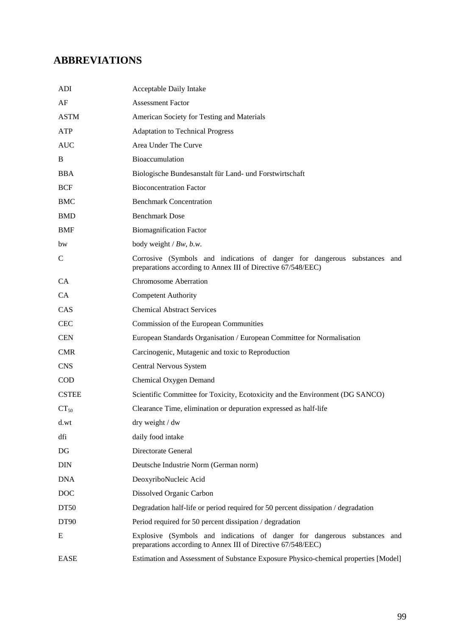## **ABBREVIATIONS**

| ADI          | Acceptable Daily Intake                                                                                                                   |
|--------------|-------------------------------------------------------------------------------------------------------------------------------------------|
| AF           | <b>Assessment Factor</b>                                                                                                                  |
| <b>ASTM</b>  | American Society for Testing and Materials                                                                                                |
| <b>ATP</b>   | <b>Adaptation to Technical Progress</b>                                                                                                   |
| <b>AUC</b>   | Area Under The Curve                                                                                                                      |
| B            | Bioaccumulation                                                                                                                           |
| <b>BBA</b>   | Biologische Bundesanstalt für Land- und Forstwirtschaft                                                                                   |
| <b>BCF</b>   | <b>Bioconcentration Factor</b>                                                                                                            |
| <b>BMC</b>   | <b>Benchmark Concentration</b>                                                                                                            |
| <b>BMD</b>   | <b>Benchmark Dose</b>                                                                                                                     |
| <b>BMF</b>   | <b>Biomagnification Factor</b>                                                                                                            |
| bw           | body weight $/Bw$ , $b.w$ .                                                                                                               |
| $\mathsf{C}$ | Corrosive (Symbols and indications of danger for dangerous substances and<br>preparations according to Annex III of Directive 67/548/EEC) |
| CA           | <b>Chromosome Aberration</b>                                                                                                              |
| CA           | <b>Competent Authority</b>                                                                                                                |
| CAS          | <b>Chemical Abstract Services</b>                                                                                                         |
| <b>CEC</b>   | Commission of the European Communities                                                                                                    |
| <b>CEN</b>   | European Standards Organisation / European Committee for Normalisation                                                                    |
| <b>CMR</b>   | Carcinogenic, Mutagenic and toxic to Reproduction                                                                                         |
| <b>CNS</b>   | Central Nervous System                                                                                                                    |
| <b>COD</b>   | Chemical Oxygen Demand                                                                                                                    |
| <b>CSTEE</b> | Scientific Committee for Toxicity, Ecotoxicity and the Environment (DG SANCO)                                                             |
| $CT_{50}$    | Clearance Time, elimination or depuration expressed as half-life                                                                          |
| d.wt         | dry weight / dw                                                                                                                           |
| dfi          | daily food intake                                                                                                                         |
| DG           | Directorate General                                                                                                                       |
| DIN          | Deutsche Industrie Norm (German norm)                                                                                                     |
| <b>DNA</b>   | DeoxyriboNucleic Acid                                                                                                                     |
| <b>DOC</b>   | Dissolved Organic Carbon                                                                                                                  |
| DT50         | Degradation half-life or period required for 50 percent dissipation / degradation                                                         |
| DT90         | Period required for 50 percent dissipation / degradation                                                                                  |
| Ε            | Explosive (Symbols and indications of danger for dangerous substances and<br>preparations according to Annex III of Directive 67/548/EEC) |
| <b>EASE</b>  | Estimation and Assessment of Substance Exposure Physico-chemical properties [Model]                                                       |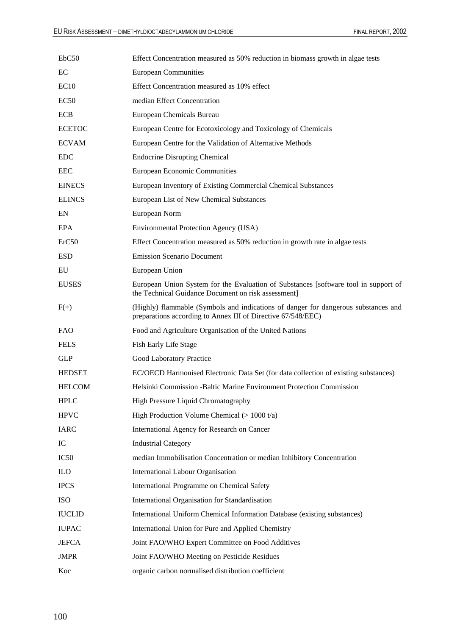| EbC50         | Effect Concentration measured as 50% reduction in biomass growth in algae tests                                                                    |
|---------------|----------------------------------------------------------------------------------------------------------------------------------------------------|
| EC            | <b>European Communities</b>                                                                                                                        |
| EC10          | Effect Concentration measured as 10% effect                                                                                                        |
| EC50          | median Effect Concentration                                                                                                                        |
| <b>ECB</b>    | European Chemicals Bureau                                                                                                                          |
| <b>ECETOC</b> | European Centre for Ecotoxicology and Toxicology of Chemicals                                                                                      |
| <b>ECVAM</b>  | European Centre for the Validation of Alternative Methods                                                                                          |
| <b>EDC</b>    | <b>Endocrine Disrupting Chemical</b>                                                                                                               |
| <b>EEC</b>    | European Economic Communities                                                                                                                      |
| <b>EINECS</b> | European Inventory of Existing Commercial Chemical Substances                                                                                      |
| <b>ELINCS</b> | European List of New Chemical Substances                                                                                                           |
| EN            | European Norm                                                                                                                                      |
| EPA           | <b>Environmental Protection Agency (USA)</b>                                                                                                       |
| ErC50         | Effect Concentration measured as 50% reduction in growth rate in algae tests                                                                       |
| <b>ESD</b>    | <b>Emission Scenario Document</b>                                                                                                                  |
| EU            | European Union                                                                                                                                     |
| <b>EUSES</b>  | European Union System for the Evaluation of Substances [software tool in support of<br>the Technical Guidance Document on risk assessment]         |
| $F(+)$        | (Highly) flammable (Symbols and indications of danger for dangerous substances and<br>preparations according to Annex III of Directive 67/548/EEC) |
| <b>FAO</b>    | Food and Agriculture Organisation of the United Nations                                                                                            |
| <b>FELS</b>   | Fish Early Life Stage                                                                                                                              |
| <b>GLP</b>    | Good Laboratory Practice                                                                                                                           |
| <b>HEDSET</b> | EC/OECD Harmonised Electronic Data Set (for data collection of existing substances)                                                                |
| <b>HELCOM</b> | Helsinki Commission - Baltic Marine Environment Protection Commission                                                                              |
| <b>HPLC</b>   | High Pressure Liquid Chromatography                                                                                                                |
| <b>HPVC</b>   | High Production Volume Chemical $(>1000 t/a)$                                                                                                      |
| <b>IARC</b>   | International Agency for Research on Cancer                                                                                                        |
| IC            | <b>Industrial Category</b>                                                                                                                         |
| IC50          | median Immobilisation Concentration or median Inhibitory Concentration                                                                             |
| <b>ILO</b>    | International Labour Organisation                                                                                                                  |
| <b>IPCS</b>   | International Programme on Chemical Safety                                                                                                         |
| <b>ISO</b>    | International Organisation for Standardisation                                                                                                     |
| <b>IUCLID</b> | International Uniform Chemical Information Database (existing substances)                                                                          |
| <b>IUPAC</b>  | International Union for Pure and Applied Chemistry                                                                                                 |
| <b>JEFCA</b>  | Joint FAO/WHO Expert Committee on Food Additives                                                                                                   |
| <b>JMPR</b>   | Joint FAO/WHO Meeting on Pesticide Residues                                                                                                        |
| Koc           | organic carbon normalised distribution coefficient                                                                                                 |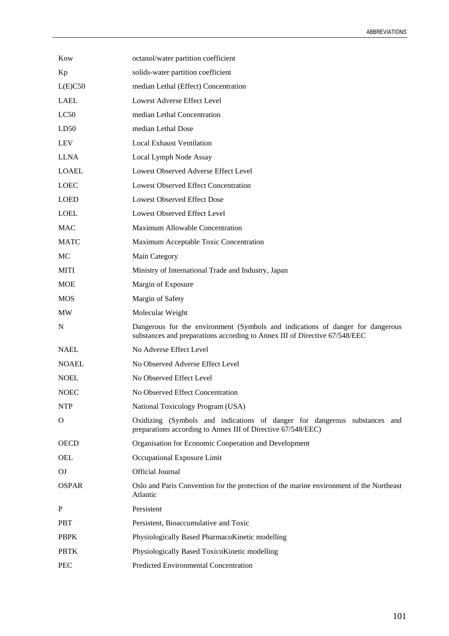| Kow          | octanol/water partition coefficient                                                                                                                          |
|--------------|--------------------------------------------------------------------------------------------------------------------------------------------------------------|
| Kp           | solids-water partition coefficient                                                                                                                           |
| L(E)C50      | median Lethal (Effect) Concentration                                                                                                                         |
| <b>LAEL</b>  | Lowest Adverse Effect Level                                                                                                                                  |
| LC50         | median Lethal Concentration                                                                                                                                  |
| LD50         | median Lethal Dose                                                                                                                                           |
| LEV          | <b>Local Exhaust Ventilation</b>                                                                                                                             |
| <b>LLNA</b>  | Local Lymph Node Assay                                                                                                                                       |
| <b>LOAEL</b> | Lowest Observed Adverse Effect Level                                                                                                                         |
| <b>LOEC</b>  | <b>Lowest Observed Effect Concentration</b>                                                                                                                  |
| <b>LOED</b>  | <b>Lowest Observed Effect Dose</b>                                                                                                                           |
| <b>LOEL</b>  | Lowest Observed Effect Level                                                                                                                                 |
| <b>MAC</b>   | Maximum Allowable Concentration                                                                                                                              |
| <b>MATC</b>  | Maximum Acceptable Toxic Concentration                                                                                                                       |
| MC           | Main Category                                                                                                                                                |
| <b>MITI</b>  | Ministry of International Trade and Industry, Japan                                                                                                          |
| <b>MOE</b>   | Margin of Exposure                                                                                                                                           |
| <b>MOS</b>   | Margin of Safety                                                                                                                                             |
| MW           | Molecular Weight                                                                                                                                             |
| N            | Dangerous for the environment (Symbols and indications of danger for dangerous<br>substances and preparations according to Annex III of Directive 67/548/EEC |
| <b>NAEL</b>  | No Adverse Effect Level                                                                                                                                      |
| <b>NOAEL</b> | No Observed Adverse Effect Level                                                                                                                             |
| <b>NOEL</b>  | No Observed Effect Level                                                                                                                                     |
| <b>NOEC</b>  | No Observed Effect Concentration                                                                                                                             |
| <b>NTP</b>   | National Toxicology Program (USA)                                                                                                                            |
| O            | Oxidizing (Symbols and indications of danger for dangerous substances and<br>preparations according to Annex III of Directive 67/548/EEC)                    |
| <b>OECD</b>  | Organisation for Economic Cooperation and Development                                                                                                        |
| OEL          | Occupational Exposure Limit                                                                                                                                  |
| OJ           | Official Journal                                                                                                                                             |
| <b>OSPAR</b> | Oslo and Paris Convention for the protection of the marine environment of the Northeast<br>Atlantic                                                          |
| $\mathbf P$  | Persistent                                                                                                                                                   |
| <b>PBT</b>   | Persistent, Bioaccumulative and Toxic                                                                                                                        |
| <b>PBPK</b>  | Physiologically Based PharmacoKinetic modelling                                                                                                              |
| <b>PBTK</b>  | Physiologically Based ToxicoKinetic modelling                                                                                                                |
| <b>PEC</b>   | Predicted Environmental Concentration                                                                                                                        |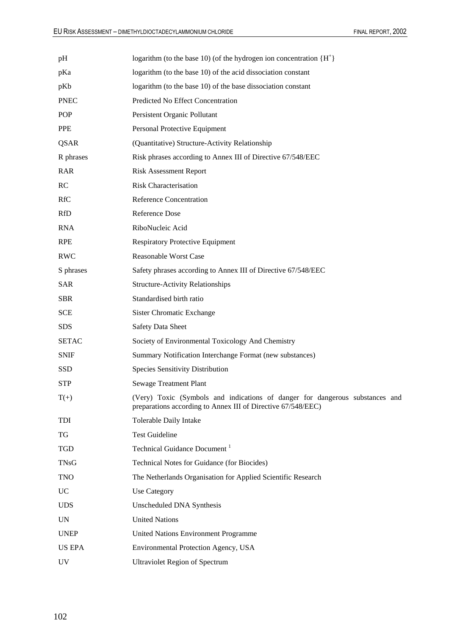| pH           | logarithm (to the base 10) (of the hydrogen ion concentration ${H^+}$ )                                                                      |  |
|--------------|----------------------------------------------------------------------------------------------------------------------------------------------|--|
| pKa          | logarithm (to the base 10) of the acid dissociation constant                                                                                 |  |
| pKb          | logarithm (to the base 10) of the base dissociation constant                                                                                 |  |
| <b>PNEC</b>  | Predicted No Effect Concentration                                                                                                            |  |
| POP          | Persistent Organic Pollutant                                                                                                                 |  |
| <b>PPE</b>   | Personal Protective Equipment                                                                                                                |  |
| QSAR         | (Quantitative) Structure-Activity Relationship                                                                                               |  |
| R phrases    | Risk phrases according to Annex III of Directive 67/548/EEC                                                                                  |  |
| <b>RAR</b>   | <b>Risk Assessment Report</b>                                                                                                                |  |
| RC           | <b>Risk Characterisation</b>                                                                                                                 |  |
| <b>RfC</b>   | Reference Concentration                                                                                                                      |  |
| <b>RfD</b>   | Reference Dose                                                                                                                               |  |
| <b>RNA</b>   | RiboNucleic Acid                                                                                                                             |  |
| <b>RPE</b>   | <b>Respiratory Protective Equipment</b>                                                                                                      |  |
| <b>RWC</b>   | <b>Reasonable Worst Case</b>                                                                                                                 |  |
| S phrases    | Safety phrases according to Annex III of Directive 67/548/EEC                                                                                |  |
| <b>SAR</b>   | <b>Structure-Activity Relationships</b>                                                                                                      |  |
| <b>SBR</b>   | Standardised birth ratio                                                                                                                     |  |
| <b>SCE</b>   | Sister Chromatic Exchange                                                                                                                    |  |
| <b>SDS</b>   | <b>Safety Data Sheet</b>                                                                                                                     |  |
| <b>SETAC</b> | Society of Environmental Toxicology And Chemistry                                                                                            |  |
| <b>SNIF</b>  | Summary Notification Interchange Format (new substances)                                                                                     |  |
| SSD          | <b>Species Sensitivity Distribution</b>                                                                                                      |  |
| <b>STP</b>   | <b>Sewage Treatment Plant</b>                                                                                                                |  |
| $T(+)$       | (Very) Toxic (Symbols and indications of danger for dangerous substances and<br>preparations according to Annex III of Directive 67/548/EEC) |  |
| TDI          | Tolerable Daily Intake                                                                                                                       |  |
| TG           | <b>Test Guideline</b>                                                                                                                        |  |
| <b>TGD</b>   | Technical Guidance Document <sup>1</sup>                                                                                                     |  |
| <b>TNsG</b>  | Technical Notes for Guidance (for Biocides)                                                                                                  |  |
| <b>TNO</b>   | The Netherlands Organisation for Applied Scientific Research                                                                                 |  |
| <b>UC</b>    | Use Category                                                                                                                                 |  |
| <b>UDS</b>   | Unscheduled DNA Synthesis                                                                                                                    |  |
| <b>UN</b>    | <b>United Nations</b>                                                                                                                        |  |
| <b>UNEP</b>  | United Nations Environment Programme                                                                                                         |  |
| US EPA       | Environmental Protection Agency, USA                                                                                                         |  |
| UV           | <b>Ultraviolet Region of Spectrum</b>                                                                                                        |  |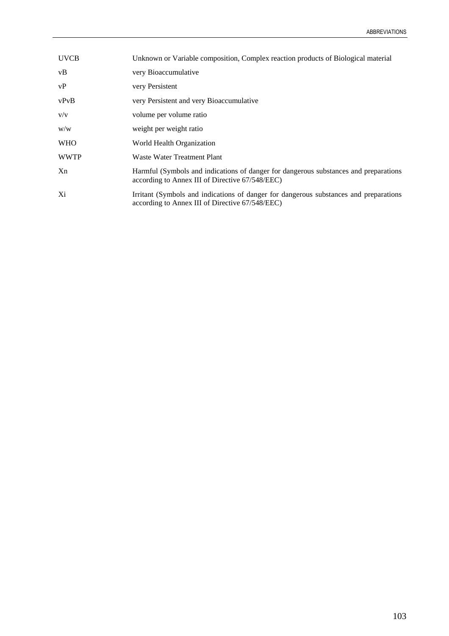| <b>UVCB</b> | Unknown or Variable composition, Complex reaction products of Biological material                                                        |
|-------------|------------------------------------------------------------------------------------------------------------------------------------------|
| vB          | very Bioaccumulative                                                                                                                     |
| vP          | very Persistent                                                                                                                          |
| vPvB        | very Persistent and very Bioaccumulative                                                                                                 |
| V/V         | volume per volume ratio                                                                                                                  |
| W/W         | weight per weight ratio                                                                                                                  |
| <b>WHO</b>  | World Health Organization                                                                                                                |
| <b>WWTP</b> | Waste Water Treatment Plant                                                                                                              |
| Xn          | Harmful (Symbols and indications of danger for dangerous substances and preparations<br>according to Annex III of Directive 67/548/EEC)  |
| Xi          | Irritant (Symbols and indications of danger for dangerous substances and preparations<br>according to Annex III of Directive 67/548/EEC) |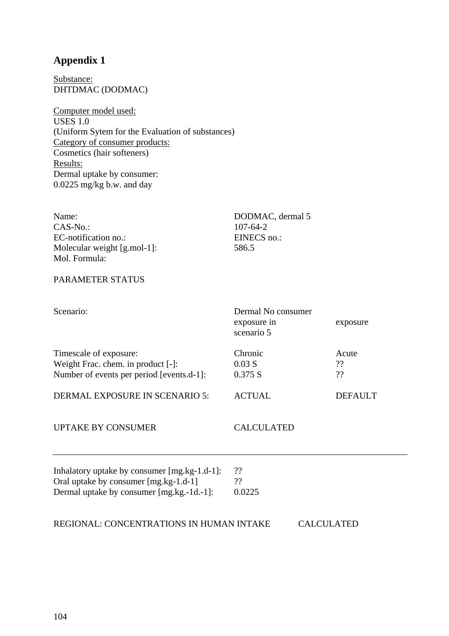# **Appendix 1**

Substance: DHTDMAC (DODMAC)

Computer model used: USES 1.0 (Uniform Sytem for the Evaluation of substances) Category of consumer products: Cosmetics (hair softeners) Results: Dermal uptake by consumer: 0.0225 mg/kg b.w. and day

| Name:                        | DODMAC, dermal 5 |
|------------------------------|------------------|
| $CAS-No.$                    | $107 - 64 - 2$   |
| EC-notification no.:         | EINECS no.:      |
| Molecular weight $[g$ mol-1: | 586.5            |
| Mol. Formula:                |                  |
| PARAMETER STATUS             |                  |
|                              |                  |

| Scenario:                                    | Dermal No consumer<br>exposure in<br>scenario 5 | exposure       |
|----------------------------------------------|-------------------------------------------------|----------------|
| Timescale of exposure:                       | Chronic                                         | Acute          |
| Weight Frac. chem. in product [-]:           | 0.03 S                                          | ??             |
| Number of events per period [events.d-1]:    | 0.375 S                                         | ??             |
| <b>DERMAL EXPOSURE IN SCENARIO 5:</b>        | <b>ACTUAL</b>                                   | <b>DEFAULT</b> |
| <b>UPTAKE BY CONSUMER</b>                    | <b>CALCULATED</b>                               |                |
| Inhalatory uptake by consumer [mg.kg-1.d-1]: | ??                                              |                |
| Oral uptake by consumer [mg.kg-1.d-1]        | ??                                              |                |
| Dermal uptake by consumer [mg.kg.-1d.-1]:    | 0.0225                                          |                |
| REGIONAL: CONCENTRATIONS IN HUMAN INTAKE     |                                                 | CALCULATED     |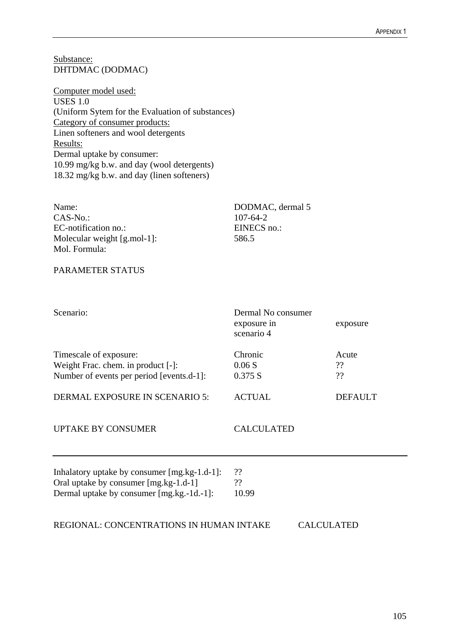Substance: DHTDMAC (DODMAC)

Computer model used: USES 1.0 (Uniform Sytem for the Evaluation of substances) Category of consumer products: Linen softeners and wool detergents Results: Dermal uptake by consumer: 10.99 mg/kg b.w. and day (wool detergents) 18.32 mg/kg b.w. and day (linen softeners)

| Name:                         | DODMAC, dermal 5 |
|-------------------------------|------------------|
| $CAS-No.$                     | 107-64-2         |
| EC-notification no.:          | EINECS no.:      |
| Molecular weight $[g$ .mol-1: | 586.5            |
| Mol. Formula:                 |                  |

### PARAMETER STATUS

| Scenario:                                                                                                                          | Dermal No consumer<br>exposure in<br>scenario 4 | exposure          |
|------------------------------------------------------------------------------------------------------------------------------------|-------------------------------------------------|-------------------|
| Timescale of exposure:<br>Weight Frac. chem. in product [-]:<br>Number of events per period [events.d-1]:                          | Chronic<br>0.06S<br>0.375 S                     | Acute<br>??<br>?? |
| <b>DERMAL EXPOSURE IN SCENARIO 5:</b>                                                                                              | <b>ACTUAL</b>                                   | <b>DEFAULT</b>    |
| <b>UPTAKE BY CONSUMER</b>                                                                                                          | <b>CALCULATED</b>                               |                   |
| Inhalatory uptake by consumer [mg.kg-1.d-1]:<br>Oral uptake by consumer [mg.kg-1.d-1]<br>Dermal uptake by consumer [mg.kg.-1d.-1]: | ??<br>??<br>10.99                               |                   |
| REGIONAL: CONCENTRATIONS IN HUMAN INTAKE                                                                                           |                                                 | <b>CALCULATED</b> |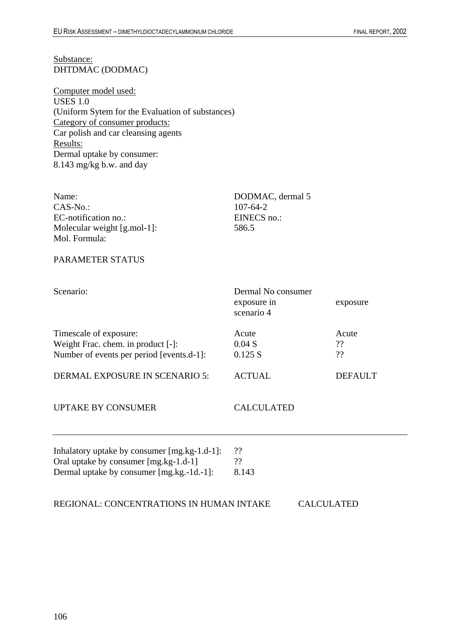Substance: DHTDMAC (DODMAC)

Computer model used: USES 1.0 (Uniform Sytem for the Evaluation of substances) Category of consumer products: Car polish and car cleansing agents Results: Dermal uptake by consumer: 8.143 mg/kg b.w. and day

| Name:<br>$CAS-No.$<br>EC-notification no.:<br>Molecular weight [g.mol-1]:<br>Mol. Formula:                                         | DODMAC, dermal 5<br>$107 - 64 - 2$<br>EINECS no.:<br>586.5 |                   |
|------------------------------------------------------------------------------------------------------------------------------------|------------------------------------------------------------|-------------------|
| <b>PARAMETER STATUS</b>                                                                                                            |                                                            |                   |
| Scenario:                                                                                                                          | Dermal No consumer<br>exposure in<br>scenario 4            | exposure          |
| Timescale of exposure:<br>Weight Frac. chem. in product [-]:<br>Number of events per period [events.d-1]:                          | Acute<br>0.04S<br>0.125 S                                  | Acute<br>??<br>?? |
| <b>DERMAL EXPOSURE IN SCENARIO 5:</b>                                                                                              | <b>ACTUAL</b>                                              | <b>DEFAULT</b>    |
| <b>UPTAKE BY CONSUMER</b>                                                                                                          | <b>CALCULATED</b>                                          |                   |
| Inhalatory uptake by consumer [mg.kg-1.d-1]:<br>Oral uptake by consumer [mg.kg-1.d-1]<br>Dermal uptake by consumer [mg.kg.-1d.-1]: | ??<br>??<br>8.143                                          |                   |

REGIONAL: CONCENTRATIONS IN HUMAN INTAKE CALCULATED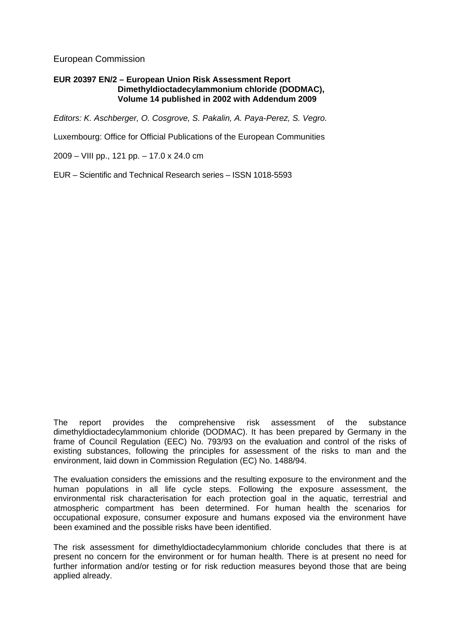### European Commission

#### **EUR 20397 EN/2 – European Union Risk Assessment Report Dimethyldioctadecylammonium chloride (DODMAC), Volume 14 published in 2002 with Addendum 2009**

*Editors: K. Aschberger, O. Cosgrove, S. Pakalin, A. Paya-Perez, S. Vegro.* 

Luxembourg: Office for Official Publications of the European Communities

2009 – VIII pp., 121 pp. – 17.0 x 24.0 cm

EUR – Scientific and Technical Research series – ISSN 1018-5593

The report provides the comprehensive risk assessment of the substance dimethyldioctadecylammonium chloride (DODMAC). It has been prepared by Germany in the frame of Council Regulation (EEC) No. 793/93 on the evaluation and control of the risks of existing substances, following the principles for assessment of the risks to man and the environment, laid down in Commission Regulation (EC) No. 1488/94.

The evaluation considers the emissions and the resulting exposure to the environment and the human populations in all life cycle steps. Following the exposure assessment, the environmental risk characterisation for each protection goal in the aquatic, terrestrial and atmospheric compartment has been determined. For human health the scenarios for occupational exposure, consumer exposure and humans exposed via the environment have been examined and the possible risks have been identified.

The risk assessment for dimethyldioctadecylammonium chloride concludes that there is at present no concern for the environment or for human health. There is at present no need for further information and/or testing or for risk reduction measures beyond those that are being applied already.